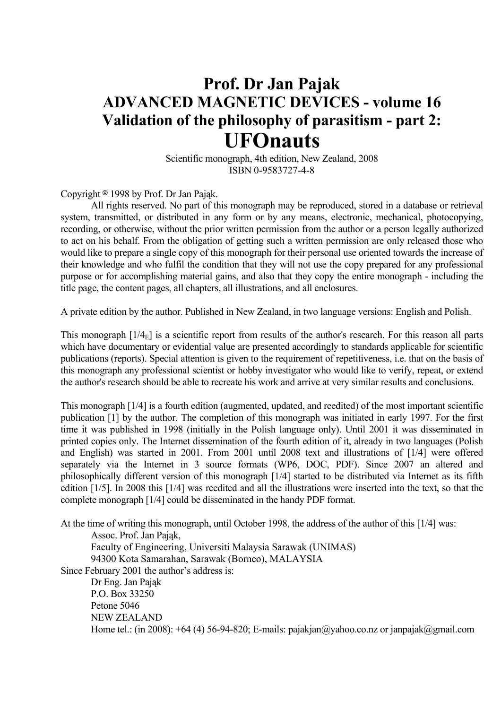## **Prof. Dr Jan Pajak ADVANCED MAGNETIC DEVICES - volume 16 Validation of the philosophy of parasitism - part 2: UFOnauts**

 Scientific monograph, 4th edition, New Zealand, 2008 ISBN 0-9583727-4-8

Copyright  $\circ$  1998 by Prof. Dr Jan Pająk.

 All rights reserved. No part of this monograph may be reproduced, stored in a database or retrieval system, transmitted, or distributed in any form or by any means, electronic, mechanical, photocopying, recording, or otherwise, without the prior written permission from the author or a person legally authorized to act on his behalf. From the obligation of getting such a written permission are only released those who would like to prepare a single copy of this monograph for their personal use oriented towards the increase of their knowledge and who fulfil the condition that they will not use the copy prepared for any professional purpose or for accomplishing material gains, and also that they copy the entire monograph - including the title page, the content pages, all chapters, all illustrations, and all enclosures.

A private edition by the author. Published in New Zealand, in two language versions: English and Polish.

This monograph  $[1/4<sub>E</sub>]$  is a scientific report from results of the author's research. For this reason all parts which have documentary or evidential value are presented accordingly to standards applicable for scientific publications (reports). Special attention is given to the requirement of repetitiveness, i.e. that on the basis of this monograph any professional scientist or hobby investigator who would like to verify, repeat, or extend the author's research should be able to recreate his work and arrive at very similar results and conclusions.

This monograph [1/4] is a fourth edition (augmented, updated, and reedited) of the most important scientific publication [1] by the author. The completion of this monograph was initiated in early 1997. For the first time it was published in 1998 (initially in the Polish language only). Until 2001 it was disseminated in printed copies only. The Internet dissemination of the fourth edition of it, already in two languages (Polish and English) was started in 2001. From 2001 until 2008 text and illustrations of [1/4] were offered separately via the Internet in 3 source formats (WP6, DOC, PDF). Since 2007 an altered and philosophically different version of this monograph [1/4] started to be distributed via Internet as its fifth edition [1/5]. In 2008 this [1/4] was reedited and all the illustrations were inserted into the text, so that the complete monograph [1/4] could be disseminated in the handy PDF format.

At the time of writing this monograph, until October 1998, the address of the author of this [1/4] was:

Assoc. Prof. Jan Pająk,

 Faculty of Engineering, Universiti Malaysia Sarawak (UNIMAS) 94300 Kota Samarahan, Sarawak (Borneo), MALAYSIA

Since February 2001 the author's address is:

 Dr Eng. Jan Pająk P.O. Box 33250 Petone 5046 NEW ZEALAND Home tel.: (in 2008):  $+64$  (4) 56-94-820; E-mails: pajakjan@yahoo.co.nz or janpajak@gmail.com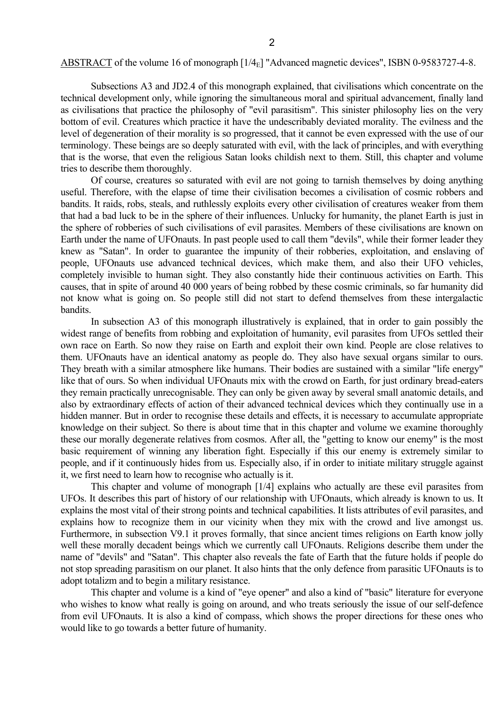Subsections A3 and JD2.4 of this monograph explained, that civilisations which concentrate on the technical development only, while ignoring the simultaneous moral and spiritual advancement, finally land as civilisations that practice the philosophy of "evil parasitism". This sinister philosophy lies on the very bottom of evil. Creatures which practice it have the undescribably deviated morality. The evilness and the level of degeneration of their morality is so progressed, that it cannot be even expressed with the use of our terminology. These beings are so deeply saturated with evil, with the lack of principles, and with everything that is the worse, that even the religious Satan looks childish next to them. Still, this chapter and volume tries to describe them thoroughly.

 Of course, creatures so saturated with evil are not going to tarnish themselves by doing anything useful. Therefore, with the elapse of time their civilisation becomes a civilisation of cosmic robbers and bandits. It raids, robs, steals, and ruthlessly exploits every other civilisation of creatures weaker from them that had a bad luck to be in the sphere of their influences. Unlucky for humanity, the planet Earth is just in the sphere of robberies of such civilisations of evil parasites. Members of these civilisations are known on Earth under the name of UFOnauts. In past people used to call them "devils", while their former leader they knew as "Satan". In order to guarantee the impunity of their robberies, exploitation, and enslaving of people, UFOnauts use advanced technical devices, which make them, and also their UFO vehicles, completely invisible to human sight. They also constantly hide their continuous activities on Earth. This causes, that in spite of around 40 000 years of being robbed by these cosmic criminals, so far humanity did not know what is going on. So people still did not start to defend themselves from these intergalactic bandits.

 In subsection A3 of this monograph illustratively is explained, that in order to gain possibly the widest range of benefits from robbing and exploitation of humanity, evil parasites from UFOs settled their own race on Earth. So now they raise on Earth and exploit their own kind. People are close relatives to them. UFOnauts have an identical anatomy as people do. They also have sexual organs similar to ours. They breath with a similar atmosphere like humans. Their bodies are sustained with a similar "life energy" like that of ours. So when individual UFOnauts mix with the crowd on Earth, for just ordinary bread-eaters they remain practically unrecognisable. They can only be given away by several small anatomic details, and also by extraordinary effects of action of their advanced technical devices which they continually use in a hidden manner. But in order to recognise these details and effects, it is necessary to accumulate appropriate knowledge on their subject. So there is about time that in this chapter and volume we examine thoroughly these our morally degenerate relatives from cosmos. After all, the "getting to know our enemy" is the most basic requirement of winning any liberation fight. Especially if this our enemy is extremely similar to people, and if it continuously hides from us. Especially also, if in order to initiate military struggle against it, we first need to learn how to recognise who actually is it.

 This chapter and volume of monograph [1/4] explains who actually are these evil parasites from UFOs. It describes this part of history of our relationship with UFOnauts, which already is known to us. It explains the most vital of their strong points and technical capabilities. It lists attributes of evil parasites, and explains how to recognize them in our vicinity when they mix with the crowd and live amongst us. Furthermore, in subsection V9.1 it proves formally, that since ancient times religions on Earth know jolly well these morally decadent beings which we currently call UFOnauts. Religions describe them under the name of "devils" and "Satan". This chapter also reveals the fate of Earth that the future holds if people do not stop spreading parasitism on our planet. It also hints that the only defence from parasitic UFOnauts is to adopt totalizm and to begin a military resistance.

 This chapter and volume is a kind of "eye opener" and also a kind of "basic" literature for everyone who wishes to know what really is going on around, and who treats seriously the issue of our self-defence from evil UFOnauts. It is also a kind of compass, which shows the proper directions for these ones who would like to go towards a better future of humanity.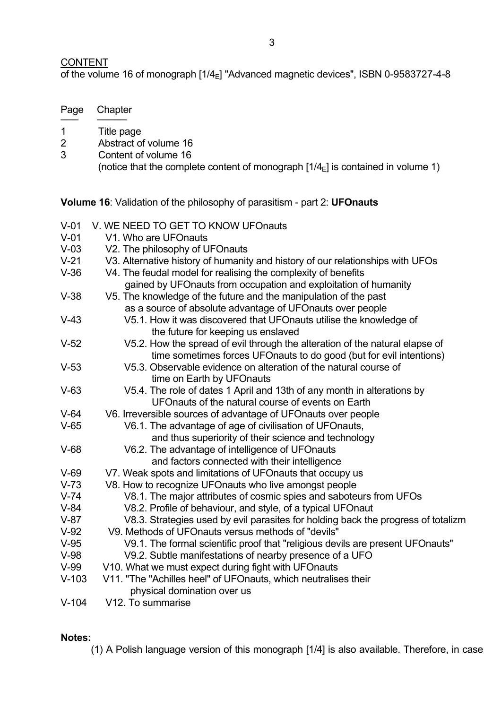### **CONTENT**

Page Chapter ─── ─────

of the volume 16 of monograph  $[1/4_E]$  "Advanced magnetic devices", ISBN 0-9583727-4-8

| $\mathbf 1$                                                                            | Title page                                                                                                                  |
|----------------------------------------------------------------------------------------|-----------------------------------------------------------------------------------------------------------------------------|
| $\overline{2}$                                                                         | Abstract of volume 16                                                                                                       |
| 3                                                                                      | Content of volume 16                                                                                                        |
|                                                                                        | (notice that the complete content of monograph $[1/4_{\rm E}]$ is contained in volume 1)                                    |
| <b>Volume 16:</b> Validation of the philosophy of parasitism - part 2: <b>UFOnauts</b> |                                                                                                                             |
| $V-01$                                                                                 | V. WE NEED TO GET TO KNOW UFOnauts                                                                                          |
| $V-01$                                                                                 | V1. Who are UFOnauts                                                                                                        |
| $V-03$                                                                                 | V2. The philosophy of UFOnauts                                                                                              |
| $V-21$                                                                                 | V3. Alternative history of humanity and history of our relationships with UFOs                                              |
| $V-36$                                                                                 | V4. The feudal model for realising the complexity of benefits                                                               |
|                                                                                        | gained by UFOnauts from occupation and exploitation of humanity                                                             |
| $V-38$                                                                                 | V5. The knowledge of the future and the manipulation of the past                                                            |
|                                                                                        | as a source of absolute advantage of UFOnauts over people                                                                   |
| $V-43$                                                                                 | V5.1. How it was discovered that UFOnauts utilise the knowledge of                                                          |
|                                                                                        | the future for keeping us enslaved                                                                                          |
| $V-52$                                                                                 | V5.2. How the spread of evil through the alteration of the natural elapse of                                                |
|                                                                                        | time sometimes forces UFOnauts to do good (but for evil intentions)                                                         |
| $V-53$                                                                                 | V5.3. Observable evidence on alteration of the natural course of                                                            |
|                                                                                        | time on Earth by UFOnauts                                                                                                   |
| $V-63$                                                                                 | V5.4. The role of dates 1 April and 13th of any month in alterations by                                                     |
|                                                                                        | UFOnauts of the natural course of events on Earth                                                                           |
| $V-64$                                                                                 | V6. Irreversible sources of advantage of UFO nauts over people                                                              |
| $V-65$                                                                                 | V6.1. The advantage of age of civilisation of UFOnauts,                                                                     |
|                                                                                        | and thus superiority of their science and technology                                                                        |
| $V-68$                                                                                 | V6.2. The advantage of intelligence of UFOnauts                                                                             |
|                                                                                        | and factors connected with their intelligence                                                                               |
| $V-69$                                                                                 | V7. Weak spots and limitations of UFOnauts that occupy us                                                                   |
| $V-73$<br>$V-74$                                                                       | V8. How to recognize UFOnauts who live amongst people<br>V8.1. The major attributes of cosmic spies and saboteurs from UFOs |
| $V-84$                                                                                 | V8.2. Profile of behaviour, and style, of a typical UFOnaut                                                                 |
| $V-87$                                                                                 | V8.3. Strategies used by evil parasites for holding back the progress of totalizm                                           |
| $V-92$                                                                                 | V9. Methods of UFOnauts versus methods of "devils"                                                                          |
| $V-95$                                                                                 | V9.1. The formal scientific proof that "religious devils are present UFOnauts"                                              |
| $V-98$                                                                                 | V9.2. Subtle manifestations of nearby presence of a UFO                                                                     |
| $V-99$                                                                                 | V10. What we must expect during fight with UFOnauts                                                                         |
| $V-103$                                                                                | V11. "The "Achilles heel" of UFOnauts, which neutralises their                                                              |
|                                                                                        | physical domination over us                                                                                                 |
| $V_4$ 104                                                                              | $V12$ To summaries                                                                                                          |

V-104 V12. To summarise

### **Notes:**

(1) A Polish language version of this monograph [1/4] is also available. Therefore, in case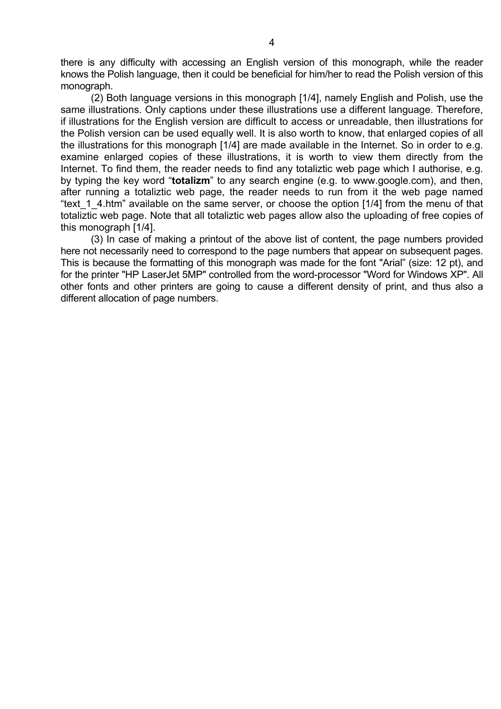there is any difficulty with accessing an English version of this monograph, while the reader knows the Polish language, then it could be beneficial for him/her to read the Polish version of this monograph.

 (2) Both language versions in this monograph [1/4], namely English and Polish, use the same illustrations. Only captions under these illustrations use a different language. Therefore, if illustrations for the English version are difficult to access or unreadable, then illustrations for the Polish version can be used equally well. It is also worth to know, that enlarged copies of all the illustrations for this monograph [1/4] are made available in the Internet. So in order to e.g. examine enlarged copies of these illustrations, it is worth to view them directly from the Internet. To find them, the reader needs to find any totaliztic web page which I authorise, e.g. by typing the key word "**totalizm**" to any search engine (e.g. to www.google.com), and then, after running a totaliztic web page, the reader needs to run from it the web page named "text 1 4.htm" available on the same server, or choose the option [1/4] from the menu of that totaliztic web page. Note that all totaliztic web pages allow also the uploading of free copies of this monograph [1/4].

 (3) In case of making a printout of the above list of content, the page numbers provided here not necessarily need to correspond to the page numbers that appear on subsequent pages. This is because the formatting of this monograph was made for the font "Arial" (size: 12 pt), and for the printer "HP LaserJet 5MP" controlled from the word-processor "Word for Windows XP". All other fonts and other printers are going to cause a different density of print, and thus also a different allocation of page numbers.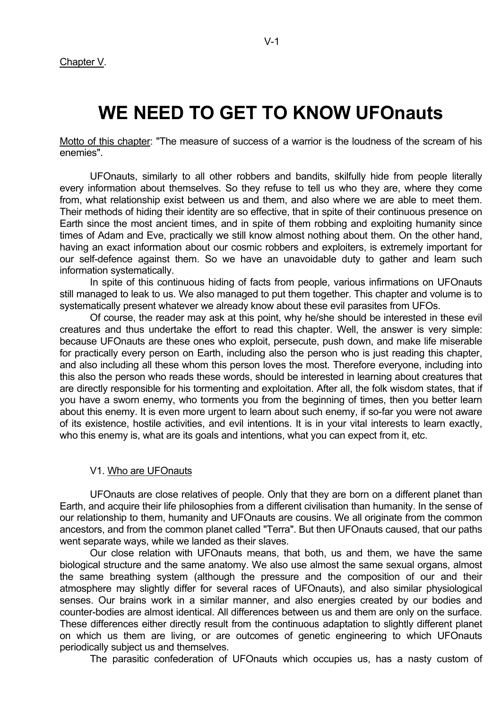Chapter V.

# **WE NEED TO GET TO KNOW UFOnauts**

Motto of this chapter: "The measure of success of a warrior is the loudness of the scream of his enemies".

 UFOnauts, similarly to all other robbers and bandits, skilfully hide from people literally every information about themselves. So they refuse to tell us who they are, where they come from, what relationship exist between us and them, and also where we are able to meet them. Their methods of hiding their identity are so effective, that in spite of their continuous presence on Earth since the most ancient times, and in spite of them robbing and exploiting humanity since times of Adam and Eve, practically we still know almost nothing about them. On the other hand, having an exact information about our cosmic robbers and exploiters, is extremely important for our self-defence against them. So we have an unavoidable duty to gather and learn such information systematically.

 In spite of this continuous hiding of facts from people, various infirmations on UFOnauts still managed to leak to us. We also managed to put them together. This chapter and volume is to systematically present whatever we already know about these evil parasites from UFOs.

 Of course, the reader may ask at this point, why he/she should be interested in these evil creatures and thus undertake the effort to read this chapter. Well, the answer is very simple: because UFOnauts are these ones who exploit, persecute, push down, and make life miserable for practically every person on Earth, including also the person who is just reading this chapter, and also including all these whom this person loves the most. Therefore everyone, including into this also the person who reads these words, should be interested in learning about creatures that are directly responsible for his tormenting and exploitation. After all, the folk wisdom states, that if you have a sworn enemy, who torments you from the beginning of times, then you better learn about this enemy. It is even more urgent to learn about such enemy, if so-far you were not aware of its existence, hostile activities, and evil intentions. It is in your vital interests to learn exactly, who this enemy is, what are its goals and intentions, what you can expect from it, etc.

### V1. Who are UFOnauts

 UFOnauts are close relatives of people. Only that they are born on a different planet than Earth, and acquire their life philosophies from a different civilisation than humanity. In the sense of our relationship to them, humanity and UFOnauts are cousins. We all originate from the common ancestors, and from the common planet called "Terra". But then UFOnauts caused, that our paths went separate ways, while we landed as their slaves.

 Our close relation with UFOnauts means, that both, us and them, we have the same biological structure and the same anatomy. We also use almost the same sexual organs, almost the same breathing system (although the pressure and the composition of our and their atmosphere may slightly differ for several races of UFOnauts), and also similar physiological senses. Our brains work in a similar manner, and also energies created by our bodies and counter-bodies are almost identical. All differences between us and them are only on the surface. These differences either directly result from the continuous adaptation to slightly different planet on which us them are living, or are outcomes of genetic engineering to which UFOnauts periodically subject us and themselves.

The parasitic confederation of UFOnauts which occupies us, has a nasty custom of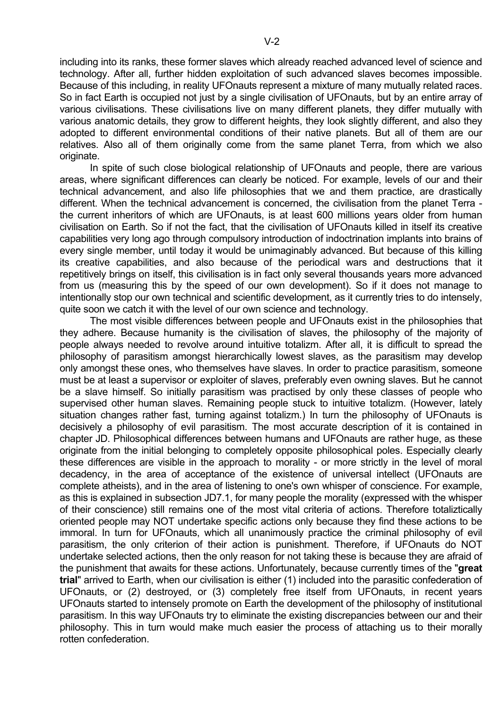including into its ranks, these former slaves which already reached advanced level of science and technology. After all, further hidden exploitation of such advanced slaves becomes impossible. Because of this including, in reality UFOnauts represent a mixture of many mutually related races. So in fact Earth is occupied not just by a single civilisation of UFOnauts, but by an entire array of various civilisations. These civilisations live on many different planets, they differ mutually with various anatomic details, they grow to different heights, they look slightly different, and also they adopted to different environmental conditions of their native planets. But all of them are our relatives. Also all of them originally come from the same planet Terra, from which we also originate.

 In spite of such close biological relationship of UFOnauts and people, there are various areas, where significant differences can clearly be noticed. For example, levels of our and their technical advancement, and also life philosophies that we and them practice, are drastically different. When the technical advancement is concerned, the civilisation from the planet Terra the current inheritors of which are UFOnauts, is at least 600 millions years older from human civilisation on Earth. So if not the fact, that the civilisation of UFOnauts killed in itself its creative capabilities very long ago through compulsory introduction of indoctrination implants into brains of every single member, until today it would be unimaginably advanced. But because of this killing its creative capabilities, and also because of the periodical wars and destructions that it repetitively brings on itself, this civilisation is in fact only several thousands years more advanced from us (measuring this by the speed of our own development). So if it does not manage to intentionally stop our own technical and scientific development, as it currently tries to do intensely, quite soon we catch it with the level of our own science and technology.

 The most visible differences between people and UFOnauts exist in the philosophies that they adhere. Because humanity is the civilisation of slaves, the philosophy of the majority of people always needed to revolve around intuitive totalizm. After all, it is difficult to spread the philosophy of parasitism amongst hierarchically lowest slaves, as the parasitism may develop only amongst these ones, who themselves have slaves. In order to practice parasitism, someone must be at least a supervisor or exploiter of slaves, preferably even owning slaves. But he cannot be a slave himself. So initially parasitism was practised by only these classes of people who supervised other human slaves. Remaining people stuck to intuitive totalizm. (However, lately situation changes rather fast, turning against totalizm.) In turn the philosophy of UFOnauts is decisively a philosophy of evil parasitism. The most accurate description of it is contained in chapter JD. Philosophical differences between humans and UFOnauts are rather huge, as these originate from the initial belonging to completely opposite philosophical poles. Especially clearly these differences are visible in the approach to morality - or more strictly in the level of moral decadency, in the area of acceptance of the existence of universal intellect (UFOnauts are complete atheists), and in the area of listening to one's own whisper of conscience. For example, as this is explained in subsection JD7.1, for many people the morality (expressed with the whisper of their conscience) still remains one of the most vital criteria of actions. Therefore totaliztically oriented people may NOT undertake specific actions only because they find these actions to be immoral. In turn for UFOnauts, which all unanimously practice the criminal philosophy of evil parasitism, the only criterion of their action is punishment. Therefore, if UFOnauts do NOT undertake selected actions, then the only reason for not taking these is because they are afraid of the punishment that awaits for these actions. Unfortunately, because currently times of the "**great trial**" arrived to Earth, when our civilisation is either (1) included into the parasitic confederation of UFOnauts, or (2) destroyed, or (3) completely free itself from UFOnauts, in recent years UFOnauts started to intensely promote on Earth the development of the philosophy of institutional parasitism. In this way UFOnauts try to eliminate the existing discrepancies between our and their philosophy. This in turn would make much easier the process of attaching us to their morally rotten confederation.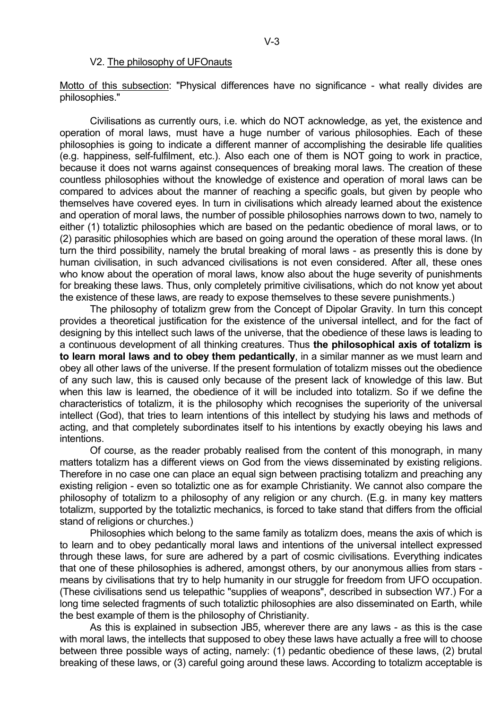#### V2. The philosophy of UFOnauts

Motto of this subsection: "Physical differences have no significance - what really divides are philosophies."

 Civilisations as currently ours, i.e. which do NOT acknowledge, as yet, the existence and operation of moral laws, must have a huge number of various philosophies. Each of these philosophies is going to indicate a different manner of accomplishing the desirable life qualities (e.g. happiness, self-fulfilment, etc.). Also each one of them is NOT going to work in practice, because it does not warns against consequences of breaking moral laws. The creation of these countless philosophies without the knowledge of existence and operation of moral laws can be compared to advices about the manner of reaching a specific goals, but given by people who themselves have covered eyes. In turn in civilisations which already learned about the existence and operation of moral laws, the number of possible philosophies narrows down to two, namely to either (1) totaliztic philosophies which are based on the pedantic obedience of moral laws, or to (2) parasitic philosophies which are based on going around the operation of these moral laws. (In turn the third possibility, namely the brutal breaking of moral laws - as presently this is done by human civilisation, in such advanced civilisations is not even considered. After all, these ones who know about the operation of moral laws, know also about the huge severity of punishments for breaking these laws. Thus, only completely primitive civilisations, which do not know yet about the existence of these laws, are ready to expose themselves to these severe punishments.)

 The philosophy of totalizm grew from the Concept of Dipolar Gravity. In turn this concept provides a theoretical justification for the existence of the universal intellect, and for the fact of designing by this intellect such laws of the universe, that the obedience of these laws is leading to a continuous development of all thinking creatures. Thus **the philosophical axis of totalizm is to learn moral laws and to obey them pedantically**, in a similar manner as we must learn and obey all other laws of the universe. If the present formulation of totalizm misses out the obedience of any such law, this is caused only because of the present lack of knowledge of this law. But when this law is learned, the obedience of it will be included into totalizm. So if we define the characteristics of totalizm, it is the philosophy which recognises the superiority of the universal intellect (God), that tries to learn intentions of this intellect by studying his laws and methods of acting, and that completely subordinates itself to his intentions by exactly obeying his laws and intentions.

 Of course, as the reader probably realised from the content of this monograph, in many matters totalizm has a different views on God from the views disseminated by existing religions. Therefore in no case one can place an equal sign between practising totalizm and preaching any existing religion - even so totaliztic one as for example Christianity. We cannot also compare the philosophy of totalizm to a philosophy of any religion or any church. (E.g. in many key matters totalizm, supported by the totaliztic mechanics, is forced to take stand that differs from the official stand of religions or churches.)

 Philosophies which belong to the same family as totalizm does, means the axis of which is to learn and to obey pedantically moral laws and intentions of the universal intellect expressed through these laws, for sure are adhered by a part of cosmic civilisations. Everything indicates that one of these philosophies is adhered, amongst others, by our anonymous allies from stars means by civilisations that try to help humanity in our struggle for freedom from UFO occupation. (These civilisations send us telepathic "supplies of weapons", described in subsection W7.) For a long time selected fragments of such totaliztic philosophies are also disseminated on Earth, while the best example of them is the philosophy of Christianity.

 As this is explained in subsection JB5, wherever there are any laws - as this is the case with moral laws, the intellects that supposed to obey these laws have actually a free will to choose between three possible ways of acting, namely: (1) pedantic obedience of these laws, (2) brutal breaking of these laws, or (3) careful going around these laws. According to totalizm acceptable is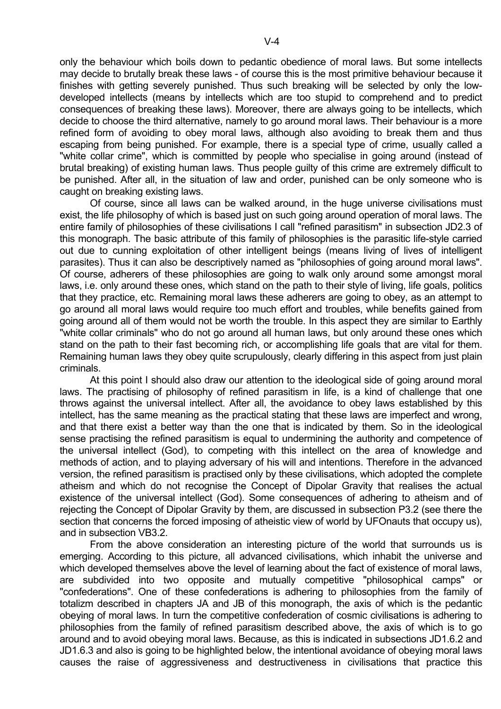only the behaviour which boils down to pedantic obedience of moral laws. But some intellects may decide to brutally break these laws - of course this is the most primitive behaviour because it finishes with getting severely punished. Thus such breaking will be selected by only the lowdeveloped intellects (means by intellects which are too stupid to comprehend and to predict consequences of breaking these laws). Moreover, there are always going to be intellects, which decide to choose the third alternative, namely to go around moral laws. Their behaviour is a more refined form of avoiding to obey moral laws, although also avoiding to break them and thus escaping from being punished. For example, there is a special type of crime, usually called a "white collar crime", which is committed by people who specialise in going around (instead of brutal breaking) of existing human laws. Thus people guilty of this crime are extremely difficult to be punished. After all, in the situation of law and order, punished can be only someone who is caught on breaking existing laws.

 Of course, since all laws can be walked around, in the huge universe civilisations must exist, the life philosophy of which is based just on such going around operation of moral laws. The entire family of philosophies of these civilisations I call "refined parasitism" in subsection JD2.3 of this monograph. The basic attribute of this family of philosophies is the parasitic life-style carried out due to cunning exploitation of other intelligent beings (means living of lives of intelligent parasites). Thus it can also be descriptively named as "philosophies of going around moral laws". Of course, adherers of these philosophies are going to walk only around some amongst moral laws, i.e. only around these ones, which stand on the path to their style of living, life goals, politics that they practice, etc. Remaining moral laws these adherers are going to obey, as an attempt to go around all moral laws would require too much effort and troubles, while benefits gained from going around all of them would not be worth the trouble. In this aspect they are similar to Earthly "white collar criminals" who do not go around all human laws, but only around these ones which stand on the path to their fast becoming rich, or accomplishing life goals that are vital for them. Remaining human laws they obey quite scrupulously, clearly differing in this aspect from just plain criminals.

 At this point I should also draw our attention to the ideological side of going around moral laws. The practising of philosophy of refined parasitism in life, is a kind of challenge that one throws against the universal intellect. After all, the avoidance to obey laws established by this intellect, has the same meaning as the practical stating that these laws are imperfect and wrong, and that there exist a better way than the one that is indicated by them. So in the ideological sense practising the refined parasitism is equal to undermining the authority and competence of the universal intellect (God), to competing with this intellect on the area of knowledge and methods of action, and to playing adversary of his will and intentions. Therefore in the advanced version, the refined parasitism is practised only by these civilisations, which adopted the complete atheism and which do not recognise the Concept of Dipolar Gravity that realises the actual existence of the universal intellect (God). Some consequences of adhering to atheism and of rejecting the Concept of Dipolar Gravity by them, are discussed in subsection P3.2 (see there the section that concerns the forced imposing of atheistic view of world by UFOnauts that occupy us), and in subsection VB3.2.

 From the above consideration an interesting picture of the world that surrounds us is emerging. According to this picture, all advanced civilisations, which inhabit the universe and which developed themselves above the level of learning about the fact of existence of moral laws, are subdivided into two opposite and mutually competitive "philosophical camps" or "confederations". One of these confederations is adhering to philosophies from the family of totalizm described in chapters JA and JB of this monograph, the axis of which is the pedantic obeying of moral laws. In turn the competitive confederation of cosmic civilisations is adhering to philosophies from the family of refined parasitism described above, the axis of which is to go around and to avoid obeying moral laws. Because, as this is indicated in subsections JD1.6.2 and JD1.6.3 and also is going to be highlighted below, the intentional avoidance of obeying moral laws causes the raise of aggressiveness and destructiveness in civilisations that practice this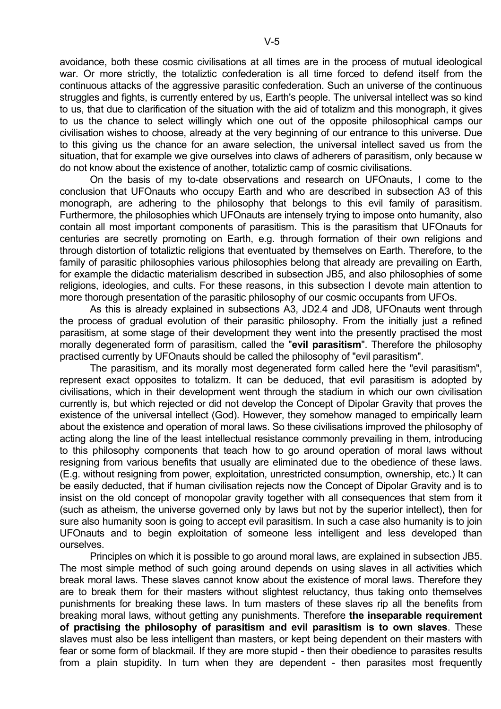avoidance, both these cosmic civilisations at all times are in the process of mutual ideological war. Or more strictly, the totaliztic confederation is all time forced to defend itself from the continuous attacks of the aggressive parasitic confederation. Such an universe of the continuous struggles and fights, is currently entered by us, Earth's people. The universal intellect was so kind to us, that due to clarification of the situation with the aid of totalizm and this monograph, it gives to us the chance to select willingly which one out of the opposite philosophical camps our civilisation wishes to choose, already at the very beginning of our entrance to this universe. Due to this giving us the chance for an aware selection, the universal intellect saved us from the situation, that for example we give ourselves into claws of adherers of parasitism, only because w do not know about the existence of another, totaliztic camp of cosmic civilisations.

 On the basis of my to-date observations and research on UFOnauts, I come to the conclusion that UFOnauts who occupy Earth and who are described in subsection A3 of this monograph, are adhering to the philosophy that belongs to this evil family of parasitism. Furthermore, the philosophies which UFOnauts are intensely trying to impose onto humanity, also contain all most important components of parasitism. This is the parasitism that UFOnauts for centuries are secretly promoting on Earth, e.g. through formation of their own religions and through distortion of totaliztic religions that eventuated by themselves on Earth. Therefore, to the family of parasitic philosophies various philosophies belong that already are prevailing on Earth, for example the didactic materialism described in subsection JB5, and also philosophies of some religions, ideologies, and cults. For these reasons, in this subsection I devote main attention to more thorough presentation of the parasitic philosophy of our cosmic occupants from UFOs.

 As this is already explained in subsections A3, JD2.4 and JD8, UFOnauts went through the process of gradual evolution of their parasitic philosophy. From the initially just a refined parasitism, at some stage of their development they went into the presently practised the most morally degenerated form of parasitism, called the "**evil parasitism**". Therefore the philosophy practised currently by UFOnauts should be called the philosophy of "evil parasitism".

 The parasitism, and its morally most degenerated form called here the "evil parasitism", represent exact opposites to totalizm. It can be deduced, that evil parasitism is adopted by civilisations, which in their development went through the stadium in which our own civilisation currently is, but which rejected or did not develop the Concept of Dipolar Gravity that proves the existence of the universal intellect (God). However, they somehow managed to empirically learn about the existence and operation of moral laws. So these civilisations improved the philosophy of acting along the line of the least intellectual resistance commonly prevailing in them, introducing to this philosophy components that teach how to go around operation of moral laws without resigning from various benefits that usually are eliminated due to the obedience of these laws. (E.g. without resigning from power, exploitation, unrestricted consumption, ownership, etc.) It can be easily deducted, that if human civilisation rejects now the Concept of Dipolar Gravity and is to insist on the old concept of monopolar gravity together with all consequences that stem from it (such as atheism, the universe governed only by laws but not by the superior intellect), then for sure also humanity soon is going to accept evil parasitism. In such a case also humanity is to join UFOnauts and to begin exploitation of someone less intelligent and less developed than ourselves.

 Principles on which it is possible to go around moral laws, are explained in subsection JB5. The most simple method of such going around depends on using slaves in all activities which break moral laws. These slaves cannot know about the existence of moral laws. Therefore they are to break them for their masters without slightest reluctancy, thus taking onto themselves punishments for breaking these laws. In turn masters of these slaves rip all the benefits from breaking moral laws, without getting any punishments. Therefore **the inseparable requirement of practising the philosophy of parasitism and evil parasitism is to own slaves**. These slaves must also be less intelligent than masters, or kept being dependent on their masters with fear or some form of blackmail. If they are more stupid - then their obedience to parasites results from a plain stupidity. In turn when they are dependent - then parasites most frequently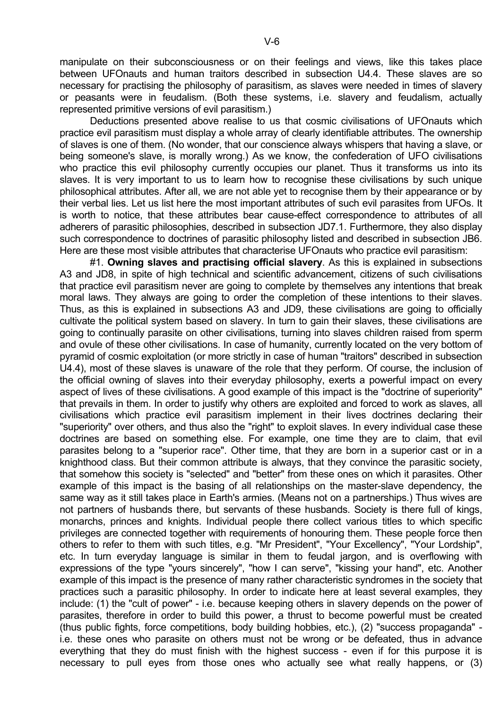manipulate on their subconsciousness or on their feelings and views, like this takes place between UFOnauts and human traitors described in subsection U4.4. These slaves are so necessary for practising the philosophy of parasitism, as slaves were needed in times of slavery or peasants were in feudalism. (Both these systems, i.e. slavery and feudalism, actually represented primitive versions of evil parasitism.)

 Deductions presented above realise to us that cosmic civilisations of UFOnauts which practice evil parasitism must display a whole array of clearly identifiable attributes. The ownership of slaves is one of them. (No wonder, that our conscience always whispers that having a slave, or being someone's slave, is morally wrong.) As we know, the confederation of UFO civilisations who practice this evil philosophy currently occupies our planet. Thus it transforms us into its slaves. It is very important to us to learn how to recognise these civilisations by such unique philosophical attributes. After all, we are not able yet to recognise them by their appearance or by their verbal lies. Let us list here the most important attributes of such evil parasites from UFOs. It is worth to notice, that these attributes bear cause-effect correspondence to attributes of all adherers of parasitic philosophies, described in subsection JD7.1. Furthermore, they also display such correspondence to doctrines of parasitic philosophy listed and described in subsection JB6. Here are these most visible attributes that characterise UFOnauts who practice evil parasitism:

 #1. **Owning slaves and practising official slavery**. As this is explained in subsections A3 and JD8, in spite of high technical and scientific advancement, citizens of such civilisations that practice evil parasitism never are going to complete by themselves any intentions that break moral laws. They always are going to order the completion of these intentions to their slaves. Thus, as this is explained in subsections A3 and JD9, these civilisations are going to officially cultivate the political system based on slavery. In turn to gain their slaves, these civilisations are going to continually parasite on other civilisations, turning into slaves children raised from sperm and ovule of these other civilisations. In case of humanity, currently located on the very bottom of pyramid of cosmic exploitation (or more strictly in case of human "traitors" described in subsection U4.4), most of these slaves is unaware of the role that they perform. Of course, the inclusion of the official owning of slaves into their everyday philosophy, exerts a powerful impact on every aspect of lives of these civilisations. A good example of this impact is the "doctrine of superiority" that prevails in them. In order to justify why others are exploited and forced to work as slaves, all civilisations which practice evil parasitism implement in their lives doctrines declaring their "superiority" over others, and thus also the "right" to exploit slaves. In every individual case these doctrines are based on something else. For example, one time they are to claim, that evil parasites belong to a "superior race". Other time, that they are born in a superior cast or in a knighthood class. But their common attribute is always, that they convince the parasitic society, that somehow this society is "selected" and "better" from these ones on which it parasites. Other example of this impact is the basing of all relationships on the master-slave dependency, the same way as it still takes place in Earth's armies. (Means not on a partnerships.) Thus wives are not partners of husbands there, but servants of these husbands. Society is there full of kings, monarchs, princes and knights. Individual people there collect various titles to which specific privileges are connected together with requirements of honouring them. These people force then others to refer to them with such titles, e.g. "Mr President", "Your Excellency", "Your Lordship", etc. In turn everyday language is similar in them to feudal jargon, and is overflowing with expressions of the type "yours sincerely", "how I can serve", "kissing your hand", etc. Another example of this impact is the presence of many rather characteristic syndromes in the society that practices such a parasitic philosophy. In order to indicate here at least several examples, they include: (1) the "cult of power" - i.e. because keeping others in slavery depends on the power of parasites, therefore in order to build this power, a thrust to become powerful must be created (thus public fights, force competitions, body building hobbies, etc.), (2) "success propaganda" i.e. these ones who parasite on others must not be wrong or be defeated, thus in advance everything that they do must finish with the highest success - even if for this purpose it is necessary to pull eyes from those ones who actually see what really happens, or (3)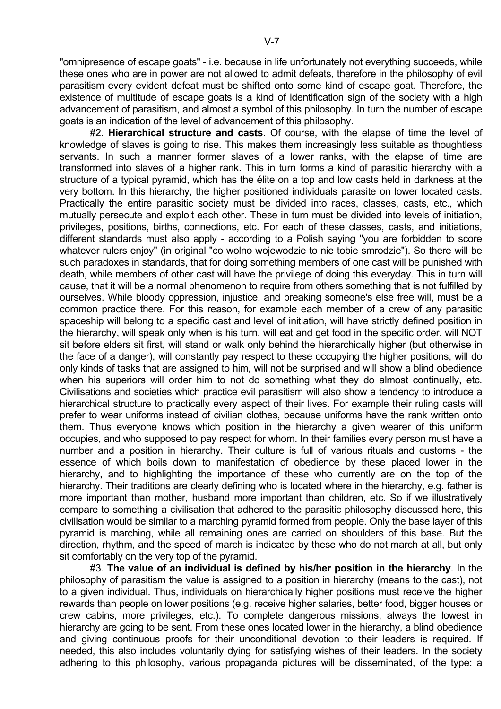"omnipresence of escape goats" - i.e. because in life unfortunately not everything succeeds, while these ones who are in power are not allowed to admit defeats, therefore in the philosophy of evil parasitism every evident defeat must be shifted onto some kind of escape goat. Therefore, the existence of multitude of escape goats is a kind of identification sign of the society with a high advancement of parasitism, and almost a symbol of this philosophy. In turn the number of escape goats is an indication of the level of advancement of this philosophy.

 #2. **Hierarchical structure and casts**. Of course, with the elapse of time the level of knowledge of slaves is going to rise. This makes them increasingly less suitable as thoughtless servants. In such a manner former slaves of a lower ranks, with the elapse of time are transformed into slaves of a higher rank. This in turn forms a kind of parasitic hierarchy with a structure of a typical pyramid, which has the élite on a top and low casts held in darkness at the very bottom. In this hierarchy, the higher positioned individuals parasite on lower located casts. Practically the entire parasitic society must be divided into races, classes, casts, etc., which mutually persecute and exploit each other. These in turn must be divided into levels of initiation, privileges, positions, births, connections, etc. For each of these classes, casts, and initiations, different standards must also apply - according to a Polish saying "you are forbidden to score whatever rulers enjoy" (in original "co wolno wojewodzie to nie tobie smrodzie"). So there will be such paradoxes in standards, that for doing something members of one cast will be punished with death, while members of other cast will have the privilege of doing this everyday. This in turn will cause, that it will be a normal phenomenon to require from others something that is not fulfilled by ourselves. While bloody oppression, injustice, and breaking someone's else free will, must be a common practice there. For this reason, for example each member of a crew of any parasitic spaceship will belong to a specific cast and level of initiation, will have strictly defined position in the hierarchy, will speak only when is his turn, will eat and get food in the specific order, will NOT sit before elders sit first, will stand or walk only behind the hierarchically higher (but otherwise in the face of a danger), will constantly pay respect to these occupying the higher positions, will do only kinds of tasks that are assigned to him, will not be surprised and will show a blind obedience when his superiors will order him to not do something what they do almost continually, etc. Civilisations and societies which practice evil parasitism will also show a tendency to introduce a hierarchical structure to practically every aspect of their lives. For example their ruling casts will prefer to wear uniforms instead of civilian clothes, because uniforms have the rank written onto them. Thus everyone knows which position in the hierarchy a given wearer of this uniform occupies, and who supposed to pay respect for whom. In their families every person must have a number and a position in hierarchy. Their culture is full of various rituals and customs - the essence of which boils down to manifestation of obedience by these placed lower in the hierarchy, and to highlighting the importance of these who currently are on the top of the hierarchy. Their traditions are clearly defining who is located where in the hierarchy, e.g. father is more important than mother, husband more important than children, etc. So if we illustratively compare to something a civilisation that adhered to the parasitic philosophy discussed here, this civilisation would be similar to a marching pyramid formed from people. Only the base layer of this pyramid is marching, while all remaining ones are carried on shoulders of this base. But the direction, rhythm, and the speed of march is indicated by these who do not march at all, but only sit comfortably on the very top of the pyramid.

 #3. **The value of an individual is defined by his/her position in the hierarchy**. In the philosophy of parasitism the value is assigned to a position in hierarchy (means to the cast), not to a given individual. Thus, individuals on hierarchically higher positions must receive the higher rewards than people on lower positions (e.g. receive higher salaries, better food, bigger houses or crew cabins, more privileges, etc.). To complete dangerous missions, always the lowest in hierarchy are going to be sent. From these ones located lower in the hierarchy, a blind obedience and giving continuous proofs for their unconditional devotion to their leaders is required. If needed, this also includes voluntarily dying for satisfying wishes of their leaders. In the society adhering to this philosophy, various propaganda pictures will be disseminated, of the type: a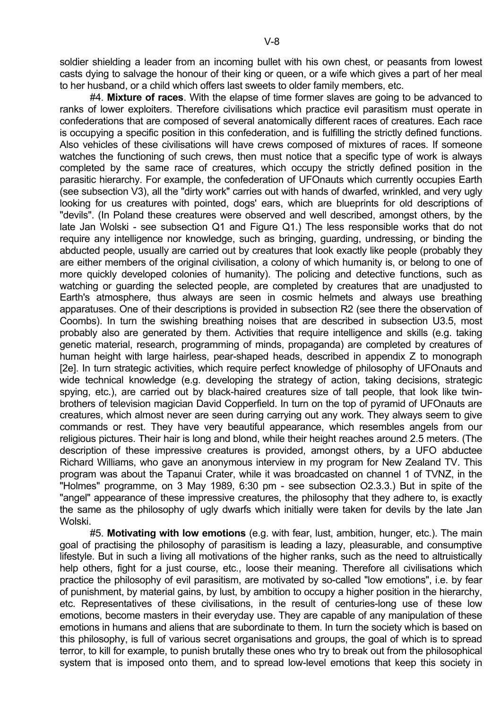soldier shielding a leader from an incoming bullet with his own chest, or peasants from lowest casts dying to salvage the honour of their king or queen, or a wife which gives a part of her meal to her husband, or a child which offers last sweets to older family members, etc.

 #4. **Mixture of races**. With the elapse of time former slaves are going to be advanced to ranks of lower exploiters. Therefore civilisations which practice evil parasitism must operate in confederations that are composed of several anatomically different races of creatures. Each race is occupying a specific position in this confederation, and is fulfilling the strictly defined functions. Also vehicles of these civilisations will have crews composed of mixtures of races. If someone watches the functioning of such crews, then must notice that a specific type of work is always completed by the same race of creatures, which occupy the strictly defined position in the parasitic hierarchy. For example, the confederation of UFOnauts which currently occupies Earth (see subsection V3), all the "dirty work" carries out with hands of dwarfed, wrinkled, and very ugly looking for us creatures with pointed, dogs' ears, which are blueprints for old descriptions of "devils". (In Poland these creatures were observed and well described, amongst others, by the late Jan Wolski - see subsection Q1 and Figure Q1.) The less responsible works that do not require any intelligence nor knowledge, such as bringing, guarding, undressing, or binding the abducted people, usually are carried out by creatures that look exactly like people (probably they are either members of the original civilisation, a colony of which humanity is, or belong to one of more quickly developed colonies of humanity). The policing and detective functions, such as watching or guarding the selected people, are completed by creatures that are unadjusted to Earth's atmosphere, thus always are seen in cosmic helmets and always use breathing apparatuses. One of their descriptions is provided in subsection R2 (see there the observation of Coombs). In turn the swishing breathing noises that are described in subsection U3.5, most probably also are generated by them. Activities that require intelligence and skills (e.g. taking genetic material, research, programming of minds, propaganda) are completed by creatures of human height with large hairless, pear-shaped heads, described in appendix Z to monograph [2e]. In turn strategic activities, which require perfect knowledge of philosophy of UFOnauts and wide technical knowledge (e.g. developing the strategy of action, taking decisions, strategic spying, etc.), are carried out by black-haired creatures size of tall people, that look like twinbrothers of television magician David Copperfield. In turn on the top of pyramid of UFOnauts are creatures, which almost never are seen during carrying out any work. They always seem to give commands or rest. They have very beautiful appearance, which resembles angels from our religious pictures. Their hair is long and blond, while their height reaches around 2.5 meters. (The description of these impressive creatures is provided, amongst others, by a UFO abductee Richard Williams, who gave an anonymous interview in my program for New Zealand TV. This program was about the Tapanui Crater, while it was broadcasted on channel 1 of TVNZ, in the "Holmes" programme, on 3 May 1989, 6:30 pm - see subsection O2.3.3.) But in spite of the "angel" appearance of these impressive creatures, the philosophy that they adhere to, is exactly the same as the philosophy of ugly dwarfs which initially were taken for devils by the late Jan Wolski.

 #5. **Motivating with low emotions** (e.g. with fear, lust, ambition, hunger, etc.). The main goal of practising the philosophy of parasitism is leading a lazy, pleasurable, and consumptive lifestyle. But in such a living all motivations of the higher ranks, such as the need to altruistically help others, fight for a just course, etc., loose their meaning. Therefore all civilisations which practice the philosophy of evil parasitism, are motivated by so-called "low emotions", i.e. by fear of punishment, by material gains, by lust, by ambition to occupy a higher position in the hierarchy, etc. Representatives of these civilisations, in the result of centuries-long use of these low emotions, become masters in their everyday use. They are capable of any manipulation of these emotions in humans and aliens that are subordinate to them. In turn the society which is based on this philosophy, is full of various secret organisations and groups, the goal of which is to spread terror, to kill for example, to punish brutally these ones who try to break out from the philosophical system that is imposed onto them, and to spread low-level emotions that keep this society in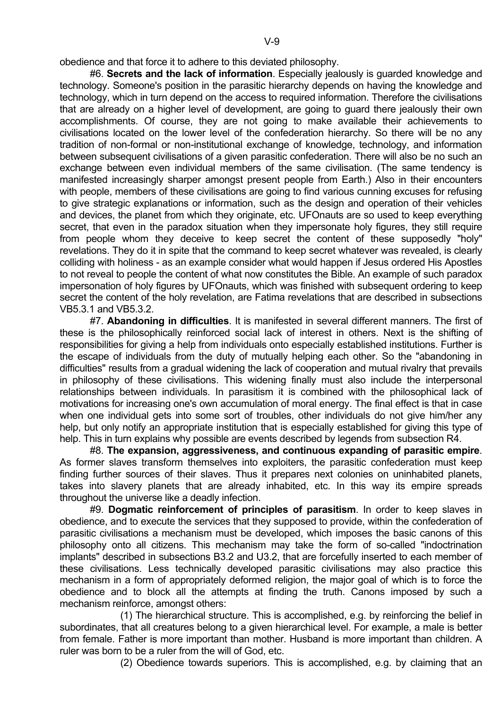obedience and that force it to adhere to this deviated philosophy.

 #6. **Secrets and the lack of information**. Especially jealously is guarded knowledge and technology. Someone's position in the parasitic hierarchy depends on having the knowledge and technology, which in turn depend on the access to required information. Therefore the civilisations that are already on a higher level of development, are going to guard there jealously their own accomplishments. Of course, they are not going to make available their achievements to civilisations located on the lower level of the confederation hierarchy. So there will be no any tradition of non-formal or non-institutional exchange of knowledge, technology, and information between subsequent civilisations of a given parasitic confederation. There will also be no such an exchange between even individual members of the same civilisation. (The same tendency is manifested increasingly sharper amongst present people from Earth.) Also in their encounters with people, members of these civilisations are going to find various cunning excuses for refusing to give strategic explanations or information, such as the design and operation of their vehicles and devices, the planet from which they originate, etc. UFOnauts are so used to keep everything secret, that even in the paradox situation when they impersonate holy figures, they still require from people whom they deceive to keep secret the content of these supposedly "holy" revelations. They do it in spite that the command to keep secret whatever was revealed, is clearly colliding with holiness - as an example consider what would happen if Jesus ordered His Apostles to not reveal to people the content of what now constitutes the Bible. An example of such paradox impersonation of holy figures by UFOnauts, which was finished with subsequent ordering to keep secret the content of the holy revelation, are Fatima revelations that are described in subsections VB5.3.1 and VB5.3.2.

 #7. **Abandoning in difficulties**. It is manifested in several different manners. The first of these is the philosophically reinforced social lack of interest in others. Next is the shifting of responsibilities for giving a help from individuals onto especially established institutions. Further is the escape of individuals from the duty of mutually helping each other. So the "abandoning in difficulties" results from a gradual widening the lack of cooperation and mutual rivalry that prevails in philosophy of these civilisations. This widening finally must also include the interpersonal relationships between individuals. In parasitism it is combined with the philosophical lack of motivations for increasing one's own accumulation of moral energy. The final effect is that in case when one individual gets into some sort of troubles, other individuals do not give him/her any help, but only notify an appropriate institution that is especially established for giving this type of help. This in turn explains why possible are events described by legends from subsection R4.

 #8. **The expansion, aggressiveness, and continuous expanding of parasitic empire**. As former slaves transform themselves into exploiters, the parasitic confederation must keep finding further sources of their slaves. Thus it prepares next colonies on uninhabited planets, takes into slavery planets that are already inhabited, etc. In this way its empire spreads throughout the universe like a deadly infection.

 #9. **Dogmatic reinforcement of principles of parasitism**. In order to keep slaves in obedience, and to execute the services that they supposed to provide, within the confederation of parasitic civilisations a mechanism must be developed, which imposes the basic canons of this philosophy onto all citizens. This mechanism may take the form of so-called "indoctrination implants" described in subsections B3.2 and U3.2, that are forcefully inserted to each member of these civilisations. Less technically developed parasitic civilisations may also practice this mechanism in a form of appropriately deformed religion, the major goal of which is to force the obedience and to block all the attempts at finding the truth. Canons imposed by such a mechanism reinforce, amongst others:

 (1) The hierarchical structure. This is accomplished, e.g. by reinforcing the belief in subordinates, that all creatures belong to a given hierarchical level. For example, a male is better from female. Father is more important than mother. Husband is more important than children. A ruler was born to be a ruler from the will of God, etc.

(2) Obedience towards superiors. This is accomplished, e.g. by claiming that an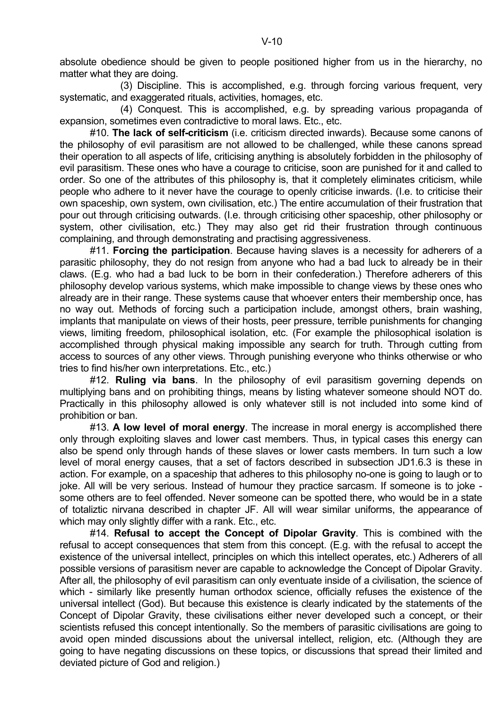absolute obedience should be given to people positioned higher from us in the hierarchy, no matter what they are doing.

 (3) Discipline. This is accomplished, e.g. through forcing various frequent, very systematic, and exaggerated rituals, activities, homages, etc.

 (4) Conquest. This is accomplished, e.g. by spreading various propaganda of expansion, sometimes even contradictive to moral laws. Etc., etc.

 #10. **The lack of self-criticism** (i.e. criticism directed inwards). Because some canons of the philosophy of evil parasitism are not allowed to be challenged, while these canons spread their operation to all aspects of life, criticising anything is absolutely forbidden in the philosophy of evil parasitism. These ones who have a courage to criticise, soon are punished for it and called to order. So one of the attributes of this philosophy is, that it completely eliminates criticism, while people who adhere to it never have the courage to openly criticise inwards. (I.e. to criticise their own spaceship, own system, own civilisation, etc.) The entire accumulation of their frustration that pour out through criticising outwards. (I.e. through criticising other spaceship, other philosophy or system, other civilisation, etc.) They may also get rid their frustration through continuous complaining, and through demonstrating and practising aggressiveness.

 #11. **Forcing the participation**. Because having slaves is a necessity for adherers of a parasitic philosophy, they do not resign from anyone who had a bad luck to already be in their claws. (E.g. who had a bad luck to be born in their confederation.) Therefore adherers of this philosophy develop various systems, which make impossible to change views by these ones who already are in their range. These systems cause that whoever enters their membership once, has no way out. Methods of forcing such a participation include, amongst others, brain washing, implants that manipulate on views of their hosts, peer pressure, terrible punishments for changing views, limiting freedom, philosophical isolation, etc. (For example the philosophical isolation is accomplished through physical making impossible any search for truth. Through cutting from access to sources of any other views. Through punishing everyone who thinks otherwise or who tries to find his/her own interpretations. Etc., etc.)

 #12. **Ruling via bans**. In the philosophy of evil parasitism governing depends on multiplying bans and on prohibiting things, means by listing whatever someone should NOT do. Practically in this philosophy allowed is only whatever still is not included into some kind of prohibition or ban.

 #13. **A low level of moral energy**. The increase in moral energy is accomplished there only through exploiting slaves and lower cast members. Thus, in typical cases this energy can also be spend only through hands of these slaves or lower casts members. In turn such a low level of moral energy causes, that a set of factors described in subsection JD1.6.3 is these in action. For example, on a spaceship that adheres to this philosophy no-one is going to laugh or to joke. All will be very serious. Instead of humour they practice sarcasm. If someone is to joke some others are to feel offended. Never someone can be spotted there, who would be in a state of totaliztic nirvana described in chapter JF. All will wear similar uniforms, the appearance of which may only slightly differ with a rank. Etc., etc.

 #14. **Refusal to accept the Concept of Dipolar Gravity**. This is combined with the refusal to accept consequences that stem from this concept. (E.g. with the refusal to accept the existence of the universal intellect, principles on which this intellect operates, etc.) Adherers of all possible versions of parasitism never are capable to acknowledge the Concept of Dipolar Gravity. After all, the philosophy of evil parasitism can only eventuate inside of a civilisation, the science of which - similarly like presently human orthodox science, officially refuses the existence of the universal intellect (God). But because this existence is clearly indicated by the statements of the Concept of Dipolar Gravity, these civilisations either never developed such a concept, or their scientists refused this concept intentionally. So the members of parasitic civilisations are going to avoid open minded discussions about the universal intellect, religion, etc. (Although they are going to have negating discussions on these topics, or discussions that spread their limited and deviated picture of God and religion.)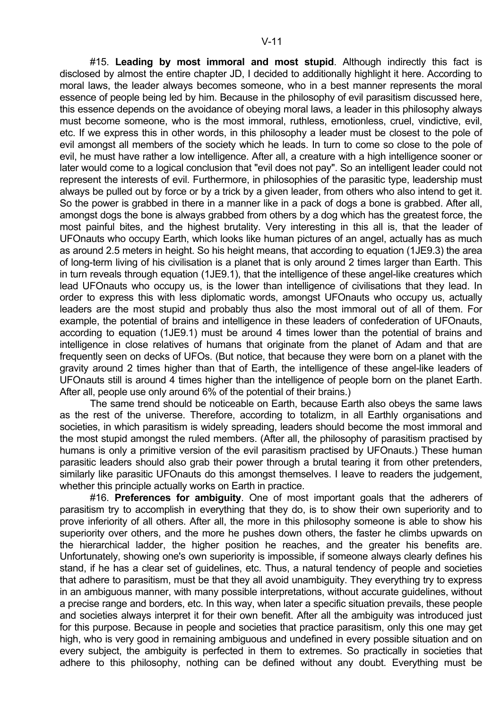#15. **Leading by most immoral and most stupid**. Although indirectly this fact is disclosed by almost the entire chapter JD, I decided to additionally highlight it here. According to moral laws, the leader always becomes someone, who in a best manner represents the moral essence of people being led by him. Because in the philosophy of evil parasitism discussed here, this essence depends on the avoidance of obeying moral laws, a leader in this philosophy always must become someone, who is the most immoral, ruthless, emotionless, cruel, vindictive, evil, etc. If we express this in other words, in this philosophy a leader must be closest to the pole of evil amongst all members of the society which he leads. In turn to come so close to the pole of evil, he must have rather a low intelligence. After all, a creature with a high intelligence sooner or later would come to a logical conclusion that "evil does not pay". So an intelligent leader could not represent the interests of evil. Furthermore, in philosophies of the parasitic type, leadership must always be pulled out by force or by a trick by a given leader, from others who also intend to get it. So the power is grabbed in there in a manner like in a pack of dogs a bone is grabbed. After all, amongst dogs the bone is always grabbed from others by a dog which has the greatest force, the most painful bites, and the highest brutality. Very interesting in this all is, that the leader of UFOnauts who occupy Earth, which looks like human pictures of an angel, actually has as much as around 2.5 meters in height. So his height means, that according to equation (1JE9.3) the area of long-term living of his civilisation is a planet that is only around 2 times larger than Earth. This in turn reveals through equation (1JE9.1), that the intelligence of these angel-like creatures which lead UFOnauts who occupy us, is the lower than intelligence of civilisations that they lead. In order to express this with less diplomatic words, amongst UFOnauts who occupy us, actually leaders are the most stupid and probably thus also the most immoral out of all of them. For example, the potential of brains and intelligence in these leaders of confederation of UFOnauts, according to equation (1JE9.1) must be around 4 times lower than the potential of brains and intelligence in close relatives of humans that originate from the planet of Adam and that are frequently seen on decks of UFOs. (But notice, that because they were born on a planet with the gravity around 2 times higher than that of Earth, the intelligence of these angel-like leaders of UFOnauts still is around 4 times higher than the intelligence of people born on the planet Earth. After all, people use only around 6% of the potential of their brains.)

 The same trend should be noticeable on Earth, because Earth also obeys the same laws as the rest of the universe. Therefore, according to totalizm, in all Earthly organisations and societies, in which parasitism is widely spreading, leaders should become the most immoral and the most stupid amongst the ruled members. (After all, the philosophy of parasitism practised by humans is only a primitive version of the evil parasitism practised by UFOnauts.) These human parasitic leaders should also grab their power through a brutal tearing it from other pretenders, similarly like parasitic UFOnauts do this amongst themselves. I leave to readers the judgement, whether this principle actually works on Earth in practice.

 #16. **Preferences for ambiguity**. One of most important goals that the adherers of parasitism try to accomplish in everything that they do, is to show their own superiority and to prove inferiority of all others. After all, the more in this philosophy someone is able to show his superiority over others, and the more he pushes down others, the faster he climbs upwards on the hierarchical ladder, the higher position he reaches, and the greater his benefits are. Unfortunately, showing one's own superiority is impossible, if someone always clearly defines his stand, if he has a clear set of guidelines, etc. Thus, a natural tendency of people and societies that adhere to parasitism, must be that they all avoid unambiguity. They everything try to express in an ambiguous manner, with many possible interpretations, without accurate guidelines, without a precise range and borders, etc. In this way, when later a specific situation prevails, these people and societies always interpret it for their own benefit. After all the ambiguity was introduced just for this purpose. Because in people and societies that practice parasitism, only this one may get high, who is very good in remaining ambiguous and undefined in every possible situation and on every subject, the ambiguity is perfected in them to extremes. So practically in societies that adhere to this philosophy, nothing can be defined without any doubt. Everything must be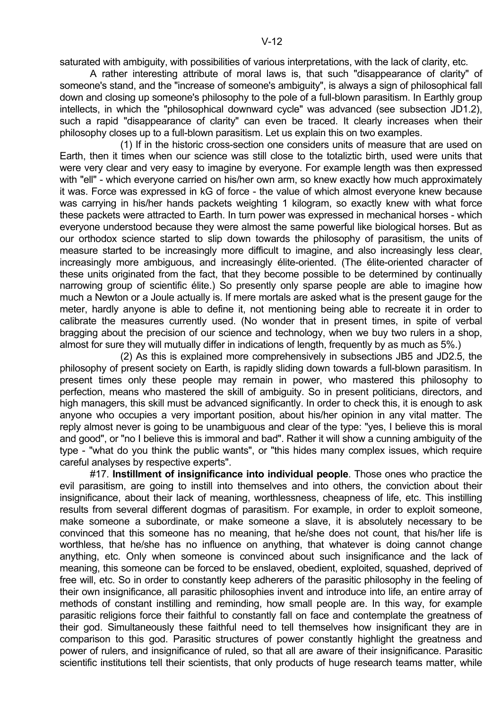saturated with ambiguity, with possibilities of various interpretations, with the lack of clarity, etc.

 A rather interesting attribute of moral laws is, that such "disappearance of clarity" of someone's stand, and the "increase of someone's ambiguity", is always a sign of philosophical fall down and closing up someone's philosophy to the pole of a full-blown parasitism. In Earthly group intellects, in which the "philosophical downward cycle" was advanced (see subsection JD1.2), such a rapid "disappearance of clarity" can even be traced. It clearly increases when their philosophy closes up to a full-blown parasitism. Let us explain this on two examples.

 (1) If in the historic cross-section one considers units of measure that are used on Earth, then it times when our science was still close to the totaliztic birth, used were units that were very clear and very easy to imagine by everyone. For example length was then expressed with "ell" - which everyone carried on his/her own arm, so knew exactly how much approximately it was. Force was expressed in kG of force - the value of which almost everyone knew because was carrying in his/her hands packets weighting 1 kilogram, so exactly knew with what force these packets were attracted to Earth. In turn power was expressed in mechanical horses - which everyone understood because they were almost the same powerful like biological horses. But as our orthodox science started to slip down towards the philosophy of parasitism, the units of measure started to be increasingly more difficult to imagine, and also increasingly less clear, increasingly more ambiguous, and increasingly élite-oriented. (The élite-oriented character of these units originated from the fact, that they become possible to be determined by continually narrowing group of scientific élite.) So presently only sparse people are able to imagine how much a Newton or a Joule actually is. If mere mortals are asked what is the present gauge for the meter, hardly anyone is able to define it, not mentioning being able to recreate it in order to calibrate the measures currently used. (No wonder that in present times, in spite of verbal bragging about the precision of our science and technology, when we buy two rulers in a shop, almost for sure they will mutually differ in indications of length, frequently by as much as 5%.)

 (2) As this is explained more comprehensively in subsections JB5 and JD2.5, the philosophy of present society on Earth, is rapidly sliding down towards a full-blown parasitism. In present times only these people may remain in power, who mastered this philosophy to perfection, means who mastered the skill of ambiguity. So in present politicians, directors, and high managers, this skill must be advanced significantly. In order to check this, it is enough to ask anyone who occupies a very important position, about his/her opinion in any vital matter. The reply almost never is going to be unambiguous and clear of the type: "yes, I believe this is moral and good", or "no I believe this is immoral and bad". Rather it will show a cunning ambiguity of the type - "what do you think the public wants", or "this hides many complex issues, which require careful analyses by respective experts".

 #17. **Instillment of insignificance into individual people**. Those ones who practice the evil parasitism, are going to instill into themselves and into others, the conviction about their insignificance, about their lack of meaning, worthlessness, cheapness of life, etc. This instilling results from several different dogmas of parasitism. For example, in order to exploit someone, make someone a subordinate, or make someone a slave, it is absolutely necessary to be convinced that this someone has no meaning, that he/she does not count, that his/her life is worthless, that he/she has no influence on anything, that whatever is doing cannot change anything, etc. Only when someone is convinced about such insignificance and the lack of meaning, this someone can be forced to be enslaved, obedient, exploited, squashed, deprived of free will, etc. So in order to constantly keep adherers of the parasitic philosophy in the feeling of their own insignificance, all parasitic philosophies invent and introduce into life, an entire array of methods of constant instilling and reminding, how small people are. In this way, for example parasitic religions force their faithful to constantly fall on face and contemplate the greatness of their god. Simultaneously these faithful need to tell themselves how insignificant they are in comparison to this god. Parasitic structures of power constantly highlight the greatness and power of rulers, and insignificance of ruled, so that all are aware of their insignificance. Parasitic scientific institutions tell their scientists, that only products of huge research teams matter, while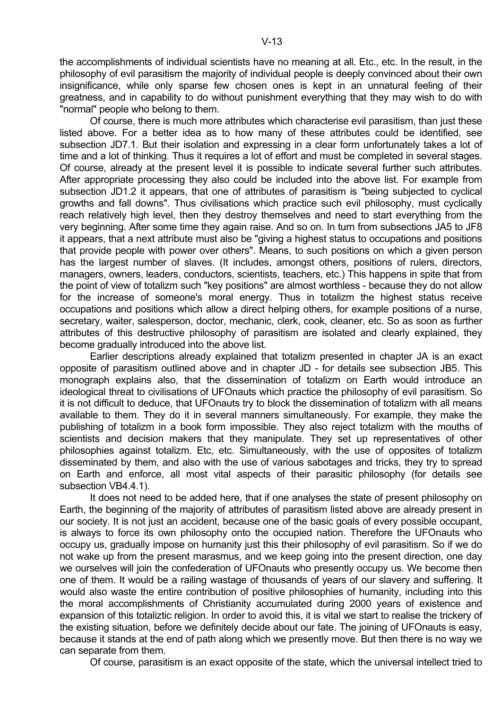the accomplishments of individual scientists have no meaning at all. Etc., etc. In the result, in the philosophy of evil parasitism the majority of individual people is deeply convinced about their own insignificance, while only sparse few chosen ones is kept in an unnatural feeling of their greatness, and in capability to do without punishment everything that they may wish to do with "normal" people who belong to them.

 Of course, there is much more attributes which characterise evil parasitism, than just these listed above. For a better idea as to how many of these attributes could be identified, see subsection JD7.1. But their isolation and expressing in a clear form unfortunately takes a lot of time and a lot of thinking. Thus it requires a lot of effort and must be completed in several stages. Of course, already at the present level it is possible to indicate several further such attributes. After appropriate processing they also could be included into the above list. For example from subsection JD1.2 it appears, that one of attributes of parasitism is "being subjected to cyclical growths and fall downs". Thus civilisations which practice such evil philosophy, must cyclically reach relatively high level, then they destroy themselves and need to start everything from the very beginning. After some time they again raise. And so on. In turn from subsections JA5 to JF8 it appears, that a next attribute must also be "giving a highest status to occupations and positions that provide people with power over others". Means, to such positions on which a given person has the largest number of slaves. (It includes, amongst others, positions of rulers, directors, managers, owners, leaders, conductors, scientists, teachers, etc.) This happens in spite that from the point of view of totalizm such "key positions" are almost worthless - because they do not allow for the increase of someone's moral energy. Thus in totalizm the highest status receive occupations and positions which allow a direct helping others, for example positions of a nurse, secretary, waiter, salesperson, doctor, mechanic, clerk, cook, cleaner, etc. So as soon as further attributes of this destructive philosophy of parasitism are isolated and clearly explained, they become gradually introduced into the above list.

 Earlier descriptions already explained that totalizm presented in chapter JA is an exact opposite of parasitism outlined above and in chapter JD - for details see subsection JB5. This monograph explains also, that the dissemination of totalizm on Earth would introduce an ideological threat to civilisations of UFOnauts which practice the philosophy of evil parasitism. So it is not difficult to deduce, that UFOnauts try to block the dissemination of totalizm with all means available to them. They do it in several manners simultaneously. For example, they make the publishing of totalizm in a book form impossible. They also reject totalizm with the mouths of scientists and decision makers that they manipulate. They set up representatives of other philosophies against totalizm. Etc, etc. Simultaneously, with the use of opposites of totalizm disseminated by them, and also with the use of various sabotages and tricks, they try to spread on Earth and enforce, all most vital aspects of their parasitic philosophy (for details see subsection VB4.4.1).

 It does not need to be added here, that if one analyses the state of present philosophy on Earth, the beginning of the majority of attributes of parasitism listed above are already present in our society. It is not just an accident, because one of the basic goals of every possible occupant, is always to force its own philosophy onto the occupied nation. Therefore the UFOnauts who occupy us, gradually impose on humanity just this their philosophy of evil parasitism. So if we do not wake up from the present marasmus, and we keep going into the present direction, one day we ourselves will join the confederation of UFOnauts who presently occupy us. We become then one of them. It would be a railing wastage of thousands of years of our slavery and suffering. It would also waste the entire contribution of positive philosophies of humanity, including into this the moral accomplishments of Christianity accumulated during 2000 years of existence and expansion of this totaliztic religion. In order to avoid this, it is vital we start to realise the trickery of the existing situation, before we definitely decide about our fate. The joining of UFOnauts is easy, because it stands at the end of path along which we presently move. But then there is no way we can separate from them.

Of course, parasitism is an exact opposite of the state, which the universal intellect tried to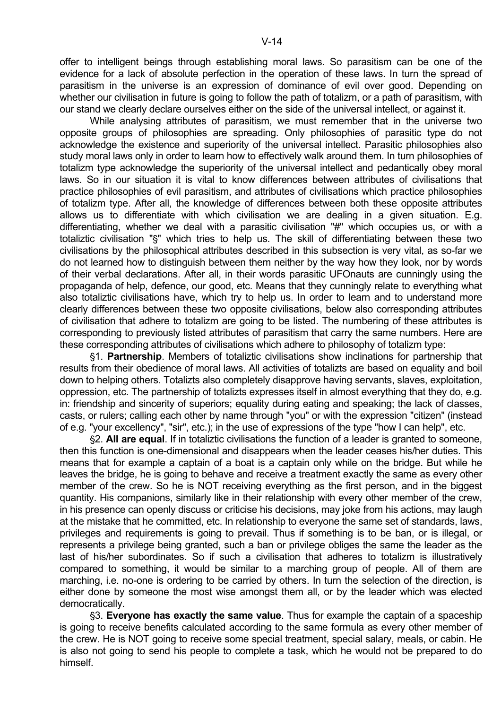offer to intelligent beings through establishing moral laws. So parasitism can be one of the evidence for a lack of absolute perfection in the operation of these laws. In turn the spread of parasitism in the universe is an expression of dominance of evil over good. Depending on whether our civilisation in future is going to follow the path of totalizm, or a path of parasitism, with our stand we clearly declare ourselves either on the side of the universal intellect, or against it.

 While analysing attributes of parasitism, we must remember that in the universe two opposite groups of philosophies are spreading. Only philosophies of parasitic type do not acknowledge the existence and superiority of the universal intellect. Parasitic philosophies also study moral laws only in order to learn how to effectively walk around them. In turn philosophies of totalizm type acknowledge the superiority of the universal intellect and pedantically obey moral laws. So in our situation it is vital to know differences between attributes of civilisations that practice philosophies of evil parasitism, and attributes of civilisations which practice philosophies of totalizm type. After all, the knowledge of differences between both these opposite attributes allows us to differentiate with which civilisation we are dealing in a given situation. E.g. differentiating, whether we deal with a parasitic civilisation "#" which occupies us, or with a totaliztic civilisation "\$" which tries to help us. The skill of differentiating between these two civilisations by the philosophical attributes described in this subsection is very vital, as so-far we do not learned how to distinguish between them neither by the way how they look, nor by words of their verbal declarations. After all, in their words parasitic UFOnauts are cunningly using the propaganda of help, defence, our good, etc. Means that they cunningly relate to everything what also totaliztic civilisations have, which try to help us. In order to learn and to understand more clearly differences between these two opposite civilisations, below also corresponding attributes of civilisation that adhere to totalizm are going to be listed. The numbering of these attributes is corresponding to previously listed attributes of parasitism that carry the same numbers. Here are these corresponding attributes of civilisations which adhere to philosophy of totalizm type:

§1. **Partnership**. Members of totaliztic civilisations show inclinations for partnership that results from their obedience of moral laws. All activities of totalizts are based on equality and boil down to helping others. Totalizts also completely disapprove having servants, slaves, exploitation, oppression, etc. The partnership of totalizts expresses itself in almost everything that they do, e.g. in: friendship and sincerity of superiors; equality during eating and speaking; the lack of classes, casts, or rulers; calling each other by name through "you" or with the expression "citizen" (instead of e.g. "your excellency", "sir", etc.); in the use of expressions of the type "how I can help", etc.

'2. **All are equal**. If in totaliztic civilisations the function of a leader is granted to someone, then this function is one-dimensional and disappears when the leader ceases his/her duties. This means that for example a captain of a boat is a captain only while on the bridge. But while he leaves the bridge, he is going to behave and receive a treatment exactly the same as every other member of the crew. So he is NOT receiving everything as the first person, and in the biggest quantity. His companions, similarly like in their relationship with every other member of the crew, in his presence can openly discuss or criticise his decisions, may joke from his actions, may laugh at the mistake that he committed, etc. In relationship to everyone the same set of standards, laws, privileges and requirements is going to prevail. Thus if something is to be ban, or is illegal, or represents a privilege being granted, such a ban or privilege obliges the same the leader as the last of his/her subordinates. So if such a civilisation that adheres to totalizm is illustratively compared to something, it would be similar to a marching group of people. All of them are marching, i.e. no-one is ordering to be carried by others. In turn the selection of the direction, is either done by someone the most wise amongst them all, or by the leader which was elected democratically.

'3. **Everyone has exactly the same value**. Thus for example the captain of a spaceship is going to receive benefits calculated according to the same formula as every other member of the crew. He is NOT going to receive some special treatment, special salary, meals, or cabin. He is also not going to send his people to complete a task, which he would not be prepared to do himself.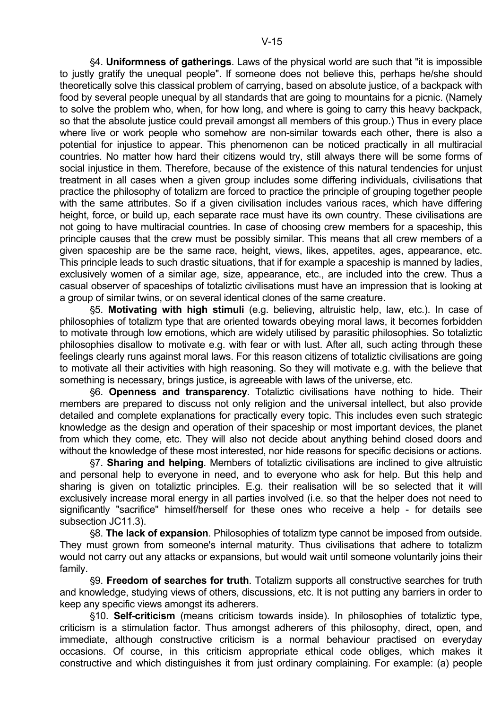'4. **Uniformness of gatherings**. Laws of the physical world are such that "it is impossible to justly gratify the unequal people". If someone does not believe this, perhaps he/she should theoretically solve this classical problem of carrying, based on absolute justice, of a backpack with food by several people unequal by all standards that are going to mountains for a picnic. (Namely to solve the problem who, when, for how long, and where is going to carry this heavy backpack, so that the absolute justice could prevail amongst all members of this group.) Thus in every place where live or work people who somehow are non-similar towards each other, there is also a potential for injustice to appear. This phenomenon can be noticed practically in all multiracial countries. No matter how hard their citizens would try, still always there will be some forms of social injustice in them. Therefore, because of the existence of this natural tendencies for unjust treatment in all cases when a given group includes some differing individuals, civilisations that practice the philosophy of totalizm are forced to practice the principle of grouping together people with the same attributes. So if a given civilisation includes various races, which have differing height, force, or build up, each separate race must have its own country. These civilisations are not going to have multiracial countries. In case of choosing crew members for a spaceship, this principle causes that the crew must be possibly similar. This means that all crew members of a given spaceship are be the same race, height, views, likes, appetites, ages, appearance, etc. This principle leads to such drastic situations, that if for example a spaceship is manned by ladies, exclusively women of a similar age, size, appearance, etc., are included into the crew. Thus a casual observer of spaceships of totaliztic civilisations must have an impression that is looking at a group of similar twins, or on several identical clones of the same creature.

'5. **Motivating with high stimuli** (e.g. believing, altruistic help, law, etc.). In case of philosophies of totalizm type that are oriented towards obeying moral laws, it becomes forbidden to motivate through low emotions, which are widely utilised by parasitic philosophies. So totaliztic philosophies disallow to motivate e.g. with fear or with lust. After all, such acting through these feelings clearly runs against moral laws. For this reason citizens of totaliztic civilisations are going to motivate all their activities with high reasoning. So they will motivate e.g. with the believe that something is necessary, brings justice, is agreeable with laws of the universe, etc.

'6. **Openness and transparency**. Totaliztic civilisations have nothing to hide. Their members are prepared to discuss not only religion and the universal intellect, but also provide detailed and complete explanations for practically every topic. This includes even such strategic knowledge as the design and operation of their spaceship or most important devices, the planet from which they come, etc. They will also not decide about anything behind closed doors and without the knowledge of these most interested, nor hide reasons for specific decisions or actions.

'7. **Sharing and helping**. Members of totaliztic civilisations are inclined to give altruistic and personal help to everyone in need, and to everyone who ask for help. But this help and sharing is given on totaliztic principles. E.g. their realisation will be so selected that it will exclusively increase moral energy in all parties involved (i.e. so that the helper does not need to significantly "sacrifice" himself/herself for these ones who receive a help - for details see subsection JC11.3).

'8. **The lack of expansion**. Philosophies of totalizm type cannot be imposed from outside. They must grown from someone's internal maturity. Thus civilisations that adhere to totalizm would not carry out any attacks or expansions, but would wait until someone voluntarily joins their family.

'9. **Freedom of searches for truth**. Totalizm supports all constructive searches for truth and knowledge, studying views of others, discussions, etc. It is not putting any barriers in order to keep any specific views amongst its adherers.

'10. **Self-criticism** (means criticism towards inside). In philosophies of totaliztic type, criticism is a stimulation factor. Thus amongst adherers of this philosophy, direct, open, and immediate, although constructive criticism is a normal behaviour practised on everyday occasions. Of course, in this criticism appropriate ethical code obliges, which makes it constructive and which distinguishes it from just ordinary complaining. For example: (a) people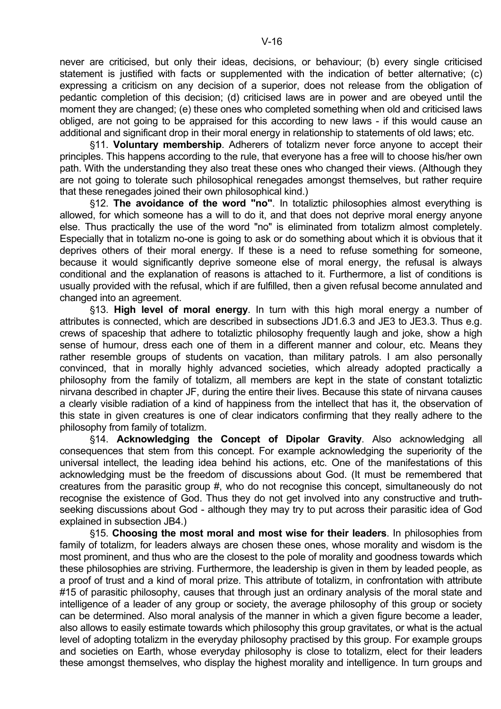never are criticised, but only their ideas, decisions, or behaviour; (b) every single criticised statement is justified with facts or supplemented with the indication of better alternative; (c) expressing a criticism on any decision of a superior, does not release from the obligation of pedantic completion of this decision; (d) criticised laws are in power and are obeyed until the moment they are changed; (e) these ones who completed something when old and criticised laws obliged, are not going to be appraised for this according to new laws - if this would cause an additional and significant drop in their moral energy in relationship to statements of old laws; etc.

'11. **Voluntary membership**. Adherers of totalizm never force anyone to accept their principles. This happens according to the rule, that everyone has a free will to choose his/her own path. With the understanding they also treat these ones who changed their views. (Although they are not going to tolerate such philosophical renegades amongst themselves, but rather require that these renegades joined their own philosophical kind.)

§12. The avoidance of the word "no". In totaliztic philosophies almost everything is allowed, for which someone has a will to do it, and that does not deprive moral energy anyone else. Thus practically the use of the word "no" is eliminated from totalizm almost completely. Especially that in totalizm no-one is going to ask or do something about which it is obvious that it deprives others of their moral energy. If these is a need to refuse something for someone, because it would significantly deprive someone else of moral energy, the refusal is always conditional and the explanation of reasons is attached to it. Furthermore, a list of conditions is usually provided with the refusal, which if are fulfilled, then a given refusal become annulated and changed into an agreement.

'13. **High level of moral energy**. In turn with this high moral energy a number of attributes is connected, which are described in subsections JD1.6.3 and JE3 to JE3.3. Thus e.g. crews of spaceship that adhere to totaliztic philosophy frequently laugh and joke, show a high sense of humour, dress each one of them in a different manner and colour, etc. Means they rather resemble groups of students on vacation, than military patrols. I am also personally convinced, that in morally highly advanced societies, which already adopted practically a philosophy from the family of totalizm, all members are kept in the state of constant totaliztic nirvana described in chapter JF, during the entire their lives. Because this state of nirvana causes a clearly visible radiation of a kind of happiness from the intellect that has it, the observation of this state in given creatures is one of clear indicators confirming that they really adhere to the philosophy from family of totalizm.

'14. **Acknowledging the Concept of Dipolar Gravity**. Also acknowledging all consequences that stem from this concept. For example acknowledging the superiority of the universal intellect, the leading idea behind his actions, etc. One of the manifestations of this acknowledging must be the freedom of discussions about God. (It must be remembered that creatures from the parasitic group #, who do not recognise this concept, simultaneously do not recognise the existence of God. Thus they do not get involved into any constructive and truthseeking discussions about God - although they may try to put across their parasitic idea of God explained in subsection JB4.)

'15. **Choosing the most moral and most wise for their leaders**. In philosophies from family of totalizm, for leaders always are chosen these ones, whose morality and wisdom is the most prominent, and thus who are the closest to the pole of morality and goodness towards which these philosophies are striving. Furthermore, the leadership is given in them by leaded people, as a proof of trust and a kind of moral prize. This attribute of totalizm, in confrontation with attribute #15 of parasitic philosophy, causes that through just an ordinary analysis of the moral state and intelligence of a leader of any group or society, the average philosophy of this group or society can be determined. Also moral analysis of the manner in which a given figure become a leader, also allows to easily estimate towards which philosophy this group gravitates, or what is the actual level of adopting totalizm in the everyday philosophy practised by this group. For example groups and societies on Earth, whose everyday philosophy is close to totalizm, elect for their leaders these amongst themselves, who display the highest morality and intelligence. In turn groups and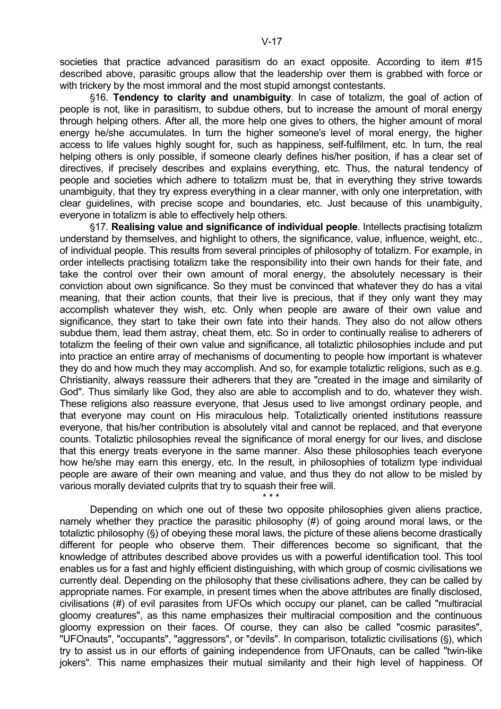societies that practice advanced parasitism do an exact opposite. According to item #15 described above, parasitic groups allow that the leadership over them is grabbed with force or with trickery by the most immoral and the most stupid amongst contestants.

'16. **Tendency to clarity and unambiguity**. In case of totalizm, the goal of action of people is not, like in parasitism, to subdue others, but to increase the amount of moral energy through helping others. After all, the more help one gives to others, the higher amount of moral energy he/she accumulates. In turn the higher someone's level of moral energy, the higher access to life values highly sought for, such as happiness, self-fulfilment, etc. In turn, the real helping others is only possible, if someone clearly defines his/her position, if has a clear set of directives, if precisely describes and explains everything, etc. Thus, the natural tendency of people and societies which adhere to totalizm must be, that in everything they strive towards unambiguity, that they try express everything in a clear manner, with only one interpretation, with clear guidelines, with precise scope and boundaries, etc. Just because of this unambiguity, everyone in totalizm is able to effectively help others.

'17. **Realising value and significance of individual people**. Intellects practising totalizm understand by themselves, and highlight to others, the significance, value, influence, weight, etc., of individual people. This results from several principles of philosophy of totalizm. For example, in order intellects practising totalizm take the responsibility into their own hands for their fate, and take the control over their own amount of moral energy, the absolutely necessary is their conviction about own significance. So they must be convinced that whatever they do has a vital meaning, that their action counts, that their live is precious, that if they only want they may accomplish whatever they wish, etc. Only when people are aware of their own value and significance, they start to take their own fate into their hands. They also do not allow others subdue them, lead them astray, cheat them, etc. So in order to continually realise to adherers of totalizm the feeling of their own value and significance, all totaliztic philosophies include and put into practice an entire array of mechanisms of documenting to people how important is whatever they do and how much they may accomplish. And so, for example totaliztic religions, such as e.g. Christianity, always reassure their adherers that they are "created in the image and similarity of God". Thus similarly like God, they also are able to accomplish and to do, whatever they wish. These religions also reassure everyone, that Jesus used to live amongst ordinary people, and that everyone may count on His miraculous help. Totaliztically oriented institutions reassure everyone, that his/her contribution is absolutely vital and cannot be replaced, and that everyone counts. Totaliztic philosophies reveal the significance of moral energy for our lives, and disclose that this energy treats everyone in the same manner. Also these philosophies teach everyone how he/she may earn this energy, etc. In the result, in philosophies of totalizm type individual people are aware of their own meaning and value, and thus they do not allow to be misled by various morally deviated culprits that try to squash their free will.

 Depending on which one out of these two opposite philosophies given aliens practice, namely whether they practice the parasitic philosophy (#) of going around moral laws, or the totaliztic philosophy (§) of obeying these moral laws, the picture of these aliens become drastically different for people who observe them. Their differences become so significant, that the knowledge of attributes described above provides us with a powerful identification tool. This tool enables us for a fast and highly efficient distinguishing, with which group of cosmic civilisations we currently deal. Depending on the philosophy that these civilisations adhere, they can be called by appropriate names. For example, in present times when the above attributes are finally disclosed, civilisations (#) of evil parasites from UFOs which occupy our planet, can be called "multiracial gloomy creatures", as this name emphasizes their multiracial composition and the continuous gloomy expression on their faces. Of course, they can also be called "cosmic parasites", "UFOnauts", "occupants", "aggressors", or "devils". In comparison, totaliztic civilisations (§), which try to assist us in our efforts of gaining independence from UFOnauts, can be called "twin-like jokers". This name emphasizes their mutual similarity and their high level of happiness. Of

 $\star \star \star$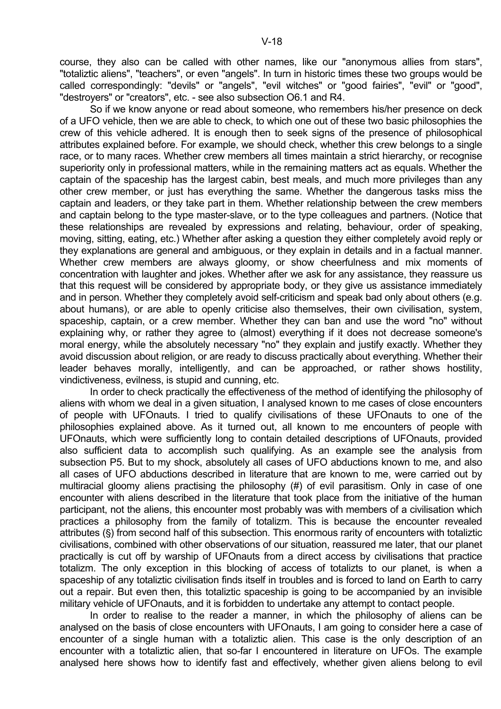course, they also can be called with other names, like our "anonymous allies from stars", "totaliztic aliens", "teachers", or even "angels". In turn in historic times these two groups would be called correspondingly: "devils" or "angels", "evil witches" or "good fairies", "evil" or "good", "destroyers" or "creators", etc. - see also subsection O6.1 and R4.

 So if we know anyone or read about someone, who remembers his/her presence on deck of a UFO vehicle, then we are able to check, to which one out of these two basic philosophies the crew of this vehicle adhered. It is enough then to seek signs of the presence of philosophical attributes explained before. For example, we should check, whether this crew belongs to a single race, or to many races. Whether crew members all times maintain a strict hierarchy, or recognise superiority only in professional matters, while in the remaining matters act as equals. Whether the captain of the spaceship has the largest cabin, best meals, and much more privileges than any other crew member, or just has everything the same. Whether the dangerous tasks miss the captain and leaders, or they take part in them. Whether relationship between the crew members and captain belong to the type master-slave, or to the type colleagues and partners. (Notice that these relationships are revealed by expressions and relating, behaviour, order of speaking, moving, sitting, eating, etc.) Whether after asking a question they either completely avoid reply or they explanations are general and ambiguous, or they explain in details and in a factual manner. Whether crew members are always gloomy, or show cheerfulness and mix moments of concentration with laughter and jokes. Whether after we ask for any assistance, they reassure us that this request will be considered by appropriate body, or they give us assistance immediately and in person. Whether they completely avoid self-criticism and speak bad only about others (e.g. about humans), or are able to openly criticise also themselves, their own civilisation, system, spaceship, captain, or a crew member. Whether they can ban and use the word "no" without explaining why, or rather they agree to (almost) everything if it does not decrease someone's moral energy, while the absolutely necessary "no" they explain and justify exactly. Whether they avoid discussion about religion, or are ready to discuss practically about everything. Whether their leader behaves morally, intelligently, and can be approached, or rather shows hostility, vindictiveness, evilness, is stupid and cunning, etc.

 In order to check practically the effectiveness of the method of identifying the philosophy of aliens with whom we deal in a given situation, I analysed known to me cases of close encounters of people with UFOnauts. I tried to qualify civilisations of these UFOnauts to one of the philosophies explained above. As it turned out, all known to me encounters of people with UFOnauts, which were sufficiently long to contain detailed descriptions of UFOnauts, provided also sufficient data to accomplish such qualifying. As an example see the analysis from subsection P5. But to my shock, absolutely all cases of UFO abductions known to me, and also all cases of UFO abductions described in literature that are known to me, were carried out by multiracial gloomy aliens practising the philosophy (#) of evil parasitism. Only in case of one encounter with aliens described in the literature that took place from the initiative of the human participant, not the aliens, this encounter most probably was with members of a civilisation which practices a philosophy from the family of totalizm. This is because the encounter revealed attributes (§) from second half of this subsection. This enormous rarity of encounters with totaliztic civilisations, combined with other observations of our situation, reassured me later, that our planet practically is cut off by warship of UFOnauts from a direct access by civilisations that practice totalizm. The only exception in this blocking of access of totalizts to our planet, is when a spaceship of any totaliztic civilisation finds itself in troubles and is forced to land on Earth to carry out a repair. But even then, this totaliztic spaceship is going to be accompanied by an invisible military vehicle of UFOnauts, and it is forbidden to undertake any attempt to contact people.

 In order to realise to the reader a manner, in which the philosophy of aliens can be analysed on the basis of close encounters with UFOnauts, I am going to consider here a case of encounter of a single human with a totaliztic alien. This case is the only description of an encounter with a totaliztic alien, that so-far I encountered in literature on UFOs. The example analysed here shows how to identify fast and effectively, whether given aliens belong to evil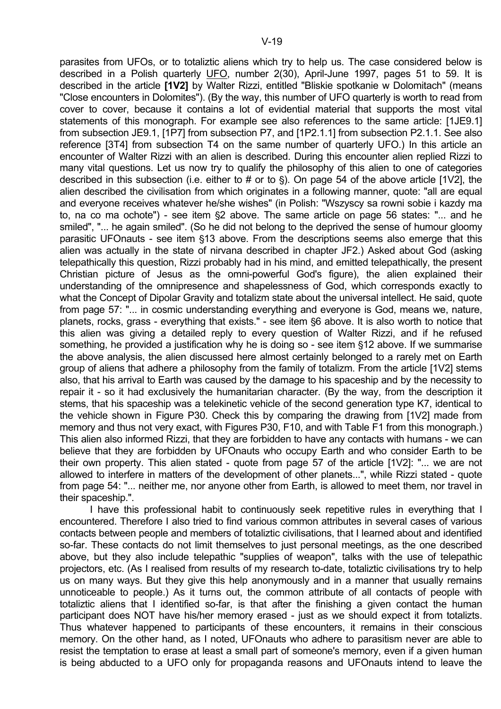parasites from UFOs, or to totaliztic aliens which try to help us. The case considered below is described in a Polish quarterly UFO, number 2(30), April-June 1997, pages 51 to 59. It is described in the article **[1V2]** by Walter Rizzi, entitled "Bliskie spotkanie w Dolomitach" (means "Close encounters in Dolomites"). (By the way, this number of UFO quarterly is worth to read from cover to cover, because it contains a lot of evidential material that supports the most vital statements of this monograph. For example see also references to the same article: [1JE9.1] from subsection JE9.1, [1P7] from subsection P7, and [1P2.1.1] from subsection P2.1.1. See also reference [3T4] from subsection T4 on the same number of quarterly UFO.) In this article an encounter of Walter Rizzi with an alien is described. During this encounter alien replied Rizzi to many vital questions. Let us now try to qualify the philosophy of this alien to one of categories described in this subsection (i.e. either to # or to  $\S$ ). On page 54 of the above article [1V2], the alien described the civilisation from which originates in a following manner, quote: "all are equal and everyone receives whatever he/she wishes" (in Polish: "Wszyscy sa rowni sobie i kazdy ma to, na co ma ochote") - see item  $\S2$  above. The same article on page 56 states: "... and he smiled", "... he again smiled". (So he did not belong to the deprived the sense of humour gloomy parasitic UFOnauts - see item §13 above. From the descriptions seems also emerge that this alien was actually in the state of nirvana described in chapter JF2.) Asked about God (asking telepathically this question, Rizzi probably had in his mind, and emitted telepathically, the present Christian picture of Jesus as the omni-powerful God's figure), the alien explained their understanding of the omnipresence and shapelessness of God, which corresponds exactly to what the Concept of Dipolar Gravity and totalizm state about the universal intellect. He said, quote from page 57: "... in cosmic understanding everything and everyone is God, means we, nature, planets, rocks, grass - everything that exists." - see item §6 above. It is also worth to notice that this alien was giving a detailed reply to every question of Walter Rizzi, and if he refused something, he provided a justification why he is doing so - see item §12 above. If we summarise the above analysis, the alien discussed here almost certainly belonged to a rarely met on Earth group of aliens that adhere a philosophy from the family of totalizm. From the article [1V2] stems also, that his arrival to Earth was caused by the damage to his spaceship and by the necessity to repair it - so it had exclusively the humanitarian character. (By the way, from the description it stems, that his spaceship was a telekinetic vehicle of the second generation type K7, identical to the vehicle shown in Figure P30. Check this by comparing the drawing from [1V2] made from memory and thus not very exact, with Figures P30, F10, and with Table F1 from this monograph.) This alien also informed Rizzi, that they are forbidden to have any contacts with humans - we can believe that they are forbidden by UFOnauts who occupy Earth and who consider Earth to be their own property. This alien stated - quote from page 57 of the article [1V2]: "... we are not allowed to interfere in matters of the development of other planets...", while Rizzi stated - quote from page 54: "... neither me, nor anyone other from Earth, is allowed to meet them, nor travel in their spaceship.".

 I have this professional habit to continuously seek repetitive rules in everything that I encountered. Therefore I also tried to find various common attributes in several cases of various contacts between people and members of totaliztic civilisations, that I learned about and identified so-far. These contacts do not limit themselves to just personal meetings, as the one described above, but they also include telepathic "supplies of weapon", talks with the use of telepathic projectors, etc. (As I realised from results of my research to-date, totaliztic civilisations try to help us on many ways. But they give this help anonymously and in a manner that usually remains unnoticeable to people.) As it turns out, the common attribute of all contacts of people with totaliztic aliens that I identified so-far, is that after the finishing a given contact the human participant does NOT have his/her memory erased - just as we should expect it from totalizts. Thus whatever happened to participants of these encounters, it remains in their conscious memory. On the other hand, as I noted, UFOnauts who adhere to parasitism never are able to resist the temptation to erase at least a small part of someone's memory, even if a given human is being abducted to a UFO only for propaganda reasons and UFOnauts intend to leave the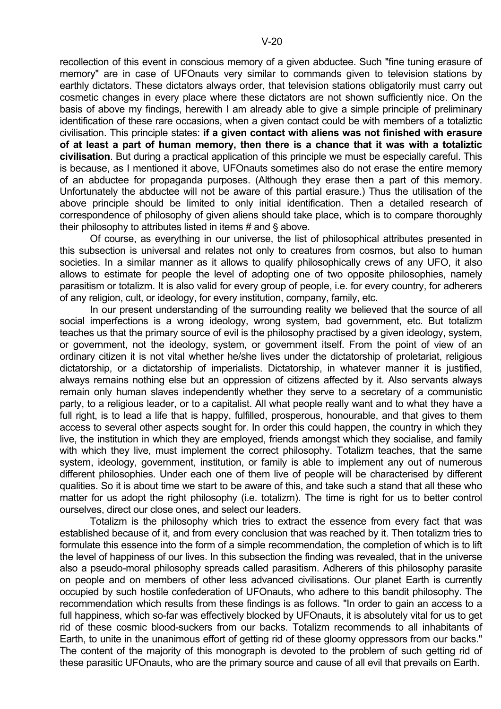recollection of this event in conscious memory of a given abductee. Such "fine tuning erasure of memory" are in case of UFOnauts very similar to commands given to television stations by earthly dictators. These dictators always order, that television stations obligatorily must carry out cosmetic changes in every place where these dictators are not shown sufficiently nice. On the basis of above my findings, herewith I am already able to give a simple principle of preliminary identification of these rare occasions, when a given contact could be with members of a totaliztic civilisation. This principle states: **if a given contact with aliens was not finished with erasure of at least a part of human memory, then there is a chance that it was with a totaliztic civilisation**. But during a practical application of this principle we must be especially careful. This is because, as I mentioned it above, UFOnauts sometimes also do not erase the entire memory of an abductee for propaganda purposes. (Although they erase then a part of this memory. Unfortunately the abductee will not be aware of this partial erasure.) Thus the utilisation of the above principle should be limited to only initial identification. Then a detailed research of correspondence of philosophy of given aliens should take place, which is to compare thoroughly their philosophy to attributes listed in items  $#$  and  $§$  above.

 Of course, as everything in our universe, the list of philosophical attributes presented in this subsection is universal and relates not only to creatures from cosmos, but also to human societies. In a similar manner as it allows to qualify philosophically crews of any UFO, it also allows to estimate for people the level of adopting one of two opposite philosophies, namely parasitism or totalizm. It is also valid for every group of people, i.e. for every country, for adherers of any religion, cult, or ideology, for every institution, company, family, etc.

 In our present understanding of the surrounding reality we believed that the source of all social imperfections is a wrong ideology, wrong system, bad government, etc. But totalizm teaches us that the primary source of evil is the philosophy practised by a given ideology, system, or government, not the ideology, system, or government itself. From the point of view of an ordinary citizen it is not vital whether he/she lives under the dictatorship of proletariat, religious dictatorship, or a dictatorship of imperialists. Dictatorship, in whatever manner it is justified, always remains nothing else but an oppression of citizens affected by it. Also servants always remain only human slaves independently whether they serve to a secretary of a communistic party, to a religious leader, or to a capitalist. All what people really want and to what they have a full right, is to lead a life that is happy, fulfilled, prosperous, honourable, and that gives to them access to several other aspects sought for. In order this could happen, the country in which they live, the institution in which they are employed, friends amongst which they socialise, and family with which they live, must implement the correct philosophy. Totalizm teaches, that the same system, ideology, government, institution, or family is able to implement any out of numerous different philosophies. Under each one of them live of people will be characterised by different qualities. So it is about time we start to be aware of this, and take such a stand that all these who matter for us adopt the right philosophy (i.e. totalizm). The time is right for us to better control ourselves, direct our close ones, and select our leaders.

 Totalizm is the philosophy which tries to extract the essence from every fact that was established because of it, and from every conclusion that was reached by it. Then totalizm tries to formulate this essence into the form of a simple recommendation, the completion of which is to lift the level of happiness of our lives. In this subsection the finding was revealed, that in the universe also a pseudo-moral philosophy spreads called parasitism. Adherers of this philosophy parasite on people and on members of other less advanced civilisations. Our planet Earth is currently occupied by such hostile confederation of UFOnauts, who adhere to this bandit philosophy. The recommendation which results from these findings is as follows. "In order to gain an access to a full happiness, which so-far was effectively blocked by UFOnauts, it is absolutely vital for us to get rid of these cosmic blood-suckers from our backs. Totalizm recommends to all inhabitants of Earth, to unite in the unanimous effort of getting rid of these gloomy oppressors from our backs." The content of the majority of this monograph is devoted to the problem of such getting rid of these parasitic UFOnauts, who are the primary source and cause of all evil that prevails on Earth.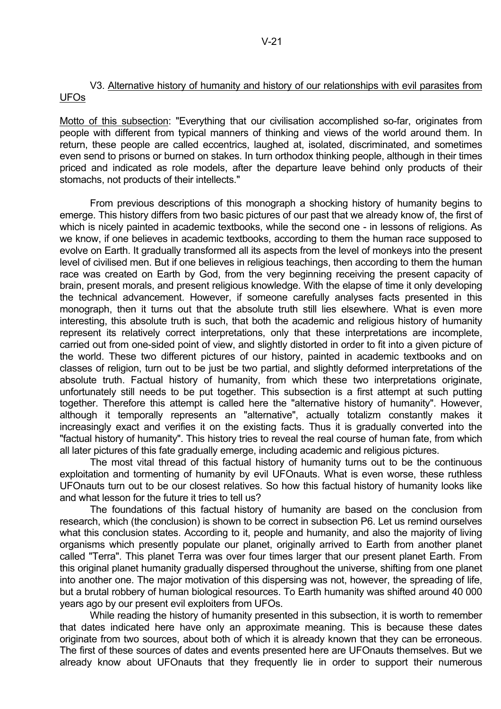Motto of this subsection: "Everything that our civilisation accomplished so-far, originates from people with different from typical manners of thinking and views of the world around them. In return, these people are called eccentrics, laughed at, isolated, discriminated, and sometimes even send to prisons or burned on stakes. In turn orthodox thinking people, although in their times priced and indicated as role models, after the departure leave behind only products of their stomachs, not products of their intellects."

 From previous descriptions of this monograph a shocking history of humanity begins to emerge. This history differs from two basic pictures of our past that we already know of, the first of which is nicely painted in academic textbooks, while the second one - in lessons of religions. As we know, if one believes in academic textbooks, according to them the human race supposed to evolve on Earth. It gradually transformed all its aspects from the level of monkeys into the present level of civilised men. But if one believes in religious teachings, then according to them the human race was created on Earth by God, from the very beginning receiving the present capacity of brain, present morals, and present religious knowledge. With the elapse of time it only developing the technical advancement. However, if someone carefully analyses facts presented in this monograph, then it turns out that the absolute truth still lies elsewhere. What is even more interesting, this absolute truth is such, that both the academic and religious history of humanity represent its relatively correct interpretations, only that these interpretations are incomplete, carried out from one-sided point of view, and slightly distorted in order to fit into a given picture of the world. These two different pictures of our history, painted in academic textbooks and on classes of religion, turn out to be just be two partial, and slightly deformed interpretations of the absolute truth. Factual history of humanity, from which these two interpretations originate, unfortunately still needs to be put together. This subsection is a first attempt at such putting together. Therefore this attempt is called here the "alternative history of humanity". However, although it temporally represents an "alternative", actually totalizm constantly makes it increasingly exact and verifies it on the existing facts. Thus it is gradually converted into the "factual history of humanity". This history tries to reveal the real course of human fate, from which all later pictures of this fate gradually emerge, including academic and religious pictures.

 The most vital thread of this factual history of humanity turns out to be the continuous exploitation and tormenting of humanity by evil UFOnauts. What is even worse, these ruthless UFOnauts turn out to be our closest relatives. So how this factual history of humanity looks like and what lesson for the future it tries to tell us?

 The foundations of this factual history of humanity are based on the conclusion from research, which (the conclusion) is shown to be correct in subsection P6. Let us remind ourselves what this conclusion states. According to it, people and humanity, and also the majority of living organisms which presently populate our planet, originally arrived to Earth from another planet called "Terra". This planet Terra was over four times larger that our present planet Earth. From this original planet humanity gradually dispersed throughout the universe, shifting from one planet into another one. The major motivation of this dispersing was not, however, the spreading of life, but a brutal robbery of human biological resources. To Earth humanity was shifted around 40 000 years ago by our present evil exploiters from UFOs.

 While reading the history of humanity presented in this subsection, it is worth to remember that dates indicated here have only an approximate meaning. This is because these dates originate from two sources, about both of which it is already known that they can be erroneous. The first of these sources of dates and events presented here are UFOnauts themselves. But we already know about UFOnauts that they frequently lie in order to support their numerous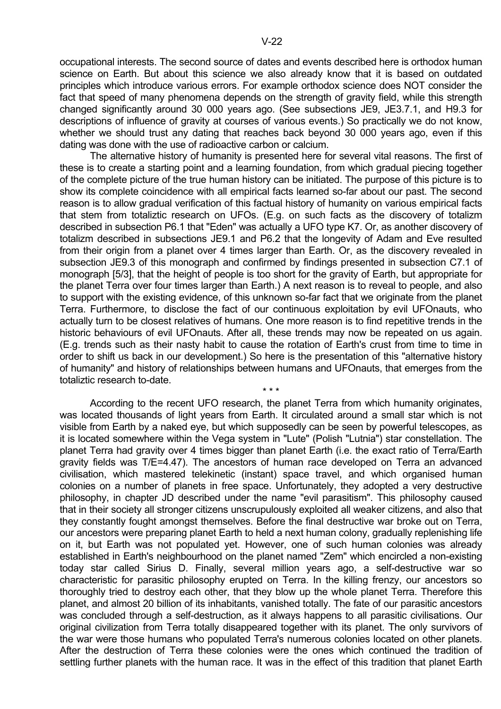occupational interests. The second source of dates and events described here is orthodox human science on Earth. But about this science we also already know that it is based on outdated principles which introduce various errors. For example orthodox science does NOT consider the fact that speed of many phenomena depends on the strength of gravity field, while this strength changed significantly around 30 000 years ago. (See subsections JE9, JE3.7.1, and H9.3 for descriptions of influence of gravity at courses of various events.) So practically we do not know, whether we should trust any dating that reaches back beyond 30 000 years ago, even if this dating was done with the use of radioactive carbon or calcium.

 The alternative history of humanity is presented here for several vital reasons. The first of these is to create a starting point and a learning foundation, from which gradual piecing together of the complete picture of the true human history can be initiated. The purpose of this picture is to show its complete coincidence with all empirical facts learned so-far about our past. The second reason is to allow gradual verification of this factual history of humanity on various empirical facts that stem from totaliztic research on UFOs. (E.g. on such facts as the discovery of totalizm described in subsection P6.1 that "Eden" was actually a UFO type K7. Or, as another discovery of totalizm described in subsections JE9.1 and P6.2 that the longevity of Adam and Eve resulted from their origin from a planet over 4 times larger than Earth. Or, as the discovery revealed in subsection JE9.3 of this monograph and confirmed by findings presented in subsection C7.1 of monograph [5/3], that the height of people is too short for the gravity of Earth, but appropriate for the planet Terra over four times larger than Earth.) A next reason is to reveal to people, and also to support with the existing evidence, of this unknown so-far fact that we originate from the planet Terra. Furthermore, to disclose the fact of our continuous exploitation by evil UFOnauts, who actually turn to be closest relatives of humans. One more reason is to find repetitive trends in the historic behaviours of evil UFOnauts. After all, these trends may now be repeated on us again. (E.g. trends such as their nasty habit to cause the rotation of Earth's crust from time to time in order to shift us back in our development.) So here is the presentation of this "alternative history of humanity" and history of relationships between humans and UFOnauts, that emerges from the totaliztic research to-date.

 $\star \star \star$ 

 According to the recent UFO research, the planet Terra from which humanity originates, was located thousands of light years from Earth. It circulated around a small star which is not visible from Earth by a naked eye, but which supposedly can be seen by powerful telescopes, as it is located somewhere within the Vega system in "Lute" (Polish "Lutnia") star constellation. The planet Terra had gravity over 4 times bigger than planet Earth (i.e. the exact ratio of Terra/Earth gravity fields was T/E=4.47). The ancestors of human race developed on Terra an advanced civilisation, which mastered telekinetic (instant) space travel, and which organised human colonies on a number of planets in free space. Unfortunately, they adopted a very destructive philosophy, in chapter JD described under the name "evil parasitism". This philosophy caused that in their society all stronger citizens unscrupulously exploited all weaker citizens, and also that they constantly fought amongst themselves. Before the final destructive war broke out on Terra, our ancestors were preparing planet Earth to held a next human colony, gradually replenishing life on it, but Earth was not populated yet. However, one of such human colonies was already established in Earth's neighbourhood on the planet named "Zem" which encircled a non-existing today star called Sirius D. Finally, several million years ago, a self-destructive war so characteristic for parasitic philosophy erupted on Terra. In the killing frenzy, our ancestors so thoroughly tried to destroy each other, that they blow up the whole planet Terra. Therefore this planet, and almost 20 billion of its inhabitants, vanished totally. The fate of our parasitic ancestors was concluded through a self-destruction, as it always happens to all parasitic civilisations. Our original civilization from Terra totally disappeared together with its planet. The only survivors of the war were those humans who populated Terra's numerous colonies located on other planets. After the destruction of Terra these colonies were the ones which continued the tradition of settling further planets with the human race. It was in the effect of this tradition that planet Earth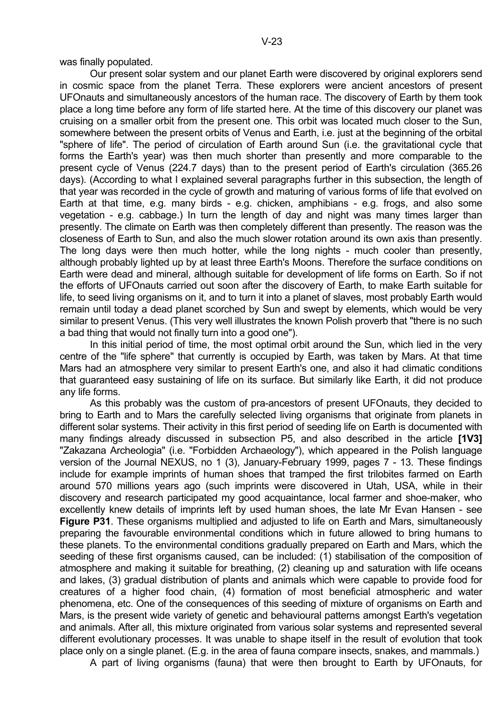was finally populated.

 Our present solar system and our planet Earth were discovered by original explorers send in cosmic space from the planet Terra. These explorers were ancient ancestors of present UFOnauts and simultaneously ancestors of the human race. The discovery of Earth by them took place a long time before any form of life started here. At the time of this discovery our planet was cruising on a smaller orbit from the present one. This orbit was located much closer to the Sun, somewhere between the present orbits of Venus and Earth, i.e. just at the beginning of the orbital "sphere of life". The period of circulation of Earth around Sun (i.e. the gravitational cycle that forms the Earth's year) was then much shorter than presently and more comparable to the present cycle of Venus (224.7 days) than to the present period of Earth's circulation (365.26 days). (According to what I explained several paragraphs further in this subsection, the length of that year was recorded in the cycle of growth and maturing of various forms of life that evolved on Earth at that time, e.g. many birds - e.g. chicken, amphibians - e.g. frogs, and also some vegetation - e.g. cabbage.) In turn the length of day and night was many times larger than presently. The climate on Earth was then completely different than presently. The reason was the closeness of Earth to Sun, and also the much slower rotation around its own axis than presently. The long days were then much hotter, while the long nights - much cooler than presently, although probably lighted up by at least three Earth's Moons. Therefore the surface conditions on Earth were dead and mineral, although suitable for development of life forms on Earth. So if not the efforts of UFOnauts carried out soon after the discovery of Earth, to make Earth suitable for life, to seed living organisms on it, and to turn it into a planet of slaves, most probably Earth would remain until today a dead planet scorched by Sun and swept by elements, which would be very similar to present Venus. (This very well illustrates the known Polish proverb that "there is no such a bad thing that would not finally turn into a good one").

In this initial period of time, the most optimal orbit around the Sun, which lied in the very centre of the "life sphere" that currently is occupied by Earth, was taken by Mars. At that time Mars had an atmosphere very similar to present Earth's one, and also it had climatic conditions that guaranteed easy sustaining of life on its surface. But similarly like Earth, it did not produce any life forms.

 As this probably was the custom of pra-ancestors of present UFOnauts, they decided to bring to Earth and to Mars the carefully selected living organisms that originate from planets in different solar systems. Their activity in this first period of seeding life on Earth is documented with many findings already discussed in subsection P5, and also described in the article **[1V3]** "Zakazana Archeologia" (i.e. "Forbidden Archaeology"), which appeared in the Polish language version of the Journal NEXUS, no 1 (3), January-February 1999, pages 7 - 13. These findings include for example imprints of human shoes that tramped the first trilobites farmed on Earth around 570 millions years ago (such imprints were discovered in Utah, USA, while in their discovery and research participated my good acquaintance, local farmer and shoe-maker, who excellently knew details of imprints left by used human shoes, the late Mr Evan Hansen - see **Figure P31**. These organisms multiplied and adjusted to life on Earth and Mars, simultaneously preparing the favourable environmental conditions which in future allowed to bring humans to these planets. To the environmental conditions gradually prepared on Earth and Mars, which the seeding of these first organisms caused, can be included: (1) stabilisation of the composition of atmosphere and making it suitable for breathing, (2) cleaning up and saturation with life oceans and lakes, (3) gradual distribution of plants and animals which were capable to provide food for creatures of a higher food chain, (4) formation of most beneficial atmospheric and water phenomena, etc. One of the consequences of this seeding of mixture of organisms on Earth and Mars, is the present wide variety of genetic and behavioural patterns amongst Earth's vegetation and animals. After all, this mixture originated from various solar systems and represented several different evolutionary processes. It was unable to shape itself in the result of evolution that took place only on a single planet. (E.g. in the area of fauna compare insects, snakes, and mammals.)

A part of living organisms (fauna) that were then brought to Earth by UFOnauts, for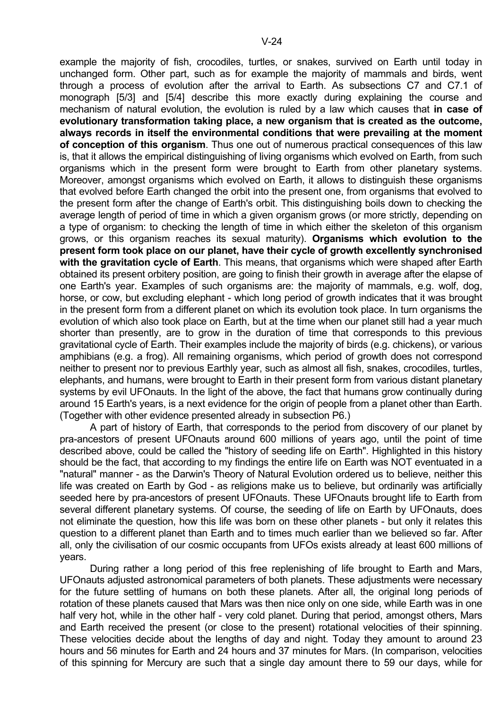example the majority of fish, crocodiles, turtles, or snakes, survived on Earth until today in unchanged form. Other part, such as for example the majority of mammals and birds, went through a process of evolution after the arrival to Earth. As subsections C7 and C7.1 of monograph [5/3] and [5/4] describe this more exactly during explaining the course and mechanism of natural evolution, the evolution is ruled by a law which causes that **in case of evolutionary transformation taking place, a new organism that is created as the outcome, always records in itself the environmental conditions that were prevailing at the moment of conception of this organism**. Thus one out of numerous practical consequences of this law is, that it allows the empirical distinguishing of living organisms which evolved on Earth, from such organisms which in the present form were brought to Earth from other planetary systems. Moreover, amongst organisms which evolved on Earth, it allows to distinguish these organisms that evolved before Earth changed the orbit into the present one, from organisms that evolved to the present form after the change of Earth's orbit. This distinguishing boils down to checking the average length of period of time in which a given organism grows (or more strictly, depending on a type of organism: to checking the length of time in which either the skeleton of this organism grows, or this organism reaches its sexual maturity). **Organisms which evolution to the present form took place on our planet, have their cycle of growth excellently synchronised with the gravitation cycle of Earth**. This means, that organisms which were shaped after Earth obtained its present orbitery position, are going to finish their growth in average after the elapse of one Earth's year. Examples of such organisms are: the majority of mammals, e.g. wolf, dog, horse, or cow, but excluding elephant - which long period of growth indicates that it was brought in the present form from a different planet on which its evolution took place. In turn organisms the evolution of which also took place on Earth, but at the time when our planet still had a year much shorter than presently, are to grow in the duration of time that corresponds to this previous gravitational cycle of Earth. Their examples include the majority of birds (e.g. chickens), or various amphibians (e.g. a frog). All remaining organisms, which period of growth does not correspond neither to present nor to previous Earthly year, such as almost all fish, snakes, crocodiles, turtles, elephants, and humans, were brought to Earth in their present form from various distant planetary systems by evil UFOnauts. In the light of the above, the fact that humans grow continually during around 15 Earth's years, is a next evidence for the origin of people from a planet other than Earth. (Together with other evidence presented already in subsection P6.)

 A part of history of Earth, that corresponds to the period from discovery of our planet by pra-ancestors of present UFOnauts around 600 millions of years ago, until the point of time described above, could be called the "history of seeding life on Earth". Highlighted in this history should be the fact, that according to my findings the entire life on Earth was NOT eventuated in a "natural" manner - as the Darwin's Theory of Natural Evolution ordered us to believe, neither this life was created on Earth by God - as religions make us to believe, but ordinarily was artificially seeded here by pra-ancestors of present UFOnauts. These UFOnauts brought life to Earth from several different planetary systems. Of course, the seeding of life on Earth by UFOnauts, does not eliminate the question, how this life was born on these other planets - but only it relates this question to a different planet than Earth and to times much earlier than we believed so far. After all, only the civilisation of our cosmic occupants from UFOs exists already at least 600 millions of years.

 During rather a long period of this free replenishing of life brought to Earth and Mars, UFOnauts adjusted astronomical parameters of both planets. These adjustments were necessary for the future settling of humans on both these planets. After all, the original long periods of rotation of these planets caused that Mars was then nice only on one side, while Earth was in one half very hot, while in the other half - very cold planet. During that period, amongst others, Mars and Earth received the present (or close to the present) rotational velocities of their spinning. These velocities decide about the lengths of day and night. Today they amount to around 23 hours and 56 minutes for Earth and 24 hours and 37 minutes for Mars. (In comparison, velocities of this spinning for Mercury are such that a single day amount there to 59 our days, while for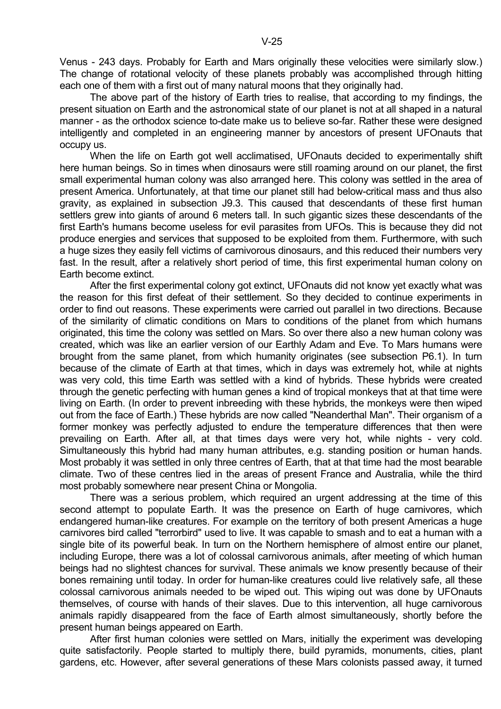Venus - 243 days. Probably for Earth and Mars originally these velocities were similarly slow.) The change of rotational velocity of these planets probably was accomplished through hitting each one of them with a first out of many natural moons that they originally had.

 The above part of the history of Earth tries to realise, that according to my findings, the present situation on Earth and the astronomical state of our planet is not at all shaped in a natural manner - as the orthodox science to-date make us to believe so-far. Rather these were designed intelligently and completed in an engineering manner by ancestors of present UFOnauts that occupy us.

 When the life on Earth got well acclimatised, UFOnauts decided to experimentally shift here human beings. So in times when dinosaurs were still roaming around on our planet, the first small experimental human colony was also arranged here. This colony was settled in the area of present America. Unfortunately, at that time our planet still had below-critical mass and thus also gravity, as explained in subsection J9.3. This caused that descendants of these first human settlers grew into giants of around 6 meters tall. In such gigantic sizes these descendants of the first Earth's humans become useless for evil parasites from UFOs. This is because they did not produce energies and services that supposed to be exploited from them. Furthermore, with such a huge sizes they easily fell victims of carnivorous dinosaurs, and this reduced their numbers very fast. In the result, after a relatively short period of time, this first experimental human colony on Earth become extinct.

 After the first experimental colony got extinct, UFOnauts did not know yet exactly what was the reason for this first defeat of their settlement. So they decided to continue experiments in order to find out reasons. These experiments were carried out parallel in two directions. Because of the similarity of climatic conditions on Mars to conditions of the planet from which humans originated, this time the colony was settled on Mars. So over there also a new human colony was created, which was like an earlier version of our Earthly Adam and Eve. To Mars humans were brought from the same planet, from which humanity originates (see subsection P6.1). In turn because of the climate of Earth at that times, which in days was extremely hot, while at nights was very cold, this time Earth was settled with a kind of hybrids. These hybrids were created through the genetic perfecting with human genes a kind of tropical monkeys that at that time were living on Earth. (In order to prevent inbreeding with these hybrids, the monkeys were then wiped out from the face of Earth.) These hybrids are now called "Neanderthal Man". Their organism of a former monkey was perfectly adjusted to endure the temperature differences that then were prevailing on Earth. After all, at that times days were very hot, while nights - very cold. Simultaneously this hybrid had many human attributes, e.g. standing position or human hands. Most probably it was settled in only three centres of Earth, that at that time had the most bearable climate. Two of these centres lied in the areas of present France and Australia, while the third most probably somewhere near present China or Mongolia.

 There was a serious problem, which required an urgent addressing at the time of this second attempt to populate Earth. It was the presence on Earth of huge carnivores, which endangered human-like creatures. For example on the territory of both present Americas a huge carnivores bird called "terrorbird" used to live. It was capable to smash and to eat a human with a single bite of its powerful beak. In turn on the Northern hemisphere of almost entire our planet, including Europe, there was a lot of colossal carnivorous animals, after meeting of which human beings had no slightest chances for survival. These animals we know presently because of their bones remaining until today. In order for human-like creatures could live relatively safe, all these colossal carnivorous animals needed to be wiped out. This wiping out was done by UFOnauts themselves, of course with hands of their slaves. Due to this intervention, all huge carnivorous animals rapidly disappeared from the face of Earth almost simultaneously, shortly before the present human beings appeared on Earth.

 After first human colonies were settled on Mars, initially the experiment was developing quite satisfactorily. People started to multiply there, build pyramids, monuments, cities, plant gardens, etc. However, after several generations of these Mars colonists passed away, it turned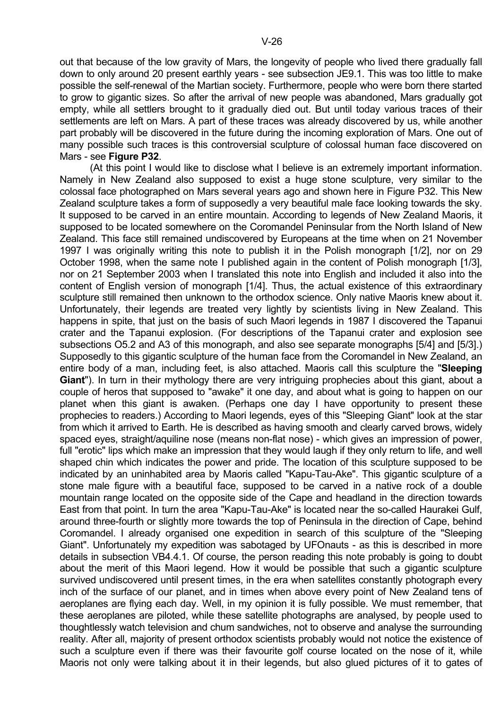out that because of the low gravity of Mars, the longevity of people who lived there gradually fall down to only around 20 present earthly years - see subsection JE9.1. This was too little to make possible the self-renewal of the Martian society. Furthermore, people who were born there started to grow to gigantic sizes. So after the arrival of new people was abandoned, Mars gradually got empty, while all settlers brought to it gradually died out. But until today various traces of their settlements are left on Mars. A part of these traces was already discovered by us, while another part probably will be discovered in the future during the incoming exploration of Mars. One out of many possible such traces is this controversial sculpture of colossal human face discovered on Mars - see **Figure P32**.

 (At this point I would like to disclose what I believe is an extremely important information. Namely in New Zealand also supposed to exist a huge stone sculpture, very similar to the colossal face photographed on Mars several years ago and shown here in Figure P32. This New Zealand sculpture takes a form of supposedly a very beautiful male face looking towards the sky. It supposed to be carved in an entire mountain. According to legends of New Zealand Maoris, it supposed to be located somewhere on the Coromandel Peninsular from the North Island of New Zealand. This face still remained undiscovered by Europeans at the time when on 21 November 1997 I was originally writing this note to publish it in the Polish monograph [1/2], nor on 29 October 1998, when the same note I published again in the content of Polish monograph [1/3], nor on 21 September 2003 when I translated this note into English and included it also into the content of English version of monograph [1/4]. Thus, the actual existence of this extraordinary sculpture still remained then unknown to the orthodox science. Only native Maoris knew about it. Unfortunately, their legends are treated very lightly by scientists living in New Zealand. This happens in spite, that just on the basis of such Maori legends in 1987 I discovered the Tapanui crater and the Tapanui explosion. (For descriptions of the Tapanui crater and explosion see subsections O5.2 and A3 of this monograph, and also see separate monographs [5/4] and [5/3].) Supposedly to this gigantic sculpture of the human face from the Coromandel in New Zealand, an entire body of a man, including feet, is also attached. Maoris call this sculpture the "**Sleeping Giant**"). In turn in their mythology there are very intriguing prophecies about this giant, about a couple of heros that supposed to "awake" it one day, and about what is going to happen on our planet when this giant is awaken. (Perhaps one day I have opportunity to present these prophecies to readers.) According to Maori legends, eyes of this "Sleeping Giant" look at the star from which it arrived to Earth. He is described as having smooth and clearly carved brows, widely spaced eyes, straight/aquiline nose (means non-flat nose) - which gives an impression of power, full "erotic" lips which make an impression that they would laugh if they only return to life, and well shaped chin which indicates the power and pride. The location of this sculpture supposed to be indicated by an uninhabited area by Maoris called "Kapu-Tau-Ake". This gigantic sculpture of a stone male figure with a beautiful face, supposed to be carved in a native rock of a double mountain range located on the opposite side of the Cape and headland in the direction towards East from that point. In turn the area "Kapu-Tau-Ake" is located near the so-called Haurakei Gulf, around three-fourth or slightly more towards the top of Peninsula in the direction of Cape, behind Coromandel. I already organised one expedition in search of this sculpture of the "Sleeping Giant". Unfortunately my expedition was sabotaged by UFOnauts - as this is described in more details in subsection VB4.4.1. Of course, the person reading this note probably is going to doubt about the merit of this Maori legend. How it would be possible that such a gigantic sculpture survived undiscovered until present times, in the era when satellites constantly photograph every inch of the surface of our planet, and in times when above every point of New Zealand tens of aeroplanes are flying each day. Well, in my opinion it is fully possible. We must remember, that these aeroplanes are piloted, while these satellite photographs are analysed, by people used to thoughtlessly watch television and chum sandwiches, not to observe and analyse the surrounding reality. After all, majority of present orthodox scientists probably would not notice the existence of such a sculpture even if there was their favourite golf course located on the nose of it, while Maoris not only were talking about it in their legends, but also glued pictures of it to gates of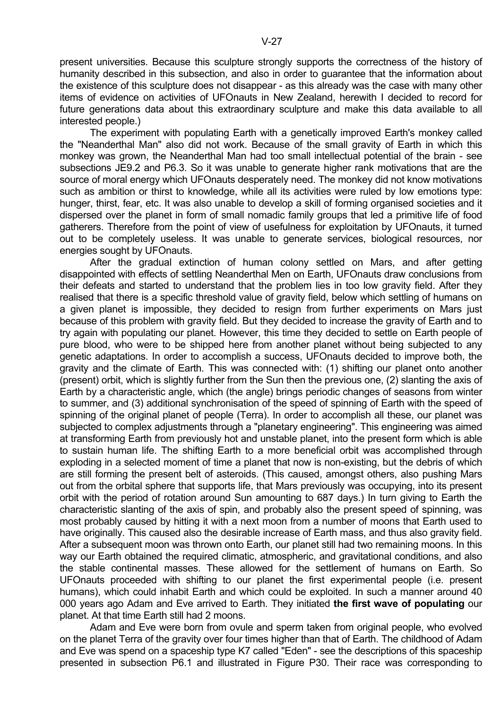present universities. Because this sculpture strongly supports the correctness of the history of humanity described in this subsection, and also in order to guarantee that the information about the existence of this sculpture does not disappear - as this already was the case with many other items of evidence on activities of UFOnauts in New Zealand, herewith I decided to record for future generations data about this extraordinary sculpture and make this data available to all interested people.)

 The experiment with populating Earth with a genetically improved Earth's monkey called the "Neanderthal Man" also did not work. Because of the small gravity of Earth in which this monkey was grown, the Neanderthal Man had too small intellectual potential of the brain - see subsections JE9.2 and P6.3. So it was unable to generate higher rank motivations that are the source of moral energy which UFOnauts desperately need. The monkey did not know motivations such as ambition or thirst to knowledge, while all its activities were ruled by low emotions type: hunger, thirst, fear, etc. It was also unable to develop a skill of forming organised societies and it dispersed over the planet in form of small nomadic family groups that led a primitive life of food gatherers. Therefore from the point of view of usefulness for exploitation by UFOnauts, it turned out to be completely useless. It was unable to generate services, biological resources, nor energies sought by UFOnauts.

 After the gradual extinction of human colony settled on Mars, and after getting disappointed with effects of settling Neanderthal Men on Earth, UFOnauts draw conclusions from their defeats and started to understand that the problem lies in too low gravity field. After they realised that there is a specific threshold value of gravity field, below which settling of humans on a given planet is impossible, they decided to resign from further experiments on Mars just because of this problem with gravity field. But they decided to increase the gravity of Earth and to try again with populating our planet. However, this time they decided to settle on Earth people of pure blood, who were to be shipped here from another planet without being subjected to any genetic adaptations. In order to accomplish a success, UFOnauts decided to improve both, the gravity and the climate of Earth. This was connected with: (1) shifting our planet onto another (present) orbit, which is slightly further from the Sun then the previous one, (2) slanting the axis of Earth by a characteristic angle, which (the angle) brings periodic changes of seasons from winter to summer, and (3) additional synchronisation of the speed of spinning of Earth with the speed of spinning of the original planet of people (Terra). In order to accomplish all these, our planet was subjected to complex adjustments through a "planetary engineering". This engineering was aimed at transforming Earth from previously hot and unstable planet, into the present form which is able to sustain human life. The shifting Earth to a more beneficial orbit was accomplished through exploding in a selected moment of time a planet that now is non-existing, but the debris of which are still forming the present belt of asteroids. (This caused, amongst others, also pushing Mars out from the orbital sphere that supports life, that Mars previously was occupying, into its present orbit with the period of rotation around Sun amounting to 687 days.) In turn giving to Earth the characteristic slanting of the axis of spin, and probably also the present speed of spinning, was most probably caused by hitting it with a next moon from a number of moons that Earth used to have originally. This caused also the desirable increase of Earth mass, and thus also gravity field. After a subsequent moon was thrown onto Earth, our planet still had two remaining moons. In this way our Earth obtained the required climatic, atmospheric, and gravitational conditions, and also the stable continental masses. These allowed for the settlement of humans on Earth. So UFOnauts proceeded with shifting to our planet the first experimental people (i.e. present humans), which could inhabit Earth and which could be exploited. In such a manner around 40 000 years ago Adam and Eve arrived to Earth. They initiated **the first wave of populating** our planet. At that time Earth still had 2 moons.

 Adam and Eve were born from ovule and sperm taken from original people, who evolved on the planet Terra of the gravity over four times higher than that of Earth. The childhood of Adam and Eve was spend on a spaceship type K7 called "Eden" - see the descriptions of this spaceship presented in subsection P6.1 and illustrated in Figure P30. Their race was corresponding to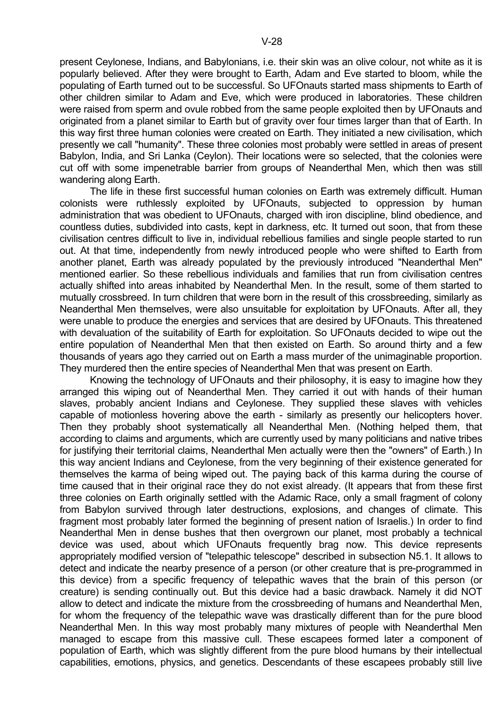V-28

present Ceylonese, Indians, and Babylonians, i.e. their skin was an olive colour, not white as it is popularly believed. After they were brought to Earth, Adam and Eve started to bloom, while the populating of Earth turned out to be successful. So UFOnauts started mass shipments to Earth of other children similar to Adam and Eve, which were produced in laboratories. These children were raised from sperm and ovule robbed from the same people exploited then by UFOnauts and originated from a planet similar to Earth but of gravity over four times larger than that of Earth. In this way first three human colonies were created on Earth. They initiated a new civilisation, which presently we call "humanity". These three colonies most probably were settled in areas of present Babylon, India, and Sri Lanka (Ceylon). Their locations were so selected, that the colonies were cut off with some impenetrable barrier from groups of Neanderthal Men, which then was still wandering along Earth.

 The life in these first successful human colonies on Earth was extremely difficult. Human colonists were ruthlessly exploited by UFOnauts, subjected to oppression by human administration that was obedient to UFOnauts, charged with iron discipline, blind obedience, and countless duties, subdivided into casts, kept in darkness, etc. It turned out soon, that from these civilisation centres difficult to live in, individual rebellious families and single people started to run out. At that time, independently from newly introduced people who were shifted to Earth from another planet, Earth was already populated by the previously introduced "Neanderthal Men" mentioned earlier. So these rebellious individuals and families that run from civilisation centres actually shifted into areas inhabited by Neanderthal Men. In the result, some of them started to mutually crossbreed. In turn children that were born in the result of this crossbreeding, similarly as Neanderthal Men themselves, were also unsuitable for exploitation by UFOnauts. After all, they were unable to produce the energies and services that are desired by UFOnauts. This threatened with devaluation of the suitability of Earth for exploitation. So UFOnauts decided to wipe out the entire population of Neanderthal Men that then existed on Earth. So around thirty and a few thousands of years ago they carried out on Earth a mass murder of the unimaginable proportion. They murdered then the entire species of Neanderthal Men that was present on Earth.

 Knowing the technology of UFOnauts and their philosophy, it is easy to imagine how they arranged this wiping out of Neanderthal Men. They carried it out with hands of their human slaves, probably ancient Indians and Ceylonese. They supplied these slaves with vehicles capable of motionless hovering above the earth - similarly as presently our helicopters hover. Then they probably shoot systematically all Neanderthal Men. (Nothing helped them, that according to claims and arguments, which are currently used by many politicians and native tribes for justifying their territorial claims, Neanderthal Men actually were then the "owners" of Earth.) In this way ancient Indians and Ceylonese, from the very beginning of their existence generated for themselves the karma of being wiped out. The paying back of this karma during the course of time caused that in their original race they do not exist already. (It appears that from these first three colonies on Earth originally settled with the Adamic Race, only a small fragment of colony from Babylon survived through later destructions, explosions, and changes of climate. This fragment most probably later formed the beginning of present nation of Israelis.) In order to find Neanderthal Men in dense bushes that then overgrown our planet, most probably a technical device was used, about which UFOnauts frequently brag now. This device represents appropriately modified version of "telepathic telescope" described in subsection N5.1. It allows to detect and indicate the nearby presence of a person (or other creature that is pre-programmed in this device) from a specific frequency of telepathic waves that the brain of this person (or creature) is sending continually out. But this device had a basic drawback. Namely it did NOT allow to detect and indicate the mixture from the crossbreeding of humans and Neanderthal Men, for whom the frequency of the telepathic wave was drastically different than for the pure blood Neanderthal Men. In this way most probably many mixtures of people with Neanderthal Men managed to escape from this massive cull. These escapees formed later a component of population of Earth, which was slightly different from the pure blood humans by their intellectual capabilities, emotions, physics, and genetics. Descendants of these escapees probably still live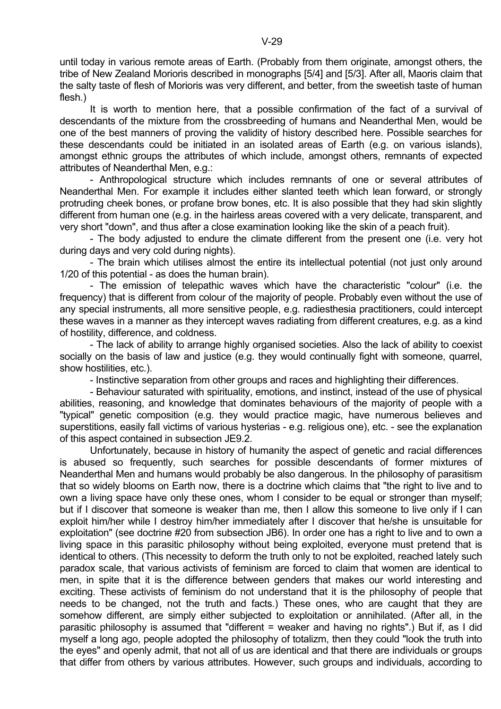until today in various remote areas of Earth. (Probably from them originate, amongst others, the tribe of New Zealand Morioris described in monographs [5/4] and [5/3]. After all, Maoris claim that the salty taste of flesh of Morioris was very different, and better, from the sweetish taste of human flesh.)

 It is worth to mention here, that a possible confirmation of the fact of a survival of descendants of the mixture from the crossbreeding of humans and Neanderthal Men, would be one of the best manners of proving the validity of history described here. Possible searches for these descendants could be initiated in an isolated areas of Earth (e.g. on various islands), amongst ethnic groups the attributes of which include, amongst others, remnants of expected attributes of Neanderthal Men, e.g.:

 - Anthropological structure which includes remnants of one or several attributes of Neanderthal Men. For example it includes either slanted teeth which lean forward, or strongly protruding cheek bones, or profane brow bones, etc. It is also possible that they had skin slightly different from human one (e.g. in the hairless areas covered with a very delicate, transparent, and very short "down", and thus after a close examination looking like the skin of a peach fruit).

 - The body adjusted to endure the climate different from the present one (i.e. very hot during days and very cold during nights).

 - The brain which utilises almost the entire its intellectual potential (not just only around 1/20 of this potential - as does the human brain).

 - The emission of telepathic waves which have the characteristic "colour" (i.e. the frequency) that is different from colour of the majority of people. Probably even without the use of any special instruments, all more sensitive people, e.g. radiesthesia practitioners, could intercept these waves in a manner as they intercept waves radiating from different creatures, e.g. as a kind of hostility, difference, and coldness.

 - The lack of ability to arrange highly organised societies. Also the lack of ability to coexist socially on the basis of law and justice (e.g. they would continually fight with someone, quarrel, show hostilities, etc.).

- Instinctive separation from other groups and races and highlighting their differences.

 - Behaviour saturated with spirituality, emotions, and instinct, instead of the use of physical abilities, reasoning, and knowledge that dominates behaviours of the majority of people with a "typical" genetic composition (e.g. they would practice magic, have numerous believes and superstitions, easily fall victims of various hysterias - e.g. religious one), etc. - see the explanation of this aspect contained in subsection JE9.2.

 Unfortunately, because in history of humanity the aspect of genetic and racial differences is abused so frequently, such searches for possible descendants of former mixtures of Neanderthal Men and humans would probably be also dangerous. In the philosophy of parasitism that so widely blooms on Earth now, there is a doctrine which claims that "the right to live and to own a living space have only these ones, whom I consider to be equal or stronger than myself; but if I discover that someone is weaker than me, then I allow this someone to live only if I can exploit him/her while I destroy him/her immediately after I discover that he/she is unsuitable for exploitation" (see doctrine #20 from subsection JB6). In order one has a right to live and to own a living space in this parasitic philosophy without being exploited, everyone must pretend that is identical to others. (This necessity to deform the truth only to not be exploited, reached lately such paradox scale, that various activists of feminism are forced to claim that women are identical to men, in spite that it is the difference between genders that makes our world interesting and exciting. These activists of feminism do not understand that it is the philosophy of people that needs to be changed, not the truth and facts.) These ones, who are caught that they are somehow different, are simply either subjected to exploitation or annihilated. (After all, in the parasitic philosophy is assumed that "different = weaker and having no rights".) But if, as I did myself a long ago, people adopted the philosophy of totalizm, then they could "look the truth into the eyes" and openly admit, that not all of us are identical and that there are individuals or groups that differ from others by various attributes. However, such groups and individuals, according to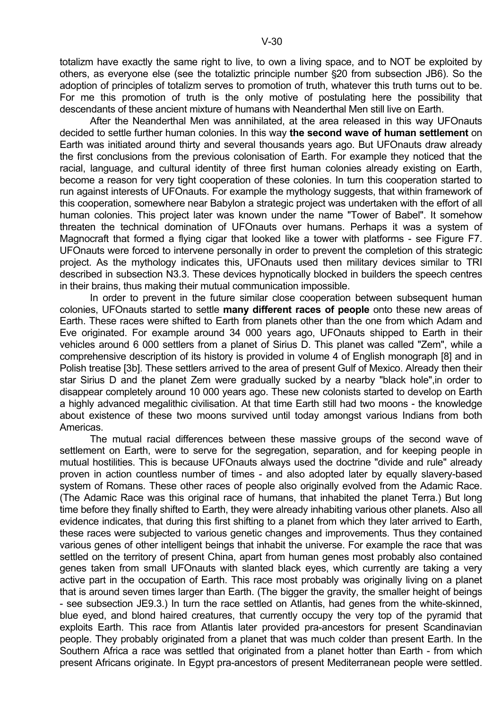totalizm have exactly the same right to live, to own a living space, and to NOT be exploited by others, as everyone else (see the totaliztic principle number \$20 from subsection JB6). So the adoption of principles of totalizm serves to promotion of truth, whatever this truth turns out to be. For me this promotion of truth is the only motive of postulating here the possibility that descendants of these ancient mixture of humans with Neanderthal Men still live on Earth.

 After the Neanderthal Men was annihilated, at the area released in this way UFOnauts decided to settle further human colonies. In this way **the second wave of human settlement** on Earth was initiated around thirty and several thousands years ago. But UFOnauts draw already the first conclusions from the previous colonisation of Earth. For example they noticed that the racial, language, and cultural identity of three first human colonies already existing on Earth, become a reason for very tight cooperation of these colonies. In turn this cooperation started to run against interests of UFOnauts. For example the mythology suggests, that within framework of this cooperation, somewhere near Babylon a strategic project was undertaken with the effort of all human colonies. This project later was known under the name "Tower of Babel". It somehow threaten the technical domination of UFOnauts over humans. Perhaps it was a system of Magnocraft that formed a flying cigar that looked like a tower with platforms - see Figure F7. UFOnauts were forced to intervene personally in order to prevent the completion of this strategic project. As the mythology indicates this, UFOnauts used then military devices similar to TRI described in subsection N3.3. These devices hypnotically blocked in builders the speech centres in their brains, thus making their mutual communication impossible.

 In order to prevent in the future similar close cooperation between subsequent human colonies, UFOnauts started to settle **many different races of people** onto these new areas of Earth. These races were shifted to Earth from planets other than the one from which Adam and Eve originated. For example around 34 000 years ago, UFOnauts shipped to Earth in their vehicles around 6 000 settlers from a planet of Sirius D. This planet was called "Zem", while a comprehensive description of its history is provided in volume 4 of English monograph [8] and in Polish treatise [3b]. These settlers arrived to the area of present Gulf of Mexico. Already then their star Sirius D and the planet Zem were gradually sucked by a nearby "black hole",in order to disappear completely around 10 000 years ago. These new colonists started to develop on Earth a highly advanced megalithic civilisation. At that time Earth still had two moons - the knowledge about existence of these two moons survived until today amongst various Indians from both Americas.

 The mutual racial differences between these massive groups of the second wave of settlement on Earth, were to serve for the segregation, separation, and for keeping people in mutual hostilities. This is because UFOnauts always used the doctrine "divide and rule" already proven in action countless number of times - and also adopted later by equally slavery-based system of Romans. These other races of people also originally evolved from the Adamic Race. (The Adamic Race was this original race of humans, that inhabited the planet Terra.) But long time before they finally shifted to Earth, they were already inhabiting various other planets. Also all evidence indicates, that during this first shifting to a planet from which they later arrived to Earth, these races were subjected to various genetic changes and improvements. Thus they contained various genes of other intelligent beings that inhabit the universe. For example the race that was settled on the territory of present China, apart from human genes most probably also contained genes taken from small UFOnauts with slanted black eyes, which currently are taking a very active part in the occupation of Earth. This race most probably was originally living on a planet that is around seven times larger than Earth. (The bigger the gravity, the smaller height of beings - see subsection JE9.3.) In turn the race settled on Atlantis, had genes from the white-skinned, blue eyed, and blond haired creatures, that currently occupy the very top of the pyramid that exploits Earth. This race from Atlantis later provided pra-ancestors for present Scandinavian people. They probably originated from a planet that was much colder than present Earth. In the Southern Africa a race was settled that originated from a planet hotter than Earth - from which present Africans originate. In Egypt pra-ancestors of present Mediterranean people were settled.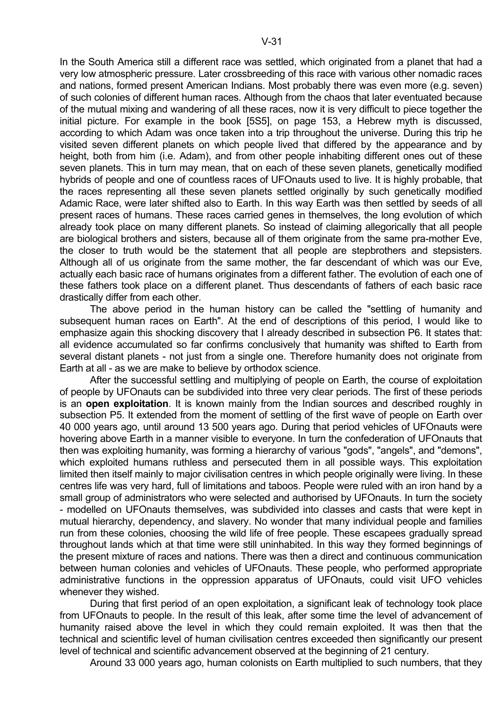In the South America still a different race was settled, which originated from a planet that had a very low atmospheric pressure. Later crossbreeding of this race with various other nomadic races and nations, formed present American Indians. Most probably there was even more (e.g. seven) of such colonies of different human races. Although from the chaos that later eventuated because of the mutual mixing and wandering of all these races, now it is very difficult to piece together the initial picture. For example in the book [5S5], on page 153, a Hebrew myth is discussed, according to which Adam was once taken into a trip throughout the universe. During this trip he visited seven different planets on which people lived that differed by the appearance and by height, both from him (i.e. Adam), and from other people inhabiting different ones out of these seven planets. This in turn may mean, that on each of these seven planets, genetically modified hybrids of people and one of countless races of UFOnauts used to live. It is highly probable, that the races representing all these seven planets settled originally by such genetically modified Adamic Race, were later shifted also to Earth. In this way Earth was then settled by seeds of all present races of humans. These races carried genes in themselves, the long evolution of which already took place on many different planets. So instead of claiming allegorically that all people are biological brothers and sisters, because all of them originate from the same pra-mother Eve, the closer to truth would be the statement that all people are stepbrothers and stepsisters. Although all of us originate from the same mother, the far descendant of which was our Eve, actually each basic race of humans originates from a different father. The evolution of each one of

these fathers took place on a different planet. Thus descendants of fathers of each basic race drastically differ from each other. The above period in the human history can be called the "settling of humanity and subsequent human races on Earth". At the end of descriptions of this period, I would like to emphasize again this shocking discovery that I already described in subsection P6. It states that: all evidence accumulated so far confirms conclusively that humanity was shifted to Earth from several distant planets - not just from a single one. Therefore humanity does not originate from Earth at all - as we are make to believe by orthodox science.

 After the successful settling and multiplying of people on Earth, the course of exploitation of people by UFOnauts can be subdivided into three very clear periods. The first of these periods is an **open exploitation**. It is known mainly from the Indian sources and described roughly in subsection P5. It extended from the moment of settling of the first wave of people on Earth over 40 000 years ago, until around 13 500 years ago. During that period vehicles of UFOnauts were hovering above Earth in a manner visible to everyone. In turn the confederation of UFOnauts that then was exploiting humanity, was forming a hierarchy of various "gods", "angels", and "demons", which exploited humans ruthless and persecuted them in all possible ways. This exploitation limited then itself mainly to major civilisation centres in which people originally were living. In these centres life was very hard, full of limitations and taboos. People were ruled with an iron hand by a small group of administrators who were selected and authorised by UFOnauts. In turn the society - modelled on UFOnauts themselves, was subdivided into classes and casts that were kept in mutual hierarchy, dependency, and slavery. No wonder that many individual people and families run from these colonies, choosing the wild life of free people. These escapees gradually spread throughout lands which at that time were still uninhabited. In this way they formed beginnings of the present mixture of races and nations. There was then a direct and continuous communication between human colonies and vehicles of UFOnauts. These people, who performed appropriate administrative functions in the oppression apparatus of UFOnauts, could visit UFO vehicles whenever they wished.

 During that first period of an open exploitation, a significant leak of technology took place from UFOnauts to people. In the result of this leak, after some time the level of advancement of humanity raised above the level in which they could remain exploited. It was then that the technical and scientific level of human civilisation centres exceeded then significantly our present level of technical and scientific advancement observed at the beginning of 21 century.

Around 33 000 years ago, human colonists on Earth multiplied to such numbers, that they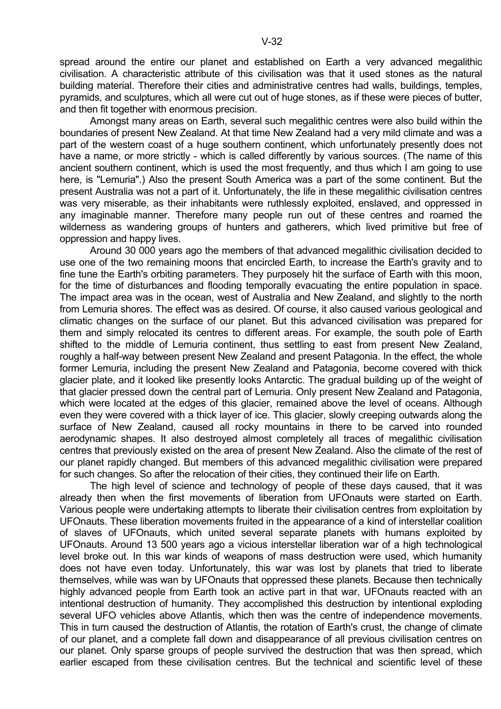spread around the entire our planet and established on Earth a very advanced megalithic civilisation. A characteristic attribute of this civilisation was that it used stones as the natural building material. Therefore their cities and administrative centres had walls, buildings, temples, pyramids, and sculptures, which all were cut out of huge stones, as if these were pieces of butter, and then fit together with enormous precision.

 Amongst many areas on Earth, several such megalithic centres were also build within the boundaries of present New Zealand. At that time New Zealand had a very mild climate and was a part of the western coast of a huge southern continent, which unfortunately presently does not have a name, or more strictly - which is called differently by various sources. (The name of this ancient southern continent, which is used the most frequently, and thus which I am going to use here, is "Lemuria".) Also the present South America was a part of the some continent. But the present Australia was not a part of it. Unfortunately, the life in these megalithic civilisation centres was very miserable, as their inhabitants were ruthlessly exploited, enslaved, and oppressed in any imaginable manner. Therefore many people run out of these centres and roamed the wilderness as wandering groups of hunters and gatherers, which lived primitive but free of oppression and happy lives.

 Around 30 000 years ago the members of that advanced megalithic civilisation decided to use one of the two remaining moons that encircled Earth, to increase the Earth's gravity and to fine tune the Earth's orbiting parameters. They purposely hit the surface of Earth with this moon, for the time of disturbances and flooding temporally evacuating the entire population in space. The impact area was in the ocean, west of Australia and New Zealand, and slightly to the north from Lemuria shores. The effect was as desired. Of course, it also caused various geological and climatic changes on the surface of our planet. But this advanced civilisation was prepared for them and simply relocated its centres to different areas. For example, the south pole of Earth shifted to the middle of Lemuria continent, thus settling to east from present New Zealand, roughly a half-way between present New Zealand and present Patagonia. In the effect, the whole former Lemuria, including the present New Zealand and Patagonia, become covered with thick glacier plate, and it looked like presently looks Antarctic. The gradual building up of the weight of that glacier pressed down the central part of Lemuria. Only present New Zealand and Patagonia, which were located at the edges of this glacier, remained above the level of oceans. Although even they were covered with a thick layer of ice. This glacier, slowly creeping outwards along the surface of New Zealand, caused all rocky mountains in there to be carved into rounded aerodynamic shapes. It also destroyed almost completely all traces of megalithic civilisation centres that previously existed on the area of present New Zealand. Also the climate of the rest of our planet rapidly changed. But members of this advanced megalithic civilisation were prepared for such changes. So after the relocation of their cities, they continued their life on Earth.

 The high level of science and technology of people of these days caused, that it was already then when the first movements of liberation from UFOnauts were started on Earth. Various people were undertaking attempts to liberate their civilisation centres from exploitation by UFOnauts. These liberation movements fruited in the appearance of a kind of interstellar coalition of slaves of UFOnauts, which united several separate planets with humans exploited by UFOnauts. Around 13 500 years ago a vicious interstellar liberation war of a high technological level broke out. In this war kinds of weapons of mass destruction were used, which humanity does not have even today. Unfortunately, this war was lost by planets that tried to liberate themselves, while was wan by UFOnauts that oppressed these planets. Because then technically highly advanced people from Earth took an active part in that war, UFOnauts reacted with an intentional destruction of humanity. They accomplished this destruction by intentional exploding several UFO vehicles above Atlantis, which then was the centre of independence movements. This in turn caused the destruction of Atlantis, the rotation of Earth's crust, the change of climate of our planet, and a complete fall down and disappearance of all previous civilisation centres on our planet. Only sparse groups of people survived the destruction that was then spread, which earlier escaped from these civilisation centres. But the technical and scientific level of these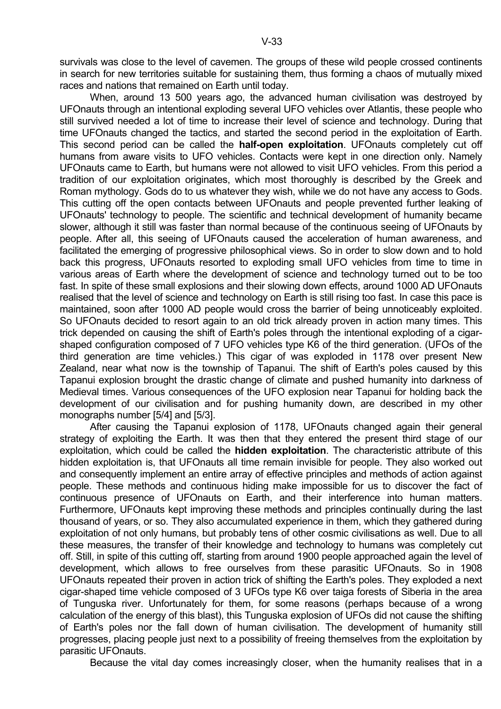survivals was close to the level of cavemen. The groups of these wild people crossed continents in search for new territories suitable for sustaining them, thus forming a chaos of mutually mixed races and nations that remained on Earth until today.

 When, around 13 500 years ago, the advanced human civilisation was destroyed by UFOnauts through an intentional exploding several UFO vehicles over Atlantis, these people who still survived needed a lot of time to increase their level of science and technology. During that time UFOnauts changed the tactics, and started the second period in the exploitation of Earth. This second period can be called the **half-open exploitation**. UFOnauts completely cut off humans from aware visits to UFO vehicles. Contacts were kept in one direction only. Namely UFOnauts came to Earth, but humans were not allowed to visit UFO vehicles. From this period a tradition of our exploitation originates, which most thoroughly is described by the Greek and Roman mythology. Gods do to us whatever they wish, while we do not have any access to Gods. This cutting off the open contacts between UFOnauts and people prevented further leaking of UFOnauts' technology to people. The scientific and technical development of humanity became slower, although it still was faster than normal because of the continuous seeing of UFOnauts by people. After all, this seeing of UFOnauts caused the acceleration of human awareness, and facilitated the emerging of progressive philosophical views. So in order to slow down and to hold back this progress, UFOnauts resorted to exploding small UFO vehicles from time to time in various areas of Earth where the development of science and technology turned out to be too fast. In spite of these small explosions and their slowing down effects, around 1000 AD UFOnauts realised that the level of science and technology on Earth is still rising too fast. In case this pace is maintained, soon after 1000 AD people would cross the barrier of being unnoticeably exploited. So UFOnauts decided to resort again to an old trick already proven in action many times. This trick depended on causing the shift of Earth's poles through the intentional exploding of a cigarshaped configuration composed of 7 UFO vehicles type K6 of the third generation. (UFOs of the third generation are time vehicles.) This cigar of was exploded in 1178 over present New Zealand, near what now is the township of Tapanui. The shift of Earth's poles caused by this Tapanui explosion brought the drastic change of climate and pushed humanity into darkness of Medieval times. Various consequences of the UFO explosion near Tapanui for holding back the development of our civilisation and for pushing humanity down, are described in my other monographs number [5/4] and [5/3].

 After causing the Tapanui explosion of 1178, UFOnauts changed again their general strategy of exploiting the Earth. It was then that they entered the present third stage of our exploitation, which could be called the **hidden exploitation**. The characteristic attribute of this hidden exploitation is, that UFOnauts all time remain invisible for people. They also worked out and consequently implement an entire array of effective principles and methods of action against people. These methods and continuous hiding make impossible for us to discover the fact of continuous presence of UFOnauts on Earth, and their interference into human matters. Furthermore, UFOnauts kept improving these methods and principles continually during the last thousand of years, or so. They also accumulated experience in them, which they gathered during exploitation of not only humans, but probably tens of other cosmic civilisations as well. Due to all these measures, the transfer of their knowledge and technology to humans was completely cut off. Still, in spite of this cutting off, starting from around 1900 people approached again the level of development, which allows to free ourselves from these parasitic UFOnauts. So in 1908 UFOnauts repeated their proven in action trick of shifting the Earth's poles. They exploded a next cigar-shaped time vehicle composed of 3 UFOs type K6 over taiga forests of Siberia in the area of Tunguska river. Unfortunately for them, for some reasons (perhaps because of a wrong calculation of the energy of this blast), this Tunguska explosion of UFOs did not cause the shifting of Earth's poles nor the fall down of human civilisation. The development of humanity still progresses, placing people just next to a possibility of freeing themselves from the exploitation by parasitic UFOnauts.

Because the vital day comes increasingly closer, when the humanity realises that in a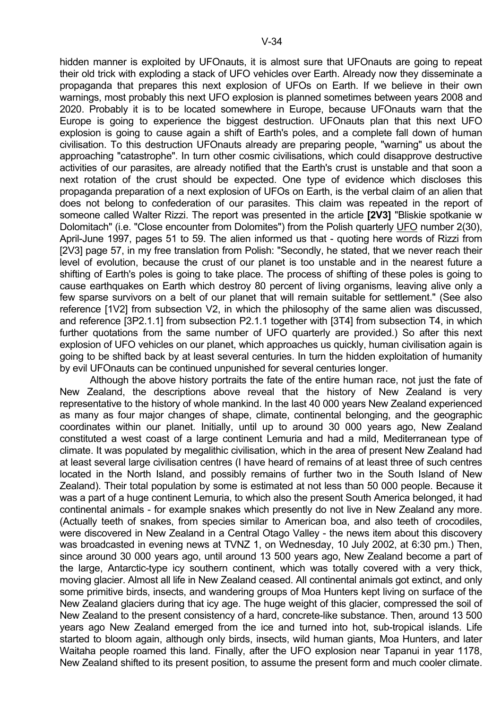hidden manner is exploited by UFOnauts, it is almost sure that UFOnauts are going to repeat their old trick with exploding a stack of UFO vehicles over Earth. Already now they disseminate a propaganda that prepares this next explosion of UFOs on Earth. If we believe in their own warnings, most probably this next UFO explosion is planned sometimes between years 2008 and 2020. Probably it is to be located somewhere in Europe, because UFOnauts warn that the Europe is going to experience the biggest destruction. UFOnauts plan that this next UFO explosion is going to cause again a shift of Earth's poles, and a complete fall down of human civilisation. To this destruction UFOnauts already are preparing people, "warning" us about the approaching "catastrophe". In turn other cosmic civilisations, which could disapprove destructive activities of our parasites, are already notified that the Earth's crust is unstable and that soon a next rotation of the crust should be expected. One type of evidence which discloses this propaganda preparation of a next explosion of UFOs on Earth, is the verbal claim of an alien that does not belong to confederation of our parasites. This claim was repeated in the report of someone called Walter Rizzi. The report was presented in the article **[2V3]** "Bliskie spotkanie w Dolomitach" (i.e. "Close encounter from Dolomites") from the Polish quarterly UFO number 2(30), April-June 1997, pages 51 to 59. The alien informed us that - quoting here words of Rizzi from [2V3] page 57, in my free translation from Polish: "Secondly, he stated, that we never reach their level of evolution, because the crust of our planet is too unstable and in the nearest future a shifting of Earth's poles is going to take place. The process of shifting of these poles is going to cause earthquakes on Earth which destroy 80 percent of living organisms, leaving alive only a few sparse survivors on a belt of our planet that will remain suitable for settlement." (See also reference [1V2] from subsection V2, in which the philosophy of the same alien was discussed, and reference [3P2.1.1] from subsection P2.1.1 together with [3T4] from subsection T4, in which further quotations from the same number of UFO quarterly are provided.) So after this next explosion of UFO vehicles on our planet, which approaches us quickly, human civilisation again is going to be shifted back by at least several centuries. In turn the hidden exploitation of humanity by evil UFOnauts can be continued unpunished for several centuries longer.

 Although the above history portraits the fate of the entire human race, not just the fate of New Zealand, the descriptions above reveal that the history of New Zealand is very representative to the history of whole mankind. In the last 40 000 years New Zealand experienced as many as four major changes of shape, climate, continental belonging, and the geographic coordinates within our planet. Initially, until up to around 30 000 years ago, New Zealand constituted a west coast of a large continent Lemuria and had a mild, Mediterranean type of climate. It was populated by megalithic civilisation, which in the area of present New Zealand had at least several large civilisation centres (I have heard of remains of at least three of such centres located in the North Island, and possibly remains of further two in the South Island of New Zealand). Their total population by some is estimated at not less than 50 000 people. Because it was a part of a huge continent Lemuria, to which also the present South America belonged, it had continental animals - for example snakes which presently do not live in New Zealand any more. (Actually teeth of snakes, from species similar to American boa, and also teeth of crocodiles, were discovered in New Zealand in a Central Otago Valley - the news item about this discovery was broadcasted in evening news at TVNZ 1, on Wednesday, 10 July 2002, at 6:30 pm.) Then, since around 30 000 years ago, until around 13 500 years ago, New Zealand become a part of the large, Antarctic-type icy southern continent, which was totally covered with a very thick, moving glacier. Almost all life in New Zealand ceased. All continental animals got extinct, and only some primitive birds, insects, and wandering groups of Moa Hunters kept living on surface of the New Zealand glaciers during that icy age. The huge weight of this glacier, compressed the soil of New Zealand to the present consistency of a hard, concrete-like substance. Then, around 13 500 years ago New Zealand emerged from the ice and turned into hot, sub-tropical islands. Life started to bloom again, although only birds, insects, wild human giants, Moa Hunters, and later Waitaha people roamed this land. Finally, after the UFO explosion near Tapanui in year 1178, New Zealand shifted to its present position, to assume the present form and much cooler climate.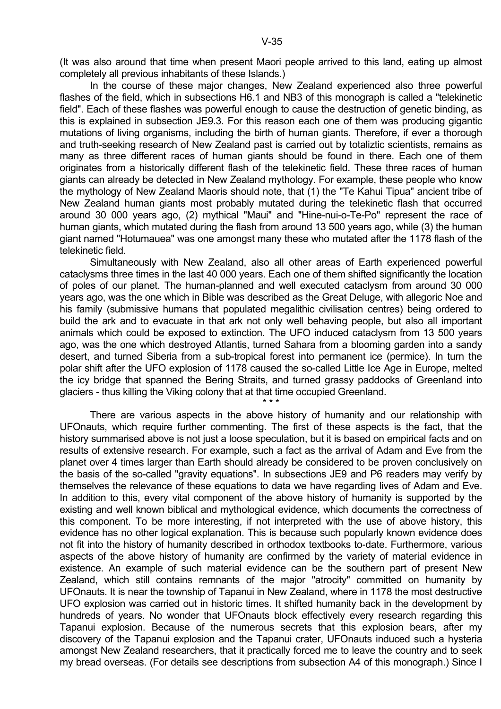(It was also around that time when present Maori people arrived to this land, eating up almost completely all previous inhabitants of these Islands.)

 In the course of these major changes, New Zealand experienced also three powerful flashes of the field, which in subsections H6.1 and NB3 of this monograph is called a "telekinetic field". Each of these flashes was powerful enough to cause the destruction of genetic binding, as this is explained in subsection JE9.3. For this reason each one of them was producing gigantic mutations of living organisms, including the birth of human giants. Therefore, if ever a thorough and truth-seeking research of New Zealand past is carried out by totaliztic scientists, remains as many as three different races of human giants should be found in there. Each one of them originates from a historically different flash of the telekinetic field. These three races of human giants can already be detected in New Zealand mythology. For example, these people who know the mythology of New Zealand Maoris should note, that (1) the "Te Kahui Tipua" ancient tribe of New Zealand human giants most probably mutated during the telekinetic flash that occurred around 30 000 years ago, (2) mythical "Maui" and "Hine-nui-o-Te-Po" represent the race of human giants, which mutated during the flash from around 13 500 years ago, while (3) the human giant named "Hotumauea" was one amongst many these who mutated after the 1178 flash of the telekinetic field.

 Simultaneously with New Zealand, also all other areas of Earth experienced powerful cataclysms three times in the last 40 000 years. Each one of them shifted significantly the location of poles of our planet. The human-planned and well executed cataclysm from around 30 000 years ago, was the one which in Bible was described as the Great Deluge, with allegoric Noe and his family (submissive humans that populated megalithic civilisation centres) being ordered to build the ark and to evacuate in that ark not only well behaving people, but also all important animals which could be exposed to extinction. The UFO induced cataclysm from 13 500 years ago, was the one which destroyed Atlantis, turned Sahara from a blooming garden into a sandy desert, and turned Siberia from a sub-tropical forest into permanent ice (permice). In turn the polar shift after the UFO explosion of 1178 caused the so-called Little Ice Age in Europe, melted the icy bridge that spanned the Bering Straits, and turned grassy paddocks of Greenland into glaciers - thus killing the Viking colony that at that time occupied Greenland.

 $\star \star \star$ 

 There are various aspects in the above history of humanity and our relationship with UFOnauts, which require further commenting. The first of these aspects is the fact, that the history summarised above is not just a loose speculation, but it is based on empirical facts and on results of extensive research. For example, such a fact as the arrival of Adam and Eve from the planet over 4 times larger than Earth should already be considered to be proven conclusively on the basis of the so-called "gravity equations". In subsections JE9 and P6 readers may verify by themselves the relevance of these equations to data we have regarding lives of Adam and Eve. In addition to this, every vital component of the above history of humanity is supported by the existing and well known biblical and mythological evidence, which documents the correctness of this component. To be more interesting, if not interpreted with the use of above history, this evidence has no other logical explanation. This is because such popularly known evidence does not fit into the history of humanity described in orthodox textbooks to-date. Furthermore, various aspects of the above history of humanity are confirmed by the variety of material evidence in existence. An example of such material evidence can be the southern part of present New Zealand, which still contains remnants of the major "atrocity" committed on humanity by UFOnauts. It is near the township of Tapanui in New Zealand, where in 1178 the most destructive UFO explosion was carried out in historic times. It shifted humanity back in the development by hundreds of years. No wonder that UFOnauts block effectively every research regarding this Tapanui explosion. Because of the numerous secrets that this explosion bears, after my discovery of the Tapanui explosion and the Tapanui crater, UFOnauts induced such a hysteria amongst New Zealand researchers, that it practically forced me to leave the country and to seek my bread overseas. (For details see descriptions from subsection A4 of this monograph.) Since I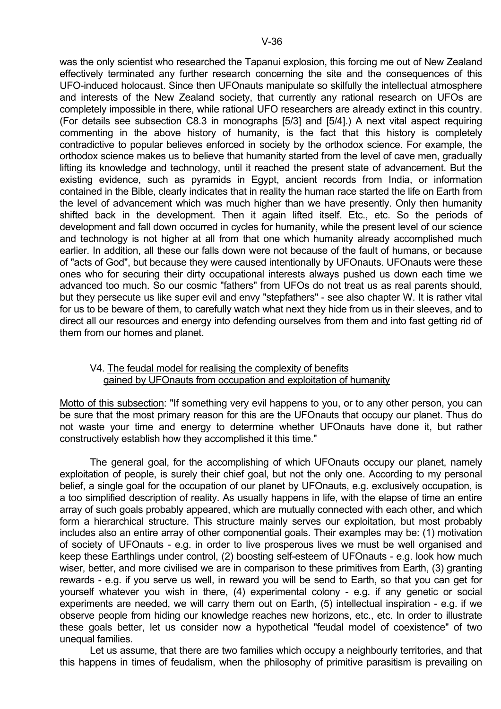was the only scientist who researched the Tapanui explosion, this forcing me out of New Zealand effectively terminated any further research concerning the site and the consequences of this UFO-induced holocaust. Since then UFOnauts manipulate so skilfully the intellectual atmosphere and interests of the New Zealand society, that currently any rational research on UFOs are completely impossible in there, while rational UFO researchers are already extinct in this country. (For details see subsection C8.3 in monographs [5/3] and [5/4].) A next vital aspect requiring commenting in the above history of humanity, is the fact that this history is completely contradictive to popular believes enforced in society by the orthodox science. For example, the orthodox science makes us to believe that humanity started from the level of cave men, gradually lifting its knowledge and technology, until it reached the present state of advancement. But the existing evidence, such as pyramids in Egypt, ancient records from India, or information contained in the Bible, clearly indicates that in reality the human race started the life on Earth from the level of advancement which was much higher than we have presently. Only then humanity shifted back in the development. Then it again lifted itself. Etc., etc. So the periods of development and fall down occurred in cycles for humanity, while the present level of our science and technology is not higher at all from that one which humanity already accomplished much earlier. In addition, all these our falls down were not because of the fault of humans, or because of "acts of God", but because they were caused intentionally by UFOnauts. UFOnauts were these ones who for securing their dirty occupational interests always pushed us down each time we advanced too much. So our cosmic "fathers" from UFOs do not treat us as real parents should, but they persecute us like super evil and envy "stepfathers" - see also chapter W. It is rather vital for us to be beware of them, to carefully watch what next they hide from us in their sleeves, and to direct all our resources and energy into defending ourselves from them and into fast getting rid of them from our homes and planet.

#### V4. The feudal model for realising the complexity of benefits gained by UFOnauts from occupation and exploitation of humanity

Motto of this subsection: "If something very evil happens to you, or to any other person, you can be sure that the most primary reason for this are the UFOnauts that occupy our planet. Thus do not waste your time and energy to determine whether UFOnauts have done it, but rather constructively establish how they accomplished it this time."

 The general goal, for the accomplishing of which UFOnauts occupy our planet, namely exploitation of people, is surely their chief goal, but not the only one. According to my personal belief, a single goal for the occupation of our planet by UFOnauts, e.g. exclusively occupation, is a too simplified description of reality. As usually happens in life, with the elapse of time an entire array of such goals probably appeared, which are mutually connected with each other, and which form a hierarchical structure. This structure mainly serves our exploitation, but most probably includes also an entire array of other componential goals. Their examples may be: (1) motivation of society of UFOnauts - e.g. in order to live prosperous lives we must be well organised and keep these Earthlings under control, (2) boosting self-esteem of UFOnauts - e.g. look how much wiser, better, and more civilised we are in comparison to these primitives from Earth, (3) granting rewards - e.g. if you serve us well, in reward you will be send to Earth, so that you can get for yourself whatever you wish in there, (4) experimental colony - e.g. if any genetic or social experiments are needed, we will carry them out on Earth, (5) intellectual inspiration - e.g. if we observe people from hiding our knowledge reaches new horizons, etc., etc. In order to illustrate these goals better, let us consider now a hypothetical "feudal model of coexistence" of two unequal families.

 Let us assume, that there are two families which occupy a neighbourly territories, and that this happens in times of feudalism, when the philosophy of primitive parasitism is prevailing on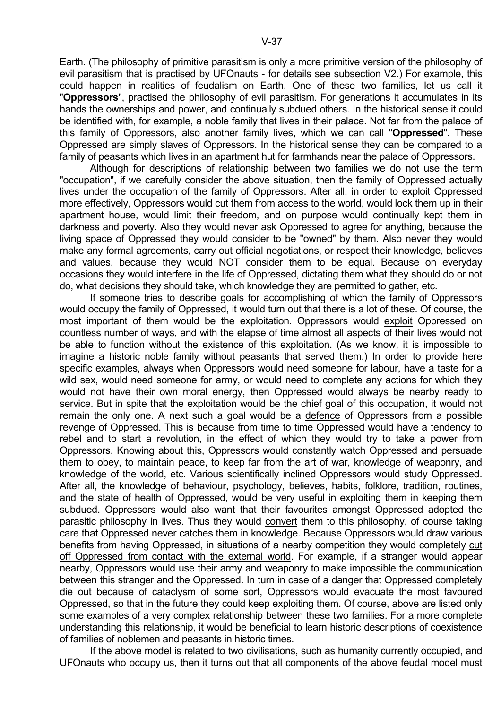Earth. (The philosophy of primitive parasitism is only a more primitive version of the philosophy of evil parasitism that is practised by UFOnauts - for details see subsection V2.) For example, this could happen in realities of feudalism on Earth. One of these two families, let us call it "**Oppressors**", practised the philosophy of evil parasitism. For generations it accumulates in its hands the ownerships and power, and continually subdued others. In the historical sense it could be identified with, for example, a noble family that lives in their palace. Not far from the palace of this family of Oppressors, also another family lives, which we can call "**Oppressed**". These Oppressed are simply slaves of Oppressors. In the historical sense they can be compared to a family of peasants which lives in an apartment hut for farmhands near the palace of Oppressors.

 Although for descriptions of relationship between two families we do not use the term "occupation", if we carefully consider the above situation, then the family of Oppressed actually lives under the occupation of the family of Oppressors. After all, in order to exploit Oppressed more effectively, Oppressors would cut them from access to the world, would lock them up in their apartment house, would limit their freedom, and on purpose would continually kept them in darkness and poverty. Also they would never ask Oppressed to agree for anything, because the living space of Oppressed they would consider to be "owned" by them. Also never they would make any formal agreements, carry out official negotiations, or respect their knowledge, believes and values, because they would NOT consider them to be equal. Because on everyday occasions they would interfere in the life of Oppressed, dictating them what they should do or not do, what decisions they should take, which knowledge they are permitted to gather, etc.

 If someone tries to describe goals for accomplishing of which the family of Oppressors would occupy the family of Oppressed, it would turn out that there is a lot of these. Of course, the most important of them would be the exploitation. Oppressors would exploit Oppressed on countless number of ways, and with the elapse of time almost all aspects of their lives would not be able to function without the existence of this exploitation. (As we know, it is impossible to imagine a historic noble family without peasants that served them.) In order to provide here specific examples, always when Oppressors would need someone for labour, have a taste for a wild sex, would need someone for army, or would need to complete any actions for which they would not have their own moral energy, then Oppressed would always be nearby ready to service. But in spite that the exploitation would be the chief goal of this occupation, it would not remain the only one. A next such a goal would be a defence of Oppressors from a possible revenge of Oppressed. This is because from time to time Oppressed would have a tendency to rebel and to start a revolution, in the effect of which they would try to take a power from Oppressors. Knowing about this, Oppressors would constantly watch Oppressed and persuade them to obey, to maintain peace, to keep far from the art of war, knowledge of weaponry, and knowledge of the world, etc. Various scientifically inclined Oppressors would study Oppressed. After all, the knowledge of behaviour, psychology, believes, habits, folklore, tradition, routines, and the state of health of Oppressed, would be very useful in exploiting them in keeping them subdued. Oppressors would also want that their favourites amongst Oppressed adopted the parasitic philosophy in lives. Thus they would convert them to this philosophy, of course taking care that Oppressed never catches them in knowledge. Because Oppressors would draw various benefits from having Oppressed, in situations of a nearby competition they would completely cut off Oppressed from contact with the external world. For example, if a stranger would appear nearby, Oppressors would use their army and weaponry to make impossible the communication between this stranger and the Oppressed. In turn in case of a danger that Oppressed completely die out because of cataclysm of some sort, Oppressors would evacuate the most favoured Oppressed, so that in the future they could keep exploiting them. Of course, above are listed only some examples of a very complex relationship between these two families. For a more complete understanding this relationship, it would be beneficial to learn historic descriptions of coexistence of families of noblemen and peasants in historic times.

 If the above model is related to two civilisations, such as humanity currently occupied, and UFOnauts who occupy us, then it turns out that all components of the above feudal model must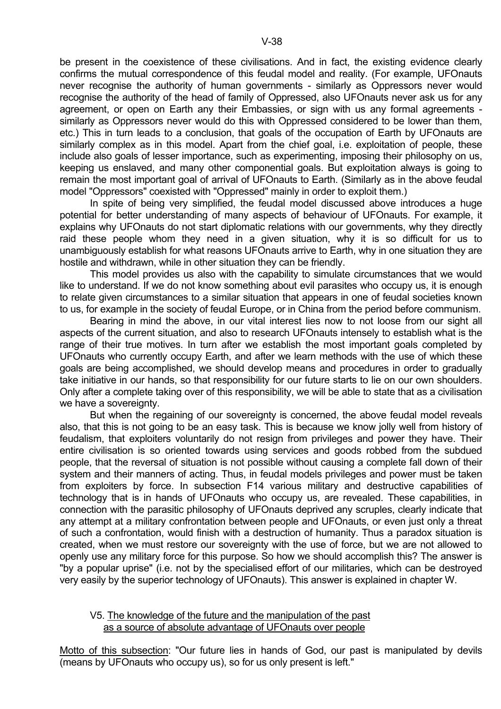be present in the coexistence of these civilisations. And in fact, the existing evidence clearly confirms the mutual correspondence of this feudal model and reality. (For example, UFOnauts never recognise the authority of human governments - similarly as Oppressors never would recognise the authority of the head of family of Oppressed, also UFOnauts never ask us for any agreement, or open on Earth any their Embassies, or sign with us any formal agreements similarly as Oppressors never would do this with Oppressed considered to be lower than them, etc.) This in turn leads to a conclusion, that goals of the occupation of Earth by UFOnauts are similarly complex as in this model. Apart from the chief goal, i.e. exploitation of people, these include also goals of lesser importance, such as experimenting, imposing their philosophy on us, keeping us enslaved, and many other componential goals. But exploitation always is going to remain the most important goal of arrival of UFOnauts to Earth. (Similarly as in the above feudal model "Oppressors" coexisted with "Oppressed" mainly in order to exploit them.)

 In spite of being very simplified, the feudal model discussed above introduces a huge potential for better understanding of many aspects of behaviour of UFOnauts. For example, it explains why UFOnauts do not start diplomatic relations with our governments, why they directly raid these people whom they need in a given situation, why it is so difficult for us to unambiguously establish for what reasons UFOnauts arrive to Earth, why in one situation they are hostile and withdrawn, while in other situation they can be friendly.

 This model provides us also with the capability to simulate circumstances that we would like to understand. If we do not know something about evil parasites who occupy us, it is enough to relate given circumstances to a similar situation that appears in one of feudal societies known to us, for example in the society of feudal Europe, or in China from the period before communism.

 Bearing in mind the above, in our vital interest lies now to not loose from our sight all aspects of the current situation, and also to research UFOnauts intensely to establish what is the range of their true motives. In turn after we establish the most important goals completed by UFOnauts who currently occupy Earth, and after we learn methods with the use of which these goals are being accomplished, we should develop means and procedures in order to gradually take initiative in our hands, so that responsibility for our future starts to lie on our own shoulders. Only after a complete taking over of this responsibility, we will be able to state that as a civilisation we have a sovereignty.

 But when the regaining of our sovereignty is concerned, the above feudal model reveals also, that this is not going to be an easy task. This is because we know jolly well from history of feudalism, that exploiters voluntarily do not resign from privileges and power they have. Their entire civilisation is so oriented towards using services and goods robbed from the subdued people, that the reversal of situation is not possible without causing a complete fall down of their system and their manners of acting. Thus, in feudal models privileges and power must be taken from exploiters by force. In subsection F14 various military and destructive capabilities of technology that is in hands of UFOnauts who occupy us, are revealed. These capabilities, in connection with the parasitic philosophy of UFOnauts deprived any scruples, clearly indicate that any attempt at a military confrontation between people and UFOnauts, or even just only a threat of such a confrontation, would finish with a destruction of humanity. Thus a paradox situation is created, when we must restore our sovereignty with the use of force, but we are not allowed to openly use any military force for this purpose. So how we should accomplish this? The answer is "by a popular uprise" (i.e. not by the specialised effort of our militaries, which can be destroyed very easily by the superior technology of UFOnauts). This answer is explained in chapter W.

# V5. The knowledge of the future and the manipulation of the past as a source of absolute advantage of UFOnauts over people

Motto of this subsection: "Our future lies in hands of God, our past is manipulated by devils (means by UFOnauts who occupy us), so for us only present is left."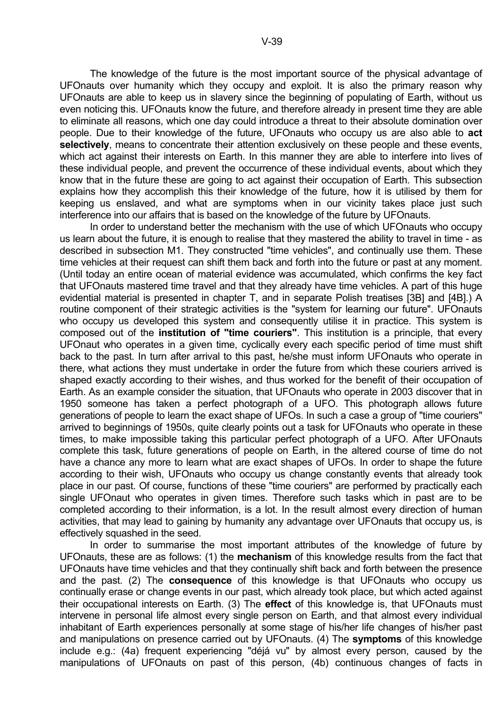The knowledge of the future is the most important source of the physical advantage of UFOnauts over humanity which they occupy and exploit. It is also the primary reason why UFOnauts are able to keep us in slavery since the beginning of populating of Earth, without us even noticing this. UFOnauts know the future, and therefore already in present time they are able to eliminate all reasons, which one day could introduce a threat to their absolute domination over people. Due to their knowledge of the future, UFOnauts who occupy us are also able to **act selectively**, means to concentrate their attention exclusively on these people and these events, which act against their interests on Earth. In this manner they are able to interfere into lives of these individual people, and prevent the occurrence of these individual events, about which they know that in the future these are going to act against their occupation of Earth. This subsection explains how they accomplish this their knowledge of the future, how it is utilised by them for keeping us enslaved, and what are symptoms when in our vicinity takes place just such interference into our affairs that is based on the knowledge of the future by UFOnauts.

 In order to understand better the mechanism with the use of which UFOnauts who occupy us learn about the future, it is enough to realise that they mastered the ability to travel in time - as described in subsection M1. They constructed "time vehicles", and continually use them. These time vehicles at their request can shift them back and forth into the future or past at any moment. (Until today an entire ocean of material evidence was accumulated, which confirms the key fact that UFOnauts mastered time travel and that they already have time vehicles. A part of this huge evidential material is presented in chapter T, and in separate Polish treatises [3B] and [4B].) A routine component of their strategic activities is the "system for learning our future". UFOnauts who occupy us developed this system and consequently utilise it in practice. This system is composed out of the **institution of "time couriers"**. This institution is a principle, that every UFOnaut who operates in a given time, cyclically every each specific period of time must shift back to the past. In turn after arrival to this past, he/she must inform UFOnauts who operate in there, what actions they must undertake in order the future from which these couriers arrived is shaped exactly according to their wishes, and thus worked for the benefit of their occupation of Earth. As an example consider the situation, that UFOnauts who operate in 2003 discover that in 1950 someone has taken a perfect photograph of a UFO. This photograph allows future generations of people to learn the exact shape of UFOs. In such a case a group of "time couriers" arrived to beginnings of 1950s, quite clearly points out a task for UFOnauts who operate in these times, to make impossible taking this particular perfect photograph of a UFO. After UFOnauts complete this task, future generations of people on Earth, in the altered course of time do not have a chance any more to learn what are exact shapes of UFOs. In order to shape the future according to their wish, UFOnauts who occupy us change constantly events that already took place in our past. Of course, functions of these "time couriers" are performed by practically each single UFOnaut who operates in given times. Therefore such tasks which in past are to be completed according to their information, is a lot. In the result almost every direction of human activities, that may lead to gaining by humanity any advantage over UFOnauts that occupy us, is effectively squashed in the seed.

 In order to summarise the most important attributes of the knowledge of future by UFOnauts, these are as follows: (1) the **mechanism** of this knowledge results from the fact that UFOnauts have time vehicles and that they continually shift back and forth between the presence and the past. (2) The **consequence** of this knowledge is that UFOnauts who occupy us continually erase or change events in our past, which already took place, but which acted against their occupational interests on Earth. (3) The **effect** of this knowledge is, that UFOnauts must intervene in personal life almost every single person on Earth, and that almost every individual inhabitant of Earth experiences personally at some stage of his/her life changes of his/her past and manipulations on presence carried out by UFOnauts. (4) The **symptoms** of this knowledge include e.g.: (4a) frequent experiencing "déjá vu" by almost every person, caused by the manipulations of UFOnauts on past of this person, (4b) continuous changes of facts in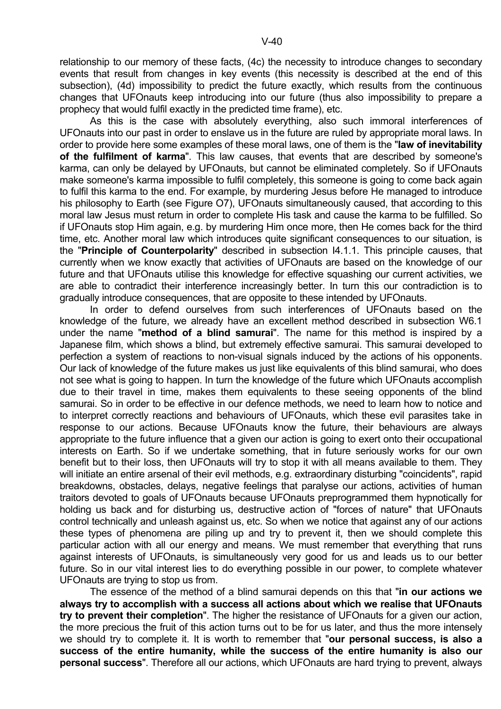relationship to our memory of these facts, (4c) the necessity to introduce changes to secondary events that result from changes in key events (this necessity is described at the end of this subsection), (4d) impossibility to predict the future exactly, which results from the continuous changes that UFOnauts keep introducing into our future (thus also impossibility to prepare a prophecy that would fulfil exactly in the predicted time frame), etc.

 As this is the case with absolutely everything, also such immoral interferences of UFOnauts into our past in order to enslave us in the future are ruled by appropriate moral laws. In order to provide here some examples of these moral laws, one of them is the "**law of inevitability of the fulfilment of karma**". This law causes, that events that are described by someone's karma, can only be delayed by UFOnauts, but cannot be eliminated completely. So if UFOnauts make someone's karma impossible to fulfil completely, this someone is going to come back again to fulfil this karma to the end. For example, by murdering Jesus before He managed to introduce his philosophy to Earth (see Figure O7), UFOnauts simultaneously caused, that according to this moral law Jesus must return in order to complete His task and cause the karma to be fulfilled. So if UFOnauts stop Him again, e.g. by murdering Him once more, then He comes back for the third time, etc. Another moral law which introduces quite significant consequences to our situation, is the "**Principle of Counterpolarity**" described in subsection I4.1.1. This principle causes, that currently when we know exactly that activities of UFOnauts are based on the knowledge of our future and that UFOnauts utilise this knowledge for effective squashing our current activities, we are able to contradict their interference increasingly better. In turn this our contradiction is to gradually introduce consequences, that are opposite to these intended by UFOnauts.

 In order to defend ourselves from such interferences of UFOnauts based on the knowledge of the future, we already have an excellent method described in subsection W6.1 under the name "**method of a blind samurai**". The name for this method is inspired by a Japanese film, which shows a blind, but extremely effective samurai. This samurai developed to perfection a system of reactions to non-visual signals induced by the actions of his opponents. Our lack of knowledge of the future makes us just like equivalents of this blind samurai, who does not see what is going to happen. In turn the knowledge of the future which UFOnauts accomplish due to their travel in time, makes them equivalents to these seeing opponents of the blind samurai. So in order to be effective in our defence methods, we need to learn how to notice and to interpret correctly reactions and behaviours of UFOnauts, which these evil parasites take in response to our actions. Because UFOnauts know the future, their behaviours are always appropriate to the future influence that a given our action is going to exert onto their occupational interests on Earth. So if we undertake something, that in future seriously works for our own benefit but to their loss, then UFOnauts will try to stop it with all means available to them. They will initiate an entire arsenal of their evil methods, e.g. extraordinary disturbing "coincidents", rapid breakdowns, obstacles, delays, negative feelings that paralyse our actions, activities of human traitors devoted to goals of UFOnauts because UFOnauts preprogrammed them hypnotically for holding us back and for disturbing us, destructive action of "forces of nature" that UFOnauts control technically and unleash against us, etc. So when we notice that against any of our actions these types of phenomena are piling up and try to prevent it, then we should complete this particular action with all our energy and means. We must remember that everything that runs against interests of UFOnauts, is simultaneously very good for us and leads us to our better future. So in our vital interest lies to do everything possible in our power, to complete whatever UFOnauts are trying to stop us from.

 The essence of the method of a blind samurai depends on this that "**in our actions we always try to accomplish with a success all actions about which we realise that UFOnauts try to prevent their completion**". The higher the resistance of UFOnauts for a given our action, the more precious the fruit of this action turns out to be for us later, and thus the more intensely we should try to complete it. It is worth to remember that "**our personal success, is also a success of the entire humanity, while the success of the entire humanity is also our personal success**". Therefore all our actions, which UFOnauts are hard trying to prevent, always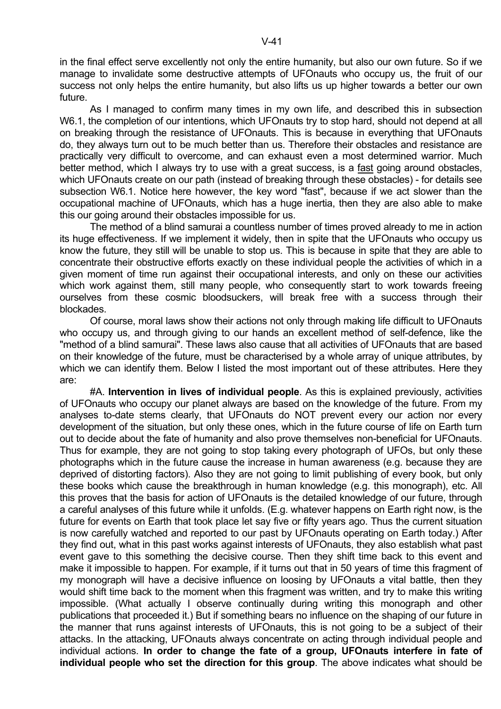in the final effect serve excellently not only the entire humanity, but also our own future. So if we manage to invalidate some destructive attempts of UFOnauts who occupy us, the fruit of our success not only helps the entire humanity, but also lifts us up higher towards a better our own future.

 As I managed to confirm many times in my own life, and described this in subsection W6.1, the completion of our intentions, which UFOnauts try to stop hard, should not depend at all on breaking through the resistance of UFOnauts. This is because in everything that UFOnauts do, they always turn out to be much better than us. Therefore their obstacles and resistance are practically very difficult to overcome, and can exhaust even a most determined warrior. Much better method, which I always try to use with a great success, is a fast going around obstacles, which UFOnauts create on our path (instead of breaking through these obstacles) - for details see subsection W6.1. Notice here however, the key word "fast", because if we act slower than the occupational machine of UFOnauts, which has a huge inertia, then they are also able to make this our going around their obstacles impossible for us.

 The method of a blind samurai a countless number of times proved already to me in action its huge effectiveness. If we implement it widely, then in spite that the UFOnauts who occupy us know the future, they still will be unable to stop us. This is because in spite that they are able to concentrate their obstructive efforts exactly on these individual people the activities of which in a given moment of time run against their occupational interests, and only on these our activities which work against them, still many people, who consequently start to work towards freeing ourselves from these cosmic bloodsuckers, will break free with a success through their blockades.

 Of course, moral laws show their actions not only through making life difficult to UFOnauts who occupy us, and through giving to our hands an excellent method of self-defence, like the "method of a blind samurai". These laws also cause that all activities of UFOnauts that are based on their knowledge of the future, must be characterised by a whole array of unique attributes, by which we can identify them. Below I listed the most important out of these attributes. Here they are:

 #A. **Intervention in lives of individual people**. As this is explained previously, activities of UFOnauts who occupy our planet always are based on the knowledge of the future. From my analyses to-date stems clearly, that UFOnauts do NOT prevent every our action nor every development of the situation, but only these ones, which in the future course of life on Earth turn out to decide about the fate of humanity and also prove themselves non-beneficial for UFOnauts. Thus for example, they are not going to stop taking every photograph of UFOs, but only these photographs which in the future cause the increase in human awareness (e.g. because they are deprived of distorting factors). Also they are not going to limit publishing of every book, but only these books which cause the breakthrough in human knowledge (e.g. this monograph), etc. All this proves that the basis for action of UFOnauts is the detailed knowledge of our future, through a careful analyses of this future while it unfolds. (E.g. whatever happens on Earth right now, is the future for events on Earth that took place let say five or fifty years ago. Thus the current situation is now carefully watched and reported to our past by UFOnauts operating on Earth today.) After they find out, what in this past works against interests of UFOnauts, they also establish what past event gave to this something the decisive course. Then they shift time back to this event and make it impossible to happen. For example, if it turns out that in 50 years of time this fragment of my monograph will have a decisive influence on loosing by UFOnauts a vital battle, then they would shift time back to the moment when this fragment was written, and try to make this writing impossible. (What actually I observe continually during writing this monograph and other publications that proceeded it.) But if something bears no influence on the shaping of our future in the manner that runs against interests of UFOnauts, this is not going to be a subject of their attacks. In the attacking, UFOnauts always concentrate on acting through individual people and individual actions. **In order to change the fate of a group, UFOnauts interfere in fate of individual people who set the direction for this group**. The above indicates what should be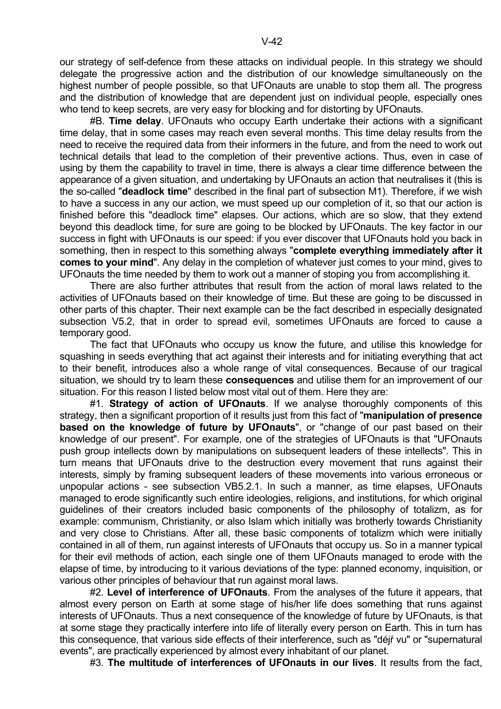our strategy of self-defence from these attacks on individual people. In this strategy we should delegate the progressive action and the distribution of our knowledge simultaneously on the highest number of people possible, so that UFOnauts are unable to stop them all. The progress and the distribution of knowledge that are dependent just on individual people, especially ones who tend to keep secrets, are very easy for blocking and for distorting by UFOnauts.

 #B. **Time delay**. UFOnauts who occupy Earth undertake their actions with a significant time delay, that in some cases may reach even several months. This time delay results from the need to receive the required data from their informers in the future, and from the need to work out technical details that lead to the completion of their preventive actions. Thus, even in case of using by them the capability to travel in time, there is always a clear time difference between the appearance of a given situation, and undertaking by UFOnauts an action that neutralises it (this is the so-called "**deadlock time**" described in the final part of subsection M1). Therefore, if we wish to have a success in any our action, we must speed up our completion of it, so that our action is finished before this "deadlock time" elapses. Our actions, which are so slow, that they extend beyond this deadlock time, for sure are going to be blocked by UFOnauts. The key factor in our success in fight with UFOnauts is our speed: if you ever discover that UFOnauts hold you back in something, then in respect to this something always "**complete everything immediately after it comes to your mind**". Any delay in the completion of whatever just comes to your mind, gives to UFOnauts the time needed by them to work out a manner of stoping you from accomplishing it.

 There are also further attributes that result from the action of moral laws related to the activities of UFOnauts based on their knowledge of time. But these are going to be discussed in other parts of this chapter. Their next example can be the fact described in especially designated subsection V5.2, that in order to spread evil, sometimes UFOnauts are forced to cause a temporary good.

 The fact that UFOnauts who occupy us know the future, and utilise this knowledge for squashing in seeds everything that act against their interests and for initiating everything that act to their benefit, introduces also a whole range of vital consequences. Because of our tragical situation, we should try to learn these **consequences** and utilise them for an improvement of our situation. For this reason I listed below most vital out of them. Here they are:

 #1. **Strategy of action of UFOnauts**. If we analyse thoroughly components of this strategy, then a significant proportion of it results just from this fact of "**manipulation of presence based on the knowledge of future by UFOnauts**", or "change of our past based on their knowledge of our present". For example, one of the strategies of UFOnauts is that "UFOnauts push group intellects down by manipulations on subsequent leaders of these intellects". This in turn means that UFOnauts drive to the destruction every movement that runs against their interests, simply by framing subsequent leaders of these movements into various erroneous or unpopular actions - see subsection VB5.2.1. In such a manner, as time elapses, UFOnauts managed to erode significantly such entire ideologies, religions, and institutions, for which original guidelines of their creators included basic components of the philosophy of totalizm, as for example: communism, Christianity, or also Islam which initially was brotherly towards Christianity and very close to Christians. After all, these basic components of totalizm which were initially contained in all of them, run against interests of UFOnauts that occupy us. So in a manner typical for their evil methods of action, each single one of them UFOnauts managed to erode with the elapse of time, by introducing to it various deviations of the type: planned economy, inquisition, or various other principles of behaviour that run against moral laws.

 #2. **Level of interference of UFOnauts**. From the analyses of the future it appears, that almost every person on Earth at some stage of his/her life does something that runs against interests of UFOnauts. Thus a next consequence of the knowledge of future by UFOnauts, is that at some stage they practically interfere into life of literally every person on Earth. This in turn has this consequence, that various side effects of their interference, such as "déjŕ vu" or "supernatural events", are practically experienced by almost every inhabitant of our planet.

#3. **The multitude of interferences of UFOnauts in our lives**. It results from the fact,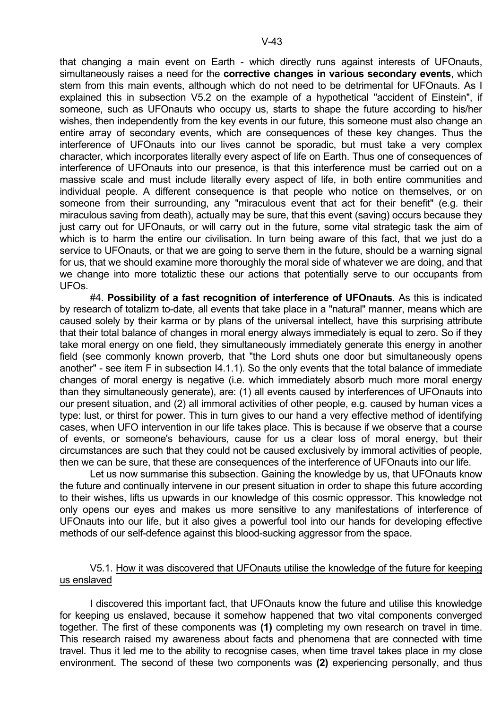that changing a main event on Earth - which directly runs against interests of UFOnauts, simultaneously raises a need for the **corrective changes in various secondary events**, which stem from this main events, although which do not need to be detrimental for UFOnauts. As I explained this in subsection V5.2 on the example of a hypothetical "accident of Einstein", if someone, such as UFOnauts who occupy us, starts to shape the future according to his/her wishes, then independently from the key events in our future, this someone must also change an entire array of secondary events, which are consequences of these key changes. Thus the interference of UFOnauts into our lives cannot be sporadic, but must take a very complex character, which incorporates literally every aspect of life on Earth. Thus one of consequences of interference of UFOnauts into our presence, is that this interference must be carried out on a massive scale and must include literally every aspect of life, in both entire communities and individual people. A different consequence is that people who notice on themselves, or on someone from their surrounding, any "miraculous event that act for their benefit" (e.g. their miraculous saving from death), actually may be sure, that this event (saving) occurs because they just carry out for UFOnauts, or will carry out in the future, some vital strategic task the aim of which is to harm the entire our civilisation. In turn being aware of this fact, that we just do a service to UFOnauts, or that we are going to serve them in the future, should be a warning signal for us, that we should examine more thoroughly the moral side of whatever we are doing, and that we change into more totaliztic these our actions that potentially serve to our occupants from UFOs.

 #4. **Possibility of a fast recognition of interference of UFOnauts**. As this is indicated by research of totalizm to-date, all events that take place in a "natural" manner, means which are caused solely by their karma or by plans of the universal intellect, have this surprising attribute that their total balance of changes in moral energy always immediately is equal to zero. So if they take moral energy on one field, they simultaneously immediately generate this energy in another field (see commonly known proverb, that "the Lord shuts one door but simultaneously opens another" - see item F in subsection I4.1.1). So the only events that the total balance of immediate changes of moral energy is negative (i.e. which immediately absorb much more moral energy than they simultaneously generate), are: (1) all events caused by interferences of UFOnauts into our present situation, and (2) all immoral activities of other people, e.g. caused by human vices a type: lust, or thirst for power. This in turn gives to our hand a very effective method of identifying cases, when UFO intervention in our life takes place. This is because if we observe that a course of events, or someone's behaviours, cause for us a clear loss of moral energy, but their circumstances are such that they could not be caused exclusively by immoral activities of people, then we can be sure, that these are consequences of the interference of UFOnauts into our life.

 Let us now summarise this subsection. Gaining the knowledge by us, that UFOnauts know the future and continually intervene in our present situation in order to shape this future according to their wishes, lifts us upwards in our knowledge of this cosmic oppressor. This knowledge not only opens our eyes and makes us more sensitive to any manifestations of interference of UFOnauts into our life, but it also gives a powerful tool into our hands for developing effective methods of our self-defence against this blood-sucking aggressor from the space.

## V5.1. How it was discovered that UFOnauts utilise the knowledge of the future for keeping us enslaved

 I discovered this important fact, that UFOnauts know the future and utilise this knowledge for keeping us enslaved, because it somehow happened that two vital components converged together. The first of these components was **(1)** completing my own research on travel in time. This research raised my awareness about facts and phenomena that are connected with time travel. Thus it led me to the ability to recognise cases, when time travel takes place in my close environment. The second of these two components was **(2)** experiencing personally, and thus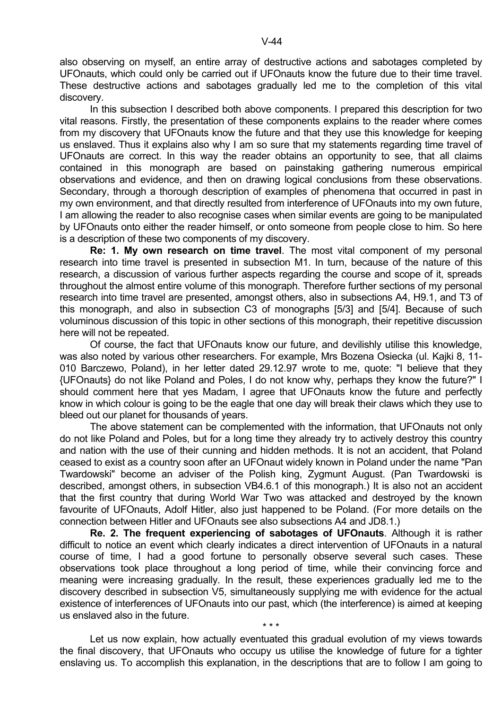also observing on myself, an entire array of destructive actions and sabotages completed by UFOnauts, which could only be carried out if UFOnauts know the future due to their time travel. These destructive actions and sabotages gradually led me to the completion of this vital discovery.

 In this subsection I described both above components. I prepared this description for two vital reasons. Firstly, the presentation of these components explains to the reader where comes from my discovery that UFOnauts know the future and that they use this knowledge for keeping us enslaved. Thus it explains also why I am so sure that my statements regarding time travel of UFOnauts are correct. In this way the reader obtains an opportunity to see, that all claims contained in this monograph are based on painstaking gathering numerous empirical observations and evidence, and then on drawing logical conclusions from these observations. Secondary, through a thorough description of examples of phenomena that occurred in past in my own environment, and that directly resulted from interference of UFOnauts into my own future, I am allowing the reader to also recognise cases when similar events are going to be manipulated by UFOnauts onto either the reader himself, or onto someone from people close to him. So here is a description of these two components of my discovery.

 **Re: 1. My own research on time travel**. The most vital component of my personal research into time travel is presented in subsection M1. In turn, because of the nature of this research, a discussion of various further aspects regarding the course and scope of it, spreads throughout the almost entire volume of this monograph. Therefore further sections of my personal research into time travel are presented, amongst others, also in subsections A4, H9.1, and T3 of this monograph, and also in subsection C3 of monographs [5/3] and [5/4]. Because of such voluminous discussion of this topic in other sections of this monograph, their repetitive discussion here will not be repeated.

 Of course, the fact that UFOnauts know our future, and devilishly utilise this knowledge, was also noted by various other researchers. For example, Mrs Bozena Osiecka (ul. Kajki 8, 11- 010 Barczewo, Poland), in her letter dated 29.12.97 wrote to me, quote: "I believe that they {UFOnauts} do not like Poland and Poles, I do not know why, perhaps they know the future?" I should comment here that yes Madam, I agree that UFOnauts know the future and perfectly know in which colour is going to be the eagle that one day will break their claws which they use to bleed out our planet for thousands of years.

 The above statement can be complemented with the information, that UFOnauts not only do not like Poland and Poles, but for a long time they already try to actively destroy this country and nation with the use of their cunning and hidden methods. It is not an accident, that Poland ceased to exist as a country soon after an UFOnaut widely known in Poland under the name "Pan Twardowski" become an adviser of the Polish king, Zygmunt August. (Pan Twardowski is described, amongst others, in subsection VB4.6.1 of this monograph.) It is also not an accident that the first country that during World War Two was attacked and destroyed by the known favourite of UFOnauts, Adolf Hitler, also just happened to be Poland. (For more details on the connection between Hitler and UFOnauts see also subsections A4 and JD8.1.)

 **Re. 2. The frequent experiencing of sabotages of UFOnauts**. Although it is rather difficult to notice an event which clearly indicates a direct intervention of UFOnauts in a natural course of time, I had a good fortune to personally observe several such cases. These observations took place throughout a long period of time, while their convincing force and meaning were increasing gradually. In the result, these experiences gradually led me to the discovery described in subsection V5, simultaneously supplying me with evidence for the actual existence of interferences of UFOnauts into our past, which (the interference) is aimed at keeping us enslaved also in the future.

 Let us now explain, how actually eventuated this gradual evolution of my views towards the final discovery, that UFOnauts who occupy us utilise the knowledge of future for a tighter enslaving us. To accomplish this explanation, in the descriptions that are to follow I am going to

 $\star \star \star$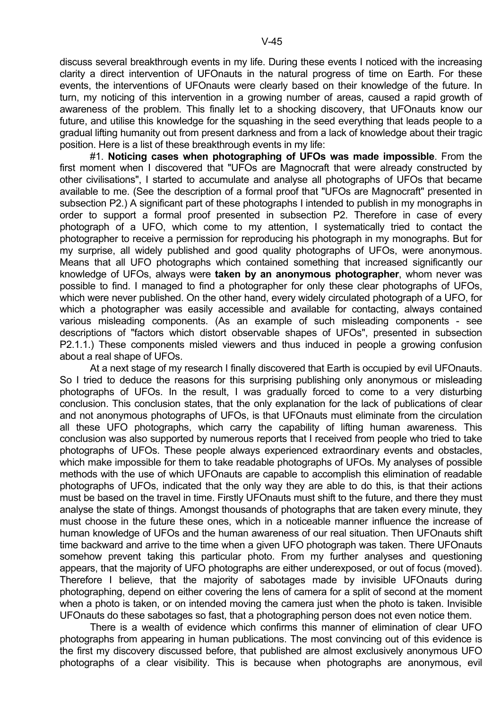discuss several breakthrough events in my life. During these events I noticed with the increasing clarity a direct intervention of UFOnauts in the natural progress of time on Earth. For these events, the interventions of UFOnauts were clearly based on their knowledge of the future. In turn, my noticing of this intervention in a growing number of areas, caused a rapid growth of awareness of the problem. This finally let to a shocking discovery, that UFOnauts know our future, and utilise this knowledge for the squashing in the seed everything that leads people to a gradual lifting humanity out from present darkness and from a lack of knowledge about their tragic position. Here is a list of these breakthrough events in my life:

 #1. **Noticing cases when photographing of UFOs was made impossible**. From the first moment when I discovered that "UFOs are Magnocraft that were already constructed by other civilisations", I started to accumulate and analyse all photographs of UFOs that became available to me. (See the description of a formal proof that "UFOs are Magnocraft" presented in subsection P2.) A significant part of these photographs I intended to publish in my monographs in order to support a formal proof presented in subsection P2. Therefore in case of every photograph of a UFO, which come to my attention, I systematically tried to contact the photographer to receive a permission for reproducing his photograph in my monographs. But for my surprise, all widely published and good quality photographs of UFOs, were anonymous. Means that all UFO photographs which contained something that increased significantly our knowledge of UFOs, always were **taken by an anonymous photographer**, whom never was possible to find. I managed to find a photographer for only these clear photographs of UFOs, which were never published. On the other hand, every widely circulated photograph of a UFO, for which a photographer was easily accessible and available for contacting, always contained various misleading components. (As an example of such misleading components - see descriptions of "factors which distort observable shapes of UFOs", presented in subsection P2.1.1.) These components misled viewers and thus induced in people a growing confusion about a real shape of UFOs.

 At a next stage of my research I finally discovered that Earth is occupied by evil UFOnauts. So I tried to deduce the reasons for this surprising publishing only anonymous or misleading photographs of UFOs. In the result, I was gradually forced to come to a very disturbing conclusion. This conclusion states, that the only explanation for the lack of publications of clear and not anonymous photographs of UFOs, is that UFOnauts must eliminate from the circulation all these UFO photographs, which carry the capability of lifting human awareness. This conclusion was also supported by numerous reports that I received from people who tried to take photographs of UFOs. These people always experienced extraordinary events and obstacles, which make impossible for them to take readable photographs of UFOs. My analyses of possible methods with the use of which UFOnauts are capable to accomplish this elimination of readable photographs of UFOs, indicated that the only way they are able to do this, is that their actions must be based on the travel in time. Firstly UFOnauts must shift to the future, and there they must analyse the state of things. Amongst thousands of photographs that are taken every minute, they must choose in the future these ones, which in a noticeable manner influence the increase of human knowledge of UFOs and the human awareness of our real situation. Then UFOnauts shift time backward and arrive to the time when a given UFO photograph was taken. There UFOnauts somehow prevent taking this particular photo. From my further analyses and questioning appears, that the majority of UFO photographs are either underexposed, or out of focus (moved). Therefore I believe, that the majority of sabotages made by invisible UFOnauts during photographing, depend on either covering the lens of camera for a split of second at the moment when a photo is taken, or on intended moving the camera just when the photo is taken. Invisible UFOnauts do these sabotages so fast, that a photographing person does not even notice them.

 There is a wealth of evidence which confirms this manner of elimination of clear UFO photographs from appearing in human publications. The most convincing out of this evidence is the first my discovery discussed before, that published are almost exclusively anonymous UFO photographs of a clear visibility. This is because when photographs are anonymous, evil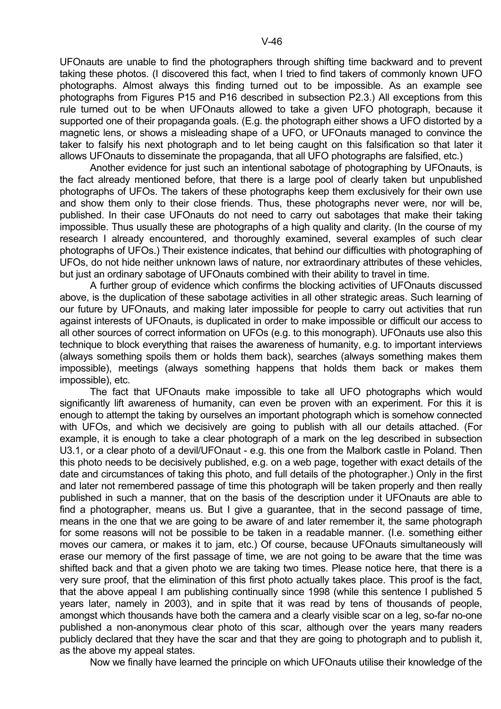UFOnauts are unable to find the photographers through shifting time backward and to prevent taking these photos. (I discovered this fact, when I tried to find takers of commonly known UFO photographs. Almost always this finding turned out to be impossible. As an example see photographs from Figures P15 and P16 described in subsection P2.3.) All exceptions from this rule turned out to be when UFOnauts allowed to take a given UFO photograph, because it supported one of their propaganda goals. (E.g. the photograph either shows a UFO distorted by a magnetic lens, or shows a misleading shape of a UFO, or UFOnauts managed to convince the taker to falsify his next photograph and to let being caught on this falsification so that later it allows UFOnauts to disseminate the propaganda, that all UFO photographs are falsified, etc.)

 Another evidence for just such an intentional sabotage of photographing by UFOnauts, is the fact already mentioned before, that there is a large pool of clearly taken but unpublished photographs of UFOs. The takers of these photographs keep them exclusively for their own use and show them only to their close friends. Thus, these photographs never were, nor will be, published. In their case UFOnauts do not need to carry out sabotages that make their taking impossible. Thus usually these are photographs of a high quality and clarity. (In the course of my research I already encountered, and thoroughly examined, several examples of such clear photographs of UFOs.) Their existence indicates, that behind our difficulties with photographing of UFOs, do not hide neither unknown laws of nature, nor extraordinary attributes of these vehicles, but just an ordinary sabotage of UFOnauts combined with their ability to travel in time.

 A further group of evidence which confirms the blocking activities of UFOnauts discussed above, is the duplication of these sabotage activities in all other strategic areas. Such learning of our future by UFOnauts, and making later impossible for people to carry out activities that run against interests of UFOnauts, is duplicated in order to make impossible or difficult our access to all other sources of correct information on UFOs (e.g. to this monograph). UFOnauts use also this technique to block everything that raises the awareness of humanity, e.g. to important interviews (always something spoils them or holds them back), searches (always something makes them impossible), meetings (always something happens that holds them back or makes them impossible), etc.

 The fact that UFOnauts make impossible to take all UFO photographs which would significantly lift awareness of humanity, can even be proven with an experiment. For this it is enough to attempt the taking by ourselves an important photograph which is somehow connected with UFOs, and which we decisively are going to publish with all our details attached. (For example, it is enough to take a clear photograph of a mark on the leg described in subsection U3.1, or a clear photo of a devil/UFOnaut - e.g. this one from the Malbork castle in Poland. Then this photo needs to be decisively published, e.g. on a web page, together with exact details of the date and circumstances of taking this photo, and full details of the photographer.) Only in the first and later not remembered passage of time this photograph will be taken properly and then really published in such a manner, that on the basis of the description under it UFOnauts are able to find a photographer, means us. But I give a guarantee, that in the second passage of time, means in the one that we are going to be aware of and later remember it, the same photograph for some reasons will not be possible to be taken in a readable manner. (I.e. something either moves our camera, or makes it to jam, etc.) Of course, because UFOnauts simultaneously will erase our memory of the first passage of time, we are not going to be aware that the time was shifted back and that a given photo we are taking two times. Please notice here, that there is a very sure proof, that the elimination of this first photo actually takes place. This proof is the fact, that the above appeal I am publishing continually since 1998 (while this sentence I published 5 years later, namely in 2003), and in spite that it was read by tens of thousands of people, amongst which thousands have both the camera and a clearly visible scar on a leg, so-far no-one published a non-anonymous clear photo of this scar, although over the years many readers publicly declared that they have the scar and that they are going to photograph and to publish it, as the above my appeal states.

Now we finally have learned the principle on which UFOnauts utilise their knowledge of the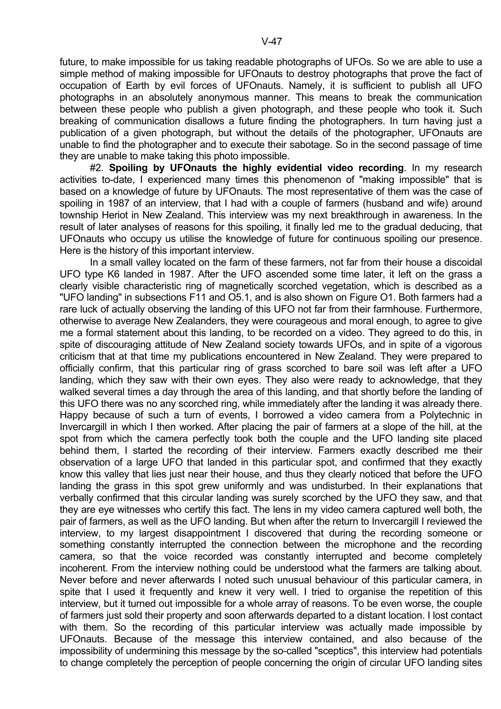future, to make impossible for us taking readable photographs of UFOs. So we are able to use a simple method of making impossible for UFOnauts to destroy photographs that prove the fact of occupation of Earth by evil forces of UFOnauts. Namely, it is sufficient to publish all UFO photographs in an absolutely anonymous manner. This means to break the communication between these people who publish a given photograph, and these people who took it. Such breaking of communication disallows a future finding the photographers. In turn having just a publication of a given photograph, but without the details of the photographer, UFOnauts are unable to find the photographer and to execute their sabotage. So in the second passage of time they are unable to make taking this photo impossible.

 #2. **Spoiling by UFOnauts the highly evidential video recording**. In my research activities to-date, I experienced many times this phenomenon of "making impossible" that is based on a knowledge of future by UFOnauts. The most representative of them was the case of spoiling in 1987 of an interview, that I had with a couple of farmers (husband and wife) around township Heriot in New Zealand. This interview was my next breakthrough in awareness. In the result of later analyses of reasons for this spoiling, it finally led me to the gradual deducing, that UFOnauts who occupy us utilise the knowledge of future for continuous spoiling our presence. Here is the history of this important interview.

 In a small valley located on the farm of these farmers, not far from their house a discoidal UFO type K6 landed in 1987. After the UFO ascended some time later, it left on the grass a clearly visible characteristic ring of magnetically scorched vegetation, which is described as a "UFO landing" in subsections F11 and O5.1, and is also shown on Figure O1. Both farmers had a rare luck of actually observing the landing of this UFO not far from their farmhouse. Furthermore, otherwise to average New Zealanders, they were courageous and moral enough, to agree to give me a formal statement about this landing, to be recorded on a video. They agreed to do this, in spite of discouraging attitude of New Zealand society towards UFOs, and in spite of a vigorous criticism that at that time my publications encountered in New Zealand. They were prepared to officially confirm, that this particular ring of grass scorched to bare soil was left after a UFO landing, which they saw with their own eyes. They also were ready to acknowledge, that they walked several times a day through the area of this landing, and that shortly before the landing of this UFO there was no any scorched ring, while immediately after the landing it was already there. Happy because of such a turn of events, I borrowed a video camera from a Polytechnic in Invercargill in which I then worked. After placing the pair of farmers at a slope of the hill, at the spot from which the camera perfectly took both the couple and the UFO landing site placed behind them, I started the recording of their interview. Farmers exactly described me their observation of a large UFO that landed in this particular spot, and confirmed that they exactly know this valley that lies just near their house, and thus they clearly noticed that before the UFO landing the grass in this spot grew uniformly and was undisturbed. In their explanations that verbally confirmed that this circular landing was surely scorched by the UFO they saw, and that they are eye witnesses who certify this fact. The lens in my video camera captured well both, the pair of farmers, as well as the UFO landing. But when after the return to Invercargill I reviewed the interview, to my largest disappointment I discovered that during the recording someone or something constantly interrupted the connection between the microphone and the recording camera, so that the voice recorded was constantly interrupted and become completely incoherent. From the interview nothing could be understood what the farmers are talking about. Never before and never afterwards I noted such unusual behaviour of this particular camera, in spite that I used it frequently and knew it very well. I tried to organise the repetition of this interview, but it turned out impossible for a whole array of reasons. To be even worse, the couple of farmers just sold their property and soon afterwards departed to a distant location. I lost contact with them. So the recording of this particular interview was actually made impossible by UFOnauts. Because of the message this interview contained, and also because of the impossibility of undermining this message by the so-called "sceptics", this interview had potentials to change completely the perception of people concerning the origin of circular UFO landing sites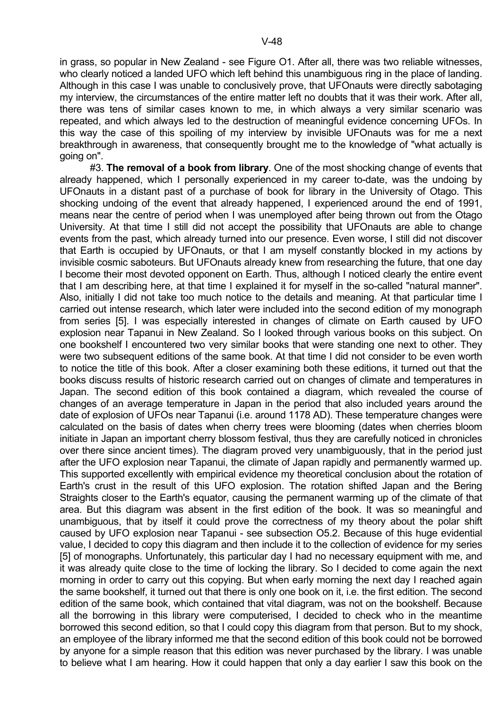in grass, so popular in New Zealand - see Figure O1. After all, there was two reliable witnesses, who clearly noticed a landed UFO which left behind this unambiguous ring in the place of landing. Although in this case I was unable to conclusively prove, that UFOnauts were directly sabotaging my interview, the circumstances of the entire matter left no doubts that it was their work. After all, there was tens of similar cases known to me, in which always a very similar scenario was repeated, and which always led to the destruction of meaningful evidence concerning UFOs. In this way the case of this spoiling of my interview by invisible UFOnauts was for me a next breakthrough in awareness, that consequently brought me to the knowledge of "what actually is going on".

 #3. **The removal of a book from library**. One of the most shocking change of events that already happened, which I personally experienced in my career to-date, was the undoing by UFOnauts in a distant past of a purchase of book for library in the University of Otago. This shocking undoing of the event that already happened, I experienced around the end of 1991, means near the centre of period when I was unemployed after being thrown out from the Otago University. At that time I still did not accept the possibility that UFOnauts are able to change events from the past, which already turned into our presence. Even worse, I still did not discover that Earth is occupied by UFOnauts, or that I am myself constantly blocked in my actions by invisible cosmic saboteurs. But UFOnauts already knew from researching the future, that one day I become their most devoted opponent on Earth. Thus, although I noticed clearly the entire event that I am describing here, at that time I explained it for myself in the so-called "natural manner". Also, initially I did not take too much notice to the details and meaning. At that particular time I carried out intense research, which later were included into the second edition of my monograph from series [5]. I was especially interested in changes of climate on Earth caused by UFO explosion near Tapanui in New Zealand. So I looked through various books on this subject. On one bookshelf I encountered two very similar books that were standing one next to other. They were two subsequent editions of the same book. At that time I did not consider to be even worth to notice the title of this book. After a closer examining both these editions, it turned out that the books discuss results of historic research carried out on changes of climate and temperatures in Japan. The second edition of this book contained a diagram, which revealed the course of changes of an average temperature in Japan in the period that also included years around the date of explosion of UFOs near Tapanui (i.e. around 1178 AD). These temperature changes were calculated on the basis of dates when cherry trees were blooming (dates when cherries bloom initiate in Japan an important cherry blossom festival, thus they are carefully noticed in chronicles over there since ancient times). The diagram proved very unambiguously, that in the period just after the UFO explosion near Tapanui, the climate of Japan rapidly and permanently warmed up. This supported excellently with empirical evidence my theoretical conclusion about the rotation of Earth's crust in the result of this UFO explosion. The rotation shifted Japan and the Bering Straights closer to the Earth's equator, causing the permanent warming up of the climate of that area. But this diagram was absent in the first edition of the book. It was so meaningful and unambiguous, that by itself it could prove the correctness of my theory about the polar shift caused by UFO explosion near Tapanui - see subsection O5.2. Because of this huge evidential value, I decided to copy this diagram and then include it to the collection of evidence for my series [5] of monographs. Unfortunately, this particular day I had no necessary equipment with me, and it was already quite close to the time of locking the library. So I decided to come again the next morning in order to carry out this copying. But when early morning the next day I reached again the same bookshelf, it turned out that there is only one book on it, i.e. the first edition. The second edition of the same book, which contained that vital diagram, was not on the bookshelf. Because all the borrowing in this library were computerised, I decided to check who in the meantime borrowed this second edition, so that I could copy this diagram from that person. But to my shock, an employee of the library informed me that the second edition of this book could not be borrowed by anyone for a simple reason that this edition was never purchased by the library. I was unable to believe what I am hearing. How it could happen that only a day earlier I saw this book on the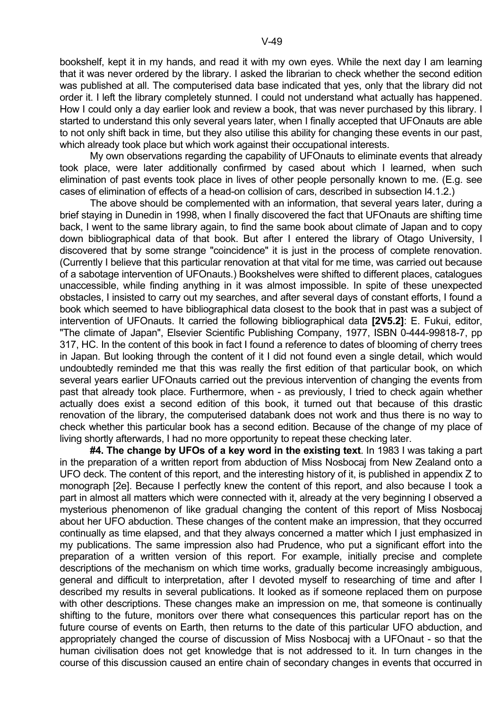bookshelf, kept it in my hands, and read it with my own eyes. While the next day I am learning that it was never ordered by the library. I asked the librarian to check whether the second edition was published at all. The computerised data base indicated that yes, only that the library did not order it. I left the library completely stunned. I could not understand what actually has happened. How I could only a day earlier look and review a book, that was never purchased by this library. I started to understand this only several years later, when I finally accepted that UFOnauts are able to not only shift back in time, but they also utilise this ability for changing these events in our past, which already took place but which work against their occupational interests.

 My own observations regarding the capability of UFOnauts to eliminate events that already took place, were later additionally confirmed by cased about which I learned, when such elimination of past events took place in lives of other people personally known to me. (E.g. see cases of elimination of effects of a head-on collision of cars, described in subsection I4.1.2.)

 The above should be complemented with an information, that several years later, during a brief staying in Dunedin in 1998, when I finally discovered the fact that UFOnauts are shifting time back, I went to the same library again, to find the same book about climate of Japan and to copy down bibliographical data of that book. But after I entered the library of Otago University, I discovered that by some strange "coincidence" it is just in the process of complete renovation. (Currently I believe that this particular renovation at that vital for me time, was carried out because of a sabotage intervention of UFOnauts.) Bookshelves were shifted to different places, catalogues unaccessible, while finding anything in it was almost impossible. In spite of these unexpected obstacles, I insisted to carry out my searches, and after several days of constant efforts, I found a book which seemed to have bibliographical data closest to the book that in past was a subject of intervention of UFOnauts. It carried the following bibliographical data **[2V5.2]**: E. Fukui, editor, "The climate of Japan", Elsevier Scientific Publishing Company, 1977, ISBN 0-444-99818-7, pp 317, HC. In the content of this book in fact I found a reference to dates of blooming of cherry trees in Japan. But looking through the content of it I did not found even a single detail, which would undoubtedly reminded me that this was really the first edition of that particular book, on which several years earlier UFOnauts carried out the previous intervention of changing the events from past that already took place. Furthermore, when - as previously, I tried to check again whether actually does exist a second edition of this book, it turned out that because of this drastic renovation of the library, the computerised databank does not work and thus there is no way to check whether this particular book has a second edition. Because of the change of my place of living shortly afterwards, I had no more opportunity to repeat these checking later.

 **#4. The change by UFOs of a key word in the existing text**. In 1983 I was taking a part in the preparation of a written report from abduction of Miss Nosbocaj from New Zealand onto a UFO deck. The content of this report, and the interesting history of it, is published in appendix Z to monograph [2e]. Because I perfectly knew the content of this report, and also because I took a part in almost all matters which were connected with it, already at the very beginning I observed a mysterious phenomenon of like gradual changing the content of this report of Miss Nosbocaj about her UFO abduction. These changes of the content make an impression, that they occurred continually as time elapsed, and that they always concerned a matter which I just emphasized in my publications. The same impression also had Prudence, who put a significant effort into the preparation of a written version of this report. For example, initially precise and complete descriptions of the mechanism on which time works, gradually become increasingly ambiguous, general and difficult to interpretation, after I devoted myself to researching of time and after I described my results in several publications. It looked as if someone replaced them on purpose with other descriptions. These changes make an impression on me, that someone is continually shifting to the future, monitors over there what consequences this particular report has on the future course of events on Earth, then returns to the date of this particular UFO abduction, and appropriately changed the course of discussion of Miss Nosbocaj with a UFOnaut - so that the human civilisation does not get knowledge that is not addressed to it. In turn changes in the course of this discussion caused an entire chain of secondary changes in events that occurred in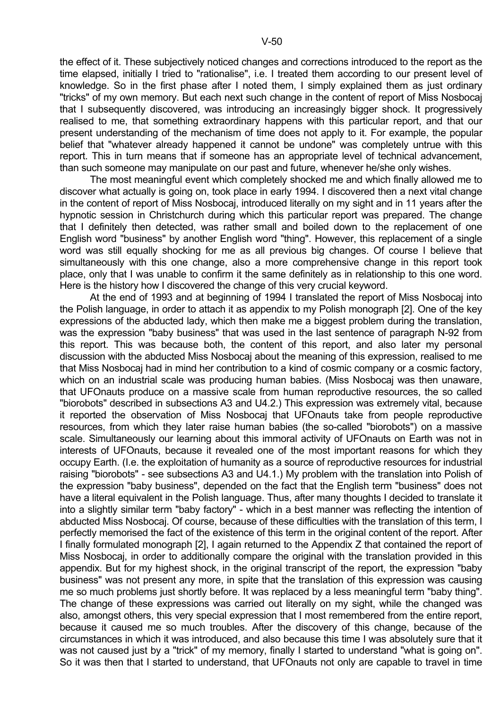the effect of it. These subjectively noticed changes and corrections introduced to the report as the time elapsed, initially I tried to "rationalise", i.e. I treated them according to our present level of knowledge. So in the first phase after I noted them, I simply explained them as just ordinary "tricks" of my own memory. But each next such change in the content of report of Miss Nosbocaj that I subsequently discovered, was introducing an increasingly bigger shock. It progressively realised to me, that something extraordinary happens with this particular report, and that our present understanding of the mechanism of time does not apply to it. For example, the popular belief that "whatever already happened it cannot be undone" was completely untrue with this report. This in turn means that if someone has an appropriate level of technical advancement, than such someone may manipulate on our past and future, whenever he/she only wishes.

 The most meaningful event which completely shocked me and which finally allowed me to discover what actually is going on, took place in early 1994. I discovered then a next vital change in the content of report of Miss Nosbocaj, introduced literally on my sight and in 11 years after the hypnotic session in Christchurch during which this particular report was prepared. The change that I definitely then detected, was rather small and boiled down to the replacement of one English word "business" by another English word "thing". However, this replacement of a single word was still equally shocking for me as all previous big changes. Of course I believe that simultaneously with this one change, also a more comprehensive change in this report took place, only that I was unable to confirm it the same definitely as in relationship to this one word. Here is the history how I discovered the change of this very crucial keyword.

 At the end of 1993 and at beginning of 1994 I translated the report of Miss Nosbocaj into the Polish language, in order to attach it as appendix to my Polish monograph [2]. One of the key expressions of the abducted lady, which then make me a biggest problem during the translation, was the expression "baby business" that was used in the last sentence of paragraph N-92 from this report. This was because both, the content of this report, and also later my personal discussion with the abducted Miss Nosbocaj about the meaning of this expression, realised to me that Miss Nosbocaj had in mind her contribution to a kind of cosmic company or a cosmic factory, which on an industrial scale was producing human babies. (Miss Nosbocaj was then unaware, that UFOnauts produce on a massive scale from human reproductive resources, the so called "biorobots" described in subsections A3 and U4.2.) This expression was extremely vital, because it reported the observation of Miss Nosbocaj that UFOnauts take from people reproductive resources, from which they later raise human babies (the so-called "biorobots") on a massive scale. Simultaneously our learning about this immoral activity of UFOnauts on Earth was not in interests of UFOnauts, because it revealed one of the most important reasons for which they occupy Earth. (I.e. the exploitation of humanity as a source of reproductive resources for industrial raising "biorobots" - see subsections A3 and U4.1.) My problem with the translation into Polish of the expression "baby business", depended on the fact that the English term "business" does not have a literal equivalent in the Polish language. Thus, after many thoughts I decided to translate it into a slightly similar term "baby factory" - which in a best manner was reflecting the intention of abducted Miss Nosbocaj. Of course, because of these difficulties with the translation of this term, I perfectly memorised the fact of the existence of this term in the original content of the report. After I finally formulated monograph [2], I again returned to the Appendix Z that contained the report of Miss Nosbocaj, in order to additionally compare the original with the translation provided in this appendix. But for my highest shock, in the original transcript of the report, the expression "baby business" was not present any more, in spite that the translation of this expression was causing me so much problems just shortly before. It was replaced by a less meaningful term "baby thing". The change of these expressions was carried out literally on my sight, while the changed was also, amongst others, this very special expression that I most remembered from the entire report, because it caused me so much troubles. After the discovery of this change, because of the circumstances in which it was introduced, and also because this time I was absolutely sure that it was not caused just by a "trick" of my memory, finally I started to understand "what is going on". So it was then that I started to understand, that UFOnauts not only are capable to travel in time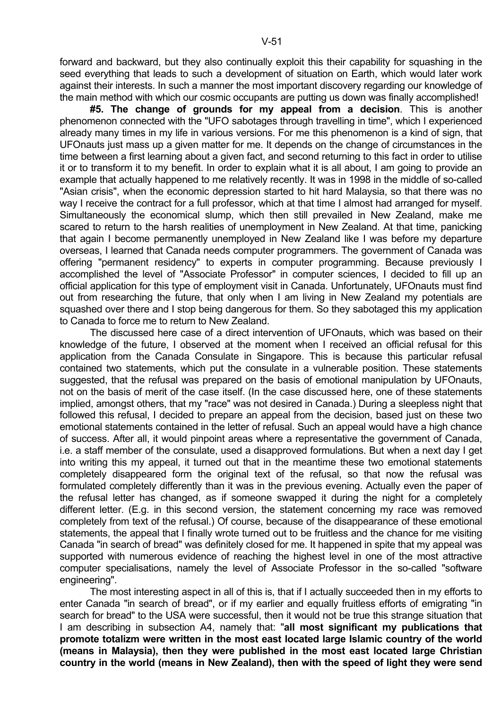forward and backward, but they also continually exploit this their capability for squashing in the seed everything that leads to such a development of situation on Earth, which would later work against their interests. In such a manner the most important discovery regarding our knowledge of the main method with which our cosmic occupants are putting us down was finally accomplished!

 **#5. The change of grounds for my appeal from a decision**. This is another phenomenon connected with the "UFO sabotages through travelling in time", which I experienced already many times in my life in various versions. For me this phenomenon is a kind of sign, that UFOnauts just mass up a given matter for me. It depends on the change of circumstances in the time between a first learning about a given fact, and second returning to this fact in order to utilise it or to transform it to my benefit. In order to explain what it is all about, I am going to provide an example that actually happened to me relatively recently. It was in 1998 in the middle of so-called "Asian crisis", when the economic depression started to hit hard Malaysia, so that there was no way I receive the contract for a full professor, which at that time I almost had arranged for myself. Simultaneously the economical slump, which then still prevailed in New Zealand, make me scared to return to the harsh realities of unemployment in New Zealand. At that time, panicking that again I become permanently unemployed in New Zealand like I was before my departure overseas, I learned that Canada needs computer programmers. The government of Canada was offering "permanent residency" to experts in computer programming. Because previously I accomplished the level of "Associate Professor" in computer sciences, I decided to fill up an official application for this type of employment visit in Canada. Unfortunately, UFOnauts must find out from researching the future, that only when I am living in New Zealand my potentials are squashed over there and I stop being dangerous for them. So they sabotaged this my application to Canada to force me to return to New Zealand.

 The discussed here case of a direct intervention of UFOnauts, which was based on their knowledge of the future, I observed at the moment when I received an official refusal for this application from the Canada Consulate in Singapore. This is because this particular refusal contained two statements, which put the consulate in a vulnerable position. These statements suggested, that the refusal was prepared on the basis of emotional manipulation by UFOnauts, not on the basis of merit of the case itself. (In the case discussed here, one of these statements implied, amongst others, that my "race" was not desired in Canada.) During a sleepless night that followed this refusal, I decided to prepare an appeal from the decision, based just on these two emotional statements contained in the letter of refusal. Such an appeal would have a high chance of success. After all, it would pinpoint areas where a representative the government of Canada, i.e. a staff member of the consulate, used a disapproved formulations. But when a next day I get into writing this my appeal, it turned out that in the meantime these two emotional statements completely disappeared form the original text of the refusal, so that now the refusal was formulated completely differently than it was in the previous evening. Actually even the paper of the refusal letter has changed, as if someone swapped it during the night for a completely different letter. (E.g. in this second version, the statement concerning my race was removed completely from text of the refusal.) Of course, because of the disappearance of these emotional statements, the appeal that I finally wrote turned out to be fruitless and the chance for me visiting Canada "in search of bread" was definitely closed for me. It happened in spite that my appeal was supported with numerous evidence of reaching the highest level in one of the most attractive computer specialisations, namely the level of Associate Professor in the so-called "software engineering".

 The most interesting aspect in all of this is, that if I actually succeeded then in my efforts to enter Canada "in search of bread", or if my earlier and equally fruitless efforts of emigrating "in search for bread" to the USA were successful, then it would not be true this strange situation that I am describing in subsection A4, namely that: "**all most significant my publications that promote totalizm were written in the most east located large Islamic country of the world (means in Malaysia), then they were published in the most east located large Christian country in the world (means in New Zealand), then with the speed of light they were send**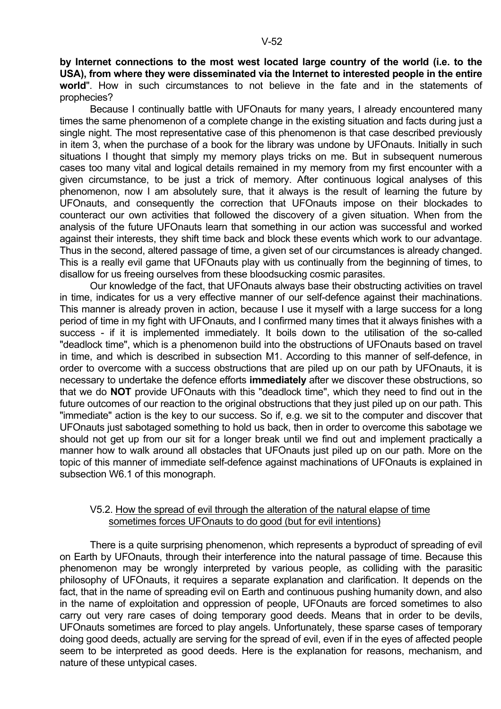**by Internet connections to the most west located large country of the world (i.e. to the USA), from where they were disseminated via the Internet to interested people in the entire world**". How in such circumstances to not believe in the fate and in the statements of prophecies?

 Because I continually battle with UFOnauts for many years, I already encountered many times the same phenomenon of a complete change in the existing situation and facts during just a single night. The most representative case of this phenomenon is that case described previously in item 3, when the purchase of a book for the library was undone by UFOnauts. Initially in such situations I thought that simply my memory plays tricks on me. But in subsequent numerous cases too many vital and logical details remained in my memory from my first encounter with a given circumstance, to be just a trick of memory. After continuous logical analyses of this phenomenon, now I am absolutely sure, that it always is the result of learning the future by UFOnauts, and consequently the correction that UFOnauts impose on their blockades to counteract our own activities that followed the discovery of a given situation. When from the analysis of the future UFOnauts learn that something in our action was successful and worked against their interests, they shift time back and block these events which work to our advantage. Thus in the second, altered passage of time, a given set of our circumstances is already changed. This is a really evil game that UFOnauts play with us continually from the beginning of times, to disallow for us freeing ourselves from these bloodsucking cosmic parasites.

 Our knowledge of the fact, that UFOnauts always base their obstructing activities on travel in time, indicates for us a very effective manner of our self-defence against their machinations. This manner is already proven in action, because I use it myself with a large success for a long period of time in my fight with UFOnauts, and I confirmed many times that it always finishes with a success - if it is implemented immediately. It boils down to the utilisation of the so-called "deadlock time", which is a phenomenon build into the obstructions of UFOnauts based on travel in time, and which is described in subsection M1. According to this manner of self-defence, in order to overcome with a success obstructions that are piled up on our path by UFOnauts, it is necessary to undertake the defence efforts **immediately** after we discover these obstructions, so that we do **NOT** provide UFOnauts with this "deadlock time", which they need to find out in the future outcomes of our reaction to the original obstructions that they just piled up on our path. This "immediate" action is the key to our success. So if, e.g. we sit to the computer and discover that UFOnauts just sabotaged something to hold us back, then in order to overcome this sabotage we should not get up from our sit for a longer break until we find out and implement practically a manner how to walk around all obstacles that UFOnauts just piled up on our path. More on the topic of this manner of immediate self-defence against machinations of UFOnauts is explained in subsection W6.1 of this monograph.

#### V5.2. How the spread of evil through the alteration of the natural elapse of time sometimes forces UFOnauts to do good (but for evil intentions)

 There is a quite surprising phenomenon, which represents a byproduct of spreading of evil on Earth by UFOnauts, through their interference into the natural passage of time. Because this phenomenon may be wrongly interpreted by various people, as colliding with the parasitic philosophy of UFOnauts, it requires a separate explanation and clarification. It depends on the fact, that in the name of spreading evil on Earth and continuous pushing humanity down, and also in the name of exploitation and oppression of people, UFOnauts are forced sometimes to also carry out very rare cases of doing temporary good deeds. Means that in order to be devils, UFOnauts sometimes are forced to play angels. Unfortunately, these sparse cases of temporary doing good deeds, actually are serving for the spread of evil, even if in the eyes of affected people seem to be interpreted as good deeds. Here is the explanation for reasons, mechanism, and nature of these untypical cases.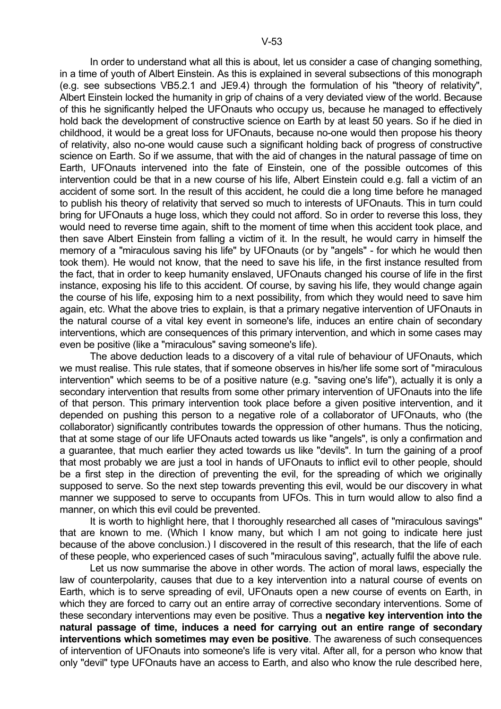In order to understand what all this is about, let us consider a case of changing something, in a time of youth of Albert Einstein. As this is explained in several subsections of this monograph (e.g. see subsections VB5.2.1 and JE9.4) through the formulation of his "theory of relativity", Albert Einstein locked the humanity in grip of chains of a very deviated view of the world. Because of this he significantly helped the UFOnauts who occupy us, because he managed to effectively hold back the development of constructive science on Earth by at least 50 years. So if he died in childhood, it would be a great loss for UFOnauts, because no-one would then propose his theory of relativity, also no-one would cause such a significant holding back of progress of constructive science on Earth. So if we assume, that with the aid of changes in the natural passage of time on Earth, UFOnauts intervened into the fate of Einstein, one of the possible outcomes of this intervention could be that in a new course of his life, Albert Einstein could e.g. fall a victim of an accident of some sort. In the result of this accident, he could die a long time before he managed to publish his theory of relativity that served so much to interests of UFOnauts. This in turn could bring for UFOnauts a huge loss, which they could not afford. So in order to reverse this loss, they would need to reverse time again, shift to the moment of time when this accident took place, and then save Albert Einstein from falling a victim of it. In the result, he would carry in himself the memory of a "miraculous saving his life" by UFOnauts (or by "angels" - for which he would then took them). He would not know, that the need to save his life, in the first instance resulted from the fact, that in order to keep humanity enslaved, UFOnauts changed his course of life in the first instance, exposing his life to this accident. Of course, by saving his life, they would change again the course of his life, exposing him to a next possibility, from which they would need to save him again, etc. What the above tries to explain, is that a primary negative intervention of UFOnauts in the natural course of a vital key event in someone's life, induces an entire chain of secondary interventions, which are consequences of this primary intervention, and which in some cases may even be positive (like a "miraculous" saving someone's life).

 The above deduction leads to a discovery of a vital rule of behaviour of UFOnauts, which we must realise. This rule states, that if someone observes in his/her life some sort of "miraculous intervention" which seems to be of a positive nature (e.g. "saving one's life"), actually it is only a secondary intervention that results from some other primary intervention of UFOnauts into the life of that person. This primary intervention took place before a given positive intervention, and it depended on pushing this person to a negative role of a collaborator of UFOnauts, who (the collaborator) significantly contributes towards the oppression of other humans. Thus the noticing, that at some stage of our life UFOnauts acted towards us like "angels", is only a confirmation and a guarantee, that much earlier they acted towards us like "devils". In turn the gaining of a proof that most probably we are just a tool in hands of UFOnauts to inflict evil to other people, should be a first step in the direction of preventing the evil, for the spreading of which we originally supposed to serve. So the next step towards preventing this evil, would be our discovery in what manner we supposed to serve to occupants from UFOs. This in turn would allow to also find a manner, on which this evil could be prevented.

 It is worth to highlight here, that I thoroughly researched all cases of "miraculous savings" that are known to me. (Which I know many, but which I am not going to indicate here just because of the above conclusion.) I discovered in the result of this research, that the life of each of these people, who experienced cases of such "miraculous saving", actually fulfil the above rule.

 Let us now summarise the above in other words. The action of moral laws, especially the law of counterpolarity, causes that due to a key intervention into a natural course of events on Earth, which is to serve spreading of evil, UFOnauts open a new course of events on Earth, in which they are forced to carry out an entire array of corrective secondary interventions. Some of these secondary interventions may even be positive. Thus a **negative key intervention into the natural passage of time, induces a need for carrying out an entire range of secondary interventions which sometimes may even be positive**. The awareness of such consequences of intervention of UFOnauts into someone's life is very vital. After all, for a person who know that only "devil" type UFOnauts have an access to Earth, and also who know the rule described here,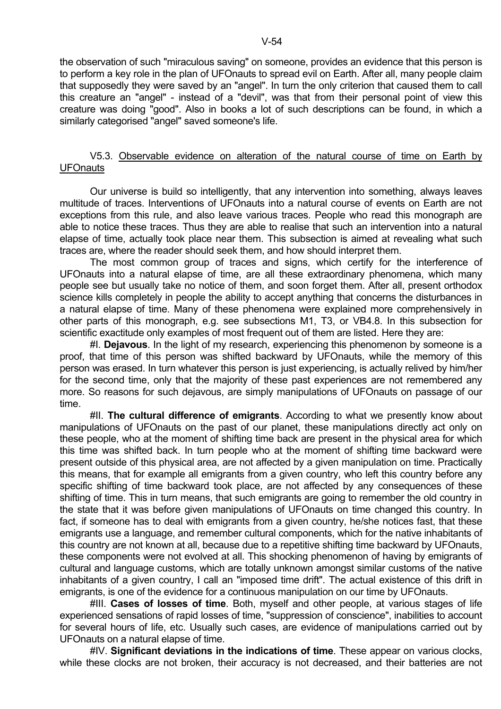the observation of such "miraculous saving" on someone, provides an evidence that this person is to perform a key role in the plan of UFOnauts to spread evil on Earth. After all, many people claim that supposedly they were saved by an "angel". In turn the only criterion that caused them to call this creature an "angel" - instead of a "devil", was that from their personal point of view this creature was doing "good". Also in books a lot of such descriptions can be found, in which a similarly categorised "angel" saved someone's life.

## V5.3. Observable evidence on alteration of the natural course of time on Earth by UFOnauts

 Our universe is build so intelligently, that any intervention into something, always leaves multitude of traces. Interventions of UFOnauts into a natural course of events on Earth are not exceptions from this rule, and also leave various traces. People who read this monograph are able to notice these traces. Thus they are able to realise that such an intervention into a natural elapse of time, actually took place near them. This subsection is aimed at revealing what such traces are, where the reader should seek them, and how should interpret them.

 The most common group of traces and signs, which certify for the interference of UFOnauts into a natural elapse of time, are all these extraordinary phenomena, which many people see but usually take no notice of them, and soon forget them. After all, present orthodox science kills completely in people the ability to accept anything that concerns the disturbances in a natural elapse of time. Many of these phenomena were explained more comprehensively in other parts of this monograph, e.g. see subsections M1, T3, or VB4.8. In this subsection for scientific exactitude only examples of most frequent out of them are listed. Here they are:

 #I. **Dejavous**. In the light of my research, experiencing this phenomenon by someone is a proof, that time of this person was shifted backward by UFOnauts, while the memory of this person was erased. In turn whatever this person is just experiencing, is actually relived by him/her for the second time, only that the majority of these past experiences are not remembered any more. So reasons for such dejavous, are simply manipulations of UFOnauts on passage of our time.

 #II. **The cultural difference of emigrants**. According to what we presently know about manipulations of UFOnauts on the past of our planet, these manipulations directly act only on these people, who at the moment of shifting time back are present in the physical area for which this time was shifted back. In turn people who at the moment of shifting time backward were present outside of this physical area, are not affected by a given manipulation on time. Practically this means, that for example all emigrants from a given country, who left this country before any specific shifting of time backward took place, are not affected by any consequences of these shifting of time. This in turn means, that such emigrants are going to remember the old country in the state that it was before given manipulations of UFOnauts on time changed this country. In fact, if someone has to deal with emigrants from a given country, he/she notices fast, that these emigrants use a language, and remember cultural components, which for the native inhabitants of this country are not known at all, because due to a repetitive shifting time backward by UFOnauts, these components were not evolved at all. This shocking phenomenon of having by emigrants of cultural and language customs, which are totally unknown amongst similar customs of the native inhabitants of a given country, I call an "imposed time drift". The actual existence of this drift in emigrants, is one of the evidence for a continuous manipulation on our time by UFOnauts.

 #III. **Cases of losses of time**. Both, myself and other people, at various stages of life experienced sensations of rapid losses of time, "suppression of conscience", inabilities to account for several hours of life, etc. Usually such cases, are evidence of manipulations carried out by UFOnauts on a natural elapse of time.

 #IV. **Significant deviations in the indications of time**. These appear on various clocks, while these clocks are not broken, their accuracy is not decreased, and their batteries are not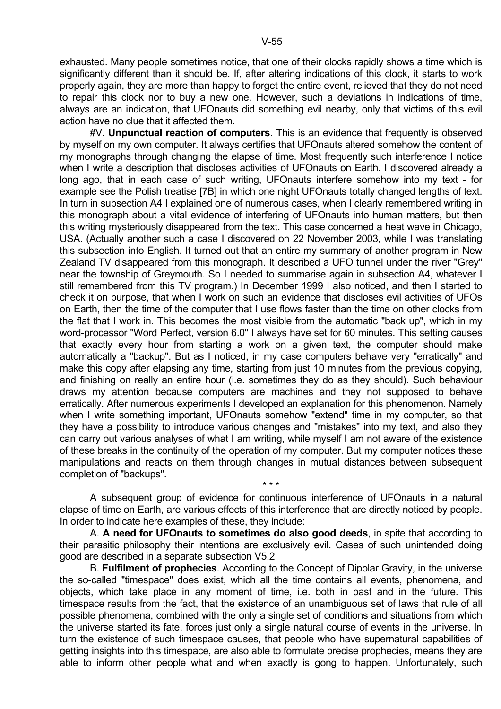exhausted. Many people sometimes notice, that one of their clocks rapidly shows a time which is significantly different than it should be. If, after altering indications of this clock, it starts to work properly again, they are more than happy to forget the entire event, relieved that they do not need to repair this clock nor to buy a new one. However, such a deviations in indications of time, always are an indication, that UFOnauts did something evil nearby, only that victims of this evil action have no clue that it affected them.

 #V. **Unpunctual reaction of computers**. This is an evidence that frequently is observed by myself on my own computer. It always certifies that UFOnauts altered somehow the content of my monographs through changing the elapse of time. Most frequently such interference I notice when I write a description that discloses activities of UFOnauts on Earth. I discovered already a long ago, that in each case of such writing, UFOnauts interfere somehow into my text - for example see the Polish treatise [7B] in which one night UFOnauts totally changed lengths of text. In turn in subsection A4 I explained one of numerous cases, when I clearly remembered writing in this monograph about a vital evidence of interfering of UFOnauts into human matters, but then this writing mysteriously disappeared from the text. This case concerned a heat wave in Chicago, USA. (Actually another such a case I discovered on 22 November 2003, while I was translating this subsection into English. It turned out that an entire my summary of another program in New Zealand TV disappeared from this monograph. It described a UFO tunnel under the river "Grey" near the township of Greymouth. So I needed to summarise again in subsection A4, whatever I still remembered from this TV program.) In December 1999 I also noticed, and then I started to check it on purpose, that when I work on such an evidence that discloses evil activities of UFOs on Earth, then the time of the computer that I use flows faster than the time on other clocks from the flat that I work in. This becomes the most visible from the automatic "back up", which in my word-processor "Word Perfect, version 6.0" I always have set for 60 minutes. This setting causes that exactly every hour from starting a work on a given text, the computer should make automatically a "backup". But as I noticed, in my case computers behave very "erratically" and make this copy after elapsing any time, starting from just 10 minutes from the previous copying, and finishing on really an entire hour (i.e. sometimes they do as they should). Such behaviour draws my attention because computers are machines and they not supposed to behave erratically. After numerous experiments I developed an explanation for this phenomenon. Namely when I write something important, UFOnauts somehow "extend" time in my computer, so that they have a possibility to introduce various changes and "mistakes" into my text, and also they can carry out various analyses of what I am writing, while myself I am not aware of the existence of these breaks in the continuity of the operation of my computer. But my computer notices these manipulations and reacts on them through changes in mutual distances between subsequent completion of "backups".

 A subsequent group of evidence for continuous interference of UFOnauts in a natural elapse of time on Earth, are various effects of this interference that are directly noticed by people. In order to indicate here examples of these, they include:

 $\star \star \star$ 

 A. **A need for UFOnauts to sometimes do also good deeds**, in spite that according to their parasitic philosophy their intentions are exclusively evil. Cases of such unintended doing good are described in a separate subsection V5.2

 B. **Fulfilment of prophecies**. According to the Concept of Dipolar Gravity, in the universe the so-called "timespace" does exist, which all the time contains all events, phenomena, and objects, which take place in any moment of time, i.e. both in past and in the future. This timespace results from the fact, that the existence of an unambiguous set of laws that rule of all possible phenomena, combined with the only a single set of conditions and situations from which the universe started its fate, forces just only a single natural course of events in the universe. In turn the existence of such timespace causes, that people who have supernatural capabilities of getting insights into this timespace, are also able to formulate precise prophecies, means they are able to inform other people what and when exactly is gong to happen. Unfortunately, such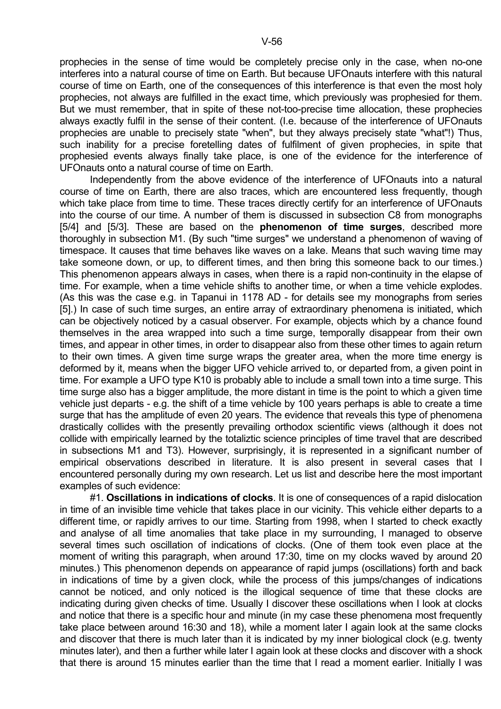prophecies in the sense of time would be completely precise only in the case, when no-one interferes into a natural course of time on Earth. But because UFOnauts interfere with this natural course of time on Earth, one of the consequences of this interference is that even the most holy prophecies, not always are fulfilled in the exact time, which previously was prophesied for them. But we must remember, that in spite of these not-too-precise time allocation, these prophecies always exactly fulfil in the sense of their content. (I.e. because of the interference of UFOnauts prophecies are unable to precisely state "when", but they always precisely state "what"!) Thus, such inability for a precise foretelling dates of fulfilment of given prophecies, in spite that prophesied events always finally take place, is one of the evidence for the interference of UFOnauts onto a natural course of time on Earth.

 Independently from the above evidence of the interference of UFOnauts into a natural course of time on Earth, there are also traces, which are encountered less frequently, though which take place from time to time. These traces directly certify for an interference of UFOnauts into the course of our time. A number of them is discussed in subsection C8 from monographs [5/4] and [5/3]. These are based on the **phenomenon of time surges**, described more thoroughly in subsection M1. (By such "time surges" we understand a phenomenon of waving of timespace. It causes that time behaves like waves on a lake. Means that such waving time may take someone down, or up, to different times, and then bring this someone back to our times.) This phenomenon appears always in cases, when there is a rapid non-continuity in the elapse of time. For example, when a time vehicle shifts to another time, or when a time vehicle explodes. (As this was the case e.g. in Tapanui in 1178 AD - for details see my monographs from series [5].) In case of such time surges, an entire array of extraordinary phenomena is initiated, which can be objectively noticed by a casual observer. For example, objects which by a chance found themselves in the area wrapped into such a time surge, temporally disappear from their own times, and appear in other times, in order to disappear also from these other times to again return to their own times. A given time surge wraps the greater area, when the more time energy is deformed by it, means when the bigger UFO vehicle arrived to, or departed from, a given point in time. For example a UFO type K10 is probably able to include a small town into a time surge. This time surge also has a bigger amplitude, the more distant in time is the point to which a given time vehicle just departs - e.g. the shift of a time vehicle by 100 years perhaps is able to create a time surge that has the amplitude of even 20 years. The evidence that reveals this type of phenomena drastically collides with the presently prevailing orthodox scientific views (although it does not collide with empirically learned by the totaliztic science principles of time travel that are described in subsections M1 and T3). However, surprisingly, it is represented in a significant number of empirical observations described in literature. It is also present in several cases that I encountered personally during my own research. Let us list and describe here the most important examples of such evidence:

 #1. **Oscillations in indications of clocks**. It is one of consequences of a rapid dislocation in time of an invisible time vehicle that takes place in our vicinity. This vehicle either departs to a different time, or rapidly arrives to our time. Starting from 1998, when I started to check exactly and analyse of all time anomalies that take place in my surrounding, I managed to observe several times such oscillation of indications of clocks. (One of them took even place at the moment of writing this paragraph, when around 17:30, time on my clocks waved by around 20 minutes.) This phenomenon depends on appearance of rapid jumps (oscillations) forth and back in indications of time by a given clock, while the process of this jumps/changes of indications cannot be noticed, and only noticed is the illogical sequence of time that these clocks are indicating during given checks of time. Usually I discover these oscillations when I look at clocks and notice that there is a specific hour and minute (in my case these phenomena most frequently take place between around 16:30 and 18), while a moment later I again look at the same clocks and discover that there is much later than it is indicated by my inner biological clock (e.g. twenty minutes later), and then a further while later I again look at these clocks and discover with a shock that there is around 15 minutes earlier than the time that I read a moment earlier. Initially I was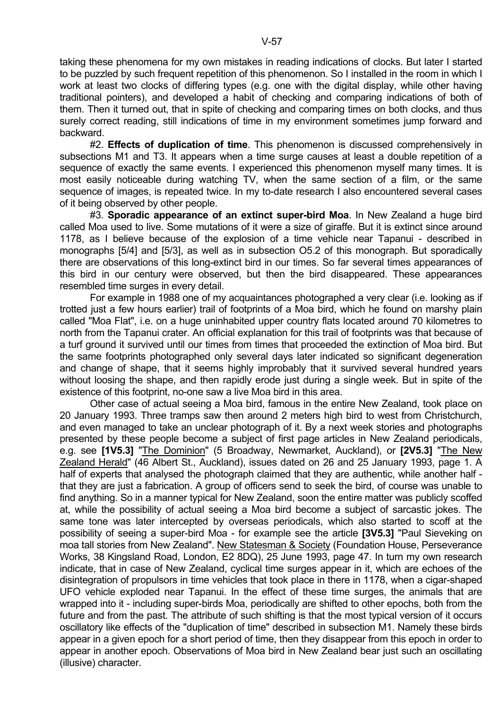taking these phenomena for my own mistakes in reading indications of clocks. But later I started to be puzzled by such frequent repetition of this phenomenon. So I installed in the room in which I work at least two clocks of differing types (e.g. one with the digital display, while other having traditional pointers), and developed a habit of checking and comparing indications of both of them. Then it turned out, that in spite of checking and comparing times on both clocks, and thus surely correct reading, still indications of time in my environment sometimes jump forward and backward.

 #2. **Effects of duplication of time**. This phenomenon is discussed comprehensively in subsections M1 and T3. It appears when a time surge causes at least a double repetition of a sequence of exactly the same events. I experienced this phenomenon myself many times. It is most easily noticeable during watching TV, when the same section of a film, or the same sequence of images, is repeated twice. In my to-date research I also encountered several cases of it being observed by other people.

 #3. **Sporadic appearance of an extinct super-bird Moa**. In New Zealand a huge bird called Moa used to live. Some mutations of it were a size of giraffe. But it is extinct since around 1178, as I believe because of the explosion of a time vehicle near Tapanui - described in monographs [5/4] and [5/3], as well as in subsection O5.2 of this monograph. But sporadically there are observations of this long-extinct bird in our times. So far several times appearances of this bird in our century were observed, but then the bird disappeared. These appearances resembled time surges in every detail.

 For example in 1988 one of my acquaintances photographed a very clear (i.e. looking as if trotted just a few hours earlier) trail of footprints of a Moa bird, which he found on marshy plain called "Moa Flat", i.e. on a huge uninhabited upper country flats located around 70 kilometres to north from the Tapanui crater. An official explanation for this trail of footprints was that because of a turf ground it survived until our times from times that proceeded the extinction of Moa bird. But the same footprints photographed only several days later indicated so significant degeneration and change of shape, that it seems highly improbably that it survived several hundred years without loosing the shape, and then rapidly erode just during a single week. But in spite of the existence of this footprint, no-one saw a live Moa bird in this area.

 Other case of actual seeing a Moa bird, famous in the entire New Zealand, took place on 20 January 1993. Three tramps saw then around 2 meters high bird to west from Christchurch, and even managed to take an unclear photograph of it. By a next week stories and photographs presented by these people become a subject of first page articles in New Zealand periodicals, e.g. see **[1V5.3]** "The Dominion" (5 Broadway, Newmarket, Auckland), or **[2V5.3]** "The New Zealand Herald" (46 Albert St., Auckland), issues dated on 26 and 25 January 1993, page 1. A half of experts that analysed the photograph claimed that they are authentic, while another half that they are just a fabrication. A group of officers send to seek the bird, of course was unable to find anything. So in a manner typical for New Zealand, soon the entire matter was publicly scoffed at, while the possibility of actual seeing a Moa bird become a subject of sarcastic jokes. The same tone was later intercepted by overseas periodicals, which also started to scoff at the possibility of seeing a super-bird Moa - for example see the article **[3V5.3]** "Paul Sieveking on moa tall stories from New Zealand". New Statesman & Society (Foundation House, Perseverance Works, 38 Kingsland Road, London, E2 8DQ), 25 June 1993, page 47. In turn my own research indicate, that in case of New Zealand, cyclical time surges appear in it, which are echoes of the disintegration of propulsors in time vehicles that took place in there in 1178, when a cigar-shaped UFO vehicle exploded near Tapanui. In the effect of these time surges, the animals that are wrapped into it - including super-birds Moa, periodically are shifted to other epochs, both from the future and from the past. The attribute of such shifting is that the most typical version of it occurs oscillatory like effects of the "duplication of time" described in subsection M1. Namely these birds appear in a given epoch for a short period of time, then they disappear from this epoch in order to appear in another epoch. Observations of Moa bird in New Zealand bear just such an oscillating (illusive) character.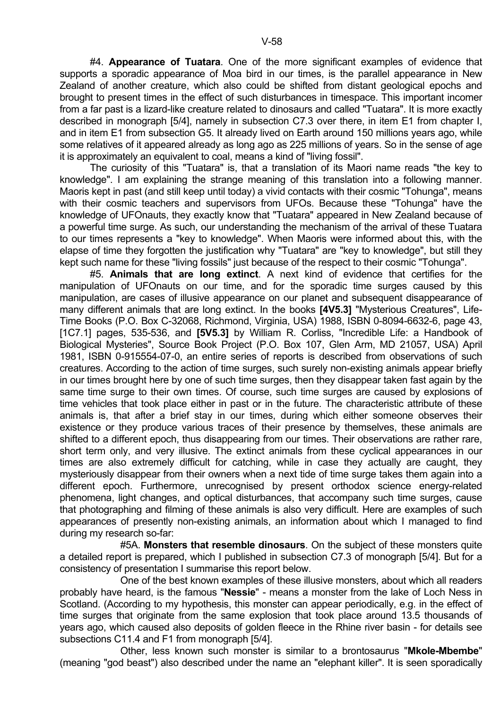#4. **Appearance of Tuatara**. One of the more significant examples of evidence that supports a sporadic appearance of Moa bird in our times, is the parallel appearance in New Zealand of another creature, which also could be shifted from distant geological epochs and brought to present times in the effect of such disturbances in timespace. This important incomer from a far past is a lizard-like creature related to dinosaurs and called "Tuatara". It is more exactly described in monograph [5/4], namely in subsection C7.3 over there, in item E1 from chapter I, and in item E1 from subsection G5. It already lived on Earth around 150 millions years ago, while some relatives of it appeared already as long ago as 225 millions of years. So in the sense of age it is approximately an equivalent to coal, means a kind of "living fossil".

 The curiosity of this "Tuatara" is, that a translation of its Maori name reads "the key to knowledge". I am explaining the strange meaning of this translation into a following manner. Maoris kept in past (and still keep until today) a vivid contacts with their cosmic "Tohunga", means with their cosmic teachers and supervisors from UFOs. Because these "Tohunga" have the knowledge of UFOnauts, they exactly know that "Tuatara" appeared in New Zealand because of a powerful time surge. As such, our understanding the mechanism of the arrival of these Tuatara to our times represents a "key to knowledge". When Maoris were informed about this, with the elapse of time they forgotten the justification why "Tuatara" are "key to knowledge", but still they kept such name for these "living fossils" just because of the respect to their cosmic "Tohunga".

 #5. **Animals that are long extinct**. A next kind of evidence that certifies for the manipulation of UFOnauts on our time, and for the sporadic time surges caused by this manipulation, are cases of illusive appearance on our planet and subsequent disappearance of many different animals that are long extinct. In the books **[4V5.3]** "Mysterious Creatures", Life-Time Books (P.O. Box C-32068, Richmond, Virginia, USA) 1988, ISBN 0-8094-6632-6, page 43, [1C7.1] pages, 535-536, and **[5V5.3]** by William R. Corliss, "Incredible Life: a Handbook of Biological Mysteries", Source Book Project (P.O. Box 107, Glen Arm, MD 21057, USA) April 1981, ISBN 0-915554-07-0, an entire series of reports is described from observations of such creatures. According to the action of time surges, such surely non-existing animals appear briefly in our times brought here by one of such time surges, then they disappear taken fast again by the same time surge to their own times. Of course, such time surges are caused by explosions of time vehicles that took place either in past or in the future. The characteristic attribute of these animals is, that after a brief stay in our times, during which either someone observes their existence or they produce various traces of their presence by themselves, these animals are shifted to a different epoch, thus disappearing from our times. Their observations are rather rare, short term only, and very illusive. The extinct animals from these cyclical appearances in our times are also extremely difficult for catching, while in case they actually are caught, they mysteriously disappear from their owners when a next tide of time surge takes them again into a different epoch. Furthermore, unrecognised by present orthodox science energy-related phenomena, light changes, and optical disturbances, that accompany such time surges, cause that photographing and filming of these animals is also very difficult. Here are examples of such appearances of presently non-existing animals, an information about which I managed to find during my research so-far:

 #5A. **Monsters that resemble dinosaurs**. On the subject of these monsters quite a detailed report is prepared, which I published in subsection C7.3 of monograph [5/4]. But for a consistency of presentation I summarise this report below.

 One of the best known examples of these illusive monsters, about which all readers probably have heard, is the famous "**Nessie**" - means a monster from the lake of Loch Ness in Scotland. (According to my hypothesis, this monster can appear periodically, e.g. in the effect of time surges that originate from the same explosion that took place around 13.5 thousands of years ago, which caused also deposits of golden fleece in the Rhine river basin - for details see subsections C11.4 and F1 from monograph [5/4].

 Other, less known such monster is similar to a brontosaurus "**Mkole-Mbembe**" (meaning "god beast") also described under the name an "elephant killer". It is seen sporadically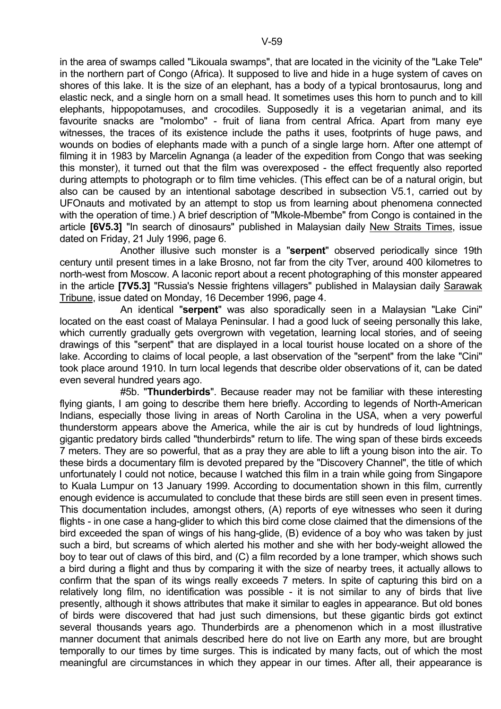in the area of swamps called "Likouala swamps", that are located in the vicinity of the "Lake Tele" in the northern part of Congo (Africa). It supposed to live and hide in a huge system of caves on shores of this lake. It is the size of an elephant, has a body of a typical brontosaurus, long and elastic neck, and a single horn on a small head. It sometimes uses this horn to punch and to kill elephants, hippopotamuses, and crocodiles. Supposedly it is a vegetarian animal, and its favourite snacks are "molombo" - fruit of liana from central Africa. Apart from many eye witnesses, the traces of its existence include the paths it uses, footprints of huge paws, and wounds on bodies of elephants made with a punch of a single large horn. After one attempt of filming it in 1983 by Marcelin Agnanga (a leader of the expedition from Congo that was seeking this monster), it turned out that the film was overexposed - the effect frequently also reported during attempts to photograph or to film time vehicles. (This effect can be of a natural origin, but also can be caused by an intentional sabotage described in subsection V5.1, carried out by UFOnauts and motivated by an attempt to stop us from learning about phenomena connected with the operation of time.) A brief description of "Mkole-Mbembe" from Congo is contained in the article **[6V5.3]** "In search of dinosaurs" published in Malaysian daily New Straits Times, issue dated on Friday, 21 July 1996, page 6.

 Another illusive such monster is a "**serpent**" observed periodically since 19th century until present times in a lake Brosno, not far from the city Tver, around 400 kilometres to north-west from Moscow. A laconic report about a recent photographing of this monster appeared in the article **[7V5.3]** "Russia's Nessie frightens villagers" published in Malaysian daily Sarawak Tribune, issue dated on Monday, 16 December 1996, page 4.

 An identical "**serpent**" was also sporadically seen in a Malaysian "Lake Cini" located on the east coast of Malaya Peninsular. I had a good luck of seeing personally this lake, which currently gradually gets overgrown with vegetation, learning local stories, and of seeing drawings of this "serpent" that are displayed in a local tourist house located on a shore of the lake. According to claims of local people, a last observation of the "serpent" from the lake "Cini" took place around 1910. In turn local legends that describe older observations of it, can be dated even several hundred years ago.

 #5b. "**Thunderbirds**". Because reader may not be familiar with these interesting flying giants, I am going to describe them here briefly. According to legends of North-American Indians, especially those living in areas of North Carolina in the USA, when a very powerful thunderstorm appears above the America, while the air is cut by hundreds of loud lightnings, gigantic predatory birds called "thunderbirds" return to life. The wing span of these birds exceeds 7 meters. They are so powerful, that as a pray they are able to lift a young bison into the air. To these birds a documentary film is devoted prepared by the "Discovery Channel", the title of which unfortunately I could not notice, because I watched this film in a train while going from Singapore to Kuala Lumpur on 13 January 1999. According to documentation shown in this film, currently enough evidence is accumulated to conclude that these birds are still seen even in present times. This documentation includes, amongst others, (A) reports of eye witnesses who seen it during flights - in one case a hang-glider to which this bird come close claimed that the dimensions of the bird exceeded the span of wings of his hang-glide, (B) evidence of a boy who was taken by just such a bird, but screams of which alerted his mother and she with her body-weight allowed the boy to tear out of claws of this bird, and (C) a film recorded by a lone tramper, which shows such a bird during a flight and thus by comparing it with the size of nearby trees, it actually allows to confirm that the span of its wings really exceeds 7 meters. In spite of capturing this bird on a relatively long film, no identification was possible - it is not similar to any of birds that live presently, although it shows attributes that make it similar to eagles in appearance. But old bones of birds were discovered that had just such dimensions, but these gigantic birds got extinct several thousands years ago. Thunderbirds are a phenomenon which in a most illustrative manner document that animals described here do not live on Earth any more, but are brought temporally to our times by time surges. This is indicated by many facts, out of which the most meaningful are circumstances in which they appear in our times. After all, their appearance is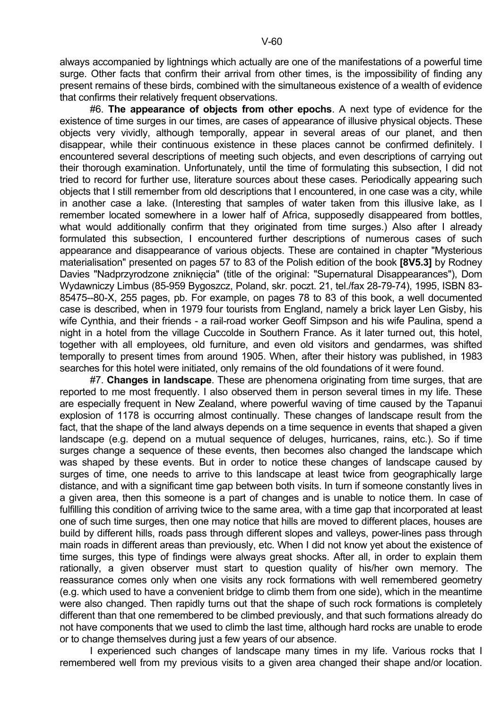always accompanied by lightnings which actually are one of the manifestations of a powerful time surge. Other facts that confirm their arrival from other times, is the impossibility of finding any present remains of these birds, combined with the simultaneous existence of a wealth of evidence that confirms their relatively frequent observations.

 #6. **The appearance of objects from other epochs**. A next type of evidence for the existence of time surges in our times, are cases of appearance of illusive physical objects. These objects very vividly, although temporally, appear in several areas of our planet, and then disappear, while their continuous existence in these places cannot be confirmed definitely. I encountered several descriptions of meeting such objects, and even descriptions of carrying out their thorough examination. Unfortunately, until the time of formulating this subsection, I did not tried to record for further use, literature sources about these cases. Periodically appearing such objects that I still remember from old descriptions that I encountered, in one case was a city, while in another case a lake. (Interesting that samples of water taken from this illusive lake, as I remember located somewhere in a lower half of Africa, supposedly disappeared from bottles, what would additionally confirm that they originated from time surges.) Also after I already formulated this subsection, I encountered further descriptions of numerous cases of such appearance and disappearance of various objects. These are contained in chapter "Mysterious materialisation" presented on pages 57 to 83 of the Polish edition of the book **[8V5.3]** by Rodney Davies "Nadprzyrodzone zniknięcia" (title of the original: "Supernatural Disappearances"), Dom Wydawniczy Limbus (85-959 Bygoszcz, Poland, skr. poczt. 21, tel./fax 28-79-74), 1995, ISBN 83- 85475--80-X, 255 pages, pb. For example, on pages 78 to 83 of this book, a well documented case is described, when in 1979 four tourists from England, namely a brick layer Len Gisby, his wife Cynthia, and their friends - a rail-road worker Geoff Simpson and his wife Paulina, spend a night in a hotel from the village Cuccolde in Southern France. As it later turned out, this hotel, together with all employees, old furniture, and even old visitors and gendarmes, was shifted temporally to present times from around 1905. When, after their history was published, in 1983 searches for this hotel were initiated, only remains of the old foundations of it were found.

 #7. **Changes in landscape**. These are phenomena originating from time surges, that are reported to me most frequently. I also observed them in person several times in my life. These are especially frequent in New Zealand, where powerful waving of time caused by the Tapanui explosion of 1178 is occurring almost continually. These changes of landscape result from the fact, that the shape of the land always depends on a time sequence in events that shaped a given landscape (e.g. depend on a mutual sequence of deluges, hurricanes, rains, etc.). So if time surges change a sequence of these events, then becomes also changed the landscape which was shaped by these events. But in order to notice these changes of landscape caused by surges of time, one needs to arrive to this landscape at least twice from geographically large distance, and with a significant time gap between both visits. In turn if someone constantly lives in a given area, then this someone is a part of changes and is unable to notice them. In case of fulfilling this condition of arriving twice to the same area, with a time gap that incorporated at least one of such time surges, then one may notice that hills are moved to different places, houses are build by different hills, roads pass through different slopes and valleys, power-lines pass through main roads in different areas than previously, etc. When I did not know yet about the existence of time surges, this type of findings were always great shocks. After all, in order to explain them rationally, a given observer must start to question quality of his/her own memory. The reassurance comes only when one visits any rock formations with well remembered geometry (e.g. which used to have a convenient bridge to climb them from one side), which in the meantime were also changed. Then rapidly turns out that the shape of such rock formations is completely different than that one remembered to be climbed previously, and that such formations already do not have components that we used to climb the last time, although hard rocks are unable to erode or to change themselves during just a few years of our absence.

 I experienced such changes of landscape many times in my life. Various rocks that I remembered well from my previous visits to a given area changed their shape and/or location.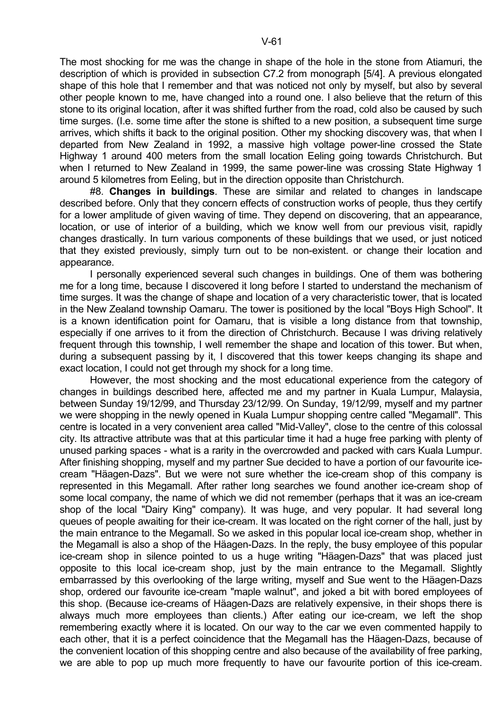The most shocking for me was the change in shape of the hole in the stone from Atiamuri, the description of which is provided in subsection C7.2 from monograph [5/4]. A previous elongated shape of this hole that I remember and that was noticed not only by myself, but also by several other people known to me, have changed into a round one. I also believe that the return of this stone to its original location, after it was shifted further from the road, cold also be caused by such time surges. (I.e. some time after the stone is shifted to a new position, a subsequent time surge arrives, which shifts it back to the original position. Other my shocking discovery was, that when I departed from New Zealand in 1992, a massive high voltage power-line crossed the State Highway 1 around 400 meters from the small location Eeling going towards Christchurch. But when I returned to New Zealand in 1999, the same power-line was crossing State Highway 1 around 5 kilometres from Eeling, but in the direction opposite than Christchurch.

 #8. **Changes in buildings**. These are similar and related to changes in landscape described before. Only that they concern effects of construction works of people, thus they certify for a lower amplitude of given waving of time. They depend on discovering, that an appearance, location, or use of interior of a building, which we know well from our previous visit, rapidly changes drastically. In turn various components of these buildings that we used, or just noticed that they existed previously, simply turn out to be non-existent. or change their location and appearance.

 I personally experienced several such changes in buildings. One of them was bothering me for a long time, because I discovered it long before I started to understand the mechanism of time surges. It was the change of shape and location of a very characteristic tower, that is located in the New Zealand township Oamaru. The tower is positioned by the local "Boys High School". It is a known identification point for Oamaru, that is visible a long distance from that township, especially if one arrives to it from the direction of Christchurch. Because I was driving relatively frequent through this township, I well remember the shape and location of this tower. But when, during a subsequent passing by it, I discovered that this tower keeps changing its shape and exact location, I could not get through my shock for a long time.

 However, the most shocking and the most educational experience from the category of changes in buildings described here, affected me and my partner in Kuala Lumpur, Malaysia, between Sunday 19/12/99, and Thursday 23/12/99. On Sunday, 19/12/99, myself and my partner we were shopping in the newly opened in Kuala Lumpur shopping centre called "Megamall". This centre is located in a very convenient area called "Mid-Valley", close to the centre of this colossal city. Its attractive attribute was that at this particular time it had a huge free parking with plenty of unused parking spaces - what is a rarity in the overcrowded and packed with cars Kuala Lumpur. After finishing shopping, myself and my partner Sue decided to have a portion of our favourite icecream "Häagen-Dazs". But we were not sure whether the ice-cream shop of this company is represented in this Megamall. After rather long searches we found another ice-cream shop of some local company, the name of which we did not remember (perhaps that it was an ice-cream shop of the local "Dairy King" company). It was huge, and very popular. It had several long queues of people awaiting for their ice-cream. It was located on the right corner of the hall, just by the main entrance to the Megamall. So we asked in this popular local ice-cream shop, whether in the Megamall is also a shop of the Häagen-Dazs. In the reply, the busy employee of this popular ice-cream shop in silence pointed to us a huge writing "Häagen-Dazs" that was placed just opposite to this local ice-cream shop, just by the main entrance to the Megamall. Slightly embarrassed by this overlooking of the large writing, myself and Sue went to the Häagen-Dazs shop, ordered our favourite ice-cream "maple walnut", and joked a bit with bored employees of this shop. (Because ice-creams of Häagen-Dazs are relatively expensive, in their shops there is always much more employees than clients.) After eating our ice-cream, we left the shop remembering exactly where it is located. On our way to the car we even commented happily to each other, that it is a perfect coincidence that the Megamall has the Häagen-Dazs, because of the convenient location of this shopping centre and also because of the availability of free parking, we are able to pop up much more frequently to have our favourite portion of this ice-cream.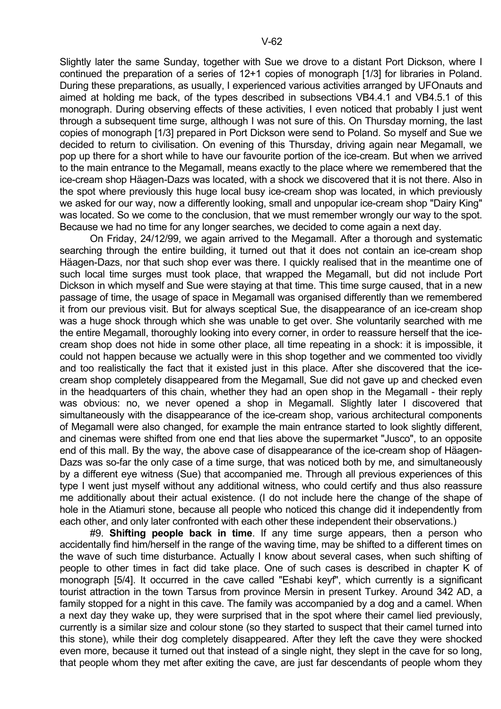Slightly later the same Sunday, together with Sue we drove to a distant Port Dickson, where I continued the preparation of a series of 12+1 copies of monograph [1/3] for libraries in Poland. During these preparations, as usually, I experienced various activities arranged by UFOnauts and aimed at holding me back, of the types described in subsections VB4.4.1 and VB4.5.1 of this monograph. During observing effects of these activities, I even noticed that probably I just went through a subsequent time surge, although I was not sure of this. On Thursday morning, the last copies of monograph [1/3] prepared in Port Dickson were send to Poland. So myself and Sue we decided to return to civilisation. On evening of this Thursday, driving again near Megamall, we pop up there for a short while to have our favourite portion of the ice-cream. But when we arrived to the main entrance to the Megamall, means exactly to the place where we remembered that the ice-cream shop Häagen-Dazs was located, with a shock we discovered that it is not there. Also in the spot where previously this huge local busy ice-cream shop was located, in which previously we asked for our way, now a differently looking, small and unpopular ice-cream shop "Dairy King" was located. So we come to the conclusion, that we must remember wrongly our way to the spot. Because we had no time for any longer searches, we decided to come again a next day.

 On Friday, 24/12/99, we again arrived to the Megamall. After a thorough and systematic searching through the entire building, it turned out that it does not contain an ice-cream shop Häagen-Dazs, nor that such shop ever was there. I quickly realised that in the meantime one of such local time surges must took place, that wrapped the Megamall, but did not include Port Dickson in which myself and Sue were staying at that time. This time surge caused, that in a new passage of time, the usage of space in Megamall was organised differently than we remembered it from our previous visit. But for always sceptical Sue, the disappearance of an ice-cream shop was a huge shock through which she was unable to get over. She voluntarily searched with me the entire Megamall, thoroughly looking into every corner, in order to reassure herself that the icecream shop does not hide in some other place, all time repeating in a shock: it is impossible, it could not happen because we actually were in this shop together and we commented too vividly and too realistically the fact that it existed just in this place. After she discovered that the icecream shop completely disappeared from the Megamall, Sue did not gave up and checked even in the headquarters of this chain, whether they had an open shop in the Megamall - their reply was obvious: no, we never opened a shop in Megamall. Slightly later I discovered that simultaneously with the disappearance of the ice-cream shop, various architectural components of Megamall were also changed, for example the main entrance started to look slightly different, and cinemas were shifted from one end that lies above the supermarket "Jusco", to an opposite end of this mall. By the way, the above case of disappearance of the ice-cream shop of Häagen-Dazs was so-far the only case of a time surge, that was noticed both by me, and simultaneously by a different eye witness (Sue) that accompanied me. Through all previous experiences of this type I went just myself without any additional witness, who could certify and thus also reassure me additionally about their actual existence. (I do not include here the change of the shape of hole in the Atiamuri stone, because all people who noticed this change did it independently from each other, and only later confronted with each other these independent their observations.)

 #9. **Shifting people back in time**. If any time surge appears, then a person who accidentally find him/herself in the range of the waving time, may be shifted to a different times on the wave of such time disturbance. Actually I know about several cases, when such shifting of people to other times in fact did take place. One of such cases is described in chapter K of monograph [5/4]. It occurred in the cave called "Eshabi keyf", which currently is a significant tourist attraction in the town Tarsus from province Mersin in present Turkey. Around 342 AD, a family stopped for a night in this cave. The family was accompanied by a dog and a camel. When a next day they wake up, they were surprised that in the spot where their camel lied previously, currently is a similar size and colour stone (so they started to suspect that their camel turned into this stone), while their dog completely disappeared. After they left the cave they were shocked even more, because it turned out that instead of a single night, they slept in the cave for so long, that people whom they met after exiting the cave, are just far descendants of people whom they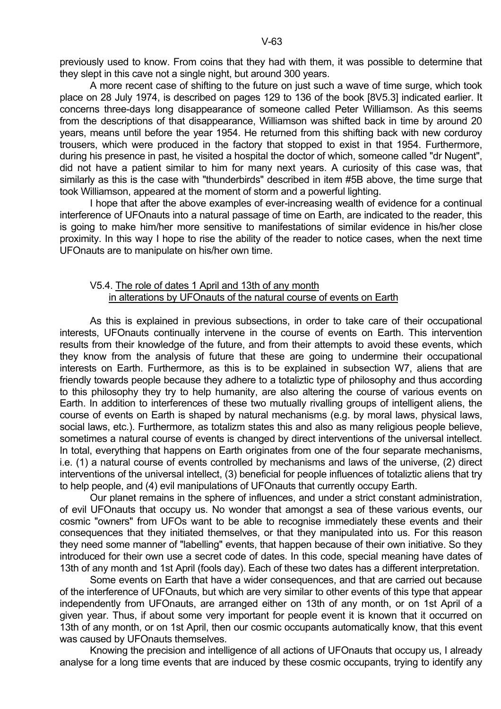previously used to know. From coins that they had with them, it was possible to determine that they slept in this cave not a single night, but around 300 years.

 A more recent case of shifting to the future on just such a wave of time surge, which took place on 28 July 1974, is described on pages 129 to 136 of the book [8V5.3] indicated earlier. It concerns three-days long disappearance of someone called Peter Williamson. As this seems from the descriptions of that disappearance, Williamson was shifted back in time by around 20 years, means until before the year 1954. He returned from this shifting back with new corduroy trousers, which were produced in the factory that stopped to exist in that 1954. Furthermore, during his presence in past, he visited a hospital the doctor of which, someone called "dr Nugent", did not have a patient similar to him for many next years. A curiosity of this case was, that similarly as this is the case with "thunderbirds" described in item #5B above, the time surge that took Williamson, appeared at the moment of storm and a powerful lighting.

 I hope that after the above examples of ever-increasing wealth of evidence for a continual interference of UFOnauts into a natural passage of time on Earth, are indicated to the reader, this is going to make him/her more sensitive to manifestations of similar evidence in his/her close proximity. In this way I hope to rise the ability of the reader to notice cases, when the next time UFOnauts are to manipulate on his/her own time.

## V5.4. The role of dates 1 April and 13th of any month in alterations by UFOnauts of the natural course of events on Earth

 As this is explained in previous subsections, in order to take care of their occupational interests, UFOnauts continually intervene in the course of events on Earth. This intervention results from their knowledge of the future, and from their attempts to avoid these events, which they know from the analysis of future that these are going to undermine their occupational interests on Earth. Furthermore, as this is to be explained in subsection W7, aliens that are friendly towards people because they adhere to a totaliztic type of philosophy and thus according to this philosophy they try to help humanity, are also altering the course of various events on Earth. In addition to interferences of these two mutually rivalling groups of intelligent aliens, the course of events on Earth is shaped by natural mechanisms (e.g. by moral laws, physical laws, social laws, etc.). Furthermore, as totalizm states this and also as many religious people believe, sometimes a natural course of events is changed by direct interventions of the universal intellect. In total, everything that happens on Earth originates from one of the four separate mechanisms, i.e. (1) a natural course of events controlled by mechanisms and laws of the universe, (2) direct interventions of the universal intellect, (3) beneficial for people influences of totaliztic aliens that try to help people, and (4) evil manipulations of UFOnauts that currently occupy Earth.

 Our planet remains in the sphere of influences, and under a strict constant administration, of evil UFOnauts that occupy us. No wonder that amongst a sea of these various events, our cosmic "owners" from UFOs want to be able to recognise immediately these events and their consequences that they initiated themselves, or that they manipulated into us. For this reason they need some manner of "labelling" events, that happen because of their own initiative. So they introduced for their own use a secret code of dates. In this code, special meaning have dates of 13th of any month and 1st April (fools day). Each of these two dates has a different interpretation.

 Some events on Earth that have a wider consequences, and that are carried out because of the interference of UFOnauts, but which are very similar to other events of this type that appear independently from UFOnauts, are arranged either on 13th of any month, or on 1st April of a given year. Thus, if about some very important for people event it is known that it occurred on 13th of any month, or on 1st April, then our cosmic occupants automatically know, that this event was caused by UFOnauts themselves.

 Knowing the precision and intelligence of all actions of UFOnauts that occupy us, I already analyse for a long time events that are induced by these cosmic occupants, trying to identify any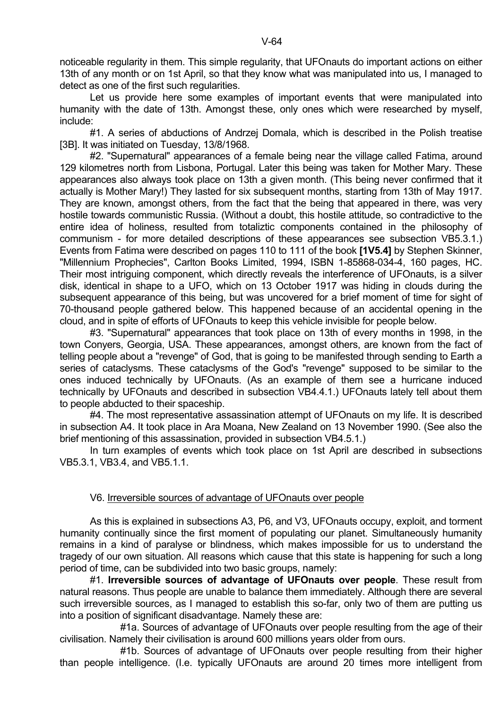noticeable regularity in them. This simple regularity, that UFOnauts do important actions on either 13th of any month or on 1st April, so that they know what was manipulated into us, I managed to detect as one of the first such regularities.

 Let us provide here some examples of important events that were manipulated into humanity with the date of 13th. Amongst these, only ones which were researched by myself, include:

 #1. A series of abductions of Andrzej Domala, which is described in the Polish treatise [3B]. It was initiated on Tuesday, 13/8/1968.

 #2. "Supernatural" appearances of a female being near the village called Fatima, around 129 kilometres north from Lisbona, Portugal. Later this being was taken for Mother Mary. These appearances also always took place on 13th a given month. (This being never confirmed that it actually is Mother Mary!) They lasted for six subsequent months, starting from 13th of May 1917. They are known, amongst others, from the fact that the being that appeared in there, was very hostile towards communistic Russia. (Without a doubt, this hostile attitude, so contradictive to the entire idea of holiness, resulted from totaliztic components contained in the philosophy of communism - for more detailed descriptions of these appearances see subsection VB5.3.1.) Events from Fatima were described on pages 110 to 111 of the book **[1V5.4]** by Stephen Skinner, "Millennium Prophecies", Carlton Books Limited, 1994, ISBN 1-85868-034-4, 160 pages, HC. Their most intriguing component, which directly reveals the interference of UFOnauts, is a silver disk, identical in shape to a UFO, which on 13 October 1917 was hiding in clouds during the subsequent appearance of this being, but was uncovered for a brief moment of time for sight of 70-thousand people gathered below. This happened because of an accidental opening in the cloud, and in spite of efforts of UFOnauts to keep this vehicle invisible for people below.

 #3. "Supernatural" appearances that took place on 13th of every months in 1998, in the town Conyers, Georgia, USA. These appearances, amongst others, are known from the fact of telling people about a "revenge" of God, that is going to be manifested through sending to Earth a series of cataclysms. These cataclysms of the God's "revenge" supposed to be similar to the ones induced technically by UFOnauts. (As an example of them see a hurricane induced technically by UFOnauts and described in subsection VB4.4.1.) UFOnauts lately tell about them to people abducted to their spaceship.

 #4. The most representative assassination attempt of UFOnauts on my life. It is described in subsection A4. It took place in Ara Moana, New Zealand on 13 November 1990. (See also the brief mentioning of this assassination, provided in subsection VB4.5.1.)

 In turn examples of events which took place on 1st April are described in subsections VB5.3.1, VB3.4, and VB5.1.1.

# V6. Irreversible sources of advantage of UFOnauts over people

 As this is explained in subsections A3, P6, and V3, UFOnauts occupy, exploit, and torment humanity continually since the first moment of populating our planet. Simultaneously humanity remains in a kind of paralyse or blindness, which makes impossible for us to understand the tragedy of our own situation. All reasons which cause that this state is happening for such a long period of time, can be subdivided into two basic groups, namely:

 #1. **Irreversible sources of advantage of UFOnauts over people**. These result from natural reasons. Thus people are unable to balance them immediately. Although there are several such irreversible sources, as I managed to establish this so-far, only two of them are putting us into a position of significant disadvantage. Namely these are:

 #1a. Sources of advantage of UFOnauts over people resulting from the age of their civilisation. Namely their civilisation is around 600 millions years older from ours.

 #1b. Sources of advantage of UFOnauts over people resulting from their higher than people intelligence. (I.e. typically UFOnauts are around 20 times more intelligent from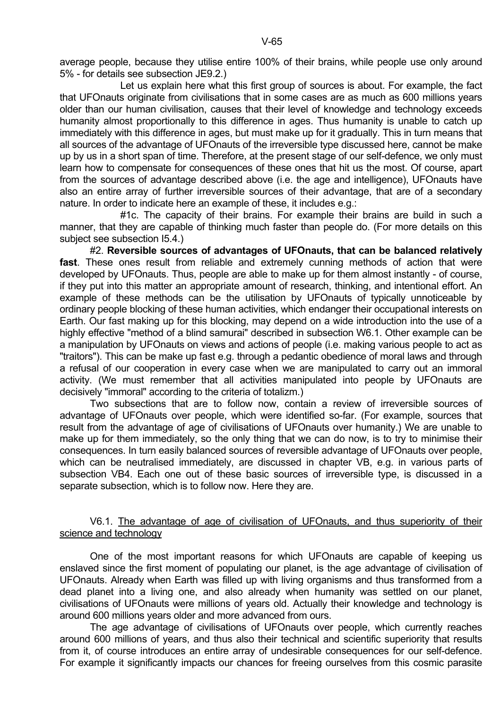average people, because they utilise entire 100% of their brains, while people use only around 5% - for details see subsection JE9.2.)

 Let us explain here what this first group of sources is about. For example, the fact that UFOnauts originate from civilisations that in some cases are as much as 600 millions years older than our human civilisation, causes that their level of knowledge and technology exceeds humanity almost proportionally to this difference in ages. Thus humanity is unable to catch up immediately with this difference in ages, but must make up for it gradually. This in turn means that all sources of the advantage of UFOnauts of the irreversible type discussed here, cannot be make up by us in a short span of time. Therefore, at the present stage of our self-defence, we only must learn how to compensate for consequences of these ones that hit us the most. Of course, apart from the sources of advantage described above (i.e. the age and intelligence), UFOnauts have also an entire array of further irreversible sources of their advantage, that are of a secondary nature. In order to indicate here an example of these, it includes e.g.:

#1c. The capacity of their brains. For example their brains are build in such a manner, that they are capable of thinking much faster than people do. (For more details on this subject see subsection I5.4.)

 #2. **Reversible sources of advantages of UFOnauts, that can be balanced relatively fast**. These ones result from reliable and extremely cunning methods of action that were developed by UFOnauts. Thus, people are able to make up for them almost instantly - of course, if they put into this matter an appropriate amount of research, thinking, and intentional effort. An example of these methods can be the utilisation by UFOnauts of typically unnoticeable by ordinary people blocking of these human activities, which endanger their occupational interests on Earth. Our fast making up for this blocking, may depend on a wide introduction into the use of a highly effective "method of a blind samurai" described in subsection W6.1. Other example can be a manipulation by UFOnauts on views and actions of people (i.e. making various people to act as "traitors"). This can be make up fast e.g. through a pedantic obedience of moral laws and through a refusal of our cooperation in every case when we are manipulated to carry out an immoral activity. (We must remember that all activities manipulated into people by UFOnauts are decisively "immoral" according to the criteria of totalizm.)

 Two subsections that are to follow now, contain a review of irreversible sources of advantage of UFOnauts over people, which were identified so-far. (For example, sources that result from the advantage of age of civilisations of UFOnauts over humanity.) We are unable to make up for them immediately, so the only thing that we can do now, is to try to minimise their consequences. In turn easily balanced sources of reversible advantage of UFOnauts over people, which can be neutralised immediately, are discussed in chapter VB, e.g. in various parts of subsection VB4. Each one out of these basic sources of irreversible type, is discussed in a separate subsection, which is to follow now. Here they are.

#### V6.1. The advantage of age of civilisation of UFOnauts, and thus superiority of their science and technology

 One of the most important reasons for which UFOnauts are capable of keeping us enslaved since the first moment of populating our planet, is the age advantage of civilisation of UFOnauts. Already when Earth was filled up with living organisms and thus transformed from a dead planet into a living one, and also already when humanity was settled on our planet, civilisations of UFOnauts were millions of years old. Actually their knowledge and technology is around 600 millions years older and more advanced from ours.

 The age advantage of civilisations of UFOnauts over people, which currently reaches around 600 millions of years, and thus also their technical and scientific superiority that results from it, of course introduces an entire array of undesirable consequences for our self-defence. For example it significantly impacts our chances for freeing ourselves from this cosmic parasite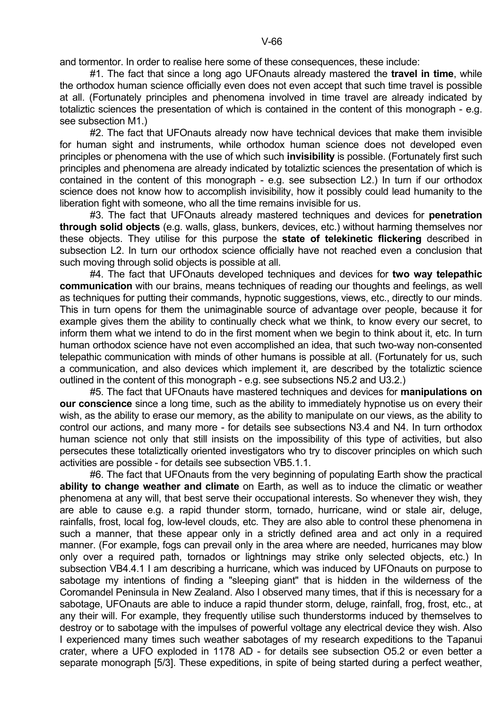and tormentor. In order to realise here some of these consequences, these include:

 #1. The fact that since a long ago UFOnauts already mastered the **travel in time**, while the orthodox human science officially even does not even accept that such time travel is possible at all. (Fortunately principles and phenomena involved in time travel are already indicated by totaliztic sciences the presentation of which is contained in the content of this monograph - e.g. see subsection M1.)

 #2. The fact that UFOnauts already now have technical devices that make them invisible for human sight and instruments, while orthodox human science does not developed even principles or phenomena with the use of which such **invisibility** is possible. (Fortunately first such principles and phenomena are already indicated by totaliztic sciences the presentation of which is contained in the content of this monograph - e.g. see subsection L2.) In turn if our orthodox science does not know how to accomplish invisibility, how it possibly could lead humanity to the liberation fight with someone, who all the time remains invisible for us.

 #3. The fact that UFOnauts already mastered techniques and devices for **penetration through solid objects** (e.g. walls, glass, bunkers, devices, etc.) without harming themselves nor these objects. They utilise for this purpose the **state of telekinetic flickering** described in subsection L2. In turn our orthodox science officially have not reached even a conclusion that such moving through solid objects is possible at all.

 #4. The fact that UFOnauts developed techniques and devices for **two way telepathic communication** with our brains, means techniques of reading our thoughts and feelings, as well as techniques for putting their commands, hypnotic suggestions, views, etc., directly to our minds. This in turn opens for them the unimaginable source of advantage over people, because it for example gives them the ability to continually check what we think, to know every our secret, to inform them what we intend to do in the first moment when we begin to think about it, etc. In turn human orthodox science have not even accomplished an idea, that such two-way non-consented telepathic communication with minds of other humans is possible at all. (Fortunately for us, such a communication, and also devices which implement it, are described by the totaliztic science outlined in the content of this monograph - e.g. see subsections N5.2 and U3.2.)

 #5. The fact that UFOnauts have mastered techniques and devices for **manipulations on our conscience** since a long time, such as the ability to immediately hypnotise us on every their wish, as the ability to erase our memory, as the ability to manipulate on our views, as the ability to control our actions, and many more - for details see subsections N3.4 and N4. In turn orthodox human science not only that still insists on the impossibility of this type of activities, but also persecutes these totaliztically oriented investigators who try to discover principles on which such activities are possible - for details see subsection VB5.1.1.

 #6. The fact that UFOnauts from the very beginning of populating Earth show the practical **ability to change weather and climate** on Earth, as well as to induce the climatic or weather phenomena at any will, that best serve their occupational interests. So whenever they wish, they are able to cause e.g. a rapid thunder storm, tornado, hurricane, wind or stale air, deluge, rainfalls, frost, local fog, low-level clouds, etc. They are also able to control these phenomena in such a manner, that these appear only in a strictly defined area and act only in a required manner. (For example, fogs can prevail only in the area where are needed, hurricanes may blow only over a required path, tornados or lightnings may strike only selected objects, etc.) In subsection VB4.4.1 I am describing a hurricane, which was induced by UFOnauts on purpose to sabotage my intentions of finding a "sleeping giant" that is hidden in the wilderness of the Coromandel Peninsula in New Zealand. Also I observed many times, that if this is necessary for a sabotage, UFOnauts are able to induce a rapid thunder storm, deluge, rainfall, frog, frost, etc., at any their will. For example, they frequently utilise such thunderstorms induced by themselves to destroy or to sabotage with the impulses of powerful voltage any electrical device they wish. Also I experienced many times such weather sabotages of my research expeditions to the Tapanui crater, where a UFO exploded in 1178 AD - for details see subsection O5.2 or even better a separate monograph [5/3]. These expeditions, in spite of being started during a perfect weather,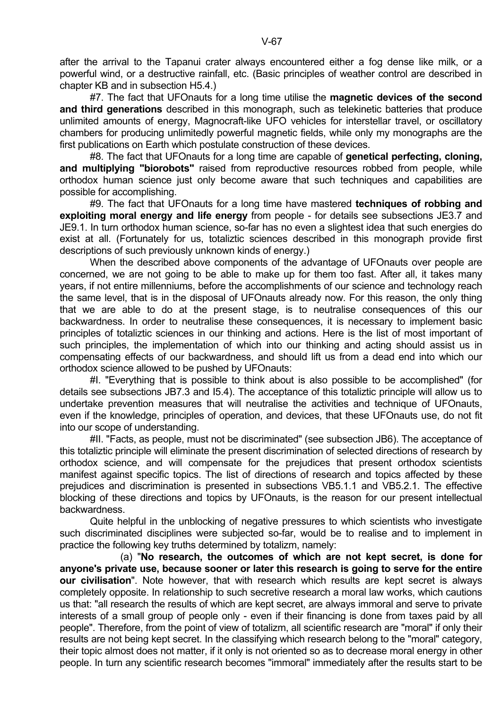after the arrival to the Tapanui crater always encountered either a fog dense like milk, or a powerful wind, or a destructive rainfall, etc. (Basic principles of weather control are described in chapter KB and in subsection H5.4.)

 #7. The fact that UFOnauts for a long time utilise the **magnetic devices of the second and third generations** described in this monograph, such as telekinetic batteries that produce unlimited amounts of energy, Magnocraft-like UFO vehicles for interstellar travel, or oscillatory chambers for producing unlimitedly powerful magnetic fields, while only my monographs are the first publications on Earth which postulate construction of these devices.

 #8. The fact that UFOnauts for a long time are capable of **genetical perfecting, cloning, and multiplying "biorobots"** raised from reproductive resources robbed from people, while orthodox human science just only become aware that such techniques and capabilities are possible for accomplishing.

 #9. The fact that UFOnauts for a long time have mastered **techniques of robbing and exploiting moral energy and life energy** from people - for details see subsections JE3.7 and JE9.1. In turn orthodox human science, so-far has no even a slightest idea that such energies do exist at all. (Fortunately for us, totaliztic sciences described in this monograph provide first descriptions of such previously unknown kinds of energy.)

 When the described above components of the advantage of UFOnauts over people are concerned, we are not going to be able to make up for them too fast. After all, it takes many years, if not entire millenniums, before the accomplishments of our science and technology reach the same level, that is in the disposal of UFOnauts already now. For this reason, the only thing that we are able to do at the present stage, is to neutralise consequences of this our backwardness. In order to neutralise these consequences, it is necessary to implement basic principles of totaliztic sciences in our thinking and actions. Here is the list of most important of such principles, the implementation of which into our thinking and acting should assist us in compensating effects of our backwardness, and should lift us from a dead end into which our orthodox science allowed to be pushed by UFOnauts:

 #I. "Everything that is possible to think about is also possible to be accomplished" (for details see subsections JB7.3 and I5.4). The acceptance of this totaliztic principle will allow us to undertake prevention measures that will neutralise the activities and technique of UFOnauts, even if the knowledge, principles of operation, and devices, that these UFOnauts use, do not fit into our scope of understanding.

 #II. "Facts, as people, must not be discriminated" (see subsection JB6). The acceptance of this totaliztic principle will eliminate the present discrimination of selected directions of research by orthodox science, and will compensate for the prejudices that present orthodox scientists manifest against specific topics. The list of directions of research and topics affected by these prejudices and discrimination is presented in subsections VB5.1.1 and VB5.2.1. The effective blocking of these directions and topics by UFOnauts, is the reason for our present intellectual backwardness.

 Quite helpful in the unblocking of negative pressures to which scientists who investigate such discriminated disciplines were subjected so-far, would be to realise and to implement in practice the following key truths determined by totalizm, namely:

 (a) "**No research, the outcomes of which are not kept secret, is done for anyone's private use, because sooner or later this research is going to serve for the entire our civilisation**". Note however, that with research which results are kept secret is always completely opposite. In relationship to such secretive research a moral law works, which cautions us that: "all research the results of which are kept secret, are always immoral and serve to private interests of a small group of people only - even if their financing is done from taxes paid by all people". Therefore, from the point of view of totalizm, all scientific research are "moral" if only their results are not being kept secret. In the classifying which research belong to the "moral" category, their topic almost does not matter, if it only is not oriented so as to decrease moral energy in other people. In turn any scientific research becomes "immoral" immediately after the results start to be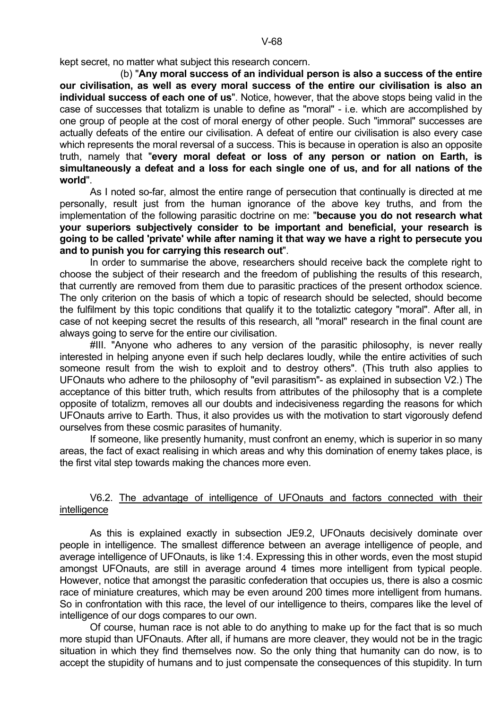kept secret, no matter what subject this research concern.

 (b) "**Any moral success of an individual person is also a success of the entire our civilisation, as well as every moral success of the entire our civilisation is also an individual success of each one of us**". Notice, however, that the above stops being valid in the case of successes that totalizm is unable to define as "moral" - i.e. which are accomplished by one group of people at the cost of moral energy of other people. Such "immoral" successes are actually defeats of the entire our civilisation. A defeat of entire our civilisation is also every case which represents the moral reversal of a success. This is because in operation is also an opposite truth, namely that "**every moral defeat or loss of any person or nation on Earth, is simultaneously a defeat and a loss for each single one of us, and for all nations of the world**".

 As I noted so-far, almost the entire range of persecution that continually is directed at me personally, result just from the human ignorance of the above key truths, and from the implementation of the following parasitic doctrine on me: "**because you do not research what your superiors subjectively consider to be important and beneficial, your research is going to be called 'private' while after naming it that way we have a right to persecute you and to punish you for carrying this research out**".

 In order to summarise the above, researchers should receive back the complete right to choose the subject of their research and the freedom of publishing the results of this research, that currently are removed from them due to parasitic practices of the present orthodox science. The only criterion on the basis of which a topic of research should be selected, should become the fulfilment by this topic conditions that qualify it to the totaliztic category "moral". After all, in case of not keeping secret the results of this research, all "moral" research in the final count are always going to serve for the entire our civilisation.

 #III. "Anyone who adheres to any version of the parasitic philosophy, is never really interested in helping anyone even if such help declares loudly, while the entire activities of such someone result from the wish to exploit and to destroy others". (This truth also applies to UFOnauts who adhere to the philosophy of "evil parasitism"- as explained in subsection V2.) The acceptance of this bitter truth, which results from attributes of the philosophy that is a complete opposite of totalizm, removes all our doubts and indecisiveness regarding the reasons for which UFOnauts arrive to Earth. Thus, it also provides us with the motivation to start vigorously defend ourselves from these cosmic parasites of humanity.

 If someone, like presently humanity, must confront an enemy, which is superior in so many areas, the fact of exact realising in which areas and why this domination of enemy takes place, is the first vital step towards making the chances more even.

## V6.2. The advantage of intelligence of UFOnauts and factors connected with their intelligence

 As this is explained exactly in subsection JE9.2, UFOnauts decisively dominate over people in intelligence. The smallest difference between an average intelligence of people, and average intelligence of UFOnauts, is like 1:4. Expressing this in other words, even the most stupid amongst UFOnauts, are still in average around 4 times more intelligent from typical people. However, notice that amongst the parasitic confederation that occupies us, there is also a cosmic race of miniature creatures, which may be even around 200 times more intelligent from humans. So in confrontation with this race, the level of our intelligence to theirs, compares like the level of intelligence of our dogs compares to our own.

 Of course, human race is not able to do anything to make up for the fact that is so much more stupid than UFOnauts. After all, if humans are more cleaver, they would not be in the tragic situation in which they find themselves now. So the only thing that humanity can do now, is to accept the stupidity of humans and to just compensate the consequences of this stupidity. In turn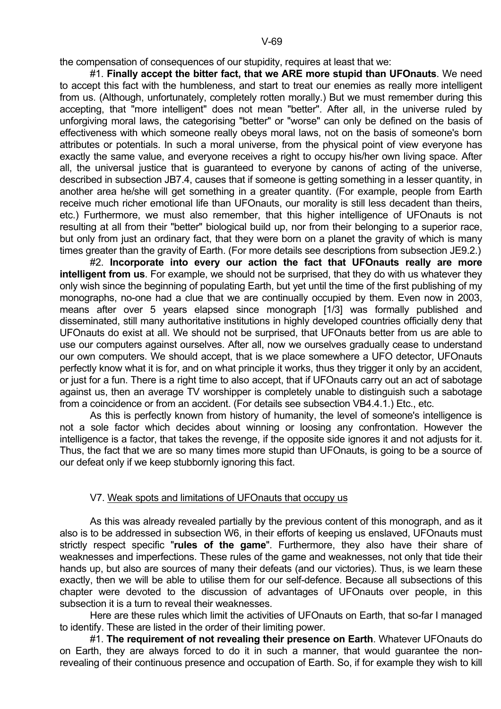the compensation of consequences of our stupidity, requires at least that we:

 #1. **Finally accept the bitter fact, that we ARE more stupid than UFOnauts**. We need to accept this fact with the humbleness, and start to treat our enemies as really more intelligent from us. (Although, unfortunately, completely rotten morally.) But we must remember during this accepting, that "more intelligent" does not mean "better". After all, in the universe ruled by unforgiving moral laws, the categorising "better" or "worse" can only be defined on the basis of effectiveness with which someone really obeys moral laws, not on the basis of someone's born attributes or potentials. In such a moral universe, from the physical point of view everyone has exactly the same value, and everyone receives a right to occupy his/her own living space. After all, the universal justice that is guaranteed to everyone by canons of acting of the universe, described in subsection JB7.4, causes that if someone is getting something in a lesser quantity, in another area he/she will get something in a greater quantity. (For example, people from Earth receive much richer emotional life than UFOnauts, our morality is still less decadent than theirs, etc.) Furthermore, we must also remember, that this higher intelligence of UFOnauts is not resulting at all from their "better" biological build up, nor from their belonging to a superior race, but only from just an ordinary fact, that they were born on a planet the gravity of which is many times greater than the gravity of Earth. (For more details see descriptions from subsection JE9.2.)

 #2. **Incorporate into every our action the fact that UFOnauts really are more intelligent from us**. For example, we should not be surprised, that they do with us whatever they only wish since the beginning of populating Earth, but yet until the time of the first publishing of my monographs, no-one had a clue that we are continually occupied by them. Even now in 2003, means after over 5 years elapsed since monograph [1/3] was formally published and disseminated, still many authoritative institutions in highly developed countries officially deny that UFOnauts do exist at all. We should not be surprised, that UFOnauts better from us are able to use our computers against ourselves. After all, now we ourselves gradually cease to understand our own computers. We should accept, that is we place somewhere a UFO detector, UFOnauts perfectly know what it is for, and on what principle it works, thus they trigger it only by an accident, or just for a fun. There is a right time to also accept, that if UFOnauts carry out an act of sabotage against us, then an average TV worshipper is completely unable to distinguish such a sabotage from a coincidence or from an accident. (For details see subsection VB4.4.1.) Etc., etc.

 As this is perfectly known from history of humanity, the level of someone's intelligence is not a sole factor which decides about winning or loosing any confrontation. However the intelligence is a factor, that takes the revenge, if the opposite side ignores it and not adjusts for it. Thus, the fact that we are so many times more stupid than UFOnauts, is going to be a source of our defeat only if we keep stubbornly ignoring this fact.

#### V7. Weak spots and limitations of UFOnauts that occupy us

 As this was already revealed partially by the previous content of this monograph, and as it also is to be addressed in subsection W6, in their efforts of keeping us enslaved, UFOnauts must strictly respect specific "**rules of the game**". Furthermore, they also have their share of weaknesses and imperfections. These rules of the game and weaknesses, not only that tide their hands up, but also are sources of many their defeats (and our victories). Thus, is we learn these exactly, then we will be able to utilise them for our self-defence. Because all subsections of this chapter were devoted to the discussion of advantages of UFOnauts over people, in this subsection it is a turn to reveal their weaknesses.

 Here are these rules which limit the activities of UFOnauts on Earth, that so-far I managed to identify. These are listed in the order of their limiting power.

 #1. **The requirement of not revealing their presence on Earth**. Whatever UFOnauts do on Earth, they are always forced to do it in such a manner, that would guarantee the nonrevealing of their continuous presence and occupation of Earth. So, if for example they wish to kill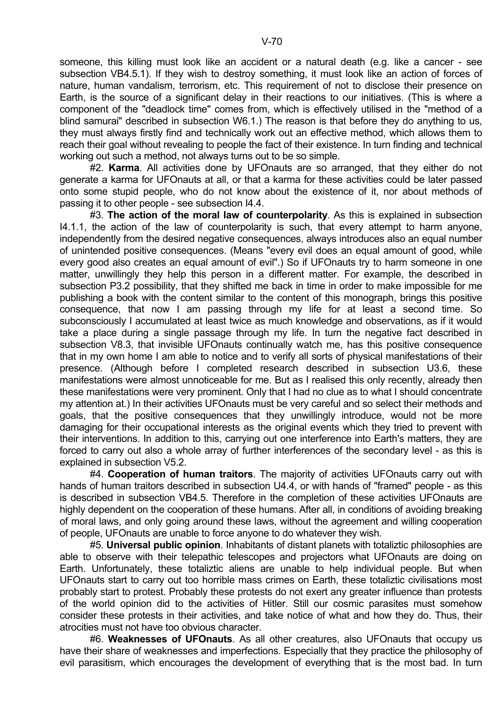someone, this killing must look like an accident or a natural death (e.g. like a cancer - see subsection VB4.5.1). If they wish to destroy something, it must look like an action of forces of nature, human vandalism, terrorism, etc. This requirement of not to disclose their presence on Earth, is the source of a significant delay in their reactions to our initiatives. (This is where a component of the "deadlock time" comes from, which is effectively utilised in the "method of a blind samurai" described in subsection W6.1.) The reason is that before they do anything to us, they must always firstly find and technically work out an effective method, which allows them to reach their goal without revealing to people the fact of their existence. In turn finding and technical working out such a method, not always turns out to be so simple.

 #2. **Karma**. All activities done by UFOnauts are so arranged, that they either do not generate a karma for UFOnauts at all, or that a karma for these activities could be later passed onto some stupid people, who do not know about the existence of it, nor about methods of passing it to other people - see subsection I4.4.

 #3. **The action of the moral law of counterpolarity**. As this is explained in subsection I4.1.1, the action of the law of counterpolarity is such, that every attempt to harm anyone, independently from the desired negative consequences, always introduces also an equal number of unintended positive consequences. (Means "every evil does an equal amount of good, while every good also creates an equal amount of evil".) So if UFOnauts try to harm someone in one matter, unwillingly they help this person in a different matter. For example, the described in subsection P3.2 possibility, that they shifted me back in time in order to make impossible for me publishing a book with the content similar to the content of this monograph, brings this positive consequence, that now I am passing through my life for at least a second time. So subconsciously I accumulated at least twice as much knowledge and observations, as if it would take a place during a single passage through my life. In turn the negative fact described in subsection V8.3, that invisible UFOnauts continually watch me, has this positive consequence that in my own home I am able to notice and to verify all sorts of physical manifestations of their presence. (Although before I completed research described in subsection U3.6, these manifestations were almost unnoticeable for me. But as I realised this only recently, already then these manifestations were very prominent. Only that I had no clue as to what I should concentrate my attention at.) In their activities UFOnauts must be very careful and so select their methods and goals, that the positive consequences that they unwillingly introduce, would not be more damaging for their occupational interests as the original events which they tried to prevent with their interventions. In addition to this, carrying out one interference into Earth's matters, they are forced to carry out also a whole array of further interferences of the secondary level - as this is explained in subsection V5.2.

 #4. **Cooperation of human traitors**. The majority of activities UFOnauts carry out with hands of human traitors described in subsection U4.4, or with hands of "framed" people - as this is described in subsection VB4.5. Therefore in the completion of these activities UFOnauts are highly dependent on the cooperation of these humans. After all, in conditions of avoiding breaking of moral laws, and only going around these laws, without the agreement and willing cooperation of people, UFOnauts are unable to force anyone to do whatever they wish.

 #5. **Universal public opinion**. Inhabitants of distant planets with totaliztic philosophies are able to observe with their telepathic telescopes and projectors what UFOnauts are doing on Earth. Unfortunately, these totaliztic aliens are unable to help individual people. But when UFOnauts start to carry out too horrible mass crimes on Earth, these totaliztic civilisations most probably start to protest. Probably these protests do not exert any greater influence than protests of the world opinion did to the activities of Hitler. Still our cosmic parasites must somehow consider these protests in their activities, and take notice of what and how they do. Thus, their atrocities must not have too obvious character.

 #6. **Weaknesses of UFOnauts**. As all other creatures, also UFOnauts that occupy us have their share of weaknesses and imperfections. Especially that they practice the philosophy of evil parasitism, which encourages the development of everything that is the most bad. In turn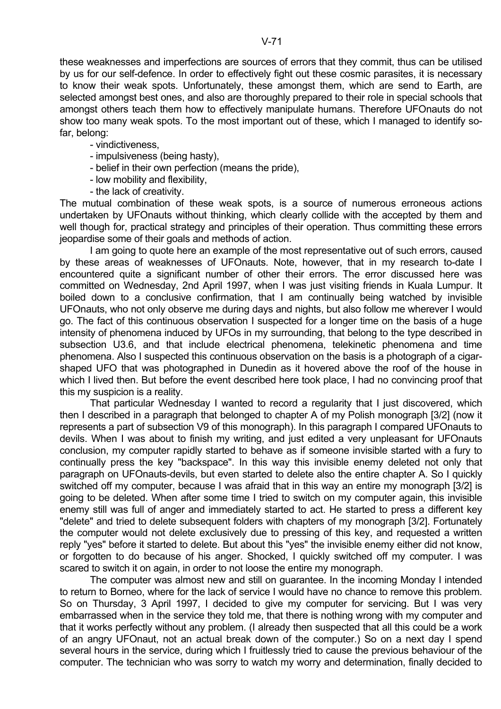these weaknesses and imperfections are sources of errors that they commit, thus can be utilised by us for our self-defence. In order to effectively fight out these cosmic parasites, it is necessary to know their weak spots. Unfortunately, these amongst them, which are send to Earth, are selected amongst best ones, and also are thoroughly prepared to their role in special schools that amongst others teach them how to effectively manipulate humans. Therefore UFOnauts do not show too many weak spots. To the most important out of these, which I managed to identify sofar, belong:

- vindictiveness,
- impulsiveness (being hasty),
- belief in their own perfection (means the pride),
- low mobility and flexibility,
- the lack of creativity.

The mutual combination of these weak spots, is a source of numerous erroneous actions undertaken by UFOnauts without thinking, which clearly collide with the accepted by them and well though for, practical strategy and principles of their operation. Thus committing these errors jeopardise some of their goals and methods of action.

 I am going to quote here an example of the most representative out of such errors, caused by these areas of weaknesses of UFOnauts. Note, however, that in my research to-date I encountered quite a significant number of other their errors. The error discussed here was committed on Wednesday, 2nd April 1997, when I was just visiting friends in Kuala Lumpur. It boiled down to a conclusive confirmation, that I am continually being watched by invisible UFOnauts, who not only observe me during days and nights, but also follow me wherever I would go. The fact of this continuous observation I suspected for a longer time on the basis of a huge intensity of phenomena induced by UFOs in my surrounding, that belong to the type described in subsection U3.6, and that include electrical phenomena, telekinetic phenomena and time phenomena. Also I suspected this continuous observation on the basis is a photograph of a cigarshaped UFO that was photographed in Dunedin as it hovered above the roof of the house in which I lived then. But before the event described here took place, I had no convincing proof that this my suspicion is a reality.

 That particular Wednesday I wanted to record a regularity that I just discovered, which then I described in a paragraph that belonged to chapter A of my Polish monograph [3/2] (now it represents a part of subsection V9 of this monograph). In this paragraph I compared UFOnauts to devils. When I was about to finish my writing, and just edited a very unpleasant for UFOnauts conclusion, my computer rapidly started to behave as if someone invisible started with a fury to continually press the key "backspace". In this way this invisible enemy deleted not only that paragraph on UFOnauts-devils, but even started to delete also the entire chapter A. So I quickly switched off my computer, because I was afraid that in this way an entire my monograph [3/2] is going to be deleted. When after some time I tried to switch on my computer again, this invisible enemy still was full of anger and immediately started to act. He started to press a different key "delete" and tried to delete subsequent folders with chapters of my monograph [3/2]. Fortunately the computer would not delete exclusively due to pressing of this key, and requested a written reply "yes" before it started to delete. But about this "yes" the invisible enemy either did not know, or forgotten to do because of his anger. Shocked, I quickly switched off my computer. I was scared to switch it on again, in order to not loose the entire my monograph.

 The computer was almost new and still on guarantee. In the incoming Monday I intended to return to Borneo, where for the lack of service I would have no chance to remove this problem. So on Thursday, 3 April 1997, I decided to give my computer for servicing. But I was very embarrassed when in the service they told me, that there is nothing wrong with my computer and that it works perfectly without any problem. (I already then suspected that all this could be a work of an angry UFOnaut, not an actual break down of the computer.) So on a next day I spend several hours in the service, during which I fruitlessly tried to cause the previous behaviour of the computer. The technician who was sorry to watch my worry and determination, finally decided to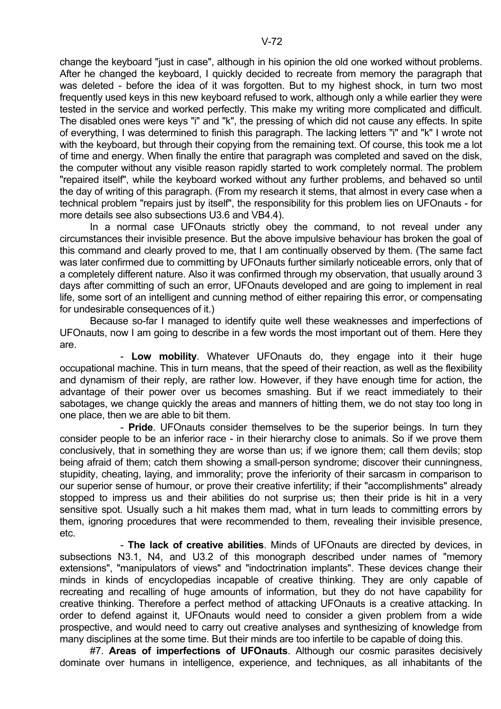change the keyboard "just in case", although in his opinion the old one worked without problems. After he changed the keyboard, I quickly decided to recreate from memory the paragraph that was deleted - before the idea of it was forgotten. But to my highest shock, in turn two most frequently used keys in this new keyboard refused to work, although only a while earlier they were tested in the service and worked perfectly. This make my writing more complicated and difficult. The disabled ones were keys "i" and "k", the pressing of which did not cause any effects. In spite of everything, I was determined to finish this paragraph. The lacking letters "i" and "k" I wrote not with the keyboard, but through their copying from the remaining text. Of course, this took me a lot of time and energy. When finally the entire that paragraph was completed and saved on the disk, the computer without any visible reason rapidly started to work completely normal. The problem "repaired itself", while the keyboard worked without any further problems, and behaved so until the day of writing of this paragraph. (From my research it stems, that almost in every case when a technical problem "repairs just by itself", the responsibility for this problem lies on UFOnauts - for more details see also subsections U3.6 and VB4.4).

 In a normal case UFOnauts strictly obey the command, to not reveal under any circumstances their invisible presence. But the above impulsive behaviour has broken the goal of this command and clearly proved to me, that I am continually observed by them. (The same fact was later confirmed due to committing by UFOnauts further similarly noticeable errors, only that of a completely different nature. Also it was confirmed through my observation, that usually around 3 days after committing of such an error, UFOnauts developed and are going to implement in real life, some sort of an intelligent and cunning method of either repairing this error, or compensating for undesirable consequences of it.)

 Because so-far I managed to identify quite well these weaknesses and imperfections of UFOnauts, now I am going to describe in a few words the most important out of them. Here they are.

 - **Low mobility**. Whatever UFOnauts do, they engage into it their huge occupational machine. This in turn means, that the speed of their reaction, as well as the flexibility and dynamism of their reply, are rather low. However, if they have enough time for action, the advantage of their power over us becomes smashing. But if we react immediately to their sabotages, we change quickly the areas and manners of hitting them, we do not stay too long in one place, then we are able to bit them.

 - **Pride**. UFOnauts consider themselves to be the superior beings. In turn they consider people to be an inferior race - in their hierarchy close to animals. So if we prove them conclusively, that in something they are worse than us; if we ignore them; call them devils; stop being afraid of them; catch them showing a small-person syndrome; discover their cunningness, stupidity, cheating, laying, and immorality; prove the inferiority of their sarcasm in comparison to our superior sense of humour, or prove their creative infertility; if their "accomplishments" already stopped to impress us and their abilities do not surprise us; then their pride is hit in a very sensitive spot. Usually such a hit makes them mad, what in turn leads to committing errors by them, ignoring procedures that were recommended to them, revealing their invisible presence, etc.

 - **The lack of creative abilities**. Minds of UFOnauts are directed by devices, in subsections N3.1, N4, and U3.2 of this monograph described under names of "memory extensions", "manipulators of views" and "indoctrination implants". These devices change their minds in kinds of encyclopedias incapable of creative thinking. They are only capable of recreating and recalling of huge amounts of information, but they do not have capability for creative thinking. Therefore a perfect method of attacking UFOnauts is a creative attacking. In order to defend against it, UFOnauts would need to consider a given problem from a wide prospective, and would need to carry out creative analyses and synthesizing of knowledge from many disciplines at the some time. But their minds are too infertile to be capable of doing this.

 #7. **Areas of imperfections of UFOnauts**. Although our cosmic parasites decisively dominate over humans in intelligence, experience, and techniques, as all inhabitants of the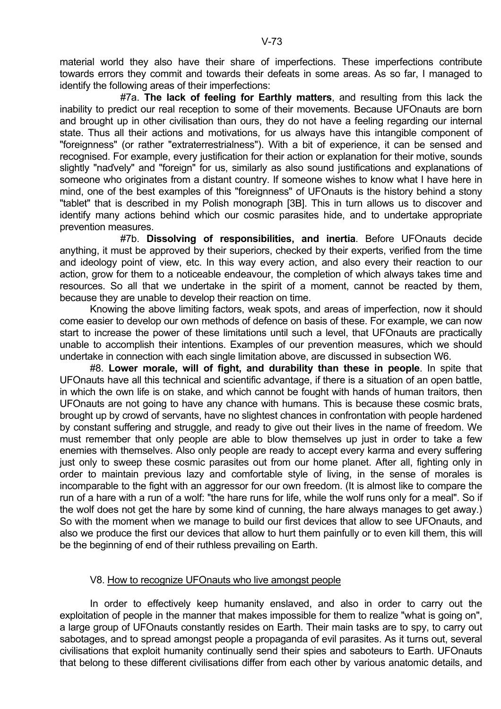material world they also have their share of imperfections. These imperfections contribute towards errors they commit and towards their defeats in some areas. As so far, I managed to identify the following areas of their imperfections:

 #7a. **The lack of feeling for Earthly matters**, and resulting from this lack the inability to predict our real reception to some of their movements. Because UFOnauts are born and brought up in other civilisation than ours, they do not have a feeling regarding our internal state. Thus all their actions and motivations, for us always have this intangible component of "foreignness" (or rather "extraterrestrialness"). With a bit of experience, it can be sensed and recognised. For example, every justification for their action or explanation for their motive, sounds slightly "naďvely" and "foreign" for us, similarly as also sound justifications and explanations of someone who originates from a distant country. If someone wishes to know what I have here in mind, one of the best examples of this "foreignness" of UFOnauts is the history behind a stony "tablet" that is described in my Polish monograph [3B]. This in turn allows us to discover and identify many actions behind which our cosmic parasites hide, and to undertake appropriate prevention measures.

 #7b. **Dissolving of responsibilities, and inertia**. Before UFOnauts decide anything, it must be approved by their superiors, checked by their experts, verified from the time and ideology point of view, etc. In this way every action, and also every their reaction to our action, grow for them to a noticeable endeavour, the completion of which always takes time and resources. So all that we undertake in the spirit of a moment, cannot be reacted by them, because they are unable to develop their reaction on time.

 Knowing the above limiting factors, weak spots, and areas of imperfection, now it should come easier to develop our own methods of defence on basis of these. For example, we can now start to increase the power of these limitations until such a level, that UFOnauts are practically unable to accomplish their intentions. Examples of our prevention measures, which we should undertake in connection with each single limitation above, are discussed in subsection W6.

 #8. **Lower morale, will of fight, and durability than these in people**. In spite that UFOnauts have all this technical and scientific advantage, if there is a situation of an open battle, in which the own life is on stake, and which cannot be fought with hands of human traitors, then UFOnauts are not going to have any chance with humans. This is because these cosmic brats, brought up by crowd of servants, have no slightest chances in confrontation with people hardened by constant suffering and struggle, and ready to give out their lives in the name of freedom. We must remember that only people are able to blow themselves up just in order to take a few enemies with themselves. Also only people are ready to accept every karma and every suffering just only to sweep these cosmic parasites out from our home planet. After all, fighting only in order to maintain previous lazy and comfortable style of living, in the sense of morales is incomparable to the fight with an aggressor for our own freedom. (It is almost like to compare the run of a hare with a run of a wolf: "the hare runs for life, while the wolf runs only for a meal". So if the wolf does not get the hare by some kind of cunning, the hare always manages to get away.) So with the moment when we manage to build our first devices that allow to see UFOnauts, and also we produce the first our devices that allow to hurt them painfully or to even kill them, this will be the beginning of end of their ruthless prevailing on Earth.

### V8. How to recognize UFOnauts who live amongst people

 In order to effectively keep humanity enslaved, and also in order to carry out the exploitation of people in the manner that makes impossible for them to realize "what is going on", a large group of UFOnauts constantly resides on Earth. Their main tasks are to spy, to carry out sabotages, and to spread amongst people a propaganda of evil parasites. As it turns out, several civilisations that exploit humanity continually send their spies and saboteurs to Earth. UFOnauts that belong to these different civilisations differ from each other by various anatomic details, and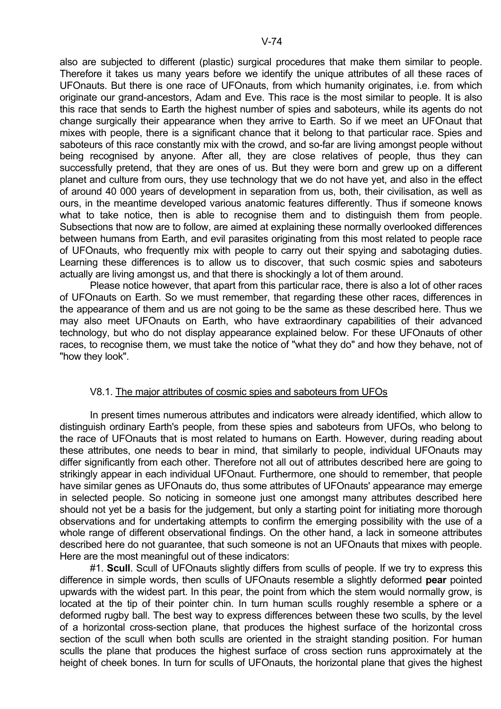also are subjected to different (plastic) surgical procedures that make them similar to people. Therefore it takes us many years before we identify the unique attributes of all these races of UFOnauts. But there is one race of UFOnauts, from which humanity originates, i.e. from which originate our grand-ancestors, Adam and Eve. This race is the most similar to people. It is also this race that sends to Earth the highest number of spies and saboteurs, while its agents do not change surgically their appearance when they arrive to Earth. So if we meet an UFOnaut that mixes with people, there is a significant chance that it belong to that particular race. Spies and saboteurs of this race constantly mix with the crowd, and so-far are living amongst people without being recognised by anyone. After all, they are close relatives of people, thus they can successfully pretend, that they are ones of us. But they were born and grew up on a different planet and culture from ours, they use technology that we do not have yet, and also in the effect of around 40 000 years of development in separation from us, both, their civilisation, as well as ours, in the meantime developed various anatomic features differently. Thus if someone knows what to take notice, then is able to recognise them and to distinguish them from people. Subsections that now are to follow, are aimed at explaining these normally overlooked differences between humans from Earth, and evil parasites originating from this most related to people race of UFOnauts, who frequently mix with people to carry out their spying and sabotaging duties. Learning these differences is to allow us to discover, that such cosmic spies and saboteurs actually are living amongst us, and that there is shockingly a lot of them around.

 Please notice however, that apart from this particular race, there is also a lot of other races of UFOnauts on Earth. So we must remember, that regarding these other races, differences in the appearance of them and us are not going to be the same as these described here. Thus we may also meet UFOnauts on Earth, who have extraordinary capabilities of their advanced technology, but who do not display appearance explained below. For these UFOnauts of other races, to recognise them, we must take the notice of "what they do" and how they behave, not of "how they look".

### V8.1. The major attributes of cosmic spies and saboteurs from UFOs

 In present times numerous attributes and indicators were already identified, which allow to distinguish ordinary Earth's people, from these spies and saboteurs from UFOs, who belong to the race of UFOnauts that is most related to humans on Earth. However, during reading about these attributes, one needs to bear in mind, that similarly to people, individual UFOnauts may differ significantly from each other. Therefore not all out of attributes described here are going to strikingly appear in each individual UFOnaut. Furthermore, one should to remember, that people have similar genes as UFOnauts do, thus some attributes of UFOnauts' appearance may emerge in selected people. So noticing in someone just one amongst many attributes described here should not yet be a basis for the judgement, but only a starting point for initiating more thorough observations and for undertaking attempts to confirm the emerging possibility with the use of a whole range of different observational findings. On the other hand, a lack in someone attributes described here do not guarantee, that such someone is not an UFOnauts that mixes with people. Here are the most meaningful out of these indicators:

 #1. **Scull**. Scull of UFOnauts slightly differs from sculls of people. If we try to express this difference in simple words, then sculls of UFOnauts resemble a slightly deformed **pear** pointed upwards with the widest part. In this pear, the point from which the stem would normally grow, is located at the tip of their pointer chin. In turn human sculls roughly resemble a sphere or a deformed rugby ball. The best way to express differences between these two sculls, by the level of a horizontal cross-section plane, that produces the highest surface of the horizontal cross section of the scull when both sculls are oriented in the straight standing position. For human sculls the plane that produces the highest surface of cross section runs approximately at the height of cheek bones. In turn for sculls of UFOnauts, the horizontal plane that gives the highest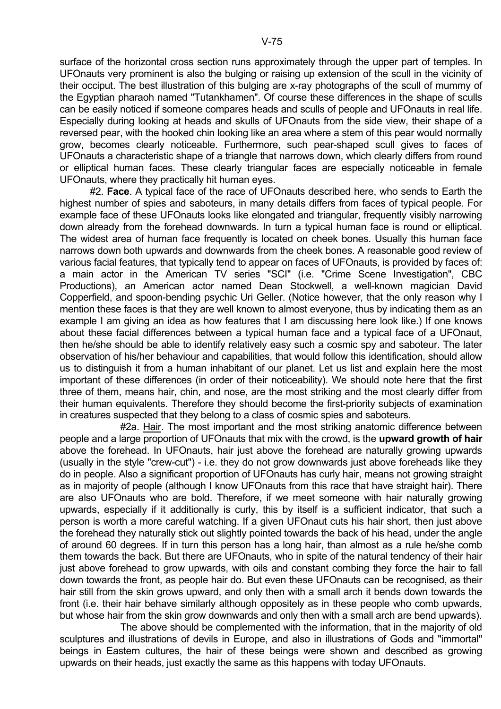surface of the horizontal cross section runs approximately through the upper part of temples. In UFOnauts very prominent is also the bulging or raising up extension of the scull in the vicinity of their occiput. The best illustration of this bulging are x-ray photographs of the scull of mummy of the Egyptian pharaoh named "Tutankhamen". Of course these differences in the shape of sculls can be easily noticed if someone compares heads and sculls of people and UFOnauts in real life. Especially during looking at heads and skulls of UFOnauts from the side view, their shape of a reversed pear, with the hooked chin looking like an area where a stem of this pear would normally grow, becomes clearly noticeable. Furthermore, such pear-shaped scull gives to faces of UFOnauts a characteristic shape of a triangle that narrows down, which clearly differs from round or elliptical human faces. These clearly triangular faces are especially noticeable in female UFOnauts, where they practically hit human eyes.

 #2. **Face**. A typical face of the race of UFOnauts described here, who sends to Earth the highest number of spies and saboteurs, in many details differs from faces of typical people. For example face of these UFOnauts looks like elongated and triangular, frequently visibly narrowing down already from the forehead downwards. In turn a typical human face is round or elliptical. The widest area of human face frequently is located on cheek bones. Usually this human face narrows down both upwards and downwards from the cheek bones. A reasonable good review of various facial features, that typically tend to appear on faces of UFOnauts, is provided by faces of: a main actor in the American TV series "SCI" (i.e. "Crime Scene Investigation", CBC Productions), an American actor named Dean Stockwell, a well-known magician David Copperfield, and spoon-bending psychic Uri Geller. (Notice however, that the only reason why I mention these faces is that they are well known to almost everyone, thus by indicating them as an example I am giving an idea as how features that I am discussing here look like.) If one knows about these facial differences between a typical human face and a typical face of a UFOnaut, then he/she should be able to identify relatively easy such a cosmic spy and saboteur. The later observation of his/her behaviour and capabilities, that would follow this identification, should allow us to distinguish it from a human inhabitant of our planet. Let us list and explain here the most important of these differences (in order of their noticeability). We should note here that the first three of them, means hair, chin, and nose, are the most striking and the most clearly differ from their human equivalents. Therefore they should become the first-priority subjects of examination in creatures suspected that they belong to a class of cosmic spies and saboteurs.

 #2a. Hair. The most important and the most striking anatomic difference between people and a large proportion of UFOnauts that mix with the crowd, is the **upward growth of hair** above the forehead. In UFOnauts, hair just above the forehead are naturally growing upwards (usually in the style "crew-cut") - i.e. they do not grow downwards just above foreheads like they do in people. Also a significant proportion of UFOnauts has curly hair, means not growing straight as in majority of people (although I know UFOnauts from this race that have straight hair). There are also UFOnauts who are bold. Therefore, if we meet someone with hair naturally growing upwards, especially if it additionally is curly, this by itself is a sufficient indicator, that such a person is worth a more careful watching. If a given UFOnaut cuts his hair short, then just above the forehead they naturally stick out slightly pointed towards the back of his head, under the angle of around 60 degrees. If in turn this person has a long hair, than almost as a rule he/she comb them towards the back. But there are UFOnauts, who in spite of the natural tendency of their hair just above forehead to grow upwards, with oils and constant combing they force the hair to fall down towards the front, as people hair do. But even these UFOnauts can be recognised, as their hair still from the skin grows upward, and only then with a small arch it bends down towards the front (i.e. their hair behave similarly although oppositely as in these people who comb upwards, but whose hair from the skin grow downwards and only then with a small arch are bend upwards).

 The above should be complemented with the information, that in the majority of old sculptures and illustrations of devils in Europe, and also in illustrations of Gods and "immortal" beings in Eastern cultures, the hair of these beings were shown and described as growing upwards on their heads, just exactly the same as this happens with today UFOnauts.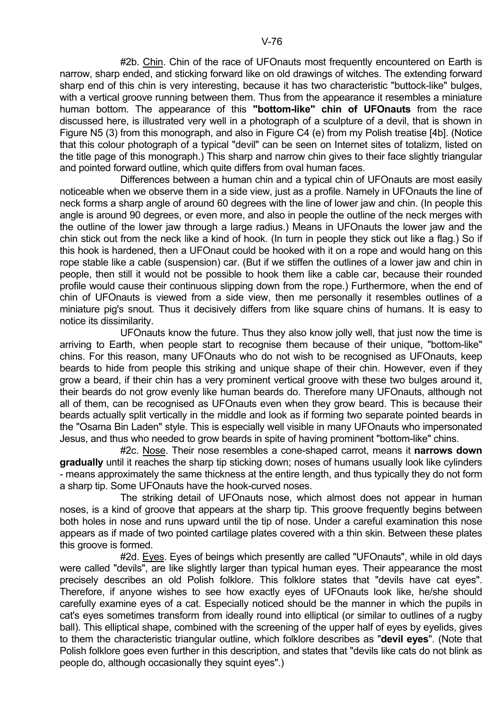#2b. Chin. Chin of the race of UFOnauts most frequently encountered on Earth is narrow, sharp ended, and sticking forward like on old drawings of witches. The extending forward sharp end of this chin is very interesting, because it has two characteristic "buttock-like" bulges, with a vertical groove running between them. Thus from the appearance it resembles a miniature human bottom. The appearance of this **"bottom-like" chin of UFOnauts** from the race discussed here, is illustrated very well in a photograph of a sculpture of a devil, that is shown in Figure N5 (3) from this monograph, and also in Figure C4 (e) from my Polish treatise [4b]. (Notice that this colour photograph of a typical "devil" can be seen on Internet sites of totalizm, listed on the title page of this monograph.) This sharp and narrow chin gives to their face slightly triangular and pointed forward outline, which quite differs from oval human faces.

 Differences between a human chin and a typical chin of UFOnauts are most easily noticeable when we observe them in a side view, just as a profile. Namely in UFOnauts the line of neck forms a sharp angle of around 60 degrees with the line of lower jaw and chin. (In people this angle is around 90 degrees, or even more, and also in people the outline of the neck merges with the outline of the lower jaw through a large radius.) Means in UFOnauts the lower jaw and the chin stick out from the neck like a kind of hook. (In turn in people they stick out like a flag.) So if this hook is hardened, then a UFOnaut could be hooked with it on a rope and would hang on this rope stable like a cable (suspension) car. (But if we stiffen the outlines of a lower jaw and chin in people, then still it would not be possible to hook them like a cable car, because their rounded profile would cause their continuous slipping down from the rope.) Furthermore, when the end of chin of UFOnauts is viewed from a side view, then me personally it resembles outlines of a miniature pig's snout. Thus it decisively differs from like square chins of humans. It is easy to notice its dissimilarity.

 UFOnauts know the future. Thus they also know jolly well, that just now the time is arriving to Earth, when people start to recognise them because of their unique, "bottom-like" chins. For this reason, many UFOnauts who do not wish to be recognised as UFOnauts, keep beards to hide from people this striking and unique shape of their chin. However, even if they grow a beard, if their chin has a very prominent vertical groove with these two bulges around it, their beards do not grow evenly like human beards do. Therefore many UFOnauts, although not all of them, can be recognised as UFOnauts even when they grow beard. This is because their beards actually split vertically in the middle and look as if forming two separate pointed beards in the "Osama Bin Laden" style. This is especially well visible in many UFOnauts who impersonated Jesus, and thus who needed to grow beards in spite of having prominent "bottom-like" chins.

 #2c. Nose. Their nose resembles a cone-shaped carrot, means it **narrows down gradually** until it reaches the sharp tip sticking down; noses of humans usually look like cylinders - means approximately the same thickness at the entire length, and thus typically they do not form a sharp tip. Some UFOnauts have the hook-curved noses.

 The striking detail of UFOnauts nose, which almost does not appear in human noses, is a kind of groove that appears at the sharp tip. This groove frequently begins between both holes in nose and runs upward until the tip of nose. Under a careful examination this nose appears as if made of two pointed cartilage plates covered with a thin skin. Between these plates this groove is formed.

 #2d. Eyes. Eyes of beings which presently are called "UFOnauts", while in old days were called "devils", are like slightly larger than typical human eyes. Their appearance the most precisely describes an old Polish folklore. This folklore states that "devils have cat eyes". Therefore, if anyone wishes to see how exactly eyes of UFOnauts look like, he/she should carefully examine eyes of a cat. Especially noticed should be the manner in which the pupils in cat's eyes sometimes transform from ideally round into elliptical (or similar to outlines of a rugby ball). This elliptical shape, combined with the screening of the upper half of eyes by eyelids, gives to them the characteristic triangular outline, which folklore describes as "**devil eyes**". (Note that Polish folklore goes even further in this description, and states that "devils like cats do not blink as people do, although occasionally they squint eyes".)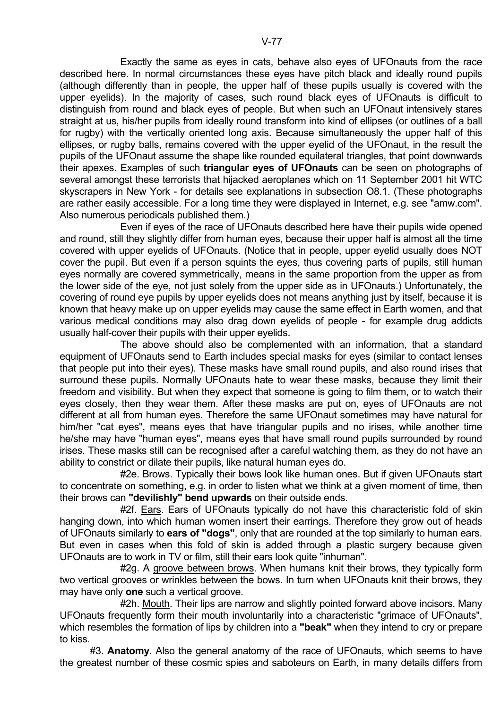Exactly the same as eyes in cats, behave also eyes of UFOnauts from the race described here. In normal circumstances these eyes have pitch black and ideally round pupils (although differently than in people, the upper half of these pupils usually is covered with the upper eyelids). In the majority of cases, such round black eyes of UFOnauts is difficult to distinguish from round and black eyes of people. But when such an UFOnaut intensively stares straight at us, his/her pupils from ideally round transform into kind of ellipses (or outlines of a ball for rugby) with the vertically oriented long axis. Because simultaneously the upper half of this ellipses, or rugby balls, remains covered with the upper eyelid of the UFOnaut, in the result the pupils of the UFOnaut assume the shape like rounded equilateral triangles, that point downwards their apexes. Examples of such **triangular eyes of UFOnauts** can be seen on photographs of several amongst these terrorists that hijacked aeroplanes which on 11 September 2001 hit WTC skyscrapers in New York - for details see explanations in subsection O8.1. (These photographs are rather easily accessible. For a long time they were displayed in Internet, e.g. see "amw.com". Also numerous periodicals published them.)

 Even if eyes of the race of UFOnauts described here have their pupils wide opened and round, still they slightly differ from human eyes, because their upper half is almost all the time covered with upper eyelids of UFOnauts. (Notice that in people, upper eyelid usually does NOT cover the pupil. But even if a person squints the eyes, thus covering parts of pupils, still human eyes normally are covered symmetrically, means in the same proportion from the upper as from the lower side of the eye, not just solely from the upper side as in UFOnauts.) Unfortunately, the covering of round eye pupils by upper eyelids does not means anything just by itself, because it is known that heavy make up on upper eyelids may cause the same effect in Earth women, and that various medical conditions may also drag down eyelids of people - for example drug addicts usually half-cover their pupils with their upper eyelids.

 The above should also be complemented with an information, that a standard equipment of UFOnauts send to Earth includes special masks for eyes (similar to contact lenses that people put into their eyes). These masks have small round pupils, and also round irises that surround these pupils. Normally UFOnauts hate to wear these masks, because they limit their freedom and visibility. But when they expect that someone is going to film them, or to watch their eyes closely, then they wear them. After these masks are put on, eyes of UFOnauts are not different at all from human eyes. Therefore the same UFOnaut sometimes may have natural for him/her "cat eyes", means eyes that have triangular pupils and no irises, while another time he/she may have "human eyes", means eyes that have small round pupils surrounded by round irises. These masks still can be recognised after a careful watching them, as they do not have an ability to constrict or dilate their pupils, like natural human eyes do.

#2e. Brows. Typically their bows look like human ones. But if given UFOnauts start to concentrate on something, e.g. in order to listen what we think at a given moment of time, then their brows can **"devilishly" bend upwards** on their outside ends.

 #2f. Ears. Ears of UFOnauts typically do not have this characteristic fold of skin hanging down, into which human women insert their earrings. Therefore they grow out of heads of UFOnauts similarly to **ears of "dogs"**, only that are rounded at the top similarly to human ears. But even in cases when this fold of skin is added through a plastic surgery because given UFOnauts are to work in TV or film, still their ears look quite "inhuman".

#2g. A groove between brows. When humans knit their brows, they typically form two vertical grooves or wrinkles between the bows. In turn when UFOnauts knit their brows, they may have only **one** such a vertical groove.

 #2h. Mouth. Their lips are narrow and slightly pointed forward above incisors. Many UFOnauts frequently form their mouth involuntarily into a characteristic "grimace of UFOnauts", which resembles the formation of lips by children into a **"beak"** when they intend to cry or prepare to kiss.

 #3. **Anatomy**. Also the general anatomy of the race of UFOnauts, which seems to have the greatest number of these cosmic spies and saboteurs on Earth, in many details differs from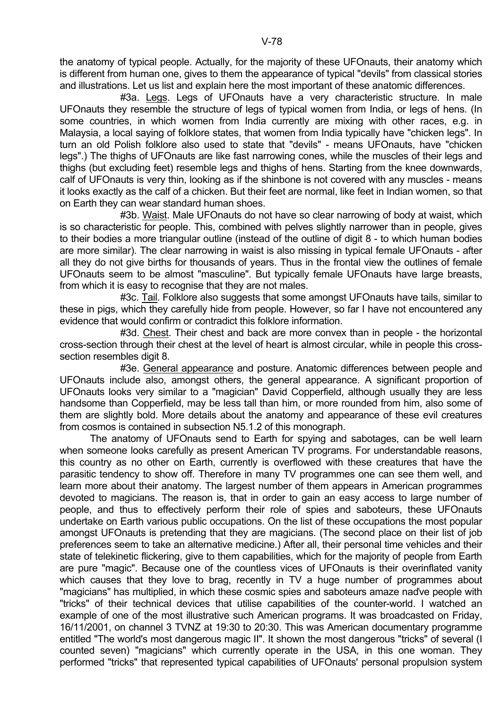the anatomy of typical people. Actually, for the majority of these UFOnauts, their anatomy which is different from human one, gives to them the appearance of typical "devils" from classical stories and illustrations. Let us list and explain here the most important of these anatomic differences.

 #3a. Legs. Legs of UFOnauts have a very characteristic structure. In male UFOnauts they resemble the structure of legs of typical women from India, or legs of hens. (In some countries, in which women from India currently are mixing with other races, e.g. in Malaysia, a local saying of folklore states, that women from India typically have "chicken legs". In turn an old Polish folklore also used to state that "devils" - means UFOnauts, have "chicken legs".) The thighs of UFOnauts are like fast narrowing cones, while the muscles of their legs and thighs (but excluding feet) resemble legs and thighs of hens. Starting from the knee downwards, calf of UFOnauts is very thin, looking as if the shinbone is not covered with any muscles - means it looks exactly as the calf of a chicken. But their feet are normal, like feet in Indian women, so that on Earth they can wear standard human shoes.

 #3b. Waist. Male UFOnauts do not have so clear narrowing of body at waist, which is so characteristic for people. This, combined with pelves slightly narrower than in people, gives to their bodies a more triangular outline (instead of the outline of digit 8 - to which human bodies are more similar). The clear narrowing in waist is also missing in typical female UFOnauts - after all they do not give births for thousands of years. Thus in the frontal view the outlines of female UFOnauts seem to be almost "masculine". But typically female UFOnauts have large breasts, from which it is easy to recognise that they are not males.

 #3c. Tail. Folklore also suggests that some amongst UFOnauts have tails, similar to these in pigs, which they carefully hide from people. However, so far I have not encountered any evidence that would confirm or contradict this folklore information.

 #3d. Chest. Their chest and back are more convex than in people - the horizontal cross-section through their chest at the level of heart is almost circular, while in people this crosssection resembles digit 8.

 #3e. General appearance and posture. Anatomic differences between people and UFOnauts include also, amongst others, the general appearance. A significant proportion of UFOnauts looks very similar to a "magician" David Copperfield, although usually they are less handsome than Copperfield, may be less tall than him, or more rounded from him, also some of them are slightly bold. More details about the anatomy and appearance of these evil creatures from cosmos is contained in subsection N5.1.2 of this monograph.

 The anatomy of UFOnauts send to Earth for spying and sabotages, can be well learn when someone looks carefully as present American TV programs. For understandable reasons, this country as no other on Earth, currently is overflowed with these creatures that have the parasitic tendency to show off. Therefore in many TV programmes one can see them well, and learn more about their anatomy. The largest number of them appears in American programmes devoted to magicians. The reason is, that in order to gain an easy access to large number of people, and thus to effectively perform their role of spies and saboteurs, these UFOnauts undertake on Earth various public occupations. On the list of these occupations the most popular amongst UFOnauts is pretending that they are magicians. (The second place on their list of job preferences seem to take an alternative medicine.) After all, their personal time vehicles and their state of telekinetic flickering, give to them capabilities, which for the majority of people from Earth are pure "magic". Because one of the countless vices of UFOnauts is their overinflated vanity which causes that they love to brag, recently in TV a huge number of programmes about "magicians" has multiplied, in which these cosmic spies and saboteurs amaze naďve people with "tricks" of their technical devices that utilise capabilities of the counter-world. I watched an example of one of the most illustrative such American programs. It was broadcasted on Friday, 16/11/2001, on channel 3 TVNZ at 19:30 to 20:30. This was American documentary programme entitled "The world's most dangerous magic II". It shown the most dangerous "tricks" of several (I counted seven) "magicians" which currently operate in the USA, in this one woman. They performed "tricks" that represented typical capabilities of UFOnauts' personal propulsion system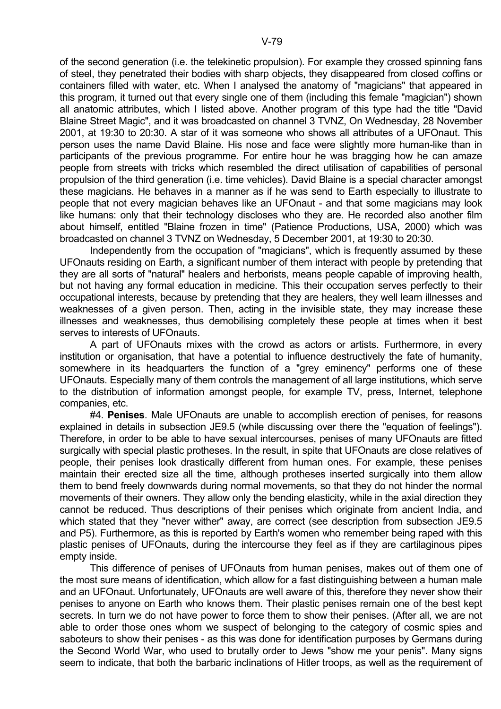of the second generation (i.e. the telekinetic propulsion). For example they crossed spinning fans of steel, they penetrated their bodies with sharp objects, they disappeared from closed coffins or containers filled with water, etc. When I analysed the anatomy of "magicians" that appeared in this program, it turned out that every single one of them (including this female "magician") shown all anatomic attributes, which I listed above. Another program of this type had the title "David Blaine Street Magic", and it was broadcasted on channel 3 TVNZ, On Wednesday, 28 November 2001, at 19:30 to 20:30. A star of it was someone who shows all attributes of a UFOnaut. This person uses the name David Blaine. His nose and face were slightly more human-like than in participants of the previous programme. For entire hour he was bragging how he can amaze people from streets with tricks which resembled the direct utilisation of capabilities of personal propulsion of the third generation (i.e. time vehicles). David Blaine is a special character amongst these magicians. He behaves in a manner as if he was send to Earth especially to illustrate to people that not every magician behaves like an UFOnaut - and that some magicians may look like humans: only that their technology discloses who they are. He recorded also another film about himself, entitled "Blaine frozen in time" (Patience Productions, USA, 2000) which was broadcasted on channel 3 TVNZ on Wednesday, 5 December 2001, at 19:30 to 20:30.

 Independently from the occupation of "magicians", which is frequently assumed by these UFOnauts residing on Earth, a significant number of them interact with people by pretending that they are all sorts of "natural" healers and herborists, means people capable of improving health, but not having any formal education in medicine. This their occupation serves perfectly to their occupational interests, because by pretending that they are healers, they well learn illnesses and weaknesses of a given person. Then, acting in the invisible state, they may increase these illnesses and weaknesses, thus demobilising completely these people at times when it best serves to interests of UFOnauts.

 A part of UFOnauts mixes with the crowd as actors or artists. Furthermore, in every institution or organisation, that have a potential to influence destructively the fate of humanity, somewhere in its headquarters the function of a "grey eminency" performs one of these UFOnauts. Especially many of them controls the management of all large institutions, which serve to the distribution of information amongst people, for example TV, press, Internet, telephone companies, etc.

 #4. **Penises**. Male UFOnauts are unable to accomplish erection of penises, for reasons explained in details in subsection JE9.5 (while discussing over there the "equation of feelings"). Therefore, in order to be able to have sexual intercourses, penises of many UFOnauts are fitted surgically with special plastic protheses. In the result, in spite that UFOnauts are close relatives of people, their penises look drastically different from human ones. For example, these penises maintain their erected size all the time, although protheses inserted surgically into them allow them to bend freely downwards during normal movements, so that they do not hinder the normal movements of their owners. They allow only the bending elasticity, while in the axial direction they cannot be reduced. Thus descriptions of their penises which originate from ancient India, and which stated that they "never wither" away, are correct (see description from subsection JE9.5 and P5). Furthermore, as this is reported by Earth's women who remember being raped with this plastic penises of UFOnauts, during the intercourse they feel as if they are cartilaginous pipes empty inside.

 This difference of penises of UFOnauts from human penises, makes out of them one of the most sure means of identification, which allow for a fast distinguishing between a human male and an UFOnaut. Unfortunately, UFOnauts are well aware of this, therefore they never show their penises to anyone on Earth who knows them. Their plastic penises remain one of the best kept secrets. In turn we do not have power to force them to show their penises. (After all, we are not able to order those ones whom we suspect of belonging to the category of cosmic spies and saboteurs to show their penises - as this was done for identification purposes by Germans during the Second World War, who used to brutally order to Jews "show me your penis". Many signs seem to indicate, that both the barbaric inclinations of Hitler troops, as well as the requirement of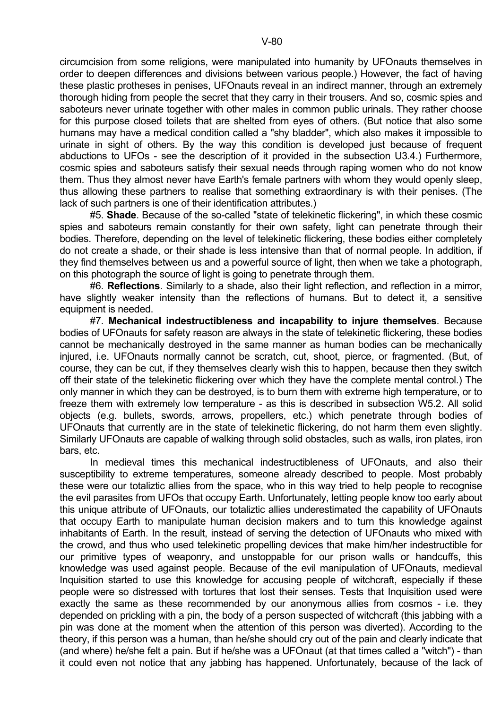circumcision from some religions, were manipulated into humanity by UFOnauts themselves in order to deepen differences and divisions between various people.) However, the fact of having these plastic protheses in penises, UFOnauts reveal in an indirect manner, through an extremely thorough hiding from people the secret that they carry in their trousers. And so, cosmic spies and saboteurs never urinate together with other males in common public urinals. They rather choose for this purpose closed toilets that are shelted from eyes of others. (But notice that also some humans may have a medical condition called a "shy bladder", which also makes it impossible to urinate in sight of others. By the way this condition is developed just because of frequent abductions to UFOs - see the description of it provided in the subsection U3.4.) Furthermore, cosmic spies and saboteurs satisfy their sexual needs through raping women who do not know them. Thus they almost never have Earth's female partners with whom they would openly sleep, thus allowing these partners to realise that something extraordinary is with their penises. (The lack of such partners is one of their identification attributes.)

 #5. **Shade**. Because of the so-called "state of telekinetic flickering", in which these cosmic spies and saboteurs remain constantly for their own safety, light can penetrate through their bodies. Therefore, depending on the level of telekinetic flickering, these bodies either completely do not create a shade, or their shade is less intensive than that of normal people. In addition, if they find themselves between us and a powerful source of light, then when we take a photograph, on this photograph the source of light is going to penetrate through them.

 #6. **Reflections**. Similarly to a shade, also their light reflection, and reflection in a mirror, have slightly weaker intensity than the reflections of humans. But to detect it, a sensitive equipment is needed.

 #7. **Mechanical indestructibleness and incapability to injure themselves**. Because bodies of UFOnauts for safety reason are always in the state of telekinetic flickering, these bodies cannot be mechanically destroyed in the same manner as human bodies can be mechanically injured, i.e. UFOnauts normally cannot be scratch, cut, shoot, pierce, or fragmented. (But, of course, they can be cut, if they themselves clearly wish this to happen, because then they switch off their state of the telekinetic flickering over which they have the complete mental control.) The only manner in which they can be destroyed, is to burn them with extreme high temperature, or to freeze them with extremely low temperature - as this is described in subsection W5.2. All solid objects (e.g. bullets, swords, arrows, propellers, etc.) which penetrate through bodies of UFOnauts that currently are in the state of telekinetic flickering, do not harm them even slightly. Similarly UFOnauts are capable of walking through solid obstacles, such as walls, iron plates, iron bars, etc.

 In medieval times this mechanical indestructibleness of UFOnauts, and also their susceptibility to extreme temperatures, someone already described to people. Most probably these were our totaliztic allies from the space, who in this way tried to help people to recognise the evil parasites from UFOs that occupy Earth. Unfortunately, letting people know too early about this unique attribute of UFOnauts, our totaliztic allies underestimated the capability of UFOnauts that occupy Earth to manipulate human decision makers and to turn this knowledge against inhabitants of Earth. In the result, instead of serving the detection of UFOnauts who mixed with the crowd, and thus who used telekinetic propelling devices that make him/her indestructible for our primitive types of weaponry, and unstoppable for our prison walls or handcuffs, this knowledge was used against people. Because of the evil manipulation of UFOnauts, medieval Inquisition started to use this knowledge for accusing people of witchcraft, especially if these people were so distressed with tortures that lost their senses. Tests that Inquisition used were exactly the same as these recommended by our anonymous allies from cosmos - i.e. they depended on prickling with a pin, the body of a person suspected of witchcraft (this jabbing with a pin was done at the moment when the attention of this person was diverted). According to the theory, if this person was a human, than he/she should cry out of the pain and clearly indicate that (and where) he/she felt a pain. But if he/she was a UFOnaut (at that times called a "witch") - than it could even not notice that any jabbing has happened. Unfortunately, because of the lack of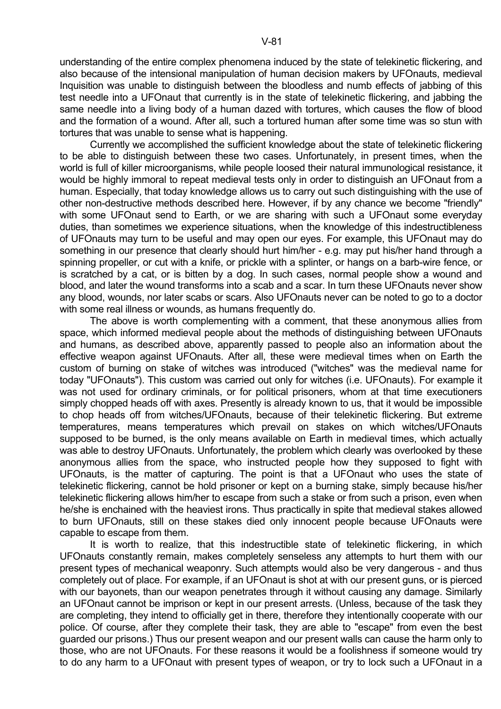understanding of the entire complex phenomena induced by the state of telekinetic flickering, and also because of the intensional manipulation of human decision makers by UFOnauts, medieval Inquisition was unable to distinguish between the bloodless and numb effects of jabbing of this test needle into a UFOnaut that currently is in the state of telekinetic flickering, and jabbing the same needle into a living body of a human dazed with tortures, which causes the flow of blood and the formation of a wound. After all, such a tortured human after some time was so stun with tortures that was unable to sense what is happening.

 Currently we accomplished the sufficient knowledge about the state of telekinetic flickering to be able to distinguish between these two cases. Unfortunately, in present times, when the world is full of killer microorganisms, while people loosed their natural immunological resistance, it would be highly immoral to repeat medieval tests only in order to distinguish an UFOnaut from a human. Especially, that today knowledge allows us to carry out such distinguishing with the use of other non-destructive methods described here. However, if by any chance we become "friendly" with some UFOnaut send to Earth, or we are sharing with such a UFOnaut some everyday duties, than sometimes we experience situations, when the knowledge of this indestructibleness of UFOnauts may turn to be useful and may open our eyes. For example, this UFOnaut may do something in our presence that clearly should hurt him/her - e.g. may put his/her hand through a spinning propeller, or cut with a knife, or prickle with a splinter, or hangs on a barb-wire fence, or is scratched by a cat, or is bitten by a dog. In such cases, normal people show a wound and blood, and later the wound transforms into a scab and a scar. In turn these UFOnauts never show any blood, wounds, nor later scabs or scars. Also UFOnauts never can be noted to go to a doctor with some real illness or wounds, as humans frequently do.

 The above is worth complementing with a comment, that these anonymous allies from space, which informed medieval people about the methods of distinguishing between UFOnauts and humans, as described above, apparently passed to people also an information about the effective weapon against UFOnauts. After all, these were medieval times when on Earth the custom of burning on stake of witches was introduced ("witches" was the medieval name for today "UFOnauts"). This custom was carried out only for witches (i.e. UFOnauts). For example it was not used for ordinary criminals, or for political prisoners, whom at that time executioners simply chopped heads off with axes. Presently is already known to us, that it would be impossible to chop heads off from witches/UFOnauts, because of their telekinetic flickering. But extreme temperatures, means temperatures which prevail on stakes on which witches/UFOnauts supposed to be burned, is the only means available on Earth in medieval times, which actually was able to destroy UFOnauts. Unfortunately, the problem which clearly was overlooked by these anonymous allies from the space, who instructed people how they supposed to fight with UFOnauts, is the matter of capturing. The point is that a UFOnaut who uses the state of telekinetic flickering, cannot be hold prisoner or kept on a burning stake, simply because his/her telekinetic flickering allows him/her to escape from such a stake or from such a prison, even when he/she is enchained with the heaviest irons. Thus practically in spite that medieval stakes allowed to burn UFOnauts, still on these stakes died only innocent people because UFOnauts were capable to escape from them.

 It is worth to realize, that this indestructible state of telekinetic flickering, in which UFOnauts constantly remain, makes completely senseless any attempts to hurt them with our present types of mechanical weaponry. Such attempts would also be very dangerous - and thus completely out of place. For example, if an UFOnaut is shot at with our present guns, or is pierced with our bayonets, than our weapon penetrates through it without causing any damage. Similarly an UFOnaut cannot be imprison or kept in our present arrests. (Unless, because of the task they are completing, they intend to officially get in there, therefore they intentionally cooperate with our police. Of course, after they complete their task, they are able to "escape" from even the best guarded our prisons.) Thus our present weapon and our present walls can cause the harm only to those, who are not UFOnauts. For these reasons it would be a foolishness if someone would try to do any harm to a UFOnaut with present types of weapon, or try to lock such a UFOnaut in a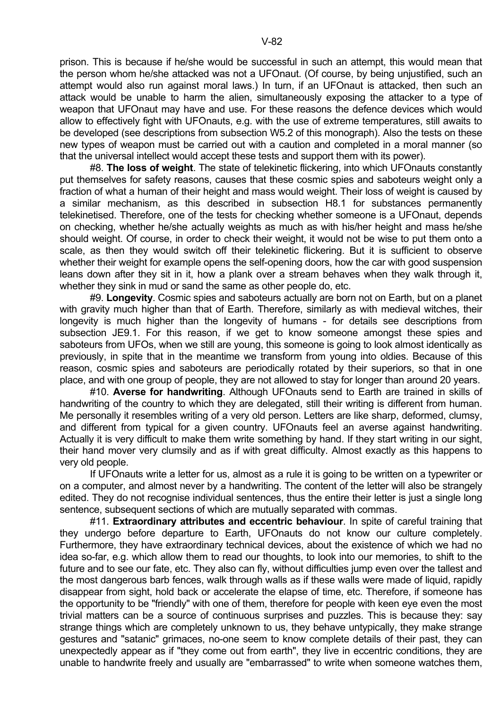prison. This is because if he/she would be successful in such an attempt, this would mean that the person whom he/she attacked was not a UFOnaut. (Of course, by being unjustified, such an attempt would also run against moral laws.) In turn, if an UFOnaut is attacked, then such an attack would be unable to harm the alien, simultaneously exposing the attacker to a type of weapon that UFOnaut may have and use. For these reasons the defence devices which would allow to effectively fight with UFOnauts, e.g. with the use of extreme temperatures, still awaits to be developed (see descriptions from subsection W5.2 of this monograph). Also the tests on these new types of weapon must be carried out with a caution and completed in a moral manner (so that the universal intellect would accept these tests and support them with its power).

 #8. **The loss of weight**. The state of telekinetic flickering, into which UFOnauts constantly put themselves for safety reasons, causes that these cosmic spies and saboteurs weight only a fraction of what a human of their height and mass would weight. Their loss of weight is caused by a similar mechanism, as this described in subsection H8.1 for substances permanently telekinetised. Therefore, one of the tests for checking whether someone is a UFOnaut, depends on checking, whether he/she actually weights as much as with his/her height and mass he/she should weight. Of course, in order to check their weight, it would not be wise to put them onto a scale, as then they would switch off their telekinetic flickering. But it is sufficient to observe whether their weight for example opens the self-opening doors, how the car with good suspension leans down after they sit in it, how a plank over a stream behaves when they walk through it, whether they sink in mud or sand the same as other people do, etc.

 #9. **Longevity**. Cosmic spies and saboteurs actually are born not on Earth, but on a planet with gravity much higher than that of Earth. Therefore, similarly as with medieval witches, their longevity is much higher than the longevity of humans - for details see descriptions from subsection JE9.1. For this reason, if we get to know someone amongst these spies and saboteurs from UFOs, when we still are young, this someone is going to look almost identically as previously, in spite that in the meantime we transform from young into oldies. Because of this reason, cosmic spies and saboteurs are periodically rotated by their superiors, so that in one place, and with one group of people, they are not allowed to stay for longer than around 20 years.

 #10. **Averse for handwriting**. Although UFOnauts send to Earth are trained in skills of handwriting of the country to which they are delegated, still their writing is different from human. Me personally it resembles writing of a very old person. Letters are like sharp, deformed, clumsy, and different from typical for a given country. UFOnauts feel an averse against handwriting. Actually it is very difficult to make them write something by hand. If they start writing in our sight, their hand mover very clumsily and as if with great difficulty. Almost exactly as this happens to very old people.

 If UFOnauts write a letter for us, almost as a rule it is going to be written on a typewriter or on a computer, and almost never by a handwriting. The content of the letter will also be strangely edited. They do not recognise individual sentences, thus the entire their letter is just a single long sentence, subsequent sections of which are mutually separated with commas.

 #11. **Extraordinary attributes and eccentric behaviour**. In spite of careful training that they undergo before departure to Earth, UFOnauts do not know our culture completely. Furthermore, they have extraordinary technical devices, about the existence of which we had no idea so-far, e.g. which allow them to read our thoughts, to look into our memories, to shift to the future and to see our fate, etc. They also can fly, without difficulties jump even over the tallest and the most dangerous barb fences, walk through walls as if these walls were made of liquid, rapidly disappear from sight, hold back or accelerate the elapse of time, etc. Therefore, if someone has the opportunity to be "friendly" with one of them, therefore for people with keen eye even the most trivial matters can be a source of continuous surprises and puzzles. This is because they: say strange things which are completely unknown to us, they behave untypically, they make strange gestures and "satanic" grimaces, no-one seem to know complete details of their past, they can unexpectedly appear as if "they come out from earth", they live in eccentric conditions, they are unable to handwrite freely and usually are "embarrassed" to write when someone watches them,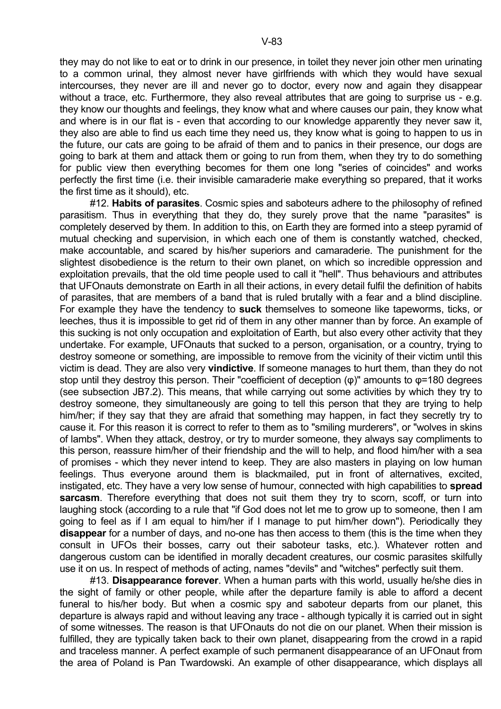they may do not like to eat or to drink in our presence, in toilet they never join other men urinating to a common urinal, they almost never have girlfriends with which they would have sexual intercourses, they never are ill and never go to doctor, every now and again they disappear without a trace, etc. Furthermore, they also reveal attributes that are going to surprise us - e.g. they know our thoughts and feelings, they know what and where causes our pain, they know what and where is in our flat is - even that according to our knowledge apparently they never saw it, they also are able to find us each time they need us, they know what is going to happen to us in the future, our cats are going to be afraid of them and to panics in their presence, our dogs are going to bark at them and attack them or going to run from them, when they try to do something for public view then everything becomes for them one long "series of coincides" and works perfectly the first time (i.e. their invisible camaraderie make everything so prepared, that it works the first time as it should), etc.

 #12. **Habits of parasites**. Cosmic spies and saboteurs adhere to the philosophy of refined parasitism. Thus in everything that they do, they surely prove that the name "parasites" is completely deserved by them. In addition to this, on Earth they are formed into a steep pyramid of mutual checking and supervision, in which each one of them is constantly watched, checked, make accountable, and scared by his/her superiors and camaraderie. The punishment for the slightest disobedience is the return to their own planet, on which so incredible oppression and exploitation prevails, that the old time people used to call it "hell". Thus behaviours and attributes that UFOnauts demonstrate on Earth in all their actions, in every detail fulfil the definition of habits of parasites, that are members of a band that is ruled brutally with a fear and a blind discipline. For example they have the tendency to **suck** themselves to someone like tapeworms, ticks, or leeches, thus it is impossible to get rid of them in any other manner than by force. An example of this sucking is not only occupation and exploitation of Earth, but also every other activity that they undertake. For example, UFOnauts that sucked to a person, organisation, or a country, trying to destroy someone or something, are impossible to remove from the vicinity of their victim until this victim is dead. They are also very **vindictive**. If someone manages to hurt them, than they do not stop until they destroy this person. Their "coefficient of deception  $(\varphi)$ " amounts to  $\varphi$ =180 degrees (see subsection JB7.2). This means, that while carrying out some activities by which they try to destroy someone, they simultaneously are going to tell this person that they are trying to help him/her; if they say that they are afraid that something may happen, in fact they secretly try to cause it. For this reason it is correct to refer to them as to "smiling murderers", or "wolves in skins of lambs". When they attack, destroy, or try to murder someone, they always say compliments to this person, reassure him/her of their friendship and the will to help, and flood him/her with a sea of promises - which they never intend to keep. They are also masters in playing on low human feelings. Thus everyone around them is blackmailed, put in front of alternatives, excited, instigated, etc. They have a very low sense of humour, connected with high capabilities to **spread sarcasm**. Therefore everything that does not suit them they try to scorn, scoff, or turn into laughing stock (according to a rule that "if God does not let me to grow up to someone, then I am going to feel as if I am equal to him/her if I manage to put him/her down"). Periodically they **disappear** for a number of days, and no-one has then access to them (this is the time when they consult in UFOs their bosses, carry out their saboteur tasks, etc.). Whatever rotten and dangerous custom can be identified in morally decadent creatures, our cosmic parasites skilfully use it on us. In respect of methods of acting, names "devils" and "witches" perfectly suit them.

 #13. **Disappearance forever**. When a human parts with this world, usually he/she dies in the sight of family or other people, while after the departure family is able to afford a decent funeral to his/her body. But when a cosmic spy and saboteur departs from our planet, this departure is always rapid and without leaving any trace - although typically it is carried out in sight of some witnesses. The reason is that UFOnauts do not die on our planet. When their mission is fulfilled, they are typically taken back to their own planet, disappearing from the crowd in a rapid and traceless manner. A perfect example of such permanent disappearance of an UFOnaut from the area of Poland is Pan Twardowski. An example of other disappearance, which displays all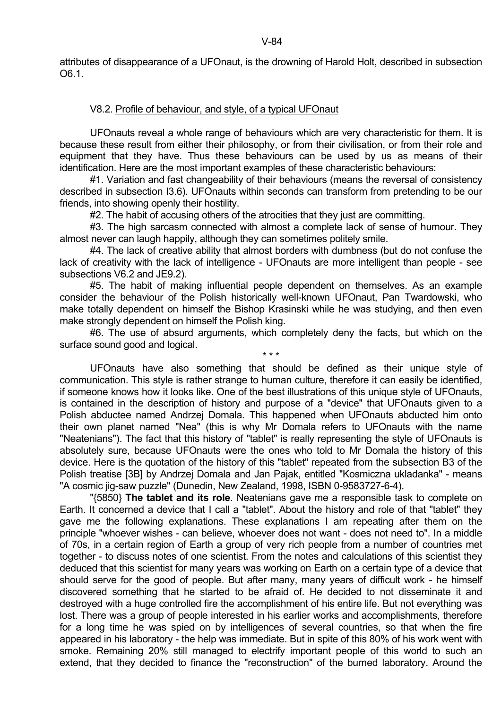# V8.2. Profile of behaviour, and style, of a typical UFOnaut

 UFOnauts reveal a whole range of behaviours which are very characteristic for them. It is because these result from either their philosophy, or from their civilisation, or from their role and equipment that they have. Thus these behaviours can be used by us as means of their identification. Here are the most important examples of these characteristic behaviours:

 #1. Variation and fast changeability of their behaviours (means the reversal of consistency described in subsection I3.6). UFOnauts within seconds can transform from pretending to be our friends, into showing openly their hostility.

#2. The habit of accusing others of the atrocities that they just are committing.

 #3. The high sarcasm connected with almost a complete lack of sense of humour. They almost never can laugh happily, although they can sometimes politely smile.

 #4. The lack of creative ability that almost borders with dumbness (but do not confuse the lack of creativity with the lack of intelligence - UFOnauts are more intelligent than people - see subsections V6.2 and JE9.2).

 #5. The habit of making influential people dependent on themselves. As an example consider the behaviour of the Polish historically well-known UFOnaut, Pan Twardowski, who make totally dependent on himself the Bishop Krasinski while he was studying, and then even make strongly dependent on himself the Polish king.

 #6. The use of absurd arguments, which completely deny the facts, but which on the surface sound good and logical.

 $\star \star \star$  UFOnauts have also something that should be defined as their unique style of communication. This style is rather strange to human culture, therefore it can easily be identified, if someone knows how it looks like. One of the best illustrations of this unique style of UFOnauts, is contained in the description of history and purpose of a "device" that UFOnauts given to a Polish abductee named Andrzej Domala. This happened when UFOnauts abducted him onto their own planet named "Nea" (this is why Mr Domala refers to UFOnauts with the name "Neatenians"). The fact that this history of "tablet" is really representing the style of UFOnauts is absolutely sure, because UFOnauts were the ones who told to Mr Domala the history of this device. Here is the quotation of the history of this "tablet" repeated from the subsection B3 of the Polish treatise [3B] by Andrzej Domala and Jan Pajak, entitled "Kosmiczna ukladanka" - means "A cosmic jig-saw puzzle" (Dunedin, New Zealand, 1998, ISBN 0-9583727-6-4).

 "{5850} **The tablet and its role**. Neatenians gave me a responsible task to complete on Earth. It concerned a device that I call a "tablet". About the history and role of that "tablet" they gave me the following explanations. These explanations I am repeating after them on the principle "whoever wishes - can believe, whoever does not want - does not need to". In a middle of 70s, in a certain region of Earth a group of very rich people from a number of countries met together - to discuss notes of one scientist. From the notes and calculations of this scientist they deduced that this scientist for many years was working on Earth on a certain type of a device that should serve for the good of people. But after many, many years of difficult work - he himself discovered something that he started to be afraid of. He decided to not disseminate it and destroyed with a huge controlled fire the accomplishment of his entire life. But not everything was lost. There was a group of people interested in his earlier works and accomplishments, therefore for a long time he was spied on by intelligences of several countries, so that when the fire appeared in his laboratory - the help was immediate. But in spite of this 80% of his work went with smoke. Remaining 20% still managed to electrify important people of this world to such an extend, that they decided to finance the "reconstruction" of the burned laboratory. Around the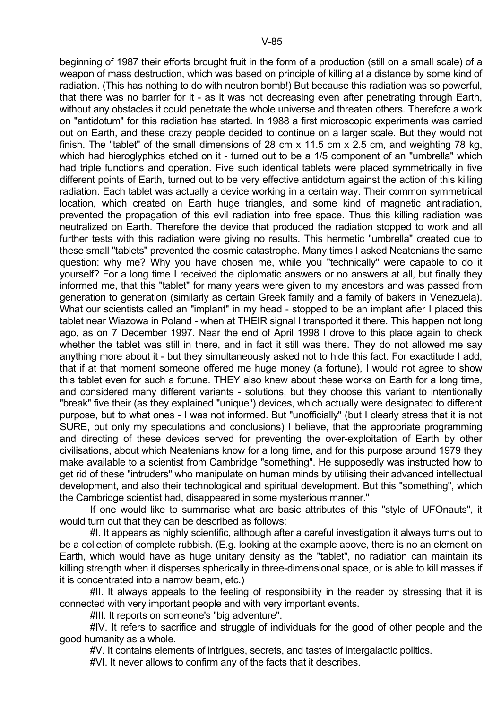beginning of 1987 their efforts brought fruit in the form of a production (still on a small scale) of a weapon of mass destruction, which was based on principle of killing at a distance by some kind of radiation. (This has nothing to do with neutron bomb!) But because this radiation was so powerful, that there was no barrier for it - as it was not decreasing even after penetrating through Earth, without any obstacles it could penetrate the whole universe and threaten others. Therefore a work on "antidotum" for this radiation has started. In 1988 a first microscopic experiments was carried out on Earth, and these crazy people decided to continue on a larger scale. But they would not finish. The "tablet" of the small dimensions of 28 cm x 11.5 cm x 2.5 cm, and weighting 78 kg, which had hieroglyphics etched on it - turned out to be a 1/5 component of an "umbrella" which had triple functions and operation. Five such identical tablets were placed symmetrically in five different points of Earth, turned out to be very effective antidotum against the action of this killing radiation. Each tablet was actually a device working in a certain way. Their common symmetrical location, which created on Earth huge triangles, and some kind of magnetic antiradiation, prevented the propagation of this evil radiation into free space. Thus this killing radiation was neutralized on Earth. Therefore the device that produced the radiation stopped to work and all further tests with this radiation were giving no results. This hermetic "umbrella" created due to these small "tablets" prevented the cosmic catastrophe. Many times I asked Neatenians the same question: why me? Why you have chosen me, while you "technically" were capable to do it yourself? For a long time I received the diplomatic answers or no answers at all, but finally they informed me, that this "tablet" for many years were given to my ancestors and was passed from generation to generation (similarly as certain Greek family and a family of bakers in Venezuela). What our scientists called an "implant" in my head - stopped to be an implant after I placed this tablet near Wiazowa in Poland - when at THEIR signal I transported it there. This happen not long ago, as on 7 December 1997. Near the end of April 1998 I drove to this place again to check whether the tablet was still in there, and in fact it still was there. They do not allowed me say anything more about it - but they simultaneously asked not to hide this fact. For exactitude I add, that if at that moment someone offered me huge money (a fortune), I would not agree to show this tablet even for such a fortune. THEY also knew about these works on Earth for a long time, and considered many different variants - solutions, but they choose this variant to intentionally "break" five their (as they explained "unique") devices, which actually were designated to different purpose, but to what ones - I was not informed. But "unofficially" (but I clearly stress that it is not SURE, but only my speculations and conclusions) I believe, that the appropriate programming and directing of these devices served for preventing the over-exploitation of Earth by other civilisations, about which Neatenians know for a long time, and for this purpose around 1979 they make available to a scientist from Cambridge "something". He supposedly was instructed how to get rid of these "intruders" who manipulate on human minds by utilising their advanced intellectual development, and also their technological and spiritual development. But this "something", which the Cambridge scientist had, disappeared in some mysterious manner."

 If one would like to summarise what are basic attributes of this "style of UFOnauts", it would turn out that they can be described as follows:

 #I. It appears as highly scientific, although after a careful investigation it always turns out to be a collection of complete rubbish. (E.g. looking at the example above, there is no an element on Earth, which would have as huge unitary density as the "tablet", no radiation can maintain its killing strength when it disperses spherically in three-dimensional space, or is able to kill masses if it is concentrated into a narrow beam, etc.)

 #II. It always appeals to the feeling of responsibility in the reader by stressing that it is connected with very important people and with very important events.

#III. It reports on someone's "big adventure".

 #IV. It refers to sacrifice and struggle of individuals for the good of other people and the good humanity as a whole.

#V. It contains elements of intrigues, secrets, and tastes of intergalactic politics.

#VI. It never allows to confirm any of the facts that it describes.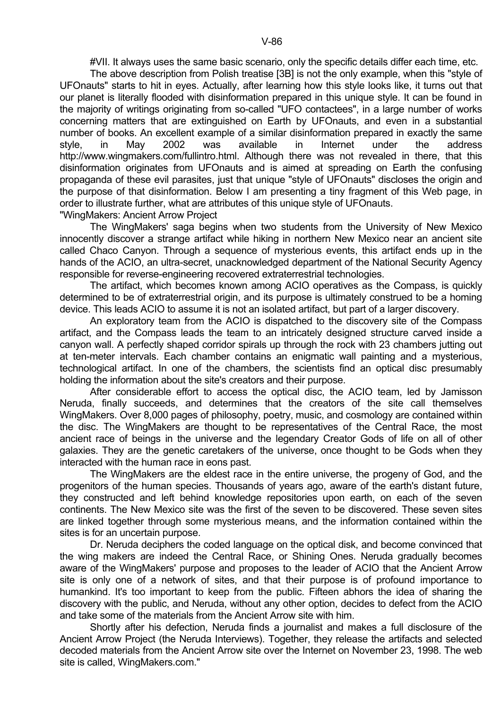#VII. It always uses the same basic scenario, only the specific details differ each time, etc.

 The above description from Polish treatise [3B] is not the only example, when this "style of UFOnauts" starts to hit in eyes. Actually, after learning how this style looks like, it turns out that our planet is literally flooded with disinformation prepared in this unique style. It can be found in the majority of writings originating from so-called "UFO contactees", in a large number of works concerning matters that are extinguished on Earth by UFOnauts, and even in a substantial number of books. An excellent example of a similar disinformation prepared in exactly the same style, in May 2002 was available in Internet under the address http://www.wingmakers.com/fullintro.html. Although there was not revealed in there, that this disinformation originates from UFOnauts and is aimed at spreading on Earth the confusing propaganda of these evil parasites, just that unique "style of UFOnauts" discloses the origin and the purpose of that disinformation. Below I am presenting a tiny fragment of this Web page, in order to illustrate further, what are attributes of this unique style of UFOnauts. "WingMakers: Ancient Arrow Project

 The WingMakers' saga begins when two students from the University of New Mexico innocently discover a strange artifact while hiking in northern New Mexico near an ancient site called Chaco Canyon. Through a sequence of mysterious events, this artifact ends up in the hands of the ACIO, an ultra-secret, unacknowledged department of the National Security Agency responsible for reverse-engineering recovered extraterrestrial technologies.

 The artifact, which becomes known among ACIO operatives as the Compass, is quickly determined to be of extraterrestrial origin, and its purpose is ultimately construed to be a homing device. This leads ACIO to assume it is not an isolated artifact, but part of a larger discovery.

 An exploratory team from the ACIO is dispatched to the discovery site of the Compass artifact, and the Compass leads the team to an intricately designed structure carved inside a canyon wall. A perfectly shaped corridor spirals up through the rock with 23 chambers jutting out at ten-meter intervals. Each chamber contains an enigmatic wall painting and a mysterious, technological artifact. In one of the chambers, the scientists find an optical disc presumably holding the information about the site's creators and their purpose.

 After considerable effort to access the optical disc, the ACIO team, led by Jamisson Neruda, finally succeeds, and determines that the creators of the site call themselves WingMakers. Over 8,000 pages of philosophy, poetry, music, and cosmology are contained within the disc. The WingMakers are thought to be representatives of the Central Race, the most ancient race of beings in the universe and the legendary Creator Gods of life on all of other galaxies. They are the genetic caretakers of the universe, once thought to be Gods when they interacted with the human race in eons past.

 The WingMakers are the eldest race in the entire universe, the progeny of God, and the progenitors of the human species. Thousands of years ago, aware of the earth's distant future, they constructed and left behind knowledge repositories upon earth, on each of the seven continents. The New Mexico site was the first of the seven to be discovered. These seven sites are linked together through some mysterious means, and the information contained within the sites is for an uncertain purpose.

 Dr. Neruda deciphers the coded language on the optical disk, and become convinced that the wing makers are indeed the Central Race, or Shining Ones. Neruda gradually becomes aware of the WingMakers' purpose and proposes to the leader of ACIO that the Ancient Arrow site is only one of a network of sites, and that their purpose is of profound importance to humankind. It's too important to keep from the public. Fifteen abhors the idea of sharing the discovery with the public, and Neruda, without any other option, decides to defect from the ACIO and take some of the materials from the Ancient Arrow site with him.

 Shortly after his defection, Neruda finds a journalist and makes a full disclosure of the Ancient Arrow Project (the Neruda Interviews). Together, they release the artifacts and selected decoded materials from the Ancient Arrow site over the Internet on November 23, 1998. The web site is called, WingMakers.com."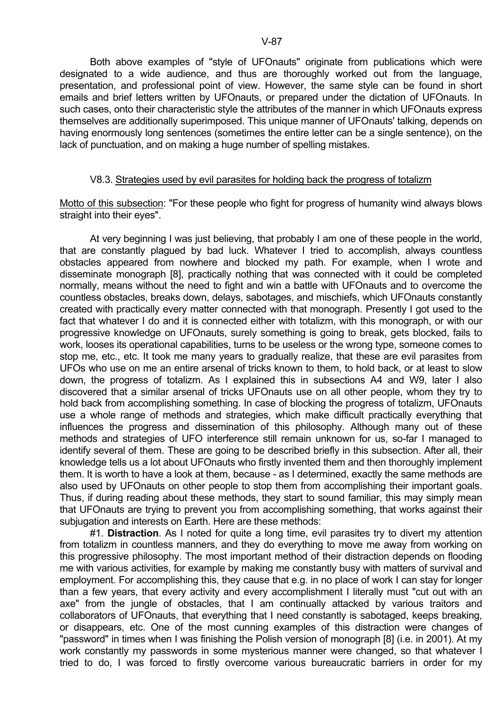Both above examples of "style of UFOnauts" originate from publications which were designated to a wide audience, and thus are thoroughly worked out from the language, presentation, and professional point of view. However, the same style can be found in short emails and brief letters written by UFOnauts, or prepared under the dictation of UFOnauts. In such cases, onto their characteristic style the attributes of the manner in which UFOnauts express themselves are additionally superimposed. This unique manner of UFOnauts' talking, depends on having enormously long sentences (sometimes the entire letter can be a single sentence), on the lack of punctuation, and on making a huge number of spelling mistakes.

### V8.3. Strategies used by evil parasites for holding back the progress of totalizm

Motto of this subsection: "For these people who fight for progress of humanity wind always blows straight into their eyes".

 At very beginning I was just believing, that probably I am one of these people in the world, that are constantly plagued by bad luck. Whatever I tried to accomplish, always countless obstacles appeared from nowhere and blocked my path. For example, when I wrote and disseminate monograph [8], practically nothing that was connected with it could be completed normally, means without the need to fight and win a battle with UFOnauts and to overcome the countless obstacles, breaks down, delays, sabotages, and mischiefs, which UFOnauts constantly created with practically every matter connected with that monograph. Presently I got used to the fact that whatever I do and it is connected either with totalizm, with this monograph, or with our progressive knowledge on UFOnauts, surely something is going to break, gets blocked, fails to work, looses its operational capabilities, turns to be useless or the wrong type, someone comes to stop me, etc., etc. It took me many years to gradually realize, that these are evil parasites from UFOs who use on me an entire arsenal of tricks known to them, to hold back, or at least to slow down, the progress of totalizm. As I explained this in subsections A4 and W9, later I also discovered that a similar arsenal of tricks UFOnauts use on all other people, whom they try to hold back from accomplishing something. In case of blocking the progress of totalizm, UFOnauts use a whole range of methods and strategies, which make difficult practically everything that influences the progress and dissemination of this philosophy. Although many out of these methods and strategies of UFO interference still remain unknown for us, so-far I managed to identify several of them. These are going to be described briefly in this subsection. After all, their knowledge tells us a lot about UFOnauts who firstly invented them and then thoroughly implement them. It is worth to have a look at them, because - as I determined, exactly the same methods are also used by UFOnauts on other people to stop them from accomplishing their important goals. Thus, if during reading about these methods, they start to sound familiar, this may simply mean that UFOnauts are trying to prevent you from accomplishing something, that works against their subjugation and interests on Earth. Here are these methods:

 #1. **Distraction**. As I noted for quite a long time, evil parasites try to divert my attention from totalizm in countless manners, and they do everything to move me away from working on this progressive philosophy. The most important method of their distraction depends on flooding me with various activities, for example by making me constantly busy with matters of survival and employment. For accomplishing this, they cause that e.g. in no place of work I can stay for longer than a few years, that every activity and every accomplishment I literally must "cut out with an axe" from the jungle of obstacles, that I am continually attacked by various traitors and collaborators of UFOnauts, that everything that I need constantly is sabotaged, keeps breaking, or disappears, etc. One of the most cunning examples of this distraction were changes of "password" in times when I was finishing the Polish version of monograph [8] (i.e. in 2001). At my work constantly my passwords in some mysterious manner were changed, so that whatever I tried to do, I was forced to firstly overcome various bureaucratic barriers in order for my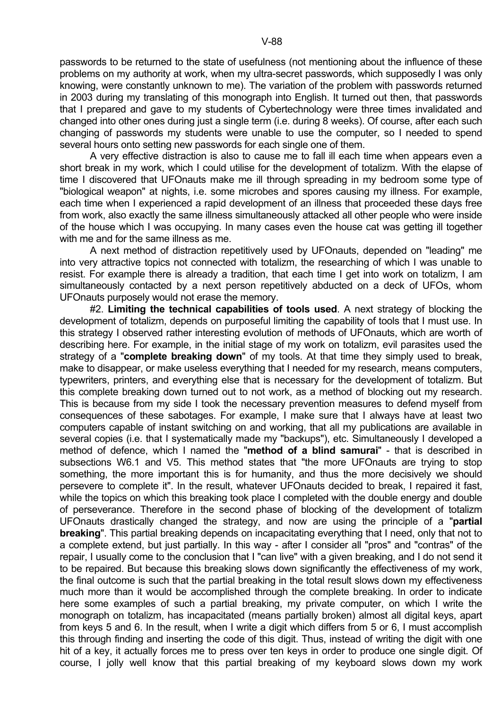passwords to be returned to the state of usefulness (not mentioning about the influence of these problems on my authority at work, when my ultra-secret passwords, which supposedly I was only knowing, were constantly unknown to me). The variation of the problem with passwords returned in 2003 during my translating of this monograph into English. It turned out then, that passwords that I prepared and gave to my students of Cybertechnology were three times invalidated and changed into other ones during just a single term (i.e. during 8 weeks). Of course, after each such changing of passwords my students were unable to use the computer, so I needed to spend several hours onto setting new passwords for each single one of them.

 A very effective distraction is also to cause me to fall ill each time when appears even a short break in my work, which I could utilise for the development of totalizm. With the elapse of time I discovered that UFOnauts make me ill through spreading in my bedroom some type of "biological weapon" at nights, i.e. some microbes and spores causing my illness. For example, each time when I experienced a rapid development of an illness that proceeded these days free from work, also exactly the same illness simultaneously attacked all other people who were inside of the house which I was occupying. In many cases even the house cat was getting ill together with me and for the same illness as me.

 A next method of distraction repetitively used by UFOnauts, depended on "leading" me into very attractive topics not connected with totalizm, the researching of which I was unable to resist. For example there is already a tradition, that each time I get into work on totalizm, I am simultaneously contacted by a next person repetitively abducted on a deck of UFOs, whom UFOnauts purposely would not erase the memory.

 #2. **Limiting the technical capabilities of tools used**. A next strategy of blocking the development of totalizm, depends on purposeful limiting the capability of tools that I must use. In this strategy I observed rather interesting evolution of methods of UFOnauts, which are worth of describing here. For example, in the initial stage of my work on totalizm, evil parasites used the strategy of a "**complete breaking down**" of my tools. At that time they simply used to break, make to disappear, or make useless everything that I needed for my research, means computers, typewriters, printers, and everything else that is necessary for the development of totalizm. But this complete breaking down turned out to not work, as a method of blocking out my research. This is because from my side I took the necessary prevention measures to defend myself from consequences of these sabotages. For example, I make sure that I always have at least two computers capable of instant switching on and working, that all my publications are available in several copies (i.e. that I systematically made my "backups"), etc. Simultaneously I developed a method of defence, which I named the "**method of a blind samurai**" - that is described in subsections W6.1 and V5. This method states that "the more UFOnauts are trying to stop something, the more important this is for humanity, and thus the more decisively we should persevere to complete it". In the result, whatever UFOnauts decided to break, I repaired it fast, while the topics on which this breaking took place I completed with the double energy and double of perseverance. Therefore in the second phase of blocking of the development of totalizm UFOnauts drastically changed the strategy, and now are using the principle of a "**partial breaking**". This partial breaking depends on incapacitating everything that I need, only that not to a complete extend, but just partially. In this way - after I consider all "pros" and "contras" of the repair, I usually come to the conclusion that I "can live" with a given breaking, and I do not send it to be repaired. But because this breaking slows down significantly the effectiveness of my work, the final outcome is such that the partial breaking in the total result slows down my effectiveness much more than it would be accomplished through the complete breaking. In order to indicate here some examples of such a partial breaking, my private computer, on which I write the monograph on totalizm, has incapacitated (means partially broken) almost all digital keys, apart from keys 5 and 6. In the result, when I write a digit which differs from 5 or 6, I must accomplish this through finding and inserting the code of this digit. Thus, instead of writing the digit with one hit of a key, it actually forces me to press over ten keys in order to produce one single digit. Of course, I jolly well know that this partial breaking of my keyboard slows down my work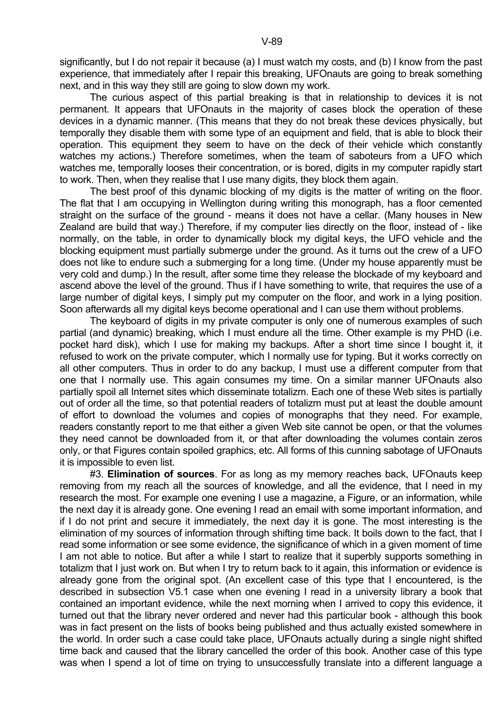significantly, but I do not repair it because (a) I must watch my costs, and (b) I know from the past experience, that immediately after I repair this breaking, UFOnauts are going to break something next, and in this way they still are going to slow down my work.

 The curious aspect of this partial breaking is that in relationship to devices it is not permanent. It appears that UFOnauts in the majority of cases block the operation of these devices in a dynamic manner. (This means that they do not break these devices physically, but temporally they disable them with some type of an equipment and field, that is able to block their operation. This equipment they seem to have on the deck of their vehicle which constantly watches my actions.) Therefore sometimes, when the team of saboteurs from a UFO which watches me, temporally looses their concentration, or is bored, digits in my computer rapidly start to work. Then, when they realise that I use many digits, they block them again.

 The best proof of this dynamic blocking of my digits is the matter of writing on the floor. The flat that I am occupying in Wellington during writing this monograph, has a floor cemented straight on the surface of the ground - means it does not have a cellar. (Many houses in New Zealand are build that way.) Therefore, if my computer lies directly on the floor, instead of - like normally, on the table, in order to dynamically block my digital keys, the UFO vehicle and the blocking equipment must partially submerge under the ground. As it turns out the crew of a UFO does not like to endure such a submerging for a long time. (Under my house apparently must be very cold and dump.) In the result, after some time they release the blockade of my keyboard and ascend above the level of the ground. Thus if I have something to write, that requires the use of a large number of digital keys, I simply put my computer on the floor, and work in a lying position. Soon afterwards all my digital keys become operational and I can use them without problems.

 The keyboard of digits in my private computer is only one of numerous examples of such partial (and dynamic) breaking, which I must endure all the time. Other example is my PHD (i.e. pocket hard disk), which I use for making my backups. After a short time since I bought it, it refused to work on the private computer, which I normally use for typing. But it works correctly on all other computers. Thus in order to do any backup, I must use a different computer from that one that I normally use. This again consumes my time. On a similar manner UFOnauts also partially spoil all Internet sites which disseminate totalizm. Each one of these Web sites is partially out of order all the time, so that potential readers of totalizm must put at least the double amount of effort to download the volumes and copies of monographs that they need. For example, readers constantly report to me that either a given Web site cannot be open, or that the volumes they need cannot be downloaded from it, or that after downloading the volumes contain zeros only, or that Figures contain spoiled graphics, etc. All forms of this cunning sabotage of UFOnauts it is impossible to even list.

 #3. **Elimination of sources**. For as long as my memory reaches back, UFOnauts keep removing from my reach all the sources of knowledge, and all the evidence, that I need in my research the most. For example one evening I use a magazine, a Figure, or an information, while the next day it is already gone. One evening I read an email with some important information, and if I do not print and secure it immediately, the next day it is gone. The most interesting is the elimination of my sources of information through shifting time back. It boils down to the fact, that I read some information or see some evidence, the significance of which in a given moment of time I am not able to notice. But after a while I start to realize that it superbly supports something in totalizm that I just work on. But when I try to return back to it again, this information or evidence is already gone from the original spot. (An excellent case of this type that I encountered, is the described in subsection V5.1 case when one evening I read in a university library a book that contained an important evidence, while the next morning when I arrived to copy this evidence, it turned out that the library never ordered and never had this particular book - although this book was in fact present on the lists of books being published and thus actually existed somewhere in the world. In order such a case could take place, UFOnauts actually during a single night shifted time back and caused that the library cancelled the order of this book. Another case of this type was when I spend a lot of time on trying to unsuccessfully translate into a different language a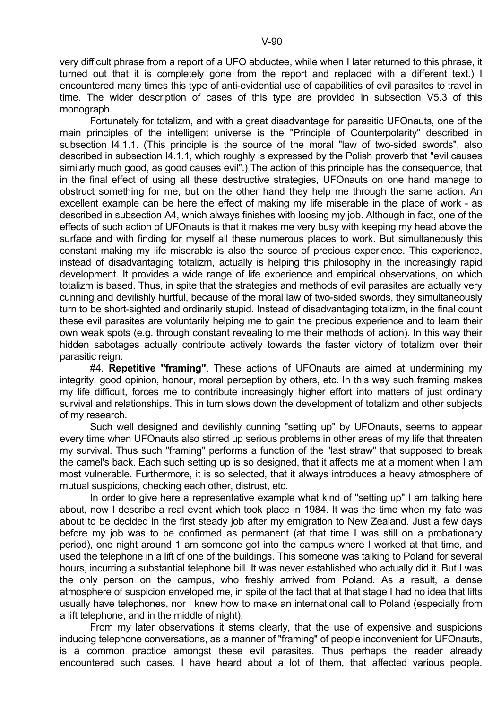very difficult phrase from a report of a UFO abductee, while when I later returned to this phrase, it turned out that it is completely gone from the report and replaced with a different text.) I encountered many times this type of anti-evidential use of capabilities of evil parasites to travel in time. The wider description of cases of this type are provided in subsection V5.3 of this monograph.

 Fortunately for totalizm, and with a great disadvantage for parasitic UFOnauts, one of the main principles of the intelligent universe is the "Principle of Counterpolarity" described in subsection I4.1.1. (This principle is the source of the moral "law of two-sided swords", also described in subsection I4.1.1, which roughly is expressed by the Polish proverb that "evil causes similarly much good, as good causes evil".) The action of this principle has the consequence, that in the final effect of using all these destructive strategies, UFOnauts on one hand manage to obstruct something for me, but on the other hand they help me through the same action. An excellent example can be here the effect of making my life miserable in the place of work - as described in subsection A4, which always finishes with loosing my job. Although in fact, one of the effects of such action of UFOnauts is that it makes me very busy with keeping my head above the surface and with finding for myself all these numerous places to work. But simultaneously this constant making my life miserable is also the source of precious experience. This experience, instead of disadvantaging totalizm, actually is helping this philosophy in the increasingly rapid development. It provides a wide range of life experience and empirical observations, on which totalizm is based. Thus, in spite that the strategies and methods of evil parasites are actually very cunning and devilishly hurtful, because of the moral law of two-sided swords, they simultaneously turn to be short-sighted and ordinarily stupid. Instead of disadvantaging totalizm, in the final count these evil parasites are voluntarily helping me to gain the precious experience and to learn their own weak spots (e.g. through constant revealing to me their methods of action). In this way their hidden sabotages actually contribute actively towards the faster victory of totalizm over their parasitic reign.

 #4. **Repetitive "framing"**. These actions of UFOnauts are aimed at undermining my integrity, good opinion, honour, moral perception by others, etc. In this way such framing makes my life difficult, forces me to contribute increasingly higher effort into matters of just ordinary survival and relationships. This in turn slows down the development of totalizm and other subjects of my research.

 Such well designed and devilishly cunning "setting up" by UFOnauts, seems to appear every time when UFOnauts also stirred up serious problems in other areas of my life that threaten my survival. Thus such "framing" performs a function of the "last straw" that supposed to break the camel's back. Each such setting up is so designed, that it affects me at a moment when I am most vulnerable. Furthermore, it is so selected, that it always introduces a heavy atmosphere of mutual suspicions, checking each other, distrust, etc.

 In order to give here a representative example what kind of "setting up" I am talking here about, now I describe a real event which took place in 1984. It was the time when my fate was about to be decided in the first steady job after my emigration to New Zealand. Just a few days before my job was to be confirmed as permanent (at that time I was still on a probationary period), one night around 1 am someone got into the campus where I worked at that time, and used the telephone in a lift of one of the buildings. This someone was talking to Poland for several hours, incurring a substantial telephone bill. It was never established who actually did it. But I was the only person on the campus, who freshly arrived from Poland. As a result, a dense atmosphere of suspicion enveloped me, in spite of the fact that at that stage I had no idea that lifts usually have telephones, nor I knew how to make an international call to Poland (especially from a lift telephone, and in the middle of night).

 From my later observations it stems clearly, that the use of expensive and suspicions inducing telephone conversations, as a manner of "framing" of people inconvenient for UFOnauts, is a common practice amongst these evil parasites. Thus perhaps the reader already encountered such cases. I have heard about a lot of them, that affected various people.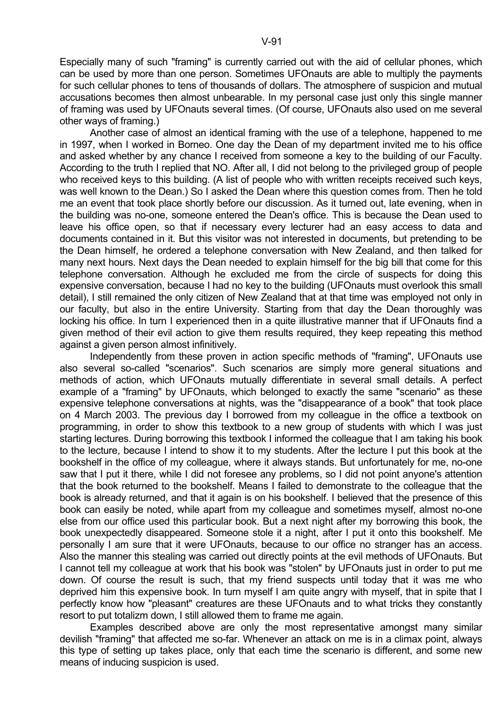Especially many of such "framing" is currently carried out with the aid of cellular phones, which can be used by more than one person. Sometimes UFOnauts are able to multiply the payments for such cellular phones to tens of thousands of dollars. The atmosphere of suspicion and mutual accusations becomes then almost unbearable. In my personal case just only this single manner of framing was used by UFOnauts several times. (Of course, UFOnauts also used on me several other ways of framing.)

 Another case of almost an identical framing with the use of a telephone, happened to me in 1997, when I worked in Borneo. One day the Dean of my department invited me to his office and asked whether by any chance I received from someone a key to the building of our Faculty. According to the truth I replied that NO. After all, I did not belong to the privileged group of people who received keys to this building. (A list of people who with written receipts received such keys, was well known to the Dean.) So I asked the Dean where this question comes from. Then he told me an event that took place shortly before our discussion. As it turned out, late evening, when in the building was no-one, someone entered the Dean's office. This is because the Dean used to leave his office open, so that if necessary every lecturer had an easy access to data and documents contained in it. But this visitor was not interested in documents, but pretending to be the Dean himself, he ordered a telephone conversation with New Zealand, and then talked for many next hours. Next days the Dean needed to explain himself for the big bill that come for this telephone conversation. Although he excluded me from the circle of suspects for doing this expensive conversation, because I had no key to the building (UFOnauts must overlook this small detail), I still remained the only citizen of New Zealand that at that time was employed not only in our faculty, but also in the entire University. Starting from that day the Dean thoroughly was locking his office. In turn I experienced then in a quite illustrative manner that if UFOnauts find a given method of their evil action to give them results required, they keep repeating this method against a given person almost infinitively.

 Independently from these proven in action specific methods of "framing", UFOnauts use also several so-called "scenarios". Such scenarios are simply more general situations and methods of action, which UFOnauts mutually differentiate in several small details. A perfect example of a "framing" by UFOnauts, which belonged to exactly the same "scenario" as these expensive telephone conversations at nights, was the "disappearance of a book" that took place on 4 March 2003. The previous day I borrowed from my colleague in the office a textbook on programming, in order to show this textbook to a new group of students with which I was just starting lectures. During borrowing this textbook I informed the colleague that I am taking his book to the lecture, because I intend to show it to my students. After the lecture I put this book at the bookshelf in the office of my colleague, where it always stands. But unfortunately for me, no-one saw that I put it there, while I did not foresee any problems, so I did not point anyone's attention that the book returned to the bookshelf. Means I failed to demonstrate to the colleague that the book is already returned, and that it again is on his bookshelf. I believed that the presence of this book can easily be noted, while apart from my colleague and sometimes myself, almost no-one else from our office used this particular book. But a next night after my borrowing this book, the book unexpectedly disappeared. Someone stole it a night, after I put it onto this bookshelf. Me personally I am sure that it were UFOnauts, because to our office no stranger has an access. Also the manner this stealing was carried out directly points at the evil methods of UFOnauts. But I cannot tell my colleague at work that his book was "stolen" by UFOnauts just in order to put me down. Of course the result is such, that my friend suspects until today that it was me who deprived him this expensive book. In turn myself I am quite angry with myself, that in spite that I perfectly know how "pleasant" creatures are these UFOnauts and to what tricks they constantly resort to put totalizm down, I still allowed them to frame me again.

 Examples described above are only the most representative amongst many similar devilish "framing" that affected me so-far. Whenever an attack on me is in a climax point, always this type of setting up takes place, only that each time the scenario is different, and some new means of inducing suspicion is used.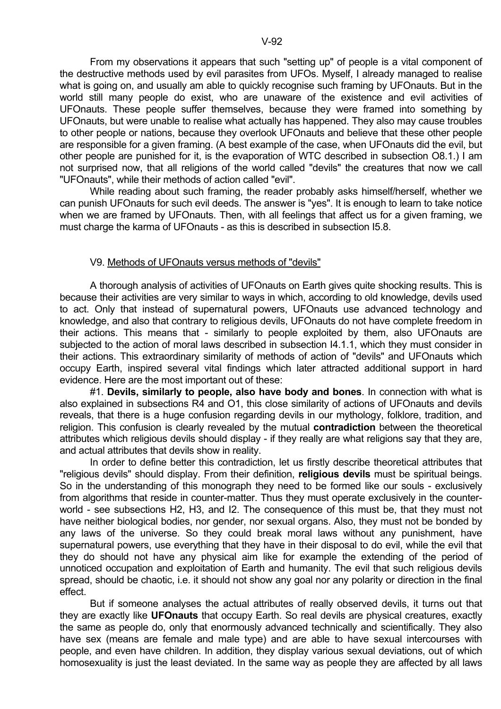From my observations it appears that such "setting up" of people is a vital component of the destructive methods used by evil parasites from UFOs. Myself, I already managed to realise what is going on, and usually am able to quickly recognise such framing by UFOnauts. But in the world still many people do exist, who are unaware of the existence and evil activities of UFOnauts. These people suffer themselves, because they were framed into something by UFOnauts, but were unable to realise what actually has happened. They also may cause troubles to other people or nations, because they overlook UFOnauts and believe that these other people are responsible for a given framing. (A best example of the case, when UFOnauts did the evil, but other people are punished for it, is the evaporation of WTC described in subsection O8.1.) I am not surprised now, that all religions of the world called "devils" the creatures that now we call "UFOnauts", while their methods of action called "evil".

 While reading about such framing, the reader probably asks himself/herself, whether we can punish UFOnauts for such evil deeds. The answer is "yes". It is enough to learn to take notice when we are framed by UFOnauts. Then, with all feelings that affect us for a given framing, we must charge the karma of UFOnauts - as this is described in subsection I5.8.

### V9. Methods of UFOnauts versus methods of "devils"

 A thorough analysis of activities of UFOnauts on Earth gives quite shocking results. This is because their activities are very similar to ways in which, according to old knowledge, devils used to act. Only that instead of supernatural powers, UFOnauts use advanced technology and knowledge, and also that contrary to religious devils, UFOnauts do not have complete freedom in their actions. This means that - similarly to people exploited by them, also UFOnauts are subjected to the action of moral laws described in subsection I4.1.1, which they must consider in their actions. This extraordinary similarity of methods of action of "devils" and UFOnauts which occupy Earth, inspired several vital findings which later attracted additional support in hard evidence. Here are the most important out of these:

 #1. **Devils, similarly to people, also have body and bones**. In connection with what is also explained in subsections R4 and O1, this close similarity of actions of UFOnauts and devils reveals, that there is a huge confusion regarding devils in our mythology, folklore, tradition, and religion. This confusion is clearly revealed by the mutual **contradiction** between the theoretical attributes which religious devils should display - if they really are what religions say that they are, and actual attributes that devils show in reality.

 In order to define better this contradiction, let us firstly describe theoretical attributes that "religious devils" should display. From their definition, **religious devils** must be spiritual beings. So in the understanding of this monograph they need to be formed like our souls - exclusively from algorithms that reside in counter-matter. Thus they must operate exclusively in the counterworld - see subsections H2, H3, and I2. The consequence of this must be, that they must not have neither biological bodies, nor gender, nor sexual organs. Also, they must not be bonded by any laws of the universe. So they could break moral laws without any punishment, have supernatural powers, use everything that they have in their disposal to do evil, while the evil that they do should not have any physical aim like for example the extending of the period of unnoticed occupation and exploitation of Earth and humanity. The evil that such religious devils spread, should be chaotic, i.e. it should not show any goal nor any polarity or direction in the final effect.

 But if someone analyses the actual attributes of really observed devils, it turns out that they are exactly like **UFOnauts** that occupy Earth. So real devils are physical creatures, exactly the same as people do, only that enormously advanced technically and scientifically. They also have sex (means are female and male type) and are able to have sexual intercourses with people, and even have children. In addition, they display various sexual deviations, out of which homosexuality is just the least deviated. In the same way as people they are affected by all laws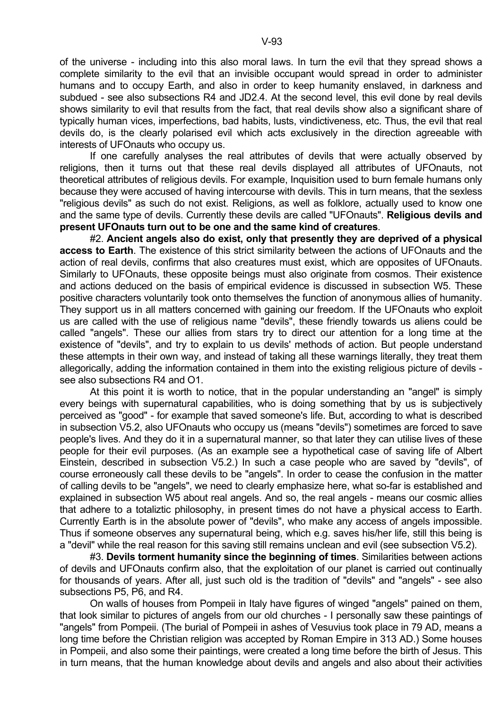of the universe - including into this also moral laws. In turn the evil that they spread shows a complete similarity to the evil that an invisible occupant would spread in order to administer humans and to occupy Earth, and also in order to keep humanity enslaved, in darkness and subdued - see also subsections R4 and JD2.4. At the second level, this evil done by real devils shows similarity to evil that results from the fact, that real devils show also a significant share of typically human vices, imperfections, bad habits, lusts, vindictiveness, etc. Thus, the evil that real devils do, is the clearly polarised evil which acts exclusively in the direction agreeable with interests of UFOnauts who occupy us.

 If one carefully analyses the real attributes of devils that were actually observed by religions, then it turns out that these real devils displayed all attributes of UFOnauts, not theoretical attributes of religious devils. For example, Inquisition used to burn female humans only because they were accused of having intercourse with devils. This in turn means, that the sexless "religious devils" as such do not exist. Religions, as well as folklore, actually used to know one and the same type of devils. Currently these devils are called "UFOnauts". **Religious devils and present UFOnauts turn out to be one and the same kind of creatures**.

 #2. **Ancient angels also do exist, only that presently they are deprived of a physical access to Earth**. The existence of this strict similarity between the actions of UFOnauts and the action of real devils, confirms that also creatures must exist, which are opposites of UFOnauts. Similarly to UFOnauts, these opposite beings must also originate from cosmos. Their existence and actions deduced on the basis of empirical evidence is discussed in subsection W5. These positive characters voluntarily took onto themselves the function of anonymous allies of humanity. They support us in all matters concerned with gaining our freedom. If the UFOnauts who exploit us are called with the use of religious name "devils", these friendly towards us aliens could be called "angels". These our allies from stars try to direct our attention for a long time at the existence of "devils", and try to explain to us devils' methods of action. But people understand these attempts in their own way, and instead of taking all these warnings literally, they treat them allegorically, adding the information contained in them into the existing religious picture of devils see also subsections R4 and O1.

 At this point it is worth to notice, that in the popular understanding an "angel" is simply every beings with supernatural capabilities, who is doing something that by us is subjectively perceived as "good" - for example that saved someone's life. But, according to what is described in subsection V5.2, also UFOnauts who occupy us (means "devils") sometimes are forced to save people's lives. And they do it in a supernatural manner, so that later they can utilise lives of these people for their evil purposes. (As an example see a hypothetical case of saving life of Albert Einstein, described in subsection V5.2.) In such a case people who are saved by "devils", of course erroneously call these devils to be "angels". In order to cease the confusion in the matter of calling devils to be "angels", we need to clearly emphasize here, what so-far is established and explained in subsection W5 about real angels. And so, the real angels - means our cosmic allies that adhere to a totaliztic philosophy, in present times do not have a physical access to Earth. Currently Earth is in the absolute power of "devils", who make any access of angels impossible. Thus if someone observes any supernatural being, which e.g. saves his/her life, still this being is a "devil" while the real reason for this saving still remains unclean and evil (see subsection V5.2).

 #3. **Devils torment humanity since the beginning of times**. Similarities between actions of devils and UFOnauts confirm also, that the exploitation of our planet is carried out continually for thousands of years. After all, just such old is the tradition of "devils" and "angels" - see also subsections P5, P6, and R4.

 On walls of houses from Pompeii in Italy have figures of winged "angels" pained on them, that look similar to pictures of angels from our old churches - I personally saw these paintings of "angels" from Pompeii. (The burial of Pompeii in ashes of Vesuvius took place in 79 AD, means a long time before the Christian religion was accepted by Roman Empire in 313 AD.) Some houses in Pompeii, and also some their paintings, were created a long time before the birth of Jesus. This in turn means, that the human knowledge about devils and angels and also about their activities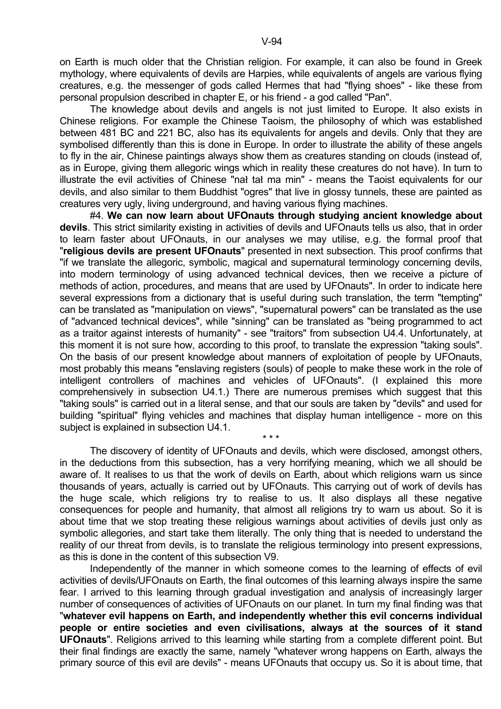on Earth is much older that the Christian religion. For example, it can also be found in Greek mythology, where equivalents of devils are Harpies, while equivalents of angels are various flying creatures, e.g. the messenger of gods called Hermes that had "flying shoes" - like these from personal propulsion described in chapter E, or his friend - a god called "Pan".

 The knowledge about devils and angels is not just limited to Europe. It also exists in Chinese religions. For example the Chinese Taoism, the philosophy of which was established between 481 BC and 221 BC, also has its equivalents for angels and devils. Only that they are symbolised differently than this is done in Europe. In order to illustrate the ability of these angels to fly in the air, Chinese paintings always show them as creatures standing on clouds (instead of, as in Europe, giving them allegoric wings which in reality these creatures do not have). In turn to illustrate the evil activities of Chinese "nal tal ma min" - means the Taoist equivalents for our devils, and also similar to them Buddhist "ogres" that live in glossy tunnels, these are painted as creatures very ugly, living underground, and having various flying machines.

 #4. **We can now learn about UFOnauts through studying ancient knowledge about devils**. This strict similarity existing in activities of devils and UFOnauts tells us also, that in order to learn faster about UFOnauts, in our analyses we may utilise, e.g. the formal proof that "**religious devils are present UFOnauts**" presented in next subsection. This proof confirms that "if we translate the allegoric, symbolic, magical and supernatural terminology concerning devils, into modern terminology of using advanced technical devices, then we receive a picture of methods of action, procedures, and means that are used by UFOnauts". In order to indicate here several expressions from a dictionary that is useful during such translation, the term "tempting" can be translated as "manipulation on views", "supernatural powers" can be translated as the use of "advanced technical devices", while "sinning" can be translated as "being programmed to act as a traitor against interests of humanity" - see "traitors" from subsection U4.4. Unfortunately, at this moment it is not sure how, according to this proof, to translate the expression "taking souls". On the basis of our present knowledge about manners of exploitation of people by UFOnauts, most probably this means "enslaving registers (souls) of people to make these work in the role of intelligent controllers of machines and vehicles of UFOnauts". (I explained this more comprehensively in subsection U4.1.) There are numerous premises which suggest that this "taking souls" is carried out in a literal sense, and that our souls are taken by "devils" and used for building "spiritual" flying vehicles and machines that display human intelligence - more on this subject is explained in subsection U4.1.

 The discovery of identity of UFOnauts and devils, which were disclosed, amongst others, in the deductions from this subsection, has a very horrifying meaning, which we all should be aware of. It realises to us that the work of devils on Earth, about which religions warn us since thousands of years, actually is carried out by UFOnauts. This carrying out of work of devils has the huge scale, which religions try to realise to us. It also displays all these negative consequences for people and humanity, that almost all religions try to warn us about. So it is about time that we stop treating these religious warnings about activities of devils just only as symbolic allegories, and start take them literally. The only thing that is needed to understand the reality of our threat from devils, is to translate the religious terminology into present expressions, as this is done in the content of this subsection V9.

 $\star \star \star$ 

 Independently of the manner in which someone comes to the learning of effects of evil activities of devils/UFOnauts on Earth, the final outcomes of this learning always inspire the same fear. I arrived to this learning through gradual investigation and analysis of increasingly larger number of consequences of activities of UFOnauts on our planet. In turn my final finding was that "**whatever evil happens on Earth, and independently whether this evil concerns individual people or entire societies and even civilisations, always at the sources of it stand UFOnauts**". Religions arrived to this learning while starting from a complete different point. But their final findings are exactly the same, namely "whatever wrong happens on Earth, always the primary source of this evil are devils" - means UFOnauts that occupy us. So it is about time, that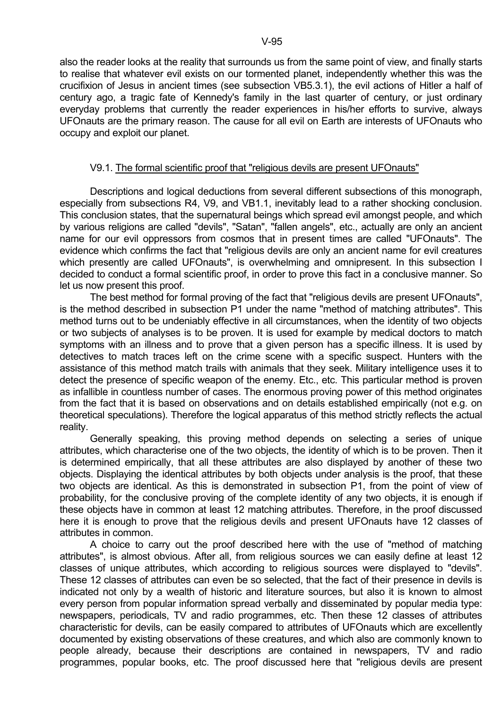# V9.1. The formal scientific proof that "religious devils are present UFOnauts"

 Descriptions and logical deductions from several different subsections of this monograph, especially from subsections R4, V9, and VB1.1, inevitably lead to a rather shocking conclusion. This conclusion states, that the supernatural beings which spread evil amongst people, and which by various religions are called "devils", "Satan", "fallen angels", etc., actually are only an ancient name for our evil oppressors from cosmos that in present times are called "UFOnauts". The evidence which confirms the fact that "religious devils are only an ancient name for evil creatures which presently are called UFOnauts", is overwhelming and omnipresent. In this subsection I decided to conduct a formal scientific proof, in order to prove this fact in a conclusive manner. So let us now present this proof.

 The best method for formal proving of the fact that "religious devils are present UFOnauts", is the method described in subsection P1 under the name "method of matching attributes". This method turns out to be undeniably effective in all circumstances, when the identity of two objects or two subjects of analyses is to be proven. It is used for example by medical doctors to match symptoms with an illness and to prove that a given person has a specific illness. It is used by detectives to match traces left on the crime scene with a specific suspect. Hunters with the assistance of this method match trails with animals that they seek. Military intelligence uses it to detect the presence of specific weapon of the enemy. Etc., etc. This particular method is proven as infallible in countless number of cases. The enormous proving power of this method originates from the fact that it is based on observations and on details established empirically (not e.g. on theoretical speculations). Therefore the logical apparatus of this method strictly reflects the actual reality.

 Generally speaking, this proving method depends on selecting a series of unique attributes, which characterise one of the two objects, the identity of which is to be proven. Then it is determined empirically, that all these attributes are also displayed by another of these two objects. Displaying the identical attributes by both objects under analysis is the proof, that these two objects are identical. As this is demonstrated in subsection P1, from the point of view of probability, for the conclusive proving of the complete identity of any two objects, it is enough if these objects have in common at least 12 matching attributes. Therefore, in the proof discussed here it is enough to prove that the religious devils and present UFOnauts have 12 classes of attributes in common.

 A choice to carry out the proof described here with the use of "method of matching attributes", is almost obvious. After all, from religious sources we can easily define at least 12 classes of unique attributes, which according to religious sources were displayed to "devils". These 12 classes of attributes can even be so selected, that the fact of their presence in devils is indicated not only by a wealth of historic and literature sources, but also it is known to almost every person from popular information spread verbally and disseminated by popular media type: newspapers, periodicals, TV and radio programmes, etc. Then these 12 classes of attributes characteristic for devils, can be easily compared to attributes of UFOnauts which are excellently documented by existing observations of these creatures, and which also are commonly known to people already, because their descriptions are contained in newspapers, TV and radio programmes, popular books, etc. The proof discussed here that "religious devils are present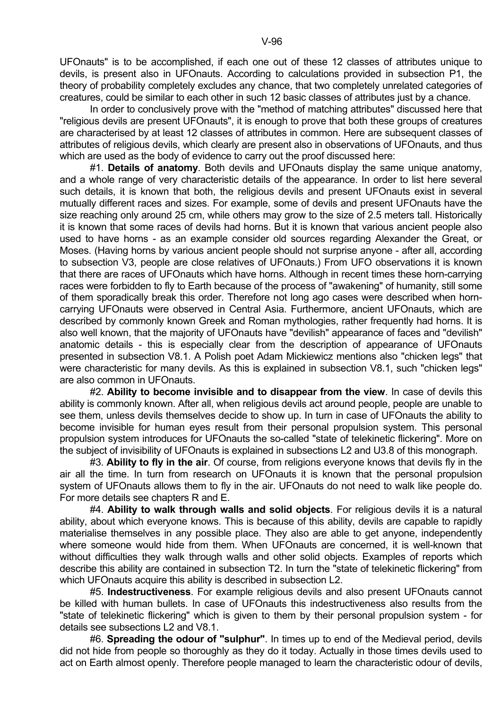UFOnauts" is to be accomplished, if each one out of these 12 classes of attributes unique to devils, is present also in UFOnauts. According to calculations provided in subsection P1, the theory of probability completely excludes any chance, that two completely unrelated categories of creatures, could be similar to each other in such 12 basic classes of attributes just by a chance.

 In order to conclusively prove with the "method of matching attributes" discussed here that "religious devils are present UFOnauts", it is enough to prove that both these groups of creatures are characterised by at least 12 classes of attributes in common. Here are subsequent classes of attributes of religious devils, which clearly are present also in observations of UFOnauts, and thus which are used as the body of evidence to carry out the proof discussed here:

 #1. **Details of anatomy**. Both devils and UFOnauts display the same unique anatomy, and a whole range of very characteristic details of the appearance. In order to list here several such details, it is known that both, the religious devils and present UFOnauts exist in several mutually different races and sizes. For example, some of devils and present UFOnauts have the size reaching only around 25 cm, while others may grow to the size of 2.5 meters tall. Historically it is known that some races of devils had horns. But it is known that various ancient people also used to have horns - as an example consider old sources regarding Alexander the Great, or Moses. (Having horns by various ancient people should not surprise anyone - after all, according to subsection V3, people are close relatives of UFOnauts.) From UFO observations it is known that there are races of UFOnauts which have horns. Although in recent times these horn-carrying races were forbidden to fly to Earth because of the process of "awakening" of humanity, still some of them sporadically break this order. Therefore not long ago cases were described when horncarrying UFOnauts were observed in Central Asia. Furthermore, ancient UFOnauts, which are described by commonly known Greek and Roman mythologies, rather frequently had horns. It is also well known, that the majority of UFOnauts have "devilish" appearance of faces and "devilish" anatomic details - this is especially clear from the description of appearance of UFOnauts presented in subsection V8.1. A Polish poet Adam Mickiewicz mentions also "chicken legs" that were characteristic for many devils. As this is explained in subsection V8.1, such "chicken legs" are also common in UFOnauts.

 #2. **Ability to become invisible and to disappear from the view**. In case of devils this ability is commonly known. After all, when religious devils act around people, people are unable to see them, unless devils themselves decide to show up. In turn in case of UFOnauts the ability to become invisible for human eyes result from their personal propulsion system. This personal propulsion system introduces for UFOnauts the so-called "state of telekinetic flickering". More on the subject of invisibility of UFOnauts is explained in subsections L2 and U3.8 of this monograph.

 #3. **Ability to fly in the air**. Of course, from religions everyone knows that devils fly in the air all the time. In turn from research on UFOnauts it is known that the personal propulsion system of UFOnauts allows them to fly in the air. UFOnauts do not need to walk like people do. For more details see chapters R and E.

 #4. **Ability to walk through walls and solid objects**. For religious devils it is a natural ability, about which everyone knows. This is because of this ability, devils are capable to rapidly materialise themselves in any possible place. They also are able to get anyone, independently where someone would hide from them. When UFOnauts are concerned, it is well-known that without difficulties they walk through walls and other solid objects. Examples of reports which describe this ability are contained in subsection T2. In turn the "state of telekinetic flickering" from which UFOnauts acquire this ability is described in subsection L2.

 #5. **Indestructiveness**. For example religious devils and also present UFOnauts cannot be killed with human bullets. In case of UFOnauts this indestructiveness also results from the "state of telekinetic flickering" which is given to them by their personal propulsion system - for details see subsections L2 and V8.1.

 #6. **Spreading the odour of "sulphur"**. In times up to end of the Medieval period, devils did not hide from people so thoroughly as they do it today. Actually in those times devils used to act on Earth almost openly. Therefore people managed to learn the characteristic odour of devils,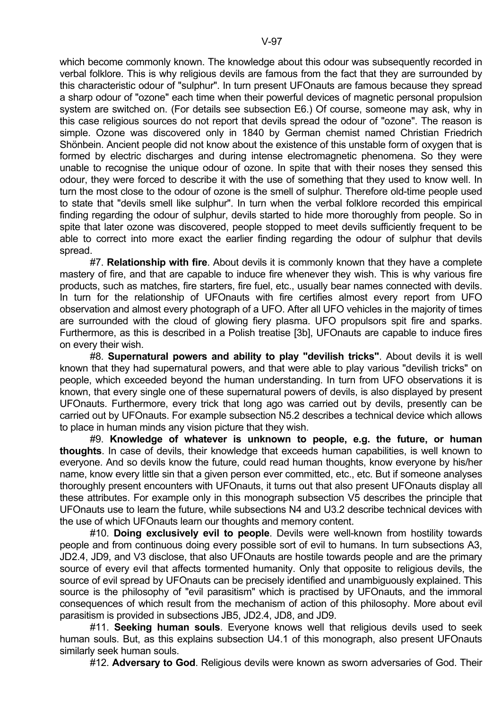which become commonly known. The knowledge about this odour was subsequently recorded in verbal folklore. This is why religious devils are famous from the fact that they are surrounded by this characteristic odour of "sulphur". In turn present UFOnauts are famous because they spread a sharp odour of "ozone" each time when their powerful devices of magnetic personal propulsion system are switched on. (For details see subsection E6.) Of course, someone may ask, why in this case religious sources do not report that devils spread the odour of "ozone". The reason is simple. Ozone was discovered only in 1840 by German chemist named Christian Friedrich Shönbein. Ancient people did not know about the existence of this unstable form of oxygen that is formed by electric discharges and during intense electromagnetic phenomena. So they were unable to recognise the unique odour of ozone. In spite that with their noses they sensed this odour, they were forced to describe it with the use of something that they used to know well. In turn the most close to the odour of ozone is the smell of sulphur. Therefore old-time people used to state that "devils smell like sulphur". In turn when the verbal folklore recorded this empirical finding regarding the odour of sulphur, devils started to hide more thoroughly from people. So in spite that later ozone was discovered, people stopped to meet devils sufficiently frequent to be able to correct into more exact the earlier finding regarding the odour of sulphur that devils spread.

 #7. **Relationship with fire**. About devils it is commonly known that they have a complete mastery of fire, and that are capable to induce fire whenever they wish. This is why various fire products, such as matches, fire starters, fire fuel, etc., usually bear names connected with devils. In turn for the relationship of UFOnauts with fire certifies almost every report from UFO observation and almost every photograph of a UFO. After all UFO vehicles in the majority of times are surrounded with the cloud of glowing fiery plasma. UFO propulsors spit fire and sparks. Furthermore, as this is described in a Polish treatise [3b], UFOnauts are capable to induce fires on every their wish.

 #8. **Supernatural powers and ability to play "devilish tricks"**. About devils it is well known that they had supernatural powers, and that were able to play various "devilish tricks" on people, which exceeded beyond the human understanding. In turn from UFO observations it is known, that every single one of these supernatural powers of devils, is also displayed by present UFOnauts. Furthermore, every trick that long ago was carried out by devils, presently can be carried out by UFOnauts. For example subsection N5.2 describes a technical device which allows to place in human minds any vision picture that they wish.

 #9. **Knowledge of whatever is unknown to people, e.g. the future, or human thoughts**. In case of devils, their knowledge that exceeds human capabilities, is well known to everyone. And so devils know the future, could read human thoughts, know everyone by his/her name, know every little sin that a given person ever committed, etc., etc. But if someone analyses thoroughly present encounters with UFOnauts, it turns out that also present UFOnauts display all these attributes. For example only in this monograph subsection V5 describes the principle that UFOnauts use to learn the future, while subsections N4 and U3.2 describe technical devices with the use of which UFOnauts learn our thoughts and memory content.

 #10. **Doing exclusively evil to people**. Devils were well-known from hostility towards people and from continuous doing every possible sort of evil to humans. In turn subsections A3, JD2.4, JD9, and V3 disclose, that also UFOnauts are hostile towards people and are the primary source of every evil that affects tormented humanity. Only that opposite to religious devils, the source of evil spread by UFOnauts can be precisely identified and unambiguously explained. This source is the philosophy of "evil parasitism" which is practised by UFOnauts, and the immoral consequences of which result from the mechanism of action of this philosophy. More about evil parasitism is provided in subsections JB5, JD2.4, JD8, and JD9.

 #11. **Seeking human souls**. Everyone knows well that religious devils used to seek human souls. But, as this explains subsection U4.1 of this monograph, also present UFOnauts similarly seek human souls.

#12. **Adversary to God**. Religious devils were known as sworn adversaries of God. Their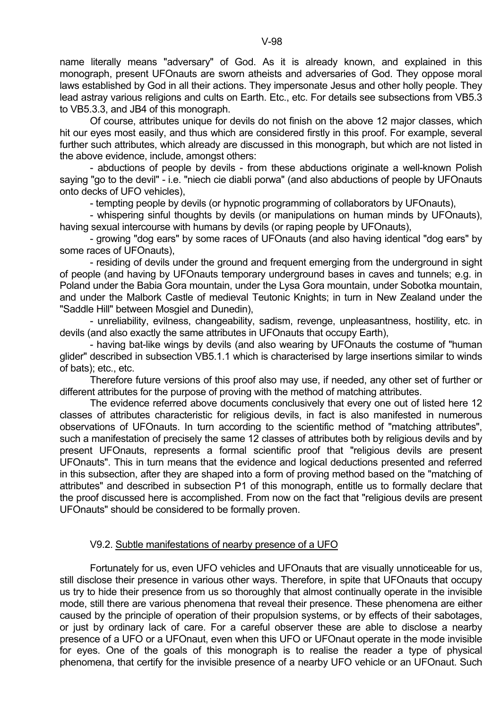name literally means "adversary" of God. As it is already known, and explained in this monograph, present UFOnauts are sworn atheists and adversaries of God. They oppose moral laws established by God in all their actions. They impersonate Jesus and other holly people. They lead astray various religions and cults on Earth. Etc., etc. For details see subsections from VB5.3 to VB5.3.3, and JB4 of this monograph.

 Of course, attributes unique for devils do not finish on the above 12 major classes, which hit our eyes most easily, and thus which are considered firstly in this proof. For example, several further such attributes, which already are discussed in this monograph, but which are not listed in the above evidence, include, amongst others:

 - abductions of people by devils - from these abductions originate a well-known Polish saying "go to the devil" - i.e. "niech cie diabli porwa" (and also abductions of people by UFOnauts onto decks of UFO vehicles),

- tempting people by devils (or hypnotic programming of collaborators by UFOnauts),

 - whispering sinful thoughts by devils (or manipulations on human minds by UFOnauts), having sexual intercourse with humans by devils (or raping people by UFOnauts),

 - growing "dog ears" by some races of UFOnauts (and also having identical "dog ears" by some races of UFOnauts),

 - residing of devils under the ground and frequent emerging from the underground in sight of people (and having by UFOnauts temporary underground bases in caves and tunnels; e.g. in Poland under the Babia Gora mountain, under the Lysa Gora mountain, under Sobotka mountain, and under the Malbork Castle of medieval Teutonic Knights; in turn in New Zealand under the "Saddle Hill" between Mosgiel and Dunedin),

 - unreliability, evilness, changeability, sadism, revenge, unpleasantness, hostility, etc. in devils (and also exactly the same attributes in UFOnauts that occupy Earth),

 - having bat-like wings by devils (and also wearing by UFOnauts the costume of "human glider" described in subsection VB5.1.1 which is characterised by large insertions similar to winds of bats); etc., etc.

 Therefore future versions of this proof also may use, if needed, any other set of further or different attributes for the purpose of proving with the method of matching attributes.

 The evidence referred above documents conclusively that every one out of listed here 12 classes of attributes characteristic for religious devils, in fact is also manifested in numerous observations of UFOnauts. In turn according to the scientific method of "matching attributes", such a manifestation of precisely the same 12 classes of attributes both by religious devils and by present UFOnauts, represents a formal scientific proof that "religious devils are present UFOnauts". This in turn means that the evidence and logical deductions presented and referred in this subsection, after they are shaped into a form of proving method based on the "matching of attributes" and described in subsection P1 of this monograph, entitle us to formally declare that the proof discussed here is accomplished. From now on the fact that "religious devils are present UFOnauts" should be considered to be formally proven.

## V9.2. Subtle manifestations of nearby presence of a UFO

 Fortunately for us, even UFO vehicles and UFOnauts that are visually unnoticeable for us, still disclose their presence in various other ways. Therefore, in spite that UFOnauts that occupy us try to hide their presence from us so thoroughly that almost continually operate in the invisible mode, still there are various phenomena that reveal their presence. These phenomena are either caused by the principle of operation of their propulsion systems, or by effects of their sabotages, or just by ordinary lack of care. For a careful observer these are able to disclose a nearby presence of a UFO or a UFOnaut, even when this UFO or UFOnaut operate in the mode invisible for eyes. One of the goals of this monograph is to realise the reader a type of physical phenomena, that certify for the invisible presence of a nearby UFO vehicle or an UFOnaut. Such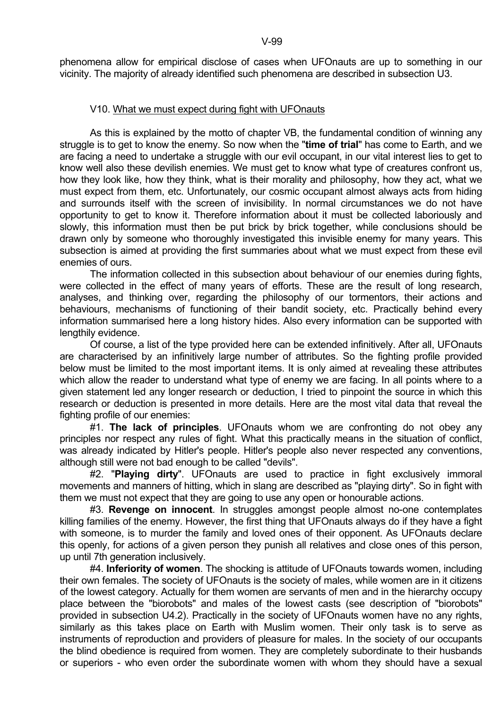phenomena allow for empirical disclose of cases when UFOnauts are up to something in our vicinity. The majority of already identified such phenomena are described in subsection U3.

# V10. What we must expect during fight with UFOnauts

 As this is explained by the motto of chapter VB, the fundamental condition of winning any struggle is to get to know the enemy. So now when the "**time of trial**" has come to Earth, and we are facing a need to undertake a struggle with our evil occupant, in our vital interest lies to get to know well also these devilish enemies. We must get to know what type of creatures confront us, how they look like, how they think, what is their morality and philosophy, how they act, what we must expect from them, etc. Unfortunately, our cosmic occupant almost always acts from hiding and surrounds itself with the screen of invisibility. In normal circumstances we do not have opportunity to get to know it. Therefore information about it must be collected laboriously and slowly, this information must then be put brick by brick together, while conclusions should be drawn only by someone who thoroughly investigated this invisible enemy for many years. This subsection is aimed at providing the first summaries about what we must expect from these evil enemies of ours.

 The information collected in this subsection about behaviour of our enemies during fights, were collected in the effect of many years of efforts. These are the result of long research, analyses, and thinking over, regarding the philosophy of our tormentors, their actions and behaviours, mechanisms of functioning of their bandit society, etc. Practically behind every information summarised here a long history hides. Also every information can be supported with lengthily evidence.

 Of course, a list of the type provided here can be extended infinitively. After all, UFOnauts are characterised by an infinitively large number of attributes. So the fighting profile provided below must be limited to the most important items. It is only aimed at revealing these attributes which allow the reader to understand what type of enemy we are facing. In all points where to a given statement led any longer research or deduction, I tried to pinpoint the source in which this research or deduction is presented in more details. Here are the most vital data that reveal the fighting profile of our enemies:

 #1. **The lack of principles**. UFOnauts whom we are confronting do not obey any principles nor respect any rules of fight. What this practically means in the situation of conflict, was already indicated by Hitler's people. Hitler's people also never respected any conventions, although still were not bad enough to be called "devils".

 #2. "**Playing dirty**". UFOnauts are used to practice in fight exclusively immoral movements and manners of hitting, which in slang are described as "playing dirty". So in fight with them we must not expect that they are going to use any open or honourable actions.

 #3. **Revenge on innocent**. In struggles amongst people almost no-one contemplates killing families of the enemy. However, the first thing that UFOnauts always do if they have a fight with someone, is to murder the family and loved ones of their opponent. As UFOnauts declare this openly, for actions of a given person they punish all relatives and close ones of this person, up until 7th generation inclusively.

 #4. **Inferiority of women**. The shocking is attitude of UFOnauts towards women, including their own females. The society of UFOnauts is the society of males, while women are in it citizens of the lowest category. Actually for them women are servants of men and in the hierarchy occupy place between the "biorobots" and males of the lowest casts (see description of "biorobots" provided in subsection U4.2). Practically in the society of UFOnauts women have no any rights, similarly as this takes place on Earth with Muslim women. Their only task is to serve as instruments of reproduction and providers of pleasure for males. In the society of our occupants the blind obedience is required from women. They are completely subordinate to their husbands or superiors - who even order the subordinate women with whom they should have a sexual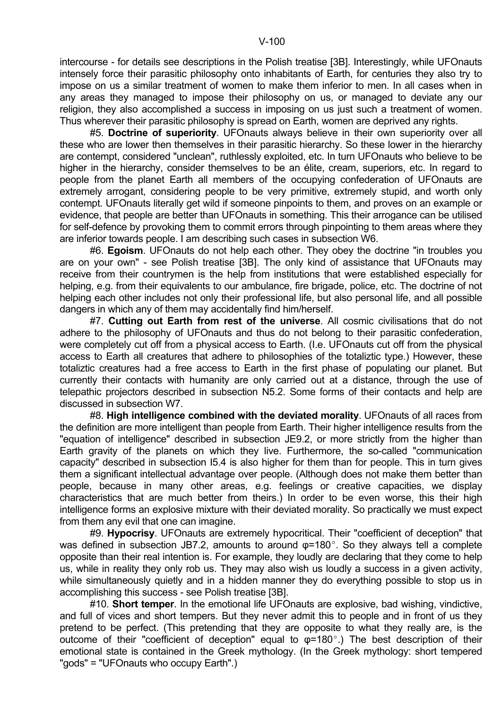intercourse - for details see descriptions in the Polish treatise [3B]. Interestingly, while UFOnauts intensely force their parasitic philosophy onto inhabitants of Earth, for centuries they also try to impose on us a similar treatment of women to make them inferior to men. In all cases when in any areas they managed to impose their philosophy on us, or managed to deviate any our religion, they also accomplished a success in imposing on us just such a treatment of women. Thus wherever their parasitic philosophy is spread on Earth, women are deprived any rights.

 #5. **Doctrine of superiority**. UFOnauts always believe in their own superiority over all these who are lower then themselves in their parasitic hierarchy. So these lower in the hierarchy are contempt, considered "unclean", ruthlessly exploited, etc. In turn UFOnauts who believe to be higher in the hierarchy, consider themselves to be an élite, cream, superiors, etc. In regard to people from the planet Earth all members of the occupying confederation of UFOnauts are extremely arrogant, considering people to be very primitive, extremely stupid, and worth only contempt. UFOnauts literally get wild if someone pinpoints to them, and proves on an example or evidence, that people are better than UFOnauts in something. This their arrogance can be utilised for self-defence by provoking them to commit errors through pinpointing to them areas where they are inferior towards people. I am describing such cases in subsection W6.

 #6. **Egoism**. UFOnauts do not help each other. They obey the doctrine "in troubles you are on your own" - see Polish treatise [3B]. The only kind of assistance that UFOnauts may receive from their countrymen is the help from institutions that were established especially for helping, e.g. from their equivalents to our ambulance, fire brigade, police, etc. The doctrine of not helping each other includes not only their professional life, but also personal life, and all possible dangers in which any of them may accidentally find him/herself.

 #7. **Cutting out Earth from rest of the universe**. All cosmic civilisations that do not adhere to the philosophy of UFOnauts and thus do not belong to their parasitic confederation, were completely cut off from a physical access to Earth. (I.e. UFOnauts cut off from the physical access to Earth all creatures that adhere to philosophies of the totaliztic type.) However, these totaliztic creatures had a free access to Earth in the first phase of populating our planet. But currently their contacts with humanity are only carried out at a distance, through the use of telepathic projectors described in subsection N5.2. Some forms of their contacts and help are discussed in subsection W7.

 #8. **High intelligence combined with the deviated morality**. UFOnauts of all races from the definition are more intelligent than people from Earth. Their higher intelligence results from the "equation of intelligence" described in subsection JE9.2, or more strictly from the higher than Earth gravity of the planets on which they live. Furthermore, the so-called "communication capacity" described in subsection I5.4 is also higher for them than for people. This in turn gives them a significant intellectual advantage over people. (Although does not make them better than people, because in many other areas, e.g. feelings or creative capacities, we display characteristics that are much better from theirs.) In order to be even worse, this their high intelligence forms an explosive mixture with their deviated morality. So practically we must expect from them any evil that one can imagine.

 #9. **Hypocrisy**. UFOnauts are extremely hypocritical. Their "coefficient of deception" that was defined in subsection JB7.2, amounts to around  $\varphi$ =180°. So they always tell a complete opposite than their real intention is. For example, they loudly are declaring that they come to help us, while in reality they only rob us. They may also wish us loudly a success in a given activity, while simultaneously quietly and in a hidden manner they do everything possible to stop us in accomplishing this success - see Polish treatise [3B].

 #10. **Short temper**. In the emotional life UFOnauts are explosive, bad wishing, vindictive, and full of vices and short tempers. But they never admit this to people and in front of us they pretend to be perfect. (This pretending that they are opposite to what they really are, is the outcome of their "coefficient of deception" equal to  $\varphi$ =180°.) The best description of their emotional state is contained in the Greek mythology. (In the Greek mythology: short tempered "gods" = "UFOnauts who occupy Earth".)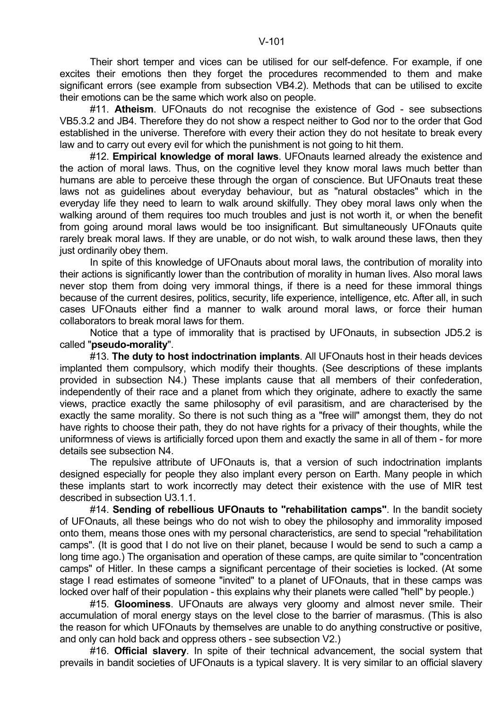Their short temper and vices can be utilised for our self-defence. For example, if one excites their emotions then they forget the procedures recommended to them and make significant errors (see example from subsection VB4.2). Methods that can be utilised to excite their emotions can be the same which work also on people.

 #11. **Atheism**. UFOnauts do not recognise the existence of God - see subsections VB5.3.2 and JB4. Therefore they do not show a respect neither to God nor to the order that God established in the universe. Therefore with every their action they do not hesitate to break every law and to carry out every evil for which the punishment is not going to hit them.

 #12. **Empirical knowledge of moral laws**. UFOnauts learned already the existence and the action of moral laws. Thus, on the cognitive level they know moral laws much better than humans are able to perceive these through the organ of conscience. But UFOnauts treat these laws not as guidelines about everyday behaviour, but as "natural obstacles" which in the everyday life they need to learn to walk around skilfully. They obey moral laws only when the walking around of them requires too much troubles and just is not worth it, or when the benefit from going around moral laws would be too insignificant. But simultaneously UFOnauts quite rarely break moral laws. If they are unable, or do not wish, to walk around these laws, then they just ordinarily obey them.

 In spite of this knowledge of UFOnauts about moral laws, the contribution of morality into their actions is significantly lower than the contribution of morality in human lives. Also moral laws never stop them from doing very immoral things, if there is a need for these immoral things because of the current desires, politics, security, life experience, intelligence, etc. After all, in such cases UFOnauts either find a manner to walk around moral laws, or force their human collaborators to break moral laws for them.

 Notice that a type of immorality that is practised by UFOnauts, in subsection JD5.2 is called "**pseudo-morality**".

 #13. **The duty to host indoctrination implants**. All UFOnauts host in their heads devices implanted them compulsory, which modify their thoughts. (See descriptions of these implants provided in subsection N4.) These implants cause that all members of their confederation, independently of their race and a planet from which they originate, adhere to exactly the same views, practice exactly the same philosophy of evil parasitism, and are characterised by the exactly the same morality. So there is not such thing as a "free will" amongst them, they do not have rights to choose their path, they do not have rights for a privacy of their thoughts, while the uniformness of views is artificially forced upon them and exactly the same in all of them - for more details see subsection N4.

 The repulsive attribute of UFOnauts is, that a version of such indoctrination implants designed especially for people they also implant every person on Earth. Many people in which these implants start to work incorrectly may detect their existence with the use of MIR test described in subsection U3.1.1.

 #14. **Sending of rebellious UFOnauts to "rehabilitation camps"**. In the bandit society of UFOnauts, all these beings who do not wish to obey the philosophy and immorality imposed onto them, means those ones with my personal characteristics, are send to special "rehabilitation camps". (It is good that I do not live on their planet, because I would be send to such a camp a long time ago.) The organisation and operation of these camps, are quite similar to "concentration camps" of Hitler. In these camps a significant percentage of their societies is locked. (At some stage I read estimates of someone "invited" to a planet of UFOnauts, that in these camps was locked over half of their population - this explains why their planets were called "hell" by people.)

 #15. **Gloominess**. UFOnauts are always very gloomy and almost never smile. Their accumulation of moral energy stays on the level close to the barrier of marasmus. (This is also the reason for which UFOnauts by themselves are unable to do anything constructive or positive, and only can hold back and oppress others - see subsection V2.)

 #16. **Official slavery**. In spite of their technical advancement, the social system that prevails in bandit societies of UFOnauts is a typical slavery. It is very similar to an official slavery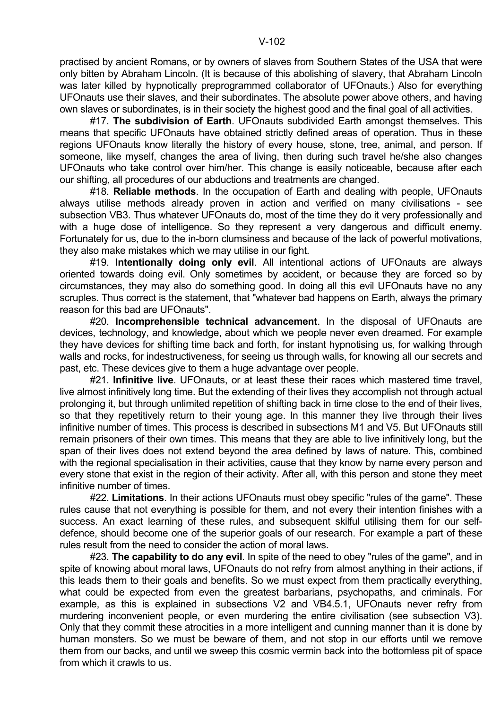own slaves or subordinates, is in their society the highest good and the final goal of all activities.

 #17. **The subdivision of Earth**. UFOnauts subdivided Earth amongst themselves. This means that specific UFOnauts have obtained strictly defined areas of operation. Thus in these regions UFOnauts know literally the history of every house, stone, tree, animal, and person. If someone, like myself, changes the area of living, then during such travel he/she also changes UFOnauts who take control over him/her. This change is easily noticeable, because after each our shifting, all procedures of our abductions and treatments are changed.

 #18. **Reliable methods**. In the occupation of Earth and dealing with people, UFOnauts always utilise methods already proven in action and verified on many civilisations - see subsection VB3. Thus whatever UFOnauts do, most of the time they do it very professionally and with a huge dose of intelligence. So they represent a very dangerous and difficult enemy. Fortunately for us, due to the in-born clumsiness and because of the lack of powerful motivations, they also make mistakes which we may utilise in our fight.

 #19. **Intentionally doing only evil**. All intentional actions of UFOnauts are always oriented towards doing evil. Only sometimes by accident, or because they are forced so by circumstances, they may also do something good. In doing all this evil UFOnauts have no any scruples. Thus correct is the statement, that "whatever bad happens on Earth, always the primary reason for this bad are UFOnauts".

 #20. **Incomprehensible technical advancement**. In the disposal of UFOnauts are devices, technology, and knowledge, about which we people never even dreamed. For example they have devices for shifting time back and forth, for instant hypnotising us, for walking through walls and rocks, for indestructiveness, for seeing us through walls, for knowing all our secrets and past, etc. These devices give to them a huge advantage over people.

 #21. **Infinitive live**. UFOnauts, or at least these their races which mastered time travel, live almost infinitively long time. But the extending of their lives they accomplish not through actual prolonging it, but through unlimited repetition of shifting back in time close to the end of their lives, so that they repetitively return to their young age. In this manner they live through their lives infinitive number of times. This process is described in subsections M1 and V5. But UFOnauts still remain prisoners of their own times. This means that they are able to live infinitively long, but the span of their lives does not extend beyond the area defined by laws of nature. This, combined with the regional specialisation in their activities, cause that they know by name every person and every stone that exist in the region of their activity. After all, with this person and stone they meet infinitive number of times.

 #22. **Limitations**. In their actions UFOnauts must obey specific "rules of the game". These rules cause that not everything is possible for them, and not every their intention finishes with a success. An exact learning of these rules, and subsequent skilful utilising them for our selfdefence, should become one of the superior goals of our research. For example a part of these rules result from the need to consider the action of moral laws.

 #23. **The capability to do any evil**. In spite of the need to obey "rules of the game", and in spite of knowing about moral laws, UFOnauts do not refry from almost anything in their actions, if this leads them to their goals and benefits. So we must expect from them practically everything, what could be expected from even the greatest barbarians, psychopaths, and criminals. For example, as this is explained in subsections V2 and VB4.5.1, UFOnauts never refry from murdering inconvenient people, or even murdering the entire civilisation (see subsection V3). Only that they commit these atrocities in a more intelligent and cunning manner than it is done by human monsters. So we must be beware of them, and not stop in our efforts until we remove them from our backs, and until we sweep this cosmic vermin back into the bottomless pit of space from which it crawls to us.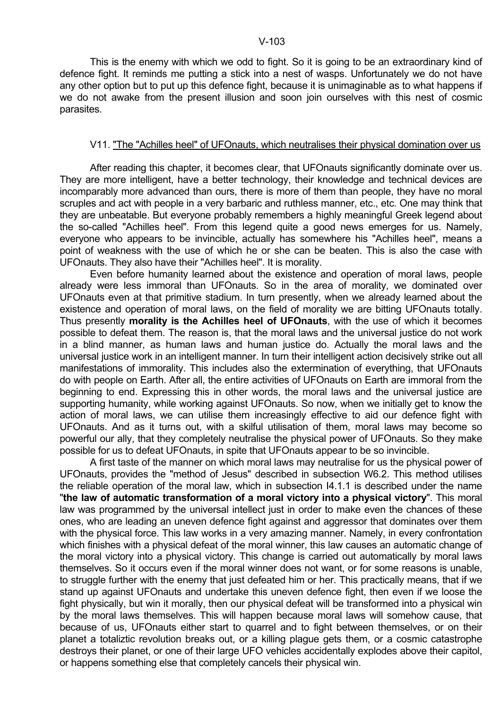This is the enemy with which we odd to fight. So it is going to be an extraordinary kind of defence fight. It reminds me putting a stick into a nest of wasps. Unfortunately we do not have any other option but to put up this defence fight, because it is unimaginable as to what happens if we do not awake from the present illusion and soon join ourselves with this nest of cosmic parasites.

### V11. "The "Achilles heel" of UFOnauts, which neutralises their physical domination over us

 After reading this chapter, it becomes clear, that UFOnauts significantly dominate over us. They are more intelligent, have a better technology, their knowledge and technical devices are incomparably more advanced than ours, there is more of them than people, they have no moral scruples and act with people in a very barbaric and ruthless manner, etc., etc. One may think that they are unbeatable. But everyone probably remembers a highly meaningful Greek legend about the so-called "Achilles heel". From this legend quite a good news emerges for us. Namely, everyone who appears to be invincible, actually has somewhere his "Achilles heel", means a point of weakness with the use of which he or she can be beaten. This is also the case with UFOnauts. They also have their "Achilles heel". It is morality.

 Even before humanity learned about the existence and operation of moral laws, people already were less immoral than UFOnauts. So in the area of morality, we dominated over UFOnauts even at that primitive stadium. In turn presently, when we already learned about the existence and operation of moral laws, on the field of morality we are bitting UFOnauts totally. Thus presently **morality is the Achilles heel of UFOnauts**, with the use of which it becomes possible to defeat them. The reason is, that the moral laws and the universal justice do not work in a blind manner, as human laws and human justice do. Actually the moral laws and the universal justice work in an intelligent manner. In turn their intelligent action decisively strike out all manifestations of immorality. This includes also the extermination of everything, that UFOnauts do with people on Earth. After all, the entire activities of UFOnauts on Earth are immoral from the beginning to end. Expressing this in other words, the moral laws and the universal justice are supporting humanity, while working against UFOnauts. So now, when we initially get to know the action of moral laws, we can utilise them increasingly effective to aid our defence fight with UFOnauts. And as it turns out, with a skilful utilisation of them, moral laws may become so powerful our ally, that they completely neutralise the physical power of UFOnauts. So they make possible for us to defeat UFOnauts, in spite that UFOnauts appear to be so invincible.

 A first taste of the manner on which moral laws may neutralise for us the physical power of UFOnauts, provides the "method of Jesus" described in subsection W6.2. This method utilises the reliable operation of the moral law, which in subsection I4.1.1 is described under the name "**the law of automatic transformation of a moral victory into a physical victory**". This moral law was programmed by the universal intellect just in order to make even the chances of these ones, who are leading an uneven defence fight against and aggressor that dominates over them with the physical force. This law works in a very amazing manner. Namely, in every confrontation which finishes with a physical defeat of the moral winner, this law causes an automatic change of the moral victory into a physical victory. This change is carried out automatically by moral laws themselves. So it occurs even if the moral winner does not want, or for some reasons is unable, to struggle further with the enemy that just defeated him or her. This practically means, that if we stand up against UFOnauts and undertake this uneven defence fight, then even if we loose the fight physically, but win it morally, then our physical defeat will be transformed into a physical win by the moral laws themselves. This will happen because moral laws will somehow cause, that because of us, UFOnauts either start to quarrel and to fight between themselves, or on their planet a totaliztic revolution breaks out, or a killing plague gets them, or a cosmic catastrophe destroys their planet, or one of their large UFO vehicles accidentally explodes above their capitol, or happens something else that completely cancels their physical win.